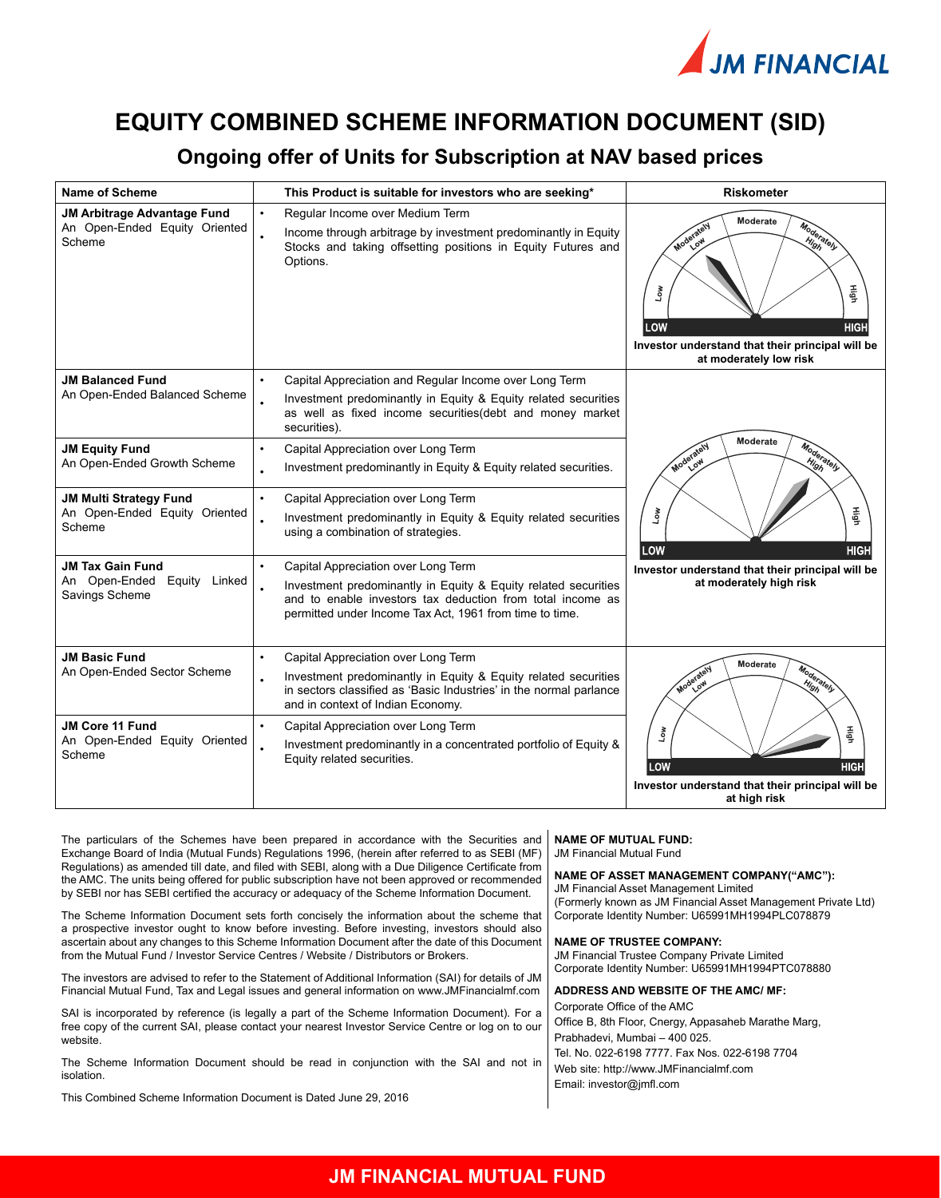

# **EQUITY COMBINED SCHEME INFORMATION DOCUMENT (SID)**

## **Ongoing offer of Units for Subscription at NAV based prices**

| Name of Scheme                                                           | This Product is suitable for investors who are seeking*                                                                                                                                                                                     | <b>Riskometer</b>                                                                                                                                            |
|--------------------------------------------------------------------------|---------------------------------------------------------------------------------------------------------------------------------------------------------------------------------------------------------------------------------------------|--------------------------------------------------------------------------------------------------------------------------------------------------------------|
| JM Arbitrage Advantage Fund<br>An Open-Ended Equity Oriented<br>Scheme   | $\bullet$<br>Regular Income over Medium Term<br>Income through arbitrage by investment predominantly in Equity<br>Stocks and taking offsetting positions in Equity Futures and<br>Options.                                                  | Moderate<br>Moderately<br>Moderately<br>High<br>Η<br>Low<br>LOW<br><b>HIGH</b><br>Investor understand that their principal will be<br>at moderately low risk |
| <b>JM Balanced Fund</b><br>An Open-Ended Balanced Scheme                 | Capital Appreciation and Regular Income over Long Term<br>$\bullet$<br>Investment predominantly in Equity & Equity related securities<br>as well as fixed income securities (debt and money market<br>securities).                          |                                                                                                                                                              |
| <b>JM Equity Fund</b><br>An Open-Ended Growth Scheme                     | Capital Appreciation over Long Term<br>$\bullet$<br>Investment predominantly in Equity & Equity related securities.<br>$\bullet$                                                                                                            | Moderate<br>Moderately<br>Moderately<br>$\frac{H_{\!f}}{g_{\vec{p}}}$                                                                                        |
| <b>JM Multi Strategy Fund</b><br>An Open-Ended Equity Oriented<br>Scheme | Capital Appreciation over Long Term<br>$\bullet$<br>Investment predominantly in Equity & Equity related securities<br>using a combination of strategies.                                                                                    | High<br>Low<br>LOW<br><b>HIGH</b>                                                                                                                            |
| <b>JM Tax Gain Fund</b><br>An Open-Ended Equity Linked<br>Savings Scheme | Capital Appreciation over Long Term<br>$\bullet$<br>Investment predominantly in Equity & Equity related securities<br>and to enable investors tax deduction from total income as<br>permitted under Income Tax Act, 1961 from time to time. | Investor understand that their principal will be<br>at moderately high risk                                                                                  |
| <b>JM Basic Fund</b><br>An Open-Ended Sector Scheme                      | $\bullet$<br>Capital Appreciation over Long Term<br>Investment predominantly in Equity & Equity related securities<br>in sectors classified as 'Basic Industries' in the normal parlance<br>and in context of Indian Economy.               | Moderate<br>Moderately<br>Moderately<br>High                                                                                                                 |
| <b>JM Core 11 Fund</b><br>An Open-Ended Equity Oriented<br>Scheme        | $\bullet$<br>Capital Appreciation over Long Term<br>Investment predominantly in a concentrated portfolio of Equity &<br>Equity related securities.                                                                                          | Ηğ<br>Low<br>LOW<br>HIGH<br>Investor understand that their principal will be<br>at high risk                                                                 |

The particulars of the Schemes have been prepared in accordance with the Securities and Exchange Board of India (Mutual Funds) Regulations 1996, (herein after referred to as SEBI (MF) Regulations) as amended till date, and filed with SEBI, along with a Due Diligence Certificate from the AMC. The units being offered for public subscription have not been approved or recommended by SEBI nor has SEBI certified the accuracy or adequacy of the Scheme Information Document.

The Scheme Information Document sets forth concisely the information about the scheme that a prospective investor ought to know before investing. Before investing, investors should also ascertain about any changes to this Scheme Information Document after the date of this Document from the Mutual Fund / Investor Service Centres / Website / Distributors or Brokers.

The investors are advised to refer to the Statement of Additional Information (SAI) for details of JM Financial Mutual Fund, Tax and Legal issues and general information on www.JMFinancialmf.com

SAI is incorporated by reference (is legally a part of the Scheme Information Document). For a free copy of the current SAI, please contact your nearest Investor Service Centre or log on to our website.

The Scheme Information Document should be read in conjunction with the SAI and not in isolation.

This Combined Scheme Information Document is Dated June 29, 2016

**NAME OF MUTUAL FUND:**

JM Financial Mutual Fund

### **NAME OF ASSET MANAGEMENT COMPANY("AMC"):**

JM Financial Asset Management Limited (Formerly known as JM Financial Asset Management Private Ltd) Corporate Identity Number: U65991MH1994PLC078879

#### **NAME OF TRUSTEE COMPANY:**

JM Financial Trustee Company Private Limited Corporate Identity Number: U65991MH1994PTC078880

#### **ADDRESS AND WEBSITE OF THE AMC/ MF:** Corporate Office of the AMC

Office B, 8th Floor, Cnergy, Appasaheb Marathe Marg, Prabhadevi, Mumbai – 400 025.

Tel. No. 022-6198 7777. Fax Nos. 022-6198 7704 Web site: http://www.JMFinancialmf.com Email: investor@jmfl.com

## **JM FINANCIAL MUTUAL FUND**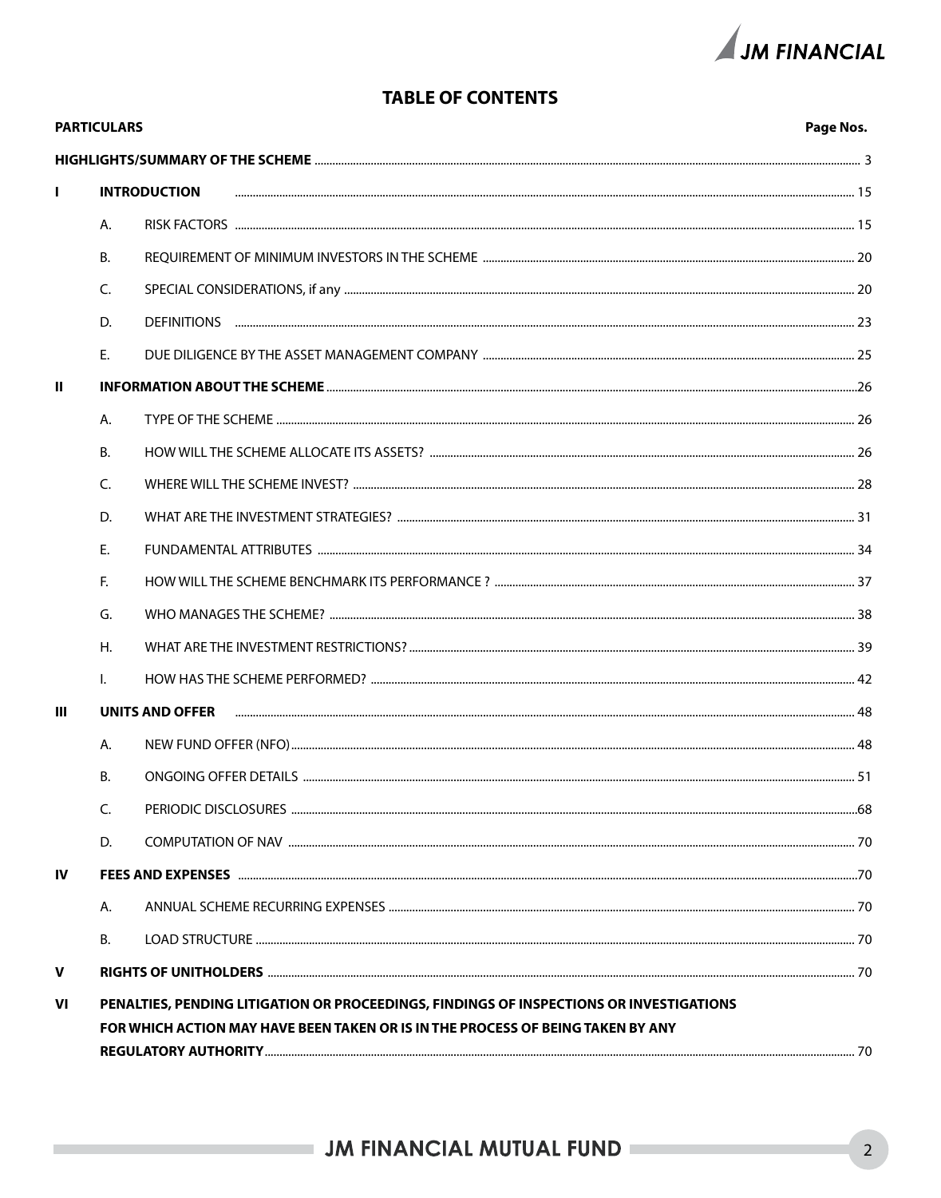

## **TABLE OF CONTENTS**

|             | <b>PARTICULARS</b> |                                                                                         | Page Nos. |
|-------------|--------------------|-----------------------------------------------------------------------------------------|-----------|
|             |                    |                                                                                         |           |
| П           |                    | <b>INTRODUCTION</b>                                                                     |           |
|             | А.                 |                                                                                         |           |
|             | В.                 |                                                                                         |           |
|             | C.                 |                                                                                         |           |
|             | D.                 |                                                                                         |           |
|             | E.                 |                                                                                         |           |
| Ш           |                    |                                                                                         |           |
|             | А.                 |                                                                                         |           |
|             | <b>B.</b>          |                                                                                         |           |
|             | C.                 |                                                                                         |           |
|             | D.                 |                                                                                         |           |
|             | E.                 |                                                                                         |           |
|             | F.                 |                                                                                         |           |
|             | G.                 |                                                                                         |           |
|             | Η.                 |                                                                                         |           |
|             | I.                 |                                                                                         |           |
| Ш           |                    | UNITS AND OFFER                                                                         |           |
|             | А.                 |                                                                                         |           |
|             | В.                 |                                                                                         |           |
|             | C.                 |                                                                                         |           |
|             | D.                 |                                                                                         |           |
| <b>IV</b>   |                    |                                                                                         |           |
|             | А.                 |                                                                                         |           |
|             | В.                 |                                                                                         |           |
| $\mathbf v$ |                    |                                                                                         |           |
| VI          |                    | PENALTIES, PENDING LITIGATION OR PROCEEDINGS, FINDINGS OF INSPECTIONS OR INVESTIGATIONS |           |
|             |                    | FOR WHICH ACTION MAY HAVE BEEN TAKEN OR IS IN THE PROCESS OF BEING TAKEN BY ANY         |           |
|             |                    |                                                                                         |           |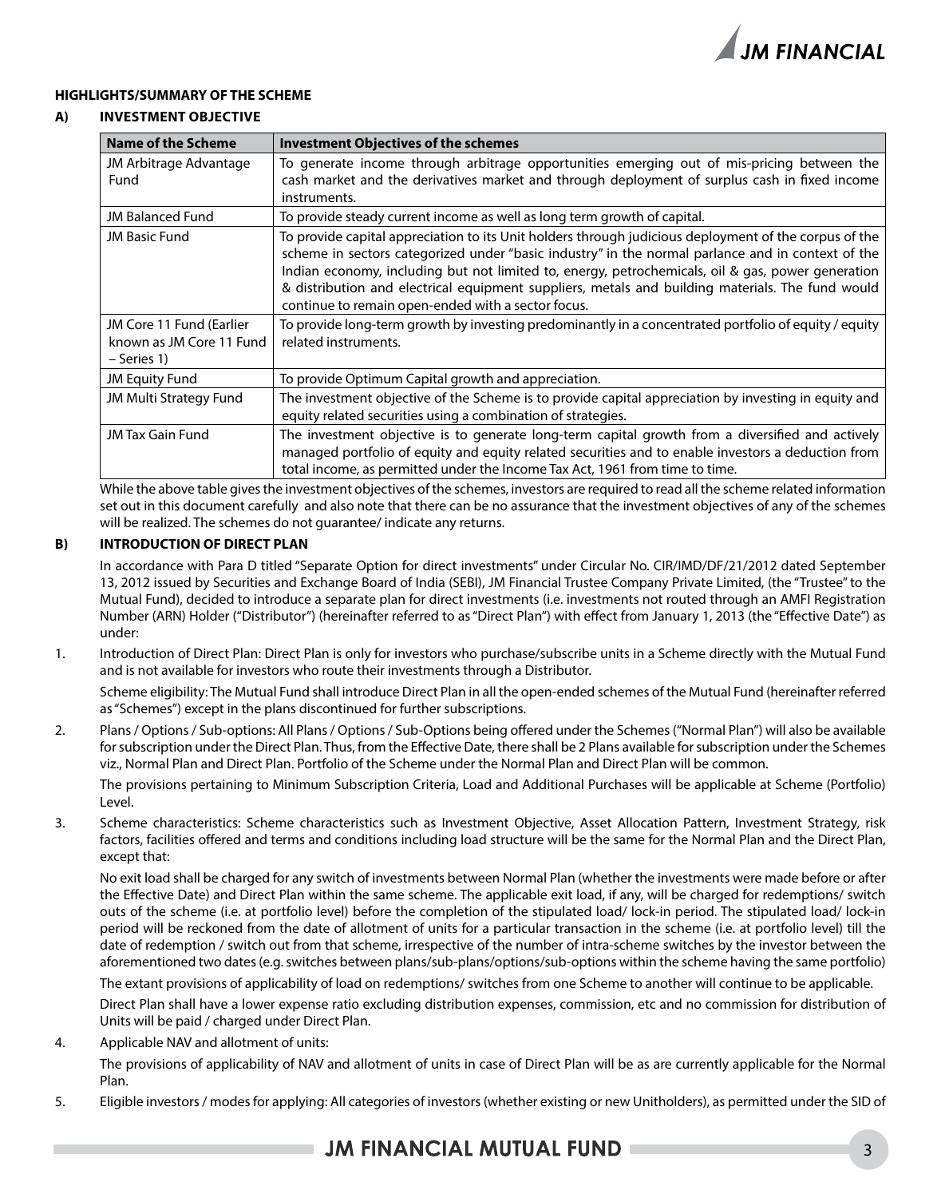

### **HIGHLIGHTS/SUMMARY OF THE SCHEME**

### **A) Investment objective**

| Name of the Scheme             | <b>Investment Objectives of the schemes</b>                                                                                                                                                                                                                                                                                                                                                                                                                               |
|--------------------------------|---------------------------------------------------------------------------------------------------------------------------------------------------------------------------------------------------------------------------------------------------------------------------------------------------------------------------------------------------------------------------------------------------------------------------------------------------------------------------|
| JM Arbitrage Advantage<br>Fund | To generate income through arbitrage opportunities emerging out of mis-pricing between the<br>cash market and the derivatives market and through deployment of surplus cash in fixed income<br>instruments.                                                                                                                                                                                                                                                               |
| <b>JM Balanced Fund</b>        | To provide steady current income as well as long term growth of capital.                                                                                                                                                                                                                                                                                                                                                                                                  |
| <b>JM Basic Fund</b>           | To provide capital appreciation to its Unit holders through judicious deployment of the corpus of the<br>scheme in sectors categorized under "basic industry" in the normal parlance and in context of the<br>Indian economy, including but not limited to, energy, petrochemicals, oil & gas, power generation<br>& distribution and electrical equipment suppliers, metals and building materials. The fund would<br>continue to remain open-ended with a sector focus. |
| JM Core 11 Fund (Earlier       | To provide long-term growth by investing predominantly in a concentrated portfolio of equity / equity                                                                                                                                                                                                                                                                                                                                                                     |
| known as JM Core 11 Fund       | related instruments.                                                                                                                                                                                                                                                                                                                                                                                                                                                      |
| - Series 1)                    |                                                                                                                                                                                                                                                                                                                                                                                                                                                                           |
| <b>JM Equity Fund</b>          | To provide Optimum Capital growth and appreciation.                                                                                                                                                                                                                                                                                                                                                                                                                       |
| JM Multi Strategy Fund         | The investment objective of the Scheme is to provide capital appreciation by investing in equity and<br>equity related securities using a combination of strategies.                                                                                                                                                                                                                                                                                                      |
| JM Tax Gain Fund               | The investment objective is to generate long-term capital growth from a diversified and actively<br>managed portfolio of equity and equity related securities and to enable investors a deduction from<br>total income, as permitted under the Income Tax Act, 1961 from time to time.                                                                                                                                                                                    |

While the above table gives the investment objectives of the schemes, investors are required to read all the scheme related information set out in this document carefully and also note that there can be no assurance that the investment objectives of any of the schemes will be realized. The schemes do not guarantee/ indicate any returns.

### **B) INTRODUCTION OF DIRECT PLAN**

In accordance with Para D titled "Separate Option for direct investments" under Circular No. CIR/IMD/DF/21/2012 dated September 13, 2012 issued by Securities and Exchange Board of India (SEBI), JM Financial Trustee Company Private Limited, (the "Trustee" to the Mutual Fund), decided to introduce a separate plan for direct investments (i.e. investments not routed through an AMFI Registration Number (ARN) Holder ("Distributor") (hereinafter referred to as "Direct Plan") with effect from January 1, 2013 (the "Effective Date") as under:

1. Introduction of Direct Plan: Direct Plan is only for investors who purchase/subscribe units in a Scheme directly with the Mutual Fund and is not available for investors who route their investments through a Distributor.

Scheme eligibility: The Mutual Fund shall introduce Direct Plan in all the open-ended schemes of the Mutual Fund (hereinafter referred as "Schemes") except in the plans discontinued for further subscriptions.

2. Plans / Options / Sub-options: All Plans / Options / Sub-Options being offered under the Schemes ("Normal Plan") will also be available for subscription under the Direct Plan. Thus, from the Effective Date, there shall be 2 Plans available for subscription under the Schemes viz., Normal Plan and Direct Plan. Portfolio of the Scheme under the Normal Plan and Direct Plan will be common.

The provisions pertaining to Minimum Subscription Criteria, Load and Additional Purchases will be applicable at Scheme (Portfolio) Level.

3. Scheme characteristics: Scheme characteristics such as Investment Objective, Asset Allocation Pattern, Investment Strategy, risk factors, facilities offered and terms and conditions including load structure will be the same for the Normal Plan and the Direct Plan, except that:

No exit load shall be charged for any switch of investments between Normal Plan (whether the investments were made before or after the Effective Date) and Direct Plan within the same scheme. The applicable exit load, if any, will be charged for redemptions/ switch outs of the scheme (i.e. at portfolio level) before the completion of the stipulated load/ lock-in period. The stipulated load/ lock-in period will be reckoned from the date of allotment of units for a particular transaction in the scheme (i.e. at portfolio level) till the date of redemption / switch out from that scheme, irrespective of the number of intra-scheme switches by the investor between the aforementioned two dates (e.g. switches between plans/sub-plans/options/sub-options within the scheme having the same portfolio)

The extant provisions of applicability of load on redemptions/ switches from one Scheme to another will continue to be applicable.

Direct Plan shall have a lower expense ratio excluding distribution expenses, commission, etc and no commission for distribution of Units will be paid / charged under Direct Plan.

4. Applicable NAV and allotment of units:

The provisions of applicability of NAV and allotment of units in case of Direct Plan will be as are currently applicable for the Normal Plan.

5. Eligible investors / modes for applying: All categories of investors (whether existing or new Unitholders), as permitted under the SID of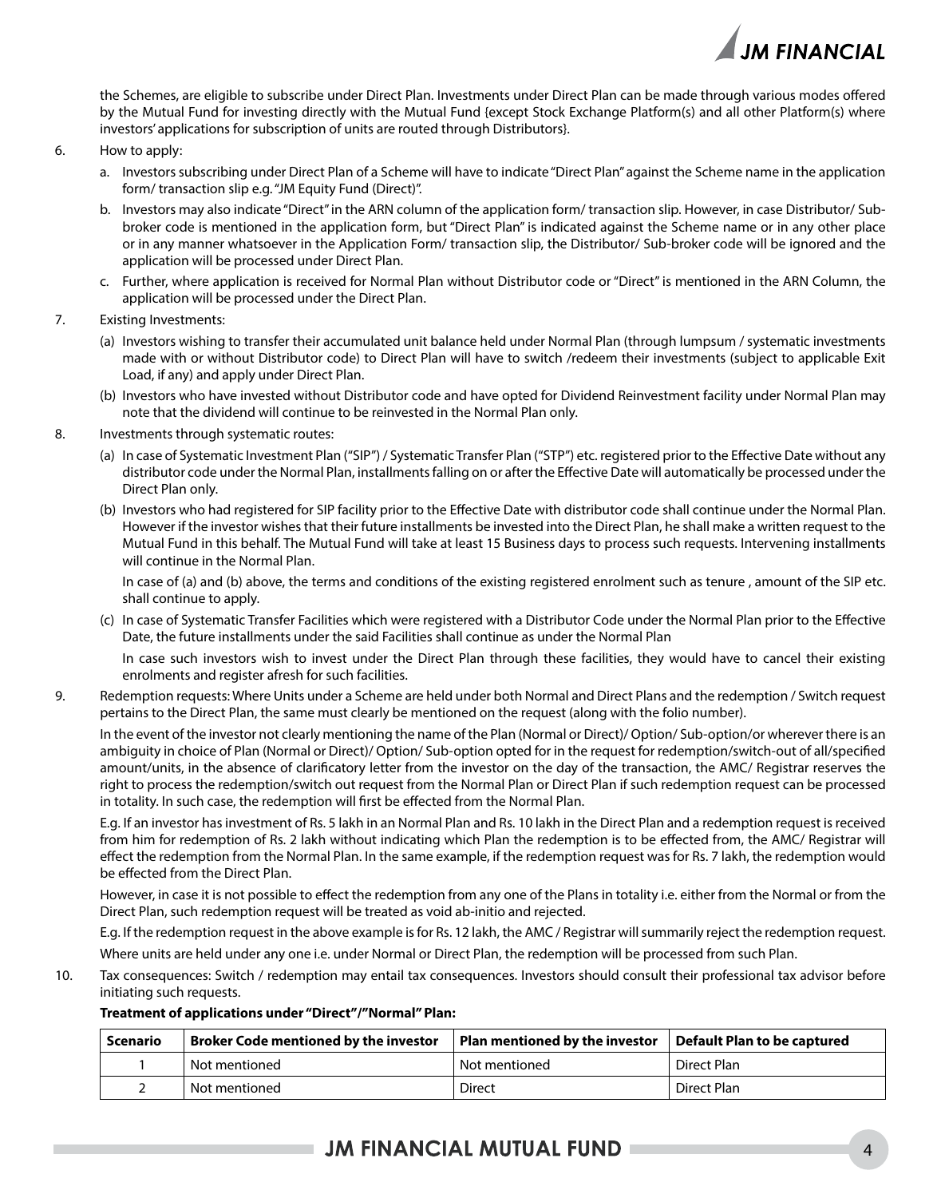

the Schemes, are eligible to subscribe under Direct Plan. Investments under Direct Plan can be made through various modes offered by the Mutual Fund for investing directly with the Mutual Fund {except Stock Exchange Platform(s) and all other Platform(s) where investors' applications for subscription of units are routed through Distributors}.

- 6. How to apply:
	- a. Investors subscribing under Direct Plan of a Scheme will have to indicate "Direct Plan" against the Scheme name in the application form/ transaction slip e.g. "JM Equity Fund (Direct)".
	- b. Investors may also indicate "Direct" in the ARN column of the application form/ transaction slip. However, in case Distributor/ Subbroker code is mentioned in the application form, but "Direct Plan" is indicated against the Scheme name or in any other place or in any manner whatsoever in the Application Form/ transaction slip, the Distributor/ Sub-broker code will be ignored and the application will be processed under Direct Plan.
	- c. Further, where application is received for Normal Plan without Distributor code or "Direct" is mentioned in the ARN Column, the application will be processed under the Direct Plan.
- 7. Existing Investments:
	- (a) Investors wishing to transfer their accumulated unit balance held under Normal Plan (through lumpsum / systematic investments made with or without Distributor code) to Direct Plan will have to switch /redeem their investments (subject to applicable Exit Load, if any) and apply under Direct Plan.
	- (b) Investors who have invested without Distributor code and have opted for Dividend Reinvestment facility under Normal Plan may note that the dividend will continue to be reinvested in the Normal Plan only.
- 8. Investments through systematic routes:
	- (a) In case of Systematic Investment Plan ("SIP") / Systematic Transfer Plan ("STP") etc. registered prior to the Effective Date without any distributor code under the Normal Plan, installments falling on or after the Effective Date will automatically be processed under the Direct Plan only.
	- (b) Investors who had registered for SIP facility prior to the Effective Date with distributor code shall continue under the Normal Plan. However if the investor wishes that their future installments be invested into the Direct Plan, he shall make a written request to the Mutual Fund in this behalf. The Mutual Fund will take at least 15 Business days to process such requests. Intervening installments will continue in the Normal Plan.

 In case of (a) and (b) above, the terms and conditions of the existing registered enrolment such as tenure , amount of the SIP etc. shall continue to apply.

(c) In case of Systematic Transfer Facilities which were registered with a Distributor Code under the Normal Plan prior to the Effective Date, the future installments under the said Facilities shall continue as under the Normal Plan

 In case such investors wish to invest under the Direct Plan through these facilities, they would have to cancel their existing enrolments and register afresh for such facilities.

9. Redemption requests: Where Units under a Scheme are held under both Normal and Direct Plans and the redemption / Switch request pertains to the Direct Plan, the same must clearly be mentioned on the request (along with the folio number).

In the event of the investor not clearly mentioning the name of the Plan (Normal or Direct)/ Option/ Sub-option/or wherever there is an ambiguity in choice of Plan (Normal or Direct)/ Option/ Sub-option opted for in the request for redemption/switch-out of all/specified amount/units, in the absence of clarificatory letter from the investor on the day of the transaction, the AMC/ Registrar reserves the right to process the redemption/switch out request from the Normal Plan or Direct Plan if such redemption request can be processed in totality. In such case, the redemption will first be effected from the Normal Plan.

E.g. If an investor has investment of Rs. 5 lakh in an Normal Plan and Rs. 10 lakh in the Direct Plan and a redemption request is received from him for redemption of Rs. 2 lakh without indicating which Plan the redemption is to be effected from, the AMC/ Registrar will effect the redemption from the Normal Plan. In the same example, if the redemption request was for Rs. 7 lakh, the redemption would be effected from the Direct Plan.

However, in case it is not possible to effect the redemption from any one of the Plans in totality i.e. either from the Normal or from the Direct Plan, such redemption request will be treated as void ab-initio and rejected.

E.g. If the redemption request in the above example is for Rs. 12 lakh, the AMC / Registrar will summarily reject the redemption request. Where units are held under any one i.e. under Normal or Direct Plan, the redemption will be processed from such Plan.

10. Tax consequences: Switch / redemption may entail tax consequences. Investors should consult their professional tax advisor before initiating such requests.

| Scenario | $\blacksquare$ Plan mentioned by the investor<br>$\,$ Broker Code mentioned by the investor |               | Default Plan to be captured |
|----------|---------------------------------------------------------------------------------------------|---------------|-----------------------------|
|          | Not mentioned                                                                               | Not mentioned | Direct Plan                 |
|          | Not mentioned                                                                               | Direct        | Direct Plan                 |

### **Treatment of applications under "Direct"/"Normal" Plan:**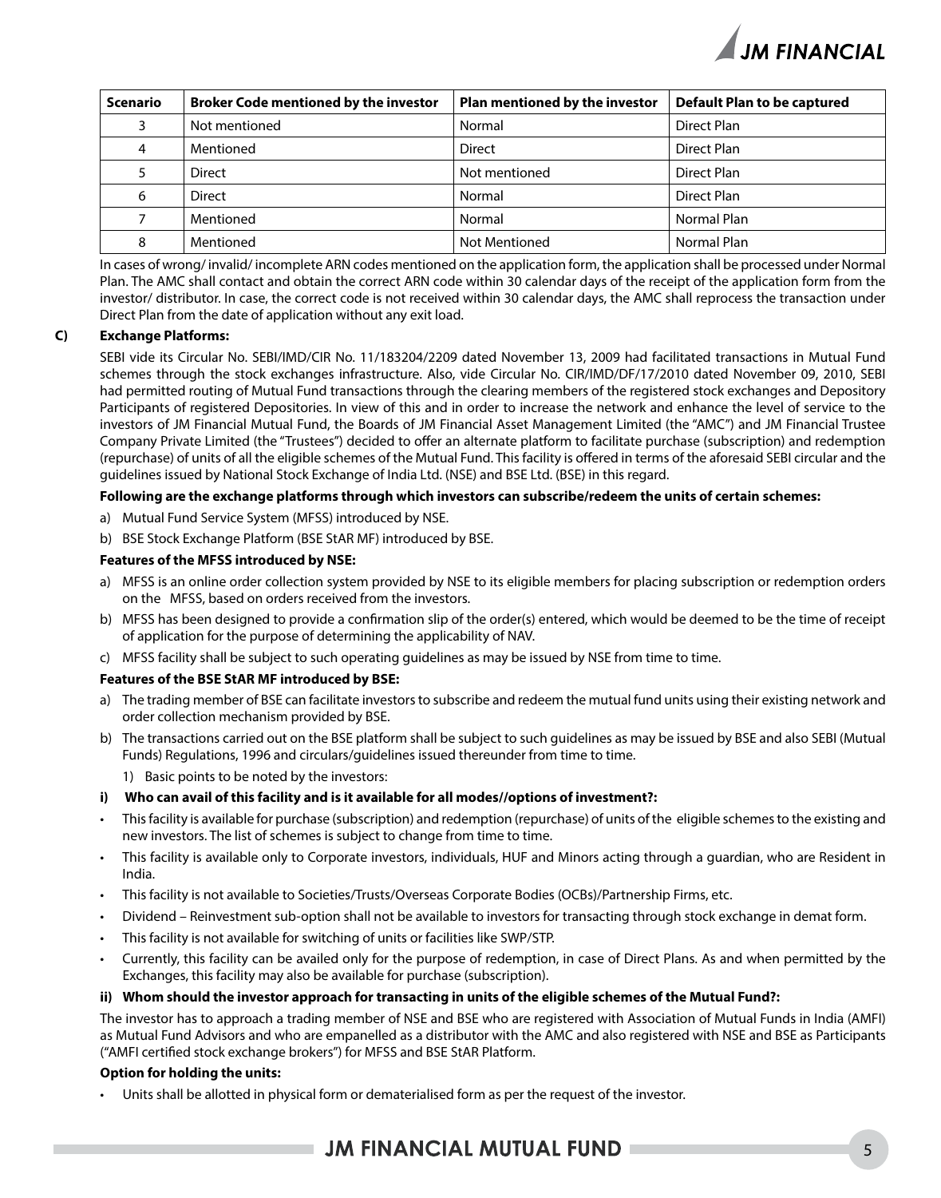

| Scenario | <b>Broker Code mentioned by the investor</b> | Plan mentioned by the investor | <b>Default Plan to be captured</b> |
|----------|----------------------------------------------|--------------------------------|------------------------------------|
| ٩        | Not mentioned                                | Normal                         | Direct Plan                        |
| 4        | Mentioned                                    | <b>Direct</b>                  | Direct Plan                        |
|          | <b>Direct</b>                                | Not mentioned                  | Direct Plan                        |
| 6        | <b>Direct</b>                                | Normal                         | Direct Plan                        |
|          | Mentioned                                    | Normal                         | Normal Plan                        |
| 8        | Mentioned                                    | <b>Not Mentioned</b>           | Normal Plan                        |

In cases of wrong/ invalid/ incomplete ARN codes mentioned on the application form, the application shall be processed under Normal Plan. The AMC shall contact and obtain the correct ARN code within 30 calendar days of the receipt of the application form from the investor/ distributor. In case, the correct code is not received within 30 calendar days, the AMC shall reprocess the transaction under Direct Plan from the date of application without any exit load.

### **C) Exchange Platforms:**

SEBI vide its Circular No. SEBI/IMD/CIR No. 11/183204/2209 dated November 13, 2009 had facilitated transactions in Mutual Fund schemes through the stock exchanges infrastructure. Also, vide Circular No. CIR/IMD/DF/17/2010 dated November 09, 2010, SEBI had permitted routing of Mutual Fund transactions through the clearing members of the registered stock exchanges and Depository Participants of registered Depositories. In view of this and in order to increase the network and enhance the level of service to the investors of JM Financial Mutual Fund, the Boards of JM Financial Asset Management Limited (the "AMC") and JM Financial Trustee Company Private Limited (the "Trustees") decided to offer an alternate platform to facilitate purchase (subscription) and redemption (repurchase) of units of all the eligible schemes of the Mutual Fund. This facility is offered in terms of the aforesaid SEBI circular and the guidelines issued by National Stock Exchange of India Ltd. (NSE) and BSE Ltd. (BSE) in this regard.

### **Following are the exchange platforms through which investors can subscribe/redeem the units of certain schemes:**

- a) Mutual Fund Service System (MFSS) introduced by NSE.
- b) BSE Stock Exchange Platform (BSE StAR MF) introduced by BSE.

### **Features of the MFSS introduced by NSE:**

- a) MFSS is an online order collection system provided by NSE to its eligible members for placing subscription or redemption orders on the MFSS, based on orders received from the investors.
- b) MFSS has been designed to provide a confirmation slip of the order(s) entered, which would be deemed to be the time of receipt of application for the purpose of determining the applicability of NAV.
- c) MFSS facility shall be subject to such operating guidelines as may be issued by NSE from time to time.

### **Features of the BSE StAR MF introduced by BSE:**

- a) The trading member of BSE can facilitate investors to subscribe and redeem the mutual fund units using their existing network and order collection mechanism provided by BSE.
- b) The transactions carried out on the BSE platform shall be subject to such guidelines as may be issued by BSE and also SEBI (Mutual Funds) Regulations, 1996 and circulars/guidelines issued thereunder from time to time.
	- 1) Basic points to be noted by the investors:
- **i) Who can avail of this facility and is it available for all modes//options of investment?:**
- This facility is available for purchase (subscription) and redemption (repurchase) of units of the eligible schemes to the existing and new investors. The list of schemes is subject to change from time to time.
- This facility is available only to Corporate investors, individuals, HUF and Minors acting through a guardian, who are Resident in India.
- This facility is not available to Societies/Trusts/Overseas Corporate Bodies (OCBs)/Partnership Firms, etc.
- Dividend Reinvestment sub-option shall not be available to investors for transacting through stock exchange in demat form.
- This facility is not available for switching of units or facilities like SWP/STP.
- Currently, this facility can be availed only for the purpose of redemption, in case of Direct Plans. As and when permitted by the Exchanges, this facility may also be available for purchase (subscription).

#### **ii) Whom should the investor approach for transacting in units of the eligible schemes of the Mutual Fund?:**

The investor has to approach a trading member of NSE and BSE who are registered with Association of Mutual Funds in India (AMFI) as Mutual Fund Advisors and who are empanelled as a distributor with the AMC and also registered with NSE and BSE as Participants ("AMFI certified stock exchange brokers") for MFSS and BSE StAR Platform.

#### **Option for holding the units:**

Units shall be allotted in physical form or dematerialised form as per the request of the investor.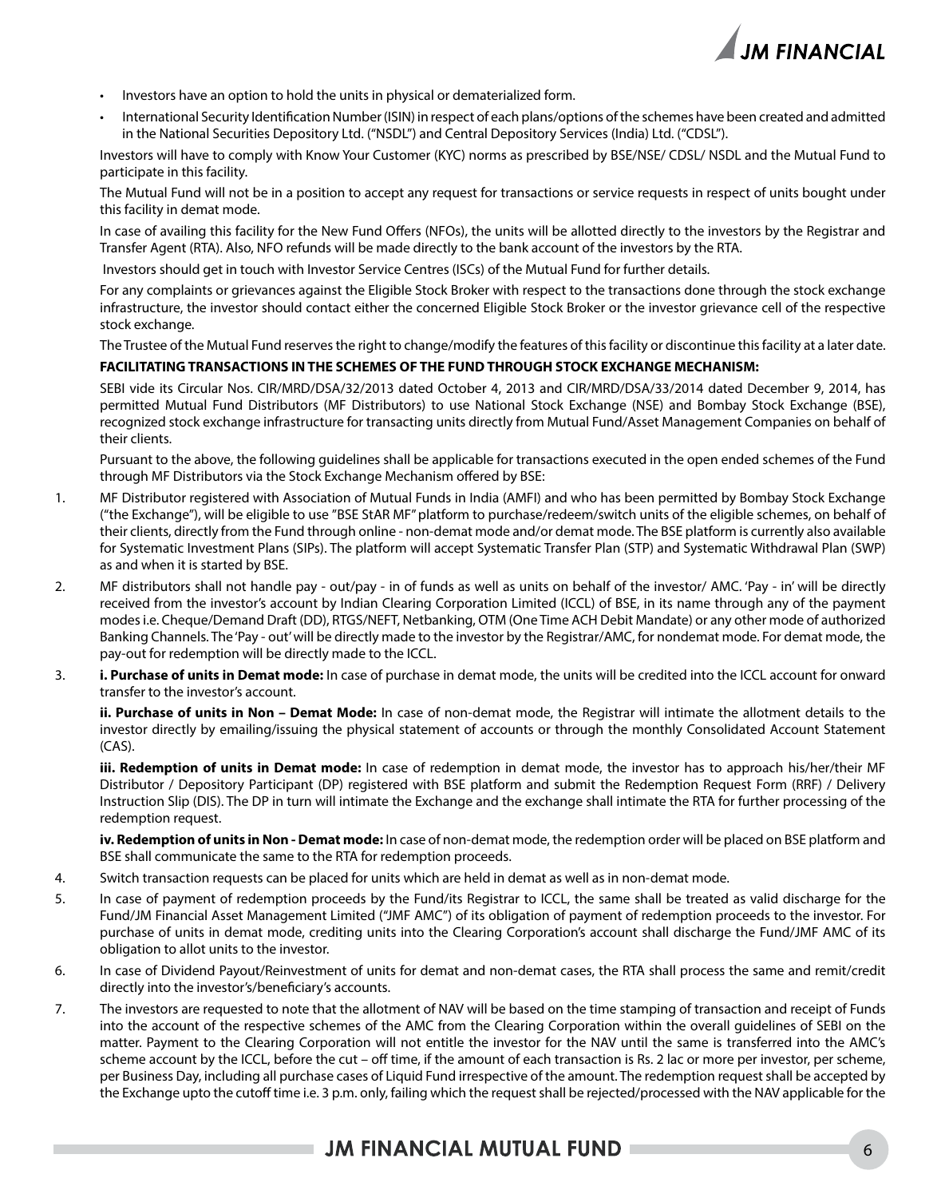

- Investors have an option to hold the units in physical or dematerialized form.
- International Security Identification Number (ISIN) in respect of each plans/options of the schemes have been created and admitted in the National Securities Depository Ltd. ("NSDL") and Central Depository Services (India) Ltd. ("CDSL").

Investors will have to comply with Know Your Customer (KYC) norms as prescribed by BSE/NSE/ CDSL/ NSDL and the Mutual Fund to participate in this facility.

The Mutual Fund will not be in a position to accept any request for transactions or service requests in respect of units bought under this facility in demat mode.

In case of availing this facility for the New Fund Offers (NFOs), the units will be allotted directly to the investors by the Registrar and Transfer Agent (RTA). Also, NFO refunds will be made directly to the bank account of the investors by the RTA.

Investors should get in touch with Investor Service Centres (ISCs) of the Mutual Fund for further details.

For any complaints or grievances against the Eligible Stock Broker with respect to the transactions done through the stock exchange infrastructure, the investor should contact either the concerned Eligible Stock Broker or the investor grievance cell of the respective stock exchange.

The Trustee of the Mutual Fund reserves the right to change/modify the features of this facility or discontinue this facility at a later date.

### **FACILITATING TRANSACTIONS IN THE SCHEMES OF THE FUND THROUGH STOCK EXCHANGE MECHANISM:**

SEBI vide its Circular Nos. CIR/MRD/DSA/32/2013 dated October 4, 2013 and CIR/MRD/DSA/33/2014 dated December 9, 2014, has permitted Mutual Fund Distributors (MF Distributors) to use National Stock Exchange (NSE) and Bombay Stock Exchange (BSE), recognized stock exchange infrastructure for transacting units directly from Mutual Fund/Asset Management Companies on behalf of their clients.

Pursuant to the above, the following guidelines shall be applicable for transactions executed in the open ended schemes of the Fund through MF Distributors via the Stock Exchange Mechanism offered by BSE:

- 1. MF Distributor registered with Association of Mutual Funds in India (AMFI) and who has been permitted by Bombay Stock Exchange ("the Exchange"), will be eligible to use "BSE StAR MF" platform to purchase/redeem/switch units of the eligible schemes, on behalf of their clients, directly from the Fund through online - non-demat mode and/or demat mode. The BSE platform is currently also available for Systematic Investment Plans (SIPs). The platform will accept Systematic Transfer Plan (STP) and Systematic Withdrawal Plan (SWP) as and when it is started by BSE.
- 2. MF distributors shall not handle pay out/pay in of funds as well as units on behalf of the investor/ AMC. 'Pay in' will be directly received from the investor's account by Indian Clearing Corporation Limited (ICCL) of BSE, in its name through any of the payment modes i.e. Cheque/Demand Draft (DD), RTGS/NEFT, Netbanking, OTM (One Time ACH Debit Mandate) or any other mode of authorized Banking Channels. The 'Pay - out' will be directly made to the investor by the Registrar/AMC, for nondemat mode. For demat mode, the pay-out for redemption will be directly made to the ICCL.
- 3. **i. Purchase of units in Demat mode:** In case of purchase in demat mode, the units will be credited into the ICCL account for onward transfer to the investor's account.

**ii. Purchase of units in Non – Demat Mode:** In case of non-demat mode, the Registrar will intimate the allotment details to the investor directly by emailing/issuing the physical statement of accounts or through the monthly Consolidated Account Statement (CAS).

**iii. Redemption of units in Demat mode:** In case of redemption in demat mode, the investor has to approach his/her/their MF Distributor / Depository Participant (DP) registered with BSE platform and submit the Redemption Request Form (RRF) / Delivery Instruction Slip (DIS). The DP in turn will intimate the Exchange and the exchange shall intimate the RTA for further processing of the redemption request.

**iv. Redemption of units in Non - Demat mode:** In case of non-demat mode, the redemption order will be placed on BSE platform and BSE shall communicate the same to the RTA for redemption proceeds.

- 4. Switch transaction requests can be placed for units which are held in demat as well as in non-demat mode.
- 5. In case of payment of redemption proceeds by the Fund/its Registrar to ICCL, the same shall be treated as valid discharge for the Fund/JM Financial Asset Management Limited ("JMF AMC") of its obligation of payment of redemption proceeds to the investor. For purchase of units in demat mode, crediting units into the Clearing Corporation's account shall discharge the Fund/JMF AMC of its obligation to allot units to the investor.
- 6. In case of Dividend Payout/Reinvestment of units for demat and non-demat cases, the RTA shall process the same and remit/credit directly into the investor's/beneficiary's accounts.
- 7. The investors are requested to note that the allotment of NAV will be based on the time stamping of transaction and receipt of Funds into the account of the respective schemes of the AMC from the Clearing Corporation within the overall guidelines of SEBI on the matter. Payment to the Clearing Corporation will not entitle the investor for the NAV until the same is transferred into the AMC's scheme account by the ICCL, before the cut – off time, if the amount of each transaction is Rs. 2 lac or more per investor, per scheme, per Business Day, including all purchase cases of Liquid Fund irrespective of the amount. The redemption request shall be accepted by the Exchange upto the cutoff time i.e. 3 p.m. only, failing which the request shall be rejected/processed with the NAV applicable for the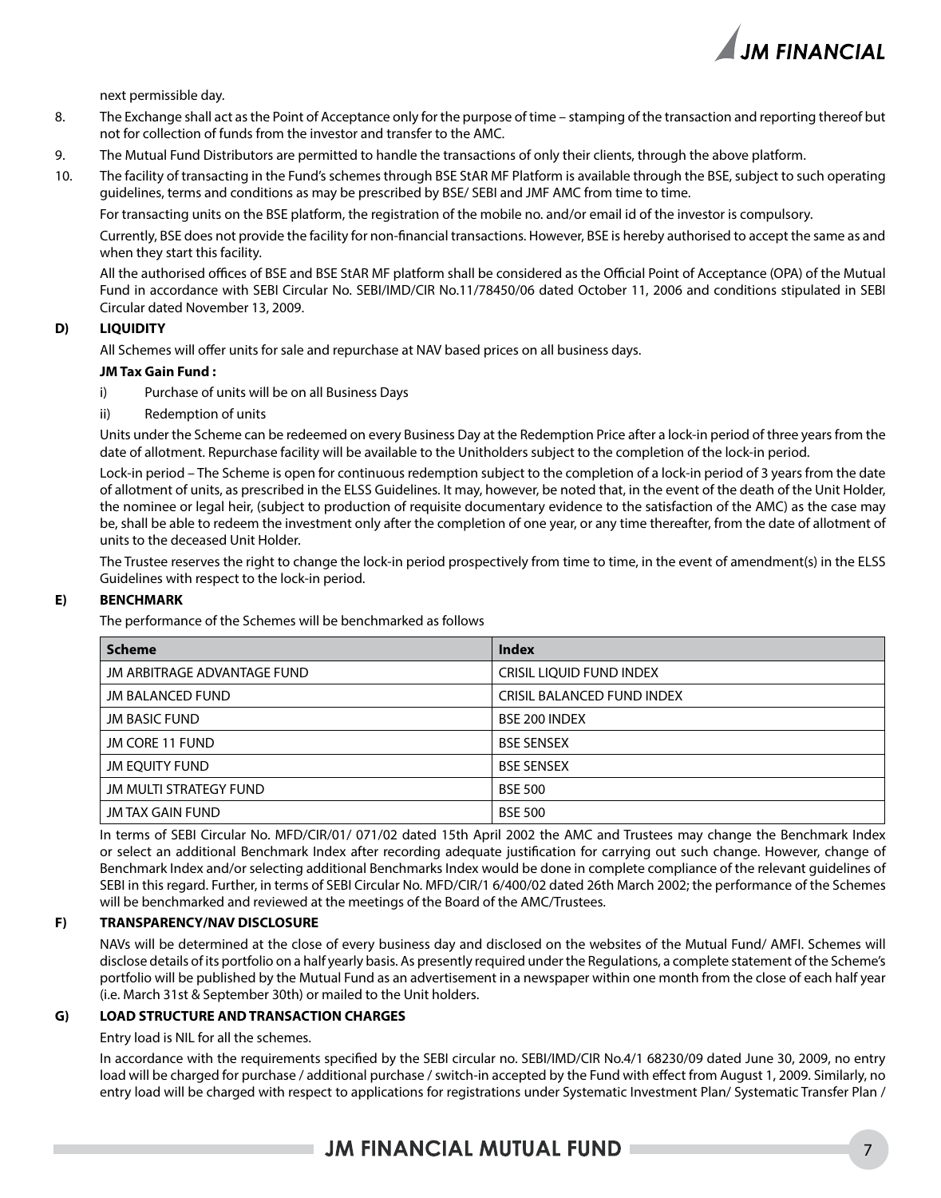

next permissible day.

- 8. The Exchange shall act as the Point of Acceptance only for the purpose of time stamping of the transaction and reporting thereof but not for collection of funds from the investor and transfer to the AMC.
- 9. The Mutual Fund Distributors are permitted to handle the transactions of only their clients, through the above platform.
- 10. The facility of transacting in the Fund's schemes through BSE StAR MF Platform is available through the BSE, subject to such operating guidelines, terms and conditions as may be prescribed by BSE/ SEBI and JMF AMC from time to time.

For transacting units on the BSE platform, the registration of the mobile no. and/or email id of the investor is compulsory.

Currently, BSE does not provide the facility for non-financial transactions. However, BSE is hereby authorised to accept the same as and when they start this facility.

All the authorised offices of BSE and BSE StAR MF platform shall be considered as the Official Point of Acceptance (OPA) of the Mutual Fund in accordance with SEBI Circular No. SEBI/IMD/CIR No.11/78450/06 dated October 11, 2006 and conditions stipulated in SEBI Circular dated November 13, 2009.

### **D) LIQUIDITY**

All Schemes will offer units for sale and repurchase at NAV based prices on all business days.

#### **JM Tax Gain Fund :**

- i) Purchase of units will be on all Business Days
- ii) Redemption of units

Units under the Scheme can be redeemed on every Business Day at the Redemption Price after a lock-in period of three years from the date of allotment. Repurchase facility will be available to the Unitholders subject to the completion of the lock-in period.

Lock-in period – The Scheme is open for continuous redemption subject to the completion of a lock-in period of 3 years from the date of allotment of units, as prescribed in the ELSS Guidelines. It may, however, be noted that, in the event of the death of the Unit Holder, the nominee or legal heir, (subject to production of requisite documentary evidence to the satisfaction of the AMC) as the case may be, shall be able to redeem the investment only after the completion of one year, or any time thereafter, from the date of allotment of units to the deceased Unit Holder.

The Trustee reserves the right to change the lock-in period prospectively from time to time, in the event of amendment(s) in the ELSS Guidelines with respect to the lock-in period.

### **E) BENCHMARK**

The performance of the Schemes will be benchmarked as follows

| <b>Scheme</b>               | <b>Index</b>                      |
|-----------------------------|-----------------------------------|
| JM ARBITRAGE ADVANTAGE FUND | CRISIL LIQUID FUND INDEX          |
| <b>JM BALANCED FUND</b>     | <b>CRISIL BALANCED FUND INDEX</b> |
| <b>JM BASIC FUND</b>        | BSE 200 INDEX                     |
| JM CORE 11 FUND             | <b>BSE SENSEX</b>                 |
| <b>JM EOUITY FUND</b>       | <b>BSE SENSEX</b>                 |
| JM MULTI STRATEGY FUND      | <b>BSE 500</b>                    |
| JM TAX GAIN FUND            | <b>BSE 500</b>                    |

In terms of SEBI Circular No. MFD/CIR/01/ 071/02 dated 15th April 2002 the AMC and Trustees may change the Benchmark Index or select an additional Benchmark Index after recording adequate justification for carrying out such change. However, change of Benchmark Index and/or selecting additional Benchmarks Index would be done in complete compliance of the relevant guidelines of SEBI in this regard. Further, in terms of SEBI Circular No. MFD/CIR/1 6/400/02 dated 26th March 2002; the performance of the Schemes will be benchmarked and reviewed at the meetings of the Board of the AMC/Trustees.

### **F) TRANSPARENCY/NAV DISCLOSURE**

NAVs will be determined at the close of every business day and disclosed on the websites of the Mutual Fund/ AMFI. Schemes will disclose details of its portfolio on a half yearly basis. As presently required under the Regulations, a complete statement of the Scheme's portfolio will be published by the Mutual Fund as an advertisement in a newspaper within one month from the close of each half year (i.e. March 31st & September 30th) or mailed to the Unit holders.

### **G) LOAD STRUCTURE AND TRANSACTION CHARGES**

Entry load is NIL for all the schemes.

In accordance with the requirements specified by the SEBI circular no. SEBI/IMD/CIR No.4/1 68230/09 dated June 30, 2009, no entry load will be charged for purchase / additional purchase / switch-in accepted by the Fund with effect from August 1, 2009. Similarly, no entry load will be charged with respect to applications for registrations under Systematic Investment Plan/ Systematic Transfer Plan /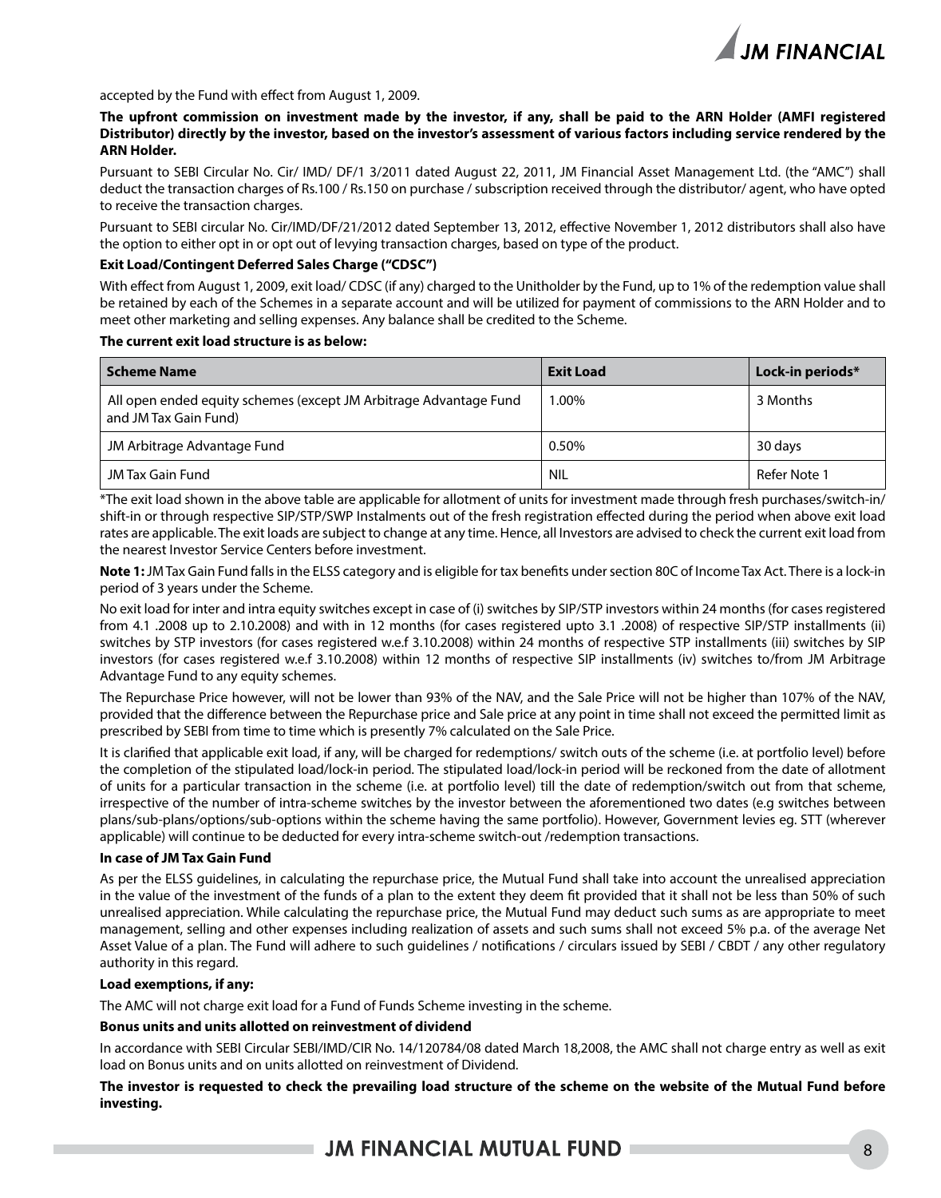

accepted by the Fund with effect from August 1, 2009.

**The upfront commission on investment made by the investor, if any, shall be paid to the ARN Holder (AMFI registered Distributor) directly by the investor, based on the investor's assessment of various factors including service rendered by the ARN Holder.**

Pursuant to SEBI Circular No. Cir/ IMD/ DF/1 3/2011 dated August 22, 2011, JM Financial Asset Management Ltd. (the "AMC") shall deduct the transaction charges of Rs.100 / Rs.150 on purchase / subscription received through the distributor/ agent, who have opted to receive the transaction charges.

Pursuant to SEBI circular No. Cir/IMD/DF/21/2012 dated September 13, 2012, effective November 1, 2012 distributors shall also have the option to either opt in or opt out of levying transaction charges, based on type of the product.

### **Exit Load/Contingent Deferred Sales Charge ("CDSC")**

With effect from August 1, 2009, exit load/ CDSC (if any) charged to the Unitholder by the Fund, up to 1% of the redemption value shall be retained by each of the Schemes in a separate account and will be utilized for payment of commissions to the ARN Holder and to meet other marketing and selling expenses. Any balance shall be credited to the Scheme.

### **The current exit load structure is as below:**

| Scheme Name                                                                                | <b>Exit Load</b> | Lock-in periods* |
|--------------------------------------------------------------------------------------------|------------------|------------------|
| All open ended equity schemes (except JM Arbitrage Advantage Fund<br>and JM Tax Gain Fund) | 1.00%            | 3 Months         |
| JM Arbitrage Advantage Fund                                                                | 0.50%            | 30 days          |
| JM Tax Gain Fund                                                                           | <b>NIL</b>       | Refer Note 1     |

\*The exit load shown in the above table are applicable for allotment of units for investment made through fresh purchases/switch-in/ shift-in or through respective SIP/STP/SWP Instalments out of the fresh registration effected during the period when above exit load rates are applicable. The exit loads are subject to change at any time. Hence, all Investors are advised to check the current exit load from the nearest Investor Service Centers before investment.

**Note 1:** JM Tax Gain Fund falls in the ELSS category and is eligible for tax benefits under section 80C of Income Tax Act. There is a lock-in period of 3 years under the Scheme.

No exit load for inter and intra equity switches except in case of (i) switches by SIP/STP investors within 24 months (for cases registered from 4.1 .2008 up to 2.10.2008) and with in 12 months (for cases registered upto 3.1 .2008) of respective SIP/STP installments (ii) switches by STP investors (for cases registered w.e.f 3.10.2008) within 24 months of respective STP installments (iii) switches by SIP investors (for cases registered w.e.f 3.10.2008) within 12 months of respective SIP installments (iv) switches to/from JM Arbitrage Advantage Fund to any equity schemes.

The Repurchase Price however, will not be lower than 93% of the NAV, and the Sale Price will not be higher than 107% of the NAV, provided that the difference between the Repurchase price and Sale price at any point in time shall not exceed the permitted limit as prescribed by SEBI from time to time which is presently 7% calculated on the Sale Price.

It is clarified that applicable exit load, if any, will be charged for redemptions/ switch outs of the scheme (i.e. at portfolio level) before the completion of the stipulated load/lock-in period. The stipulated load/lock-in period will be reckoned from the date of allotment of units for a particular transaction in the scheme (i.e. at portfolio level) till the date of redemption/switch out from that scheme, irrespective of the number of intra-scheme switches by the investor between the aforementioned two dates (e.g switches between plans/sub-plans/options/sub-options within the scheme having the same portfolio). However, Government levies eg. STT (wherever applicable) will continue to be deducted for every intra-scheme switch-out /redemption transactions.

#### **In case of JM Tax Gain Fund**

As per the ELSS guidelines, in calculating the repurchase price, the Mutual Fund shall take into account the unrealised appreciation in the value of the investment of the funds of a plan to the extent they deem fit provided that it shall not be less than 50% of such unrealised appreciation. While calculating the repurchase price, the Mutual Fund may deduct such sums as are appropriate to meet management, selling and other expenses including realization of assets and such sums shall not exceed 5% p.a. of the average Net Asset Value of a plan. The Fund will adhere to such guidelines / notifications / circulars issued by SEBI / CBDT / any other regulatory authority in this regard.

### **Load exemptions, if any:**

The AMC will not charge exit load for a Fund of Funds Scheme investing in the scheme.

### **Bonus units and units allotted on reinvestment of dividend**

In accordance with SEBI Circular SEBI/IMD/CIR No. 14/120784/08 dated March 18,2008, the AMC shall not charge entry as well as exit load on Bonus units and on units allotted on reinvestment of Dividend.

**The investor is requested to check the prevailing load structure of the scheme on the website of the Mutual Fund before investing.**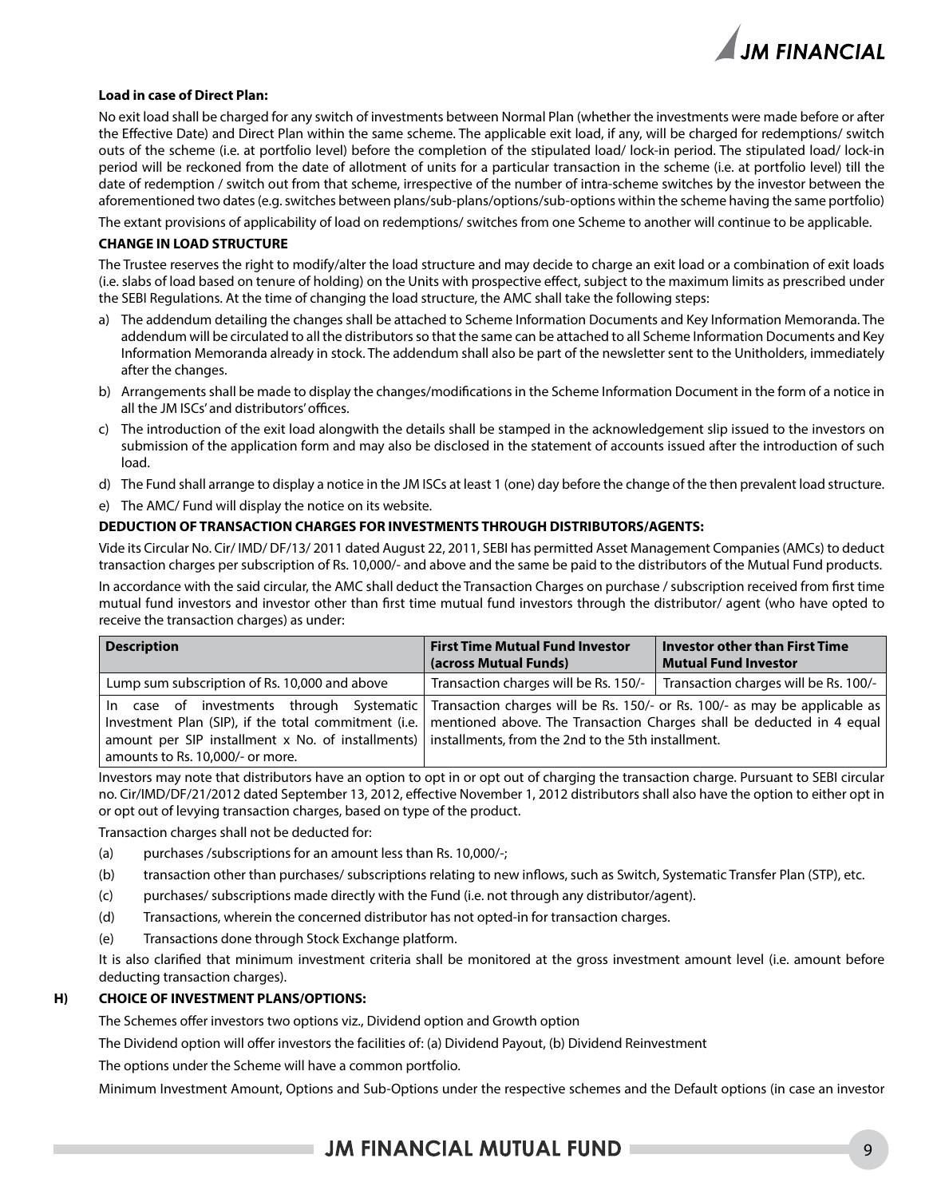

### **Load in case of Direct Plan:**

No exit load shall be charged for any switch of investments between Normal Plan (whether the investments were made before or after the Effective Date) and Direct Plan within the same scheme. The applicable exit load, if any, will be charged for redemptions/ switch outs of the scheme (i.e. at portfolio level) before the completion of the stipulated load/ lock-in period. The stipulated load/ lock-in period will be reckoned from the date of allotment of units for a particular transaction in the scheme (i.e. at portfolio level) till the date of redemption / switch out from that scheme, irrespective of the number of intra-scheme switches by the investor between the aforementioned two dates (e.g. switches between plans/sub-plans/options/sub-options within the scheme having the same portfolio)

The extant provisions of applicability of load on redemptions/ switches from one Scheme to another will continue to be applicable.

#### **CHANGE IN LOAD STRUCTURE**

The Trustee reserves the right to modify/alter the load structure and may decide to charge an exit load or a combination of exit loads (i.e. slabs of load based on tenure of holding) on the Units with prospective effect, subject to the maximum limits as prescribed under the SEBI Regulations. At the time of changing the load structure, the AMC shall take the following steps:

- a) The addendum detailing the changes shall be attached to Scheme Information Documents and Key Information Memoranda. The addendum will be circulated to all the distributors so that the same can be attached to all Scheme Information Documents and Key Information Memoranda already in stock. The addendum shall also be part of the newsletter sent to the Unitholders, immediately after the changes.
- b) Arrangements shall be made to display the changes/modifications in the Scheme Information Document in the form of a notice in all the JM ISCs' and distributors' offices.
- c) The introduction of the exit load alongwith the details shall be stamped in the acknowledgement slip issued to the investors on submission of the application form and may also be disclosed in the statement of accounts issued after the introduction of such load.
- d) The Fund shall arrange to display a notice in the JM ISCs at least 1 (one) day before the change of the then prevalent load structure.
- e) The AMC/ Fund will display the notice on its website.

### **DEDUCTION OF TRANSACTION CHARGES FOR INVESTMENTS THROUGH DISTRIBUTORS/AGENTS:**

Vide its Circular No. Cir/ IMD/ DF/13/ 2011 dated August 22, 2011, SEBI has permitted Asset Management Companies (AMCs) to deduct transaction charges per subscription of Rs. 10,000/- and above and the same be paid to the distributors of the Mutual Fund products. In accordance with the said circular, the AMC shall deduct the Transaction Charges on purchase / subscription received from first time mutual fund investors and investor other than first time mutual fund investors through the distributor/ agent (who have opted to receive the transaction charges) as under:

| <b>Description</b>                                                                                                                                                                                                                                                                                                                                                                                   | <b>First Time Mutual Fund Investor</b> | <b>Investor other than First Time</b> |
|------------------------------------------------------------------------------------------------------------------------------------------------------------------------------------------------------------------------------------------------------------------------------------------------------------------------------------------------------------------------------------------------------|----------------------------------------|---------------------------------------|
|                                                                                                                                                                                                                                                                                                                                                                                                      | (across Mutual Funds)                  | <b>Mutual Fund Investor</b>           |
| Lump sum subscription of Rs. 10,000 and above                                                                                                                                                                                                                                                                                                                                                        | Transaction charges will be Rs. 150/-  | Transaction charges will be Rs. 100/- |
| case of investments through Systematic Transaction charges will be Rs. 150/- or Rs. 100/- as may be applicable as<br>-In<br>Investment Plan (SIP), if the total commitment (i.e.   mentioned above. The Transaction Charges shall be deducted in 4 equal<br>amount per SIP installment x No. of installments) installments, from the 2nd to the 5th installment.<br>amounts to Rs. 10,000/- or more. |                                        |                                       |

Investors may note that distributors have an option to opt in or opt out of charging the transaction charge. Pursuant to SEBI circular no. Cir/IMD/DF/21/2012 dated September 13, 2012, effective November 1, 2012 distributors shall also have the option to either opt in or opt out of levying transaction charges, based on type of the product.

Transaction charges shall not be deducted for:

- (a) purchases /subscriptions for an amount less than Rs. 10,000/-;
- (b) transaction other than purchases/ subscriptions relating to new inflows, such as Switch, Systematic Transfer Plan (STP), etc.
- (c) purchases/ subscriptions made directly with the Fund (i.e. not through any distributor/agent).
- (d) Transactions, wherein the concerned distributor has not opted-in for transaction charges.
- (e) Transactions done through Stock Exchange platform.

It is also clarified that minimum investment criteria shall be monitored at the gross investment amount level (i.e. amount before deducting transaction charges).

### **H) CHOICE OF INVESTMENT PLANS/OPTIONS:**

The Schemes offer investors two options viz., Dividend option and Growth option

The Dividend option will offer investors the facilities of: (a) Dividend Payout, (b) Dividend Reinvestment

The options under the Scheme will have a common portfolio.

Minimum Investment Amount, Options and Sub-Options under the respective schemes and the Default options (in case an investor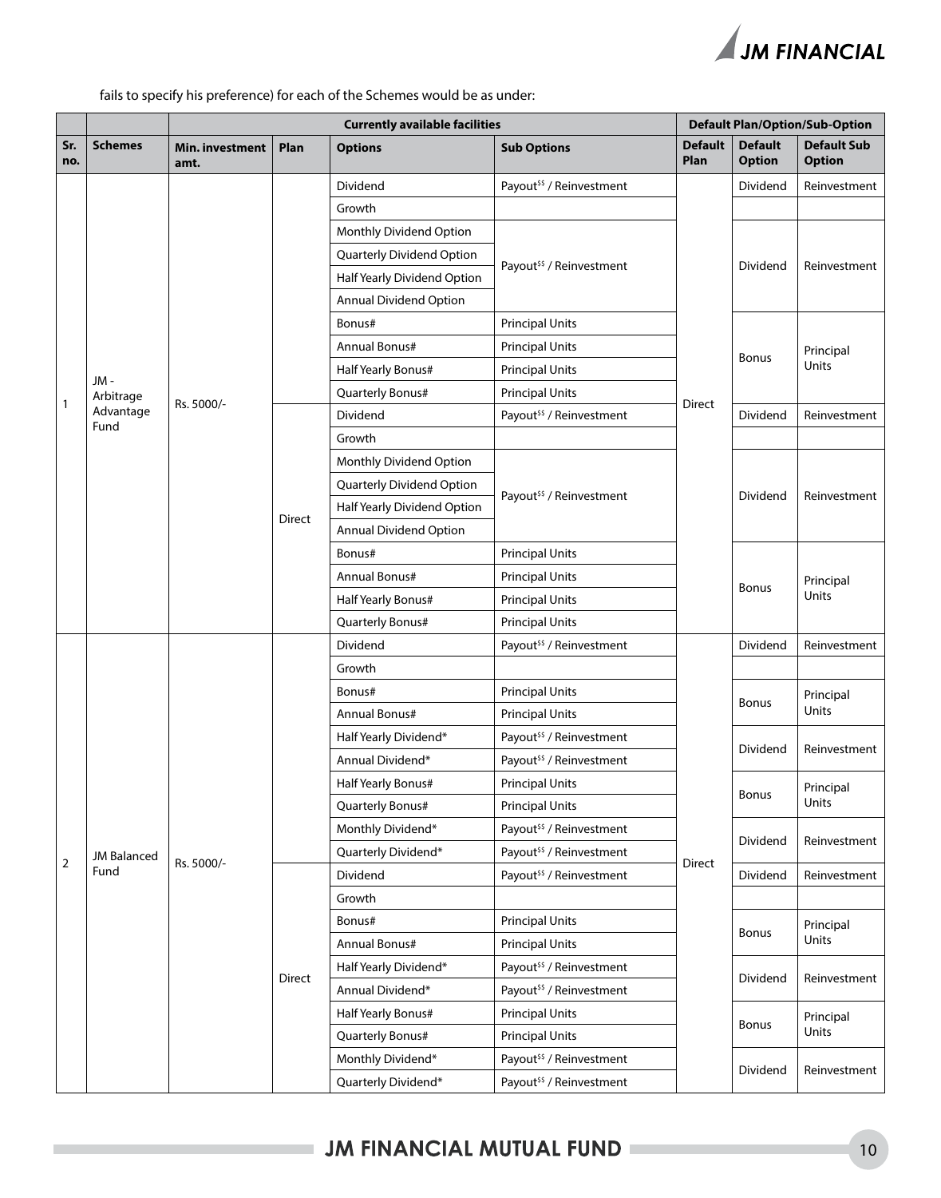

fails to specify his preference) for each of the Schemes would be as under:

|                |                    | <b>Currently available facilities</b> |               |                                     |                                     | <b>Default Plan/Option/Sub-Option</b> |                                 |                                     |           |
|----------------|--------------------|---------------------------------------|---------------|-------------------------------------|-------------------------------------|---------------------------------------|---------------------------------|-------------------------------------|-----------|
| Sr.<br>no.     | <b>Schemes</b>     | Min. investment<br>amt.               | Plan          | <b>Options</b>                      | <b>Sub Options</b>                  | <b>Default</b><br>Plan                | <b>Default</b><br><b>Option</b> | <b>Default Sub</b><br><b>Option</b> |           |
|                |                    |                                       |               | Dividend                            | Payout <sup>55</sup> / Reinvestment |                                       | Dividend                        | Reinvestment                        |           |
|                |                    |                                       |               | Growth                              |                                     |                                       |                                 |                                     |           |
|                |                    |                                       |               | Monthly Dividend Option             |                                     |                                       |                                 |                                     |           |
|                |                    |                                       |               | Quarterly Dividend Option           |                                     |                                       |                                 |                                     |           |
|                |                    |                                       |               | Half Yearly Dividend Option         | Payout <sup>55</sup> / Reinvestment |                                       | Dividend                        | Reinvestment                        |           |
|                |                    |                                       |               | Annual Dividend Option              |                                     |                                       |                                 |                                     |           |
|                |                    |                                       |               | Bonus#                              | <b>Principal Units</b>              |                                       |                                 |                                     |           |
|                |                    |                                       |               | Annual Bonus#                       | <b>Principal Units</b>              |                                       |                                 | Principal                           |           |
|                |                    |                                       |               | Half Yearly Bonus#                  | <b>Principal Units</b>              |                                       | <b>Bonus</b>                    | Units                               |           |
|                | JM -<br>Arbitrage  | Rs. 5000/-                            |               | Quarterly Bonus#                    | <b>Principal Units</b>              | Direct                                |                                 |                                     |           |
| $\mathbf{1}$   | Advantage<br>Fund  |                                       |               | Dividend                            | Payout <sup>55</sup> / Reinvestment |                                       | Dividend                        | Reinvestment                        |           |
|                |                    |                                       |               | Growth                              |                                     |                                       |                                 |                                     |           |
|                |                    |                                       |               | Monthly Dividend Option             |                                     |                                       |                                 |                                     |           |
|                |                    |                                       |               | Quarterly Dividend Option           |                                     |                                       |                                 | Reinvestment                        |           |
|                |                    |                                       | <b>Direct</b> | Half Yearly Dividend Option         | Payout <sup>55</sup> / Reinvestment |                                       | Dividend                        |                                     |           |
|                |                    |                                       |               | Annual Dividend Option              |                                     |                                       |                                 |                                     |           |
|                |                    |                                       |               | Bonus#                              | <b>Principal Units</b>              |                                       | Bonus                           | Principal<br>Units                  |           |
|                |                    |                                       |               | Annual Bonus#                       | <b>Principal Units</b>              |                                       |                                 |                                     |           |
|                |                    |                                       |               | Half Yearly Bonus#                  | <b>Principal Units</b>              |                                       |                                 |                                     |           |
|                |                    |                                       |               | Quarterly Bonus#                    | <b>Principal Units</b>              |                                       |                                 |                                     |           |
|                |                    |                                       | Dividend      | Payout <sup>55</sup> / Reinvestment |                                     | Dividend                              | Reinvestment                    |                                     |           |
|                |                    |                                       |               | Growth                              |                                     |                                       |                                 |                                     |           |
|                |                    |                                       | Bonus#        | <b>Principal Units</b>              |                                     | <b>Bonus</b>                          | Principal                       |                                     |           |
|                |                    |                                       | Annual Bonus# | <b>Principal Units</b>              |                                     |                                       | Units                           |                                     |           |
|                |                    |                                       |               | Half Yearly Dividend*               | Payout <sup>55</sup> / Reinvestment |                                       | Dividend                        | Reinvestment                        |           |
|                |                    |                                       |               | Annual Dividend*                    | Payout <sup>55</sup> / Reinvestment |                                       |                                 |                                     |           |
|                |                    |                                       |               |                                     | Half Yearly Bonus#                  | <b>Principal Units</b>                |                                 | Bonus                               | Principal |
|                |                    |                                       |               |                                     | Quarterly Bonus#                    | <b>Principal Units</b>                |                                 |                                     | Units     |
|                |                    |                                       |               | Monthly Dividend*                   | Payout <sup>55</sup> / Reinvestment |                                       | Dividend                        | Reinvestment                        |           |
| $\overline{2}$ | <b>JM Balanced</b> |                                       |               | Quarterly Dividend*                 | Payout <sup>55</sup> / Reinvestment | Direct                                |                                 |                                     |           |
|                | Fund               | Rs. 5000/-                            |               | <b>Dividend</b>                     | Payout <sup>55</sup> / Reinvestment |                                       | Dividend                        | Reinvestment                        |           |
|                |                    |                                       |               | Growth                              |                                     |                                       |                                 |                                     |           |
|                |                    |                                       |               | Bonus#                              | <b>Principal Units</b>              |                                       |                                 | Principal                           |           |
|                |                    |                                       |               | Annual Bonus#                       | <b>Principal Units</b>              |                                       | <b>Bonus</b>                    | Units                               |           |
|                |                    |                                       | Direct        | Half Yearly Dividend*               | Payout <sup>55</sup> / Reinvestment |                                       |                                 |                                     |           |
|                |                    |                                       |               | Annual Dividend*                    | Payout <sup>55</sup> / Reinvestment |                                       | Dividend                        | Reinvestment                        |           |
|                |                    |                                       |               | Half Yearly Bonus#                  | <b>Principal Units</b>              |                                       | <b>Bonus</b>                    | Principal                           |           |
|                |                    |                                       |               | Quarterly Bonus#                    | <b>Principal Units</b>              |                                       |                                 | Units                               |           |
|                |                    |                                       |               | Monthly Dividend*                   | Payout <sup>55</sup> / Reinvestment |                                       |                                 |                                     |           |
|                |                    |                                       |               | Quarterly Dividend*                 | Payout <sup>55</sup> / Reinvestment |                                       | Dividend                        | Reinvestment                        |           |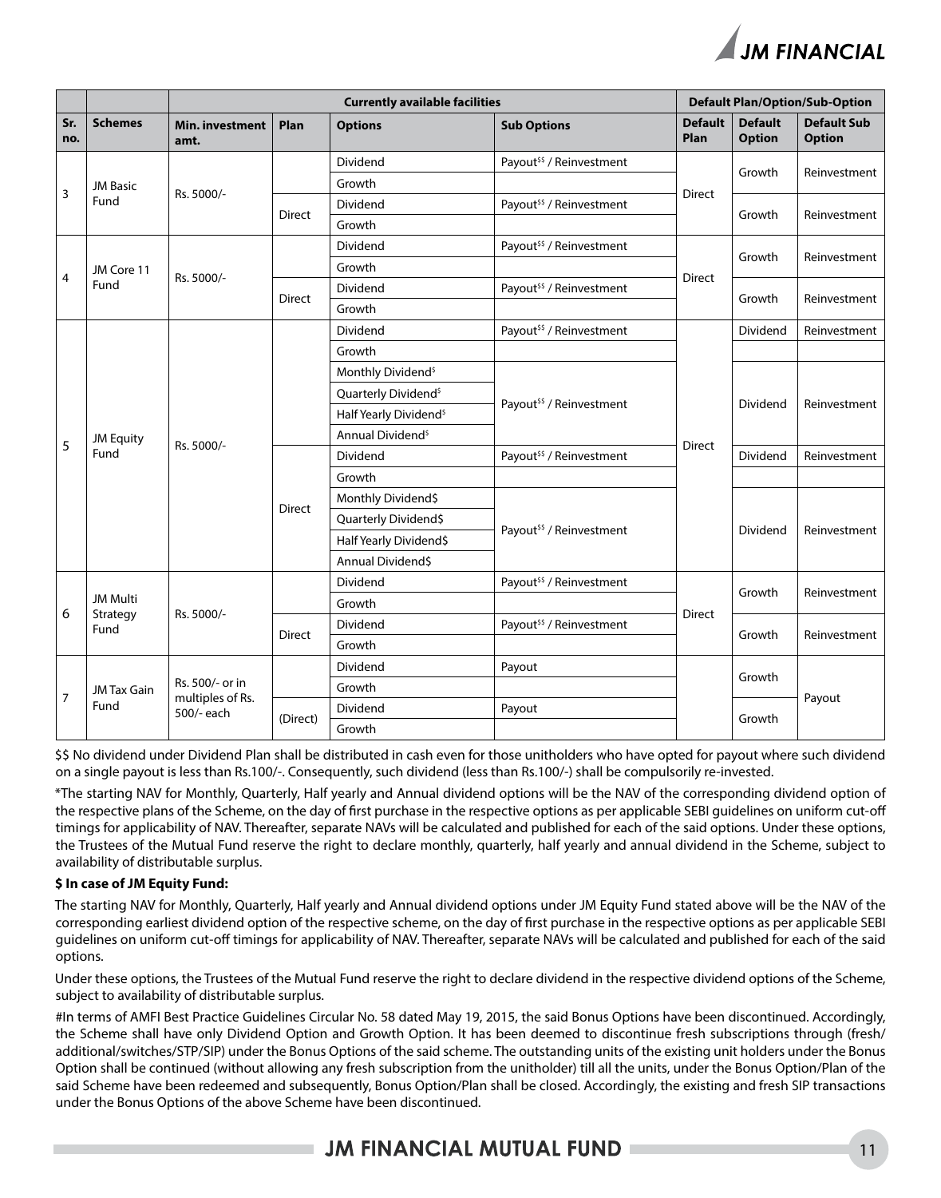

|                |                    |                                     |               | <b>Default Plan/Option/Sub-Option</b> |                                     |                                     |                                 |                                     |
|----------------|--------------------|-------------------------------------|---------------|---------------------------------------|-------------------------------------|-------------------------------------|---------------------------------|-------------------------------------|
| Sr.<br>no.     | <b>Schemes</b>     | <b>Min. investment</b><br>amt.      | Plan          | <b>Options</b>                        | <b>Sub Options</b>                  | <b>Default</b><br>Plan              | <b>Default</b><br><b>Option</b> | <b>Default Sub</b><br><b>Option</b> |
|                |                    |                                     |               | Dividend                              | Payout <sup>55</sup> / Reinvestment |                                     | Growth                          | Reinvestment                        |
|                | <b>JM Basic</b>    | Rs. 5000/-                          |               | Growth                                |                                     |                                     |                                 |                                     |
| 3              | Fund               |                                     | <b>Direct</b> | Dividend                              | Payout <sup>55</sup> / Reinvestment | <b>Direct</b>                       | Growth                          |                                     |
|                |                    |                                     |               | Growth                                |                                     |                                     |                                 | Reinvestment                        |
|                |                    |                                     |               | Dividend                              | Payout <sup>55</sup> / Reinvestment |                                     | Growth                          | Reinvestment                        |
| $\overline{4}$ | JM Core 11         | Rs. 5000/-                          |               | Growth                                |                                     | <b>Direct</b>                       |                                 |                                     |
|                | Fund               |                                     | <b>Direct</b> | Dividend                              | Payout <sup>55</sup> / Reinvestment |                                     | Growth                          | Reinvestment                        |
|                |                    |                                     |               | Growth                                |                                     |                                     |                                 |                                     |
|                |                    |                                     |               | Dividend                              | Payout <sup>55</sup> / Reinvestment |                                     | Dividend                        | Reinvestment                        |
|                |                    |                                     |               | Growth                                |                                     |                                     |                                 |                                     |
|                |                    | Rs. 5000/-                          |               | Monthly Dividend <sup>\$</sup>        |                                     | <b>Direct</b>                       | Dividend                        | Reinvestment                        |
|                | <b>JM Equity</b>   |                                     |               | Quarterly Dividend <sup>\$</sup>      |                                     |                                     |                                 |                                     |
|                |                    |                                     |               | Half Yearly Dividend <sup>\$</sup>    | Payout <sup>55</sup> / Reinvestment |                                     |                                 |                                     |
| 5              |                    |                                     |               | Annual Dividend <sup>s</sup>          |                                     |                                     |                                 |                                     |
|                | Fund               |                                     | <b>Direct</b> | Dividend                              | Payout <sup>55</sup> / Reinvestment |                                     | Dividend                        | Reinvestment                        |
|                |                    |                                     |               | Growth                                |                                     |                                     |                                 |                                     |
|                |                    |                                     |               | Monthly Dividend\$                    |                                     |                                     |                                 | Reinvestment                        |
|                |                    |                                     |               | Quarterly Dividend\$                  |                                     |                                     |                                 |                                     |
|                |                    |                                     |               |                                       | Half Yearly Dividend\$              | Payout <sup>55</sup> / Reinvestment | Dividend                        |                                     |
|                |                    |                                     |               |                                       | Annual Dividend\$                   |                                     |                                 |                                     |
|                |                    |                                     |               | Dividend                              | Payout <sup>55</sup> / Reinvestment |                                     | Growth                          | Reinvestment                        |
|                | <b>JM Multi</b>    | Rs. 5000/-                          |               | Growth                                |                                     |                                     |                                 |                                     |
| 6              | Strategy<br>Fund   |                                     |               | Dividend                              | Payout <sup>55</sup> / Reinvestment | Direct                              |                                 |                                     |
|                |                    |                                     | <b>Direct</b> | Growth                                |                                     |                                     | Growth                          | Reinvestment                        |
|                |                    |                                     |               | Dividend                              | Payout                              |                                     |                                 |                                     |
| $\overline{7}$ | <b>JM Tax Gain</b> | Rs. 500/- or in<br>multiples of Rs. |               | Growth                                |                                     |                                     | Growth                          |                                     |
|                | Fund               | 500/- each                          |               | Dividend                              | Payout                              |                                     |                                 | Payout                              |
|                |                    |                                     | (Direct)      | Growth                                |                                     |                                     | Growth                          |                                     |

\$\$ No dividend under Dividend Plan shall be distributed in cash even for those unitholders who have opted for payout where such dividend on a single payout is less than Rs.100/-. Consequently, such dividend (less than Rs.100/-) shall be compulsorily re-invested.

\*The starting NAV for Monthly, Quarterly, Half yearly and Annual dividend options will be the NAV of the corresponding dividend option of the respective plans of the Scheme, on the day of first purchase in the respective options as per applicable SEBI guidelines on uniform cut-off timings for applicability of NAV. Thereafter, separate NAVs will be calculated and published for each of the said options. Under these options, the Trustees of the Mutual Fund reserve the right to declare monthly, quarterly, half yearly and annual dividend in the Scheme, subject to availability of distributable surplus.

### **\$ In case of JM Equity Fund:**

The starting NAV for Monthly, Quarterly, Half yearly and Annual dividend options under JM Equity Fund stated above will be the NAV of the corresponding earliest dividend option of the respective scheme, on the day of first purchase in the respective options as per applicable SEBI guidelines on uniform cut-off timings for applicability of NAV. Thereafter, separate NAVs will be calculated and published for each of the said options.

Under these options, the Trustees of the Mutual Fund reserve the right to declare dividend in the respective dividend options of the Scheme, subject to availability of distributable surplus.

#In terms of AMFI Best Practice Guidelines Circular No. 58 dated May 19, 2015, the said Bonus Options have been discontinued. Accordingly, the Scheme shall have only Dividend Option and Growth Option. It has been deemed to discontinue fresh subscriptions through (fresh/ additional/switches/STP/SIP) under the Bonus Options of the said scheme. The outstanding units of the existing unit holders under the Bonus Option shall be continued (without allowing any fresh subscription from the unitholder) till all the units, under the Bonus Option/Plan of the said Scheme have been redeemed and subsequently, Bonus Option/Plan shall be closed. Accordingly, the existing and fresh SIP transactions under the Bonus Options of the above Scheme have been discontinued.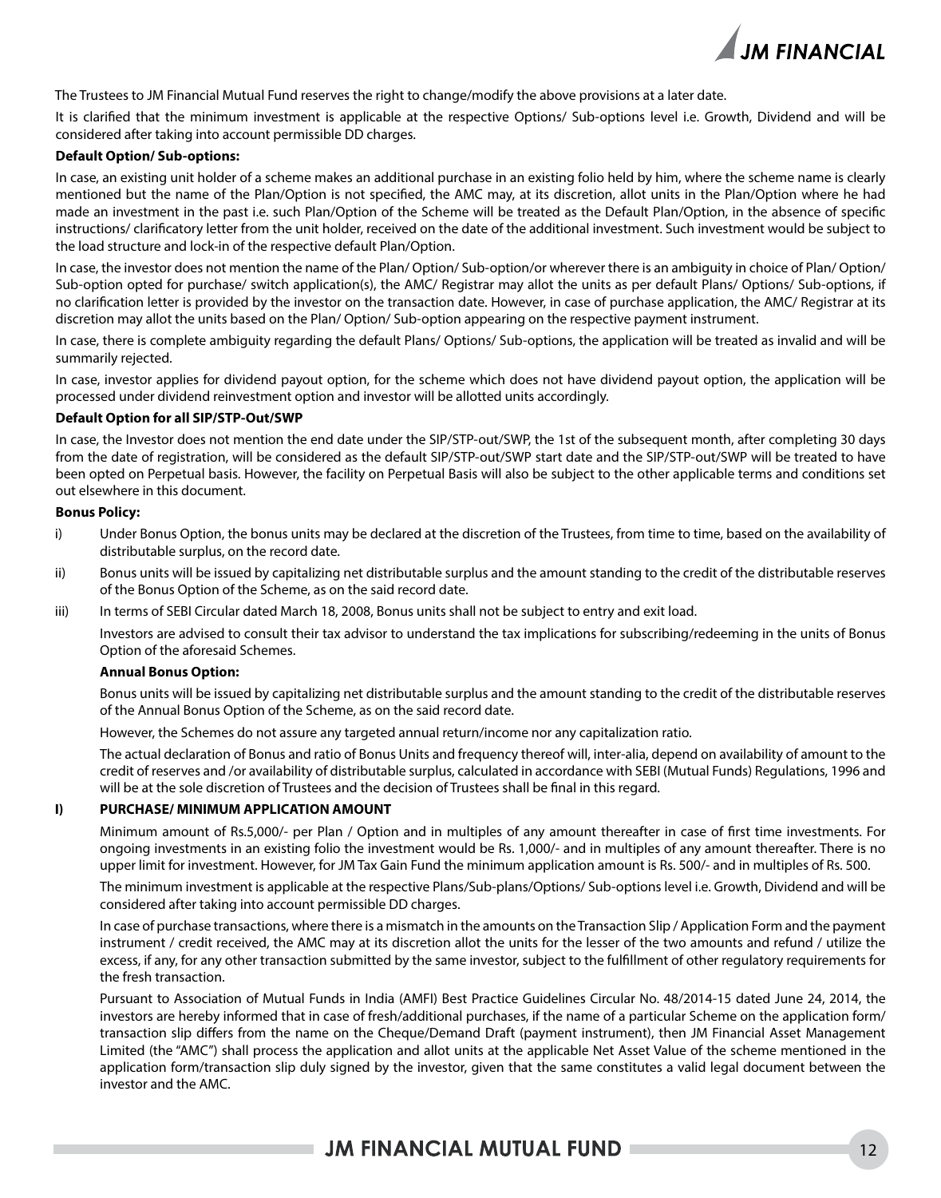

The Trustees to JM Financial Mutual Fund reserves the right to change/modify the above provisions at a later date.

It is clarified that the minimum investment is applicable at the respective Options/ Sub-options level i.e. Growth, Dividend and will be considered after taking into account permissible DD charges.

### **Default Option/ Sub-options:**

In case, an existing unit holder of a scheme makes an additional purchase in an existing folio held by him, where the scheme name is clearly mentioned but the name of the Plan/Option is not specified, the AMC may, at its discretion, allot units in the Plan/Option where he had made an investment in the past i.e. such Plan/Option of the Scheme will be treated as the Default Plan/Option, in the absence of specific instructions/ clarificatory letter from the unit holder, received on the date of the additional investment. Such investment would be subject to the load structure and lock-in of the respective default Plan/Option.

In case, the investor does not mention the name of the Plan/ Option/ Sub-option/or wherever there is an ambiguity in choice of Plan/ Option/ Sub-option opted for purchase/ switch application(s), the AMC/ Registrar may allot the units as per default Plans/ Options/ Sub-options, if no clarification letter is provided by the investor on the transaction date. However, in case of purchase application, the AMC/ Registrar at its discretion may allot the units based on the Plan/ Option/ Sub-option appearing on the respective payment instrument.

In case, there is complete ambiguity regarding the default Plans/ Options/ Sub-options, the application will be treated as invalid and will be summarily rejected.

In case, investor applies for dividend payout option, for the scheme which does not have dividend payout option, the application will be processed under dividend reinvestment option and investor will be allotted units accordingly.

### **Default Option for all SIP/STP-Out/SWP**

In case, the Investor does not mention the end date under the SIP/STP-out/SWP, the 1st of the subsequent month, after completing 30 days from the date of registration, will be considered as the default SIP/STP-out/SWP start date and the SIP/STP-out/SWP will be treated to have been opted on Perpetual basis. However, the facility on Perpetual Basis will also be subject to the other applicable terms and conditions set out elsewhere in this document.

### **Bonus Policy:**

- i) Under Bonus Option, the bonus units may be declared at the discretion of the Trustees, from time to time, based on the availability of distributable surplus, on the record date.
- ii) Bonus units will be issued by capitalizing net distributable surplus and the amount standing to the credit of the distributable reserves of the Bonus Option of the Scheme, as on the said record date.
- iii) In terms of SEBI Circular dated March 18, 2008, Bonus units shall not be subject to entry and exit load.

Investors are advised to consult their tax advisor to understand the tax implications for subscribing/redeeming in the units of Bonus Option of the aforesaid Schemes.

#### **Annual Bonus Option:**

Bonus units will be issued by capitalizing net distributable surplus and the amount standing to the credit of the distributable reserves of the Annual Bonus Option of the Scheme, as on the said record date.

However, the Schemes do not assure any targeted annual return/income nor any capitalization ratio.

The actual declaration of Bonus and ratio of Bonus Units and frequency thereof will, inter-alia, depend on availability of amount to the credit of reserves and /or availability of distributable surplus, calculated in accordance with SEBI (Mutual Funds) Regulations, 1996 and will be at the sole discretion of Trustees and the decision of Trustees shall be final in this regard.

### **I) PURCHASE/ MINIMUM APPLICATION AMOUNT**

Minimum amount of Rs.5,000/- per Plan / Option and in multiples of any amount thereafter in case of first time investments. For ongoing investments in an existing folio the investment would be Rs. 1,000/- and in multiples of any amount thereafter. There is no upper limit for investment. However, for JM Tax Gain Fund the minimum application amount is Rs. 500/- and in multiples of Rs. 500.

The minimum investment is applicable at the respective Plans/Sub-plans/Options/ Sub-options level i.e. Growth, Dividend and will be considered after taking into account permissible DD charges.

In case of purchase transactions, where there is a mismatch in the amounts on the Transaction Slip / Application Form and the payment instrument / credit received, the AMC may at its discretion allot the units for the lesser of the two amounts and refund / utilize the excess, if any, for any other transaction submitted by the same investor, subject to the fulfillment of other regulatory requirements for the fresh transaction.

Pursuant to Association of Mutual Funds in India (AMFI) Best Practice Guidelines Circular No. 48/2014-15 dated June 24, 2014, the investors are hereby informed that in case of fresh/additional purchases, if the name of a particular Scheme on the application form/ transaction slip differs from the name on the Cheque/Demand Draft (payment instrument), then JM Financial Asset Management Limited (the "AMC") shall process the application and allot units at the applicable Net Asset Value of the scheme mentioned in the application form/transaction slip duly signed by the investor, given that the same constitutes a valid legal document between the investor and the AMC.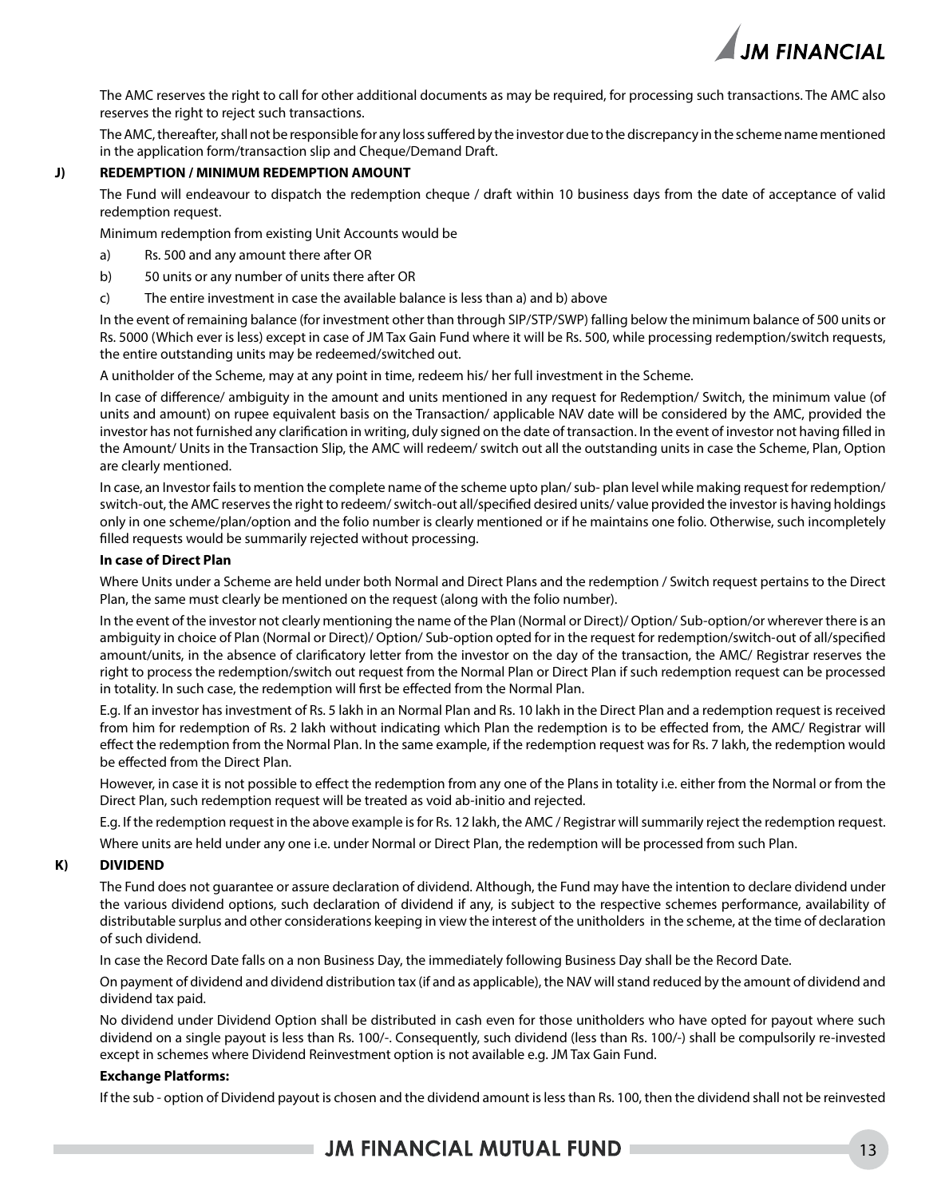

The AMC reserves the right to call for other additional documents as may be required, for processing such transactions. The AMC also reserves the right to reject such transactions.

The AMC, thereafter, shall not be responsible for any loss suffered by the investor due to the discrepancy in the scheme name mentioned in the application form/transaction slip and Cheque/Demand Draft.

### **J) REDEMPTION / MINIMUM REDEMPTION AMOUNT**

The Fund will endeavour to dispatch the redemption cheque / draft within 10 business days from the date of acceptance of valid redemption request.

Minimum redemption from existing Unit Accounts would be

- a) Rs. 500 and any amount there after OR
- b) 50 units or any number of units there after OR
- c) The entire investment in case the available balance is less than a) and b) above

In the event of remaining balance (for investment other than through SIP/STP/SWP) falling below the minimum balance of 500 units or Rs. 5000 (Which ever is less) except in case of JM Tax Gain Fund where it will be Rs. 500, while processing redemption/switch requests, the entire outstanding units may be redeemed/switched out.

A unitholder of the Scheme, may at any point in time, redeem his/ her full investment in the Scheme.

In case of difference/ ambiguity in the amount and units mentioned in any request for Redemption/ Switch, the minimum value (of units and amount) on rupee equivalent basis on the Transaction/ applicable NAV date will be considered by the AMC, provided the investor has not furnished any clarification in writing, duly signed on the date of transaction. In the event of investor not having filled in the Amount/ Units in the Transaction Slip, the AMC will redeem/ switch out all the outstanding units in case the Scheme, Plan, Option are clearly mentioned.

In case, an Investor fails to mention the complete name of the scheme upto plan/ sub- plan level while making request for redemption/ switch-out, the AMC reserves the right to redeem/ switch-out all/specified desired units/ value provided the investor is having holdings only in one scheme/plan/option and the folio number is clearly mentioned or if he maintains one folio. Otherwise, such incompletely filled requests would be summarily rejected without processing.

### **In case of Direct Plan**

Where Units under a Scheme are held under both Normal and Direct Plans and the redemption / Switch request pertains to the Direct Plan, the same must clearly be mentioned on the request (along with the folio number).

In the event of the investor not clearly mentioning the name of the Plan (Normal or Direct)/ Option/ Sub-option/or wherever there is an ambiguity in choice of Plan (Normal or Direct)/ Option/ Sub-option opted for in the request for redemption/switch-out of all/specified amount/units, in the absence of clarificatory letter from the investor on the day of the transaction, the AMC/ Registrar reserves the right to process the redemption/switch out request from the Normal Plan or Direct Plan if such redemption request can be processed in totality. In such case, the redemption will first be effected from the Normal Plan.

E.g. If an investor has investment of Rs. 5 lakh in an Normal Plan and Rs. 10 lakh in the Direct Plan and a redemption request is received from him for redemption of Rs. 2 lakh without indicating which Plan the redemption is to be effected from, the AMC/ Registrar will effect the redemption from the Normal Plan. In the same example, if the redemption request was for Rs. 7 lakh, the redemption would be effected from the Direct Plan.

However, in case it is not possible to effect the redemption from any one of the Plans in totality i.e. either from the Normal or from the Direct Plan, such redemption request will be treated as void ab-initio and rejected.

E.g. If the redemption request in the above example is for Rs. 12 lakh, the AMC / Registrar will summarily reject the redemption request.

Where units are held under any one i.e. under Normal or Direct Plan, the redemption will be processed from such Plan.

### **K) DIVIDEND**

The Fund does not guarantee or assure declaration of dividend. Although, the Fund may have the intention to declare dividend under the various dividend options, such declaration of dividend if any, is subject to the respective schemes performance, availability of distributable surplus and other considerations keeping in view the interest of the unitholders in the scheme, at the time of declaration of such dividend.

In case the Record Date falls on a non Business Day, the immediately following Business Day shall be the Record Date.

On payment of dividend and dividend distribution tax (if and as applicable), the NAV will stand reduced by the amount of dividend and dividend tax paid.

No dividend under Dividend Option shall be distributed in cash even for those unitholders who have opted for payout where such dividend on a single payout is less than Rs. 100/-. Consequently, such dividend (less than Rs. 100/-) shall be compulsorily re-invested except in schemes where Dividend Reinvestment option is not available e.g. JM Tax Gain Fund.

### **Exchange Platforms:**

If the sub - option of Dividend payout is chosen and the dividend amount is less than Rs. 100, then the dividend shall not be reinvested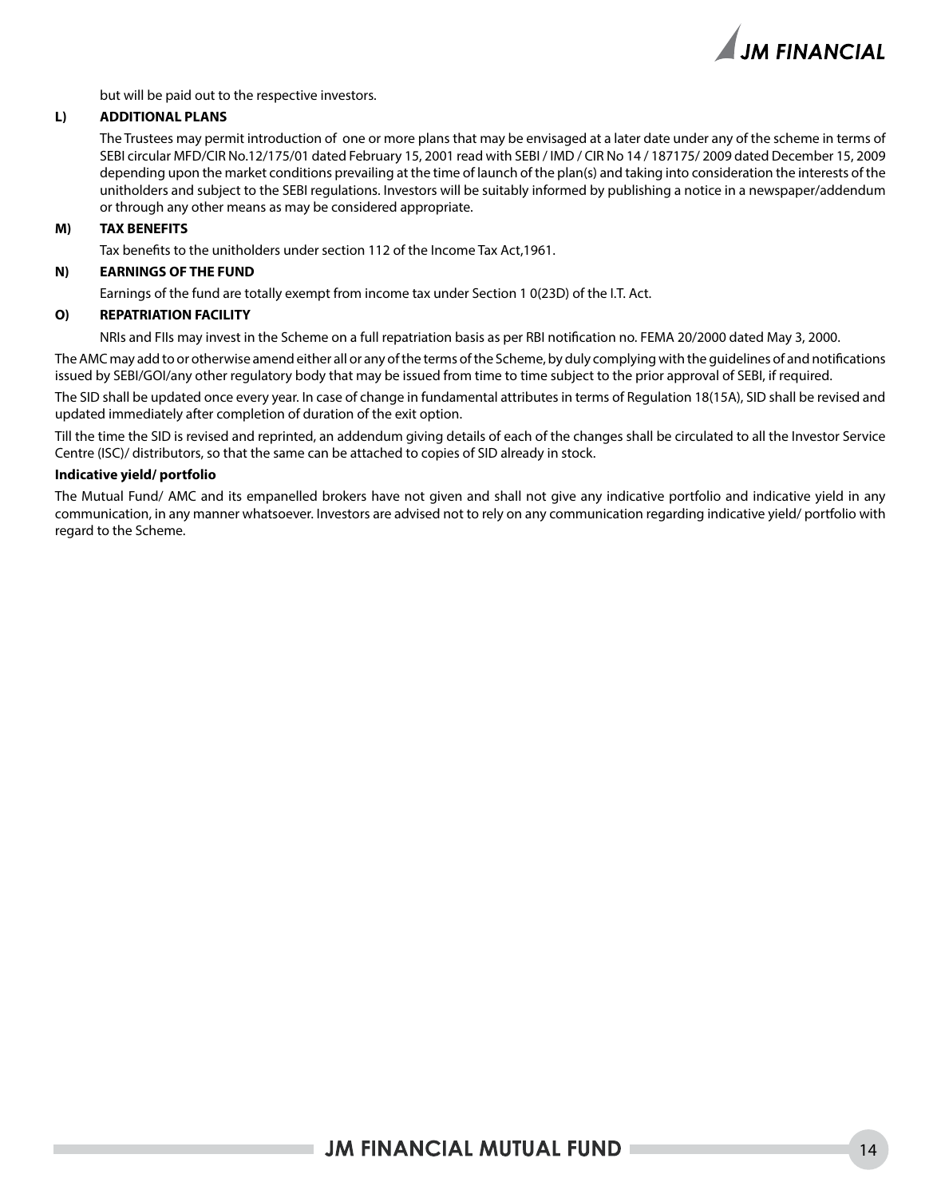

but will be paid out to the respective investors.

### **L) ADDITIONAL PLANS**

The Trustees may permit introduction of one or more plans that may be envisaged at a later date under any of the scheme in terms of SEBI circular MFD/CIR No.12/175/01 dated February 15, 2001 read with SEBI / IMD / CIR No 14 / 187175/ 2009 dated December 15, 2009 depending upon the market conditions prevailing at the time of launch of the plan(s) and taking into consideration the interests of the unitholders and subject to the SEBI regulations. Investors will be suitably informed by publishing a notice in a newspaper/addendum or through any other means as may be considered appropriate.

### **M) TAX BENEFITS**

Tax benefits to the unitholders under section 112 of the Income Tax Act,1961.

### **N) EARNINGS OF THE FUND**

Earnings of the fund are totally exempt from income tax under Section 1 0(23D) of the I.T. Act.

### **O) REPATRIATION FACILITY**

NRIs and FIIs may invest in the Scheme on a full repatriation basis as per RBI notification no. FEMA 20/2000 dated May 3, 2000.

The AMC may add to or otherwise amend either all or any of the terms of the Scheme, by duly complying with the guidelines of and notifications issued by SEBI/GOI/any other regulatory body that may be issued from time to time subject to the prior approval of SEBI, if required.

The SID shall be updated once every year. In case of change in fundamental attributes in terms of Regulation 18(15A), SID shall be revised and updated immediately after completion of duration of the exit option.

Till the time the SID is revised and reprinted, an addendum giving details of each of the changes shall be circulated to all the Investor Service Centre (ISC)/ distributors, so that the same can be attached to copies of SID already in stock.

### **Indicative yield/ portfolio**

The Mutual Fund/ AMC and its empanelled brokers have not given and shall not give any indicative portfolio and indicative yield in any communication, in any manner whatsoever. Investors are advised not to rely on any communication regarding indicative yield/ portfolio with regard to the Scheme.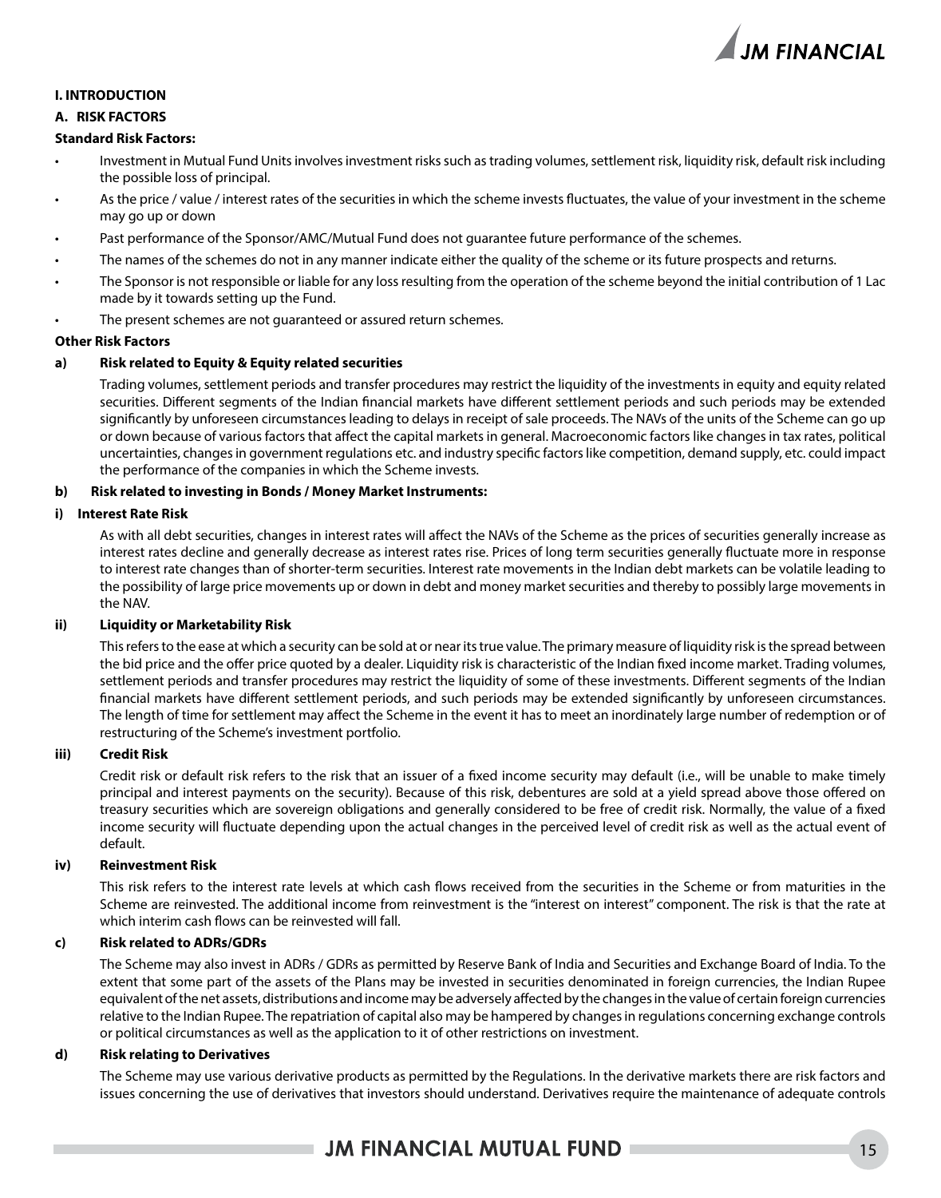

### **I. INTRODUCTION**

### **A. RISK FACTORS**

### **Standard Risk Factors:**

- Investment in Mutual Fund Units involves investment risks such as trading volumes, settlement risk, liquidity risk, default risk including the possible loss of principal.
- As the price / value / interest rates of the securities in which the scheme invests fluctuates, the value of your investment in the scheme may go up or down
- Past performance of the Sponsor/AMC/Mutual Fund does not quarantee future performance of the schemes.
- The names of the schemes do not in any manner indicate either the quality of the scheme or its future prospects and returns.
- The Sponsor is not responsible or liable for any loss resulting from the operation of the scheme beyond the initial contribution of 1 Lac made by it towards setting up the Fund.
- The present schemes are not quaranteed or assured return schemes.

### **Other Risk Factors**

### **a) Risk related to Equity & Equity related securities**

Trading volumes, settlement periods and transfer procedures may restrict the liquidity of the investments in equity and equity related securities. Different segments of the Indian financial markets have different settlement periods and such periods may be extended significantly by unforeseen circumstances leading to delays in receipt of sale proceeds. The NAVs of the units of the Scheme can go up or down because of various factors that affect the capital markets in general. Macroeconomic factors like changes in tax rates, political uncertainties, changes in government regulations etc. and industry specific factors like competition, demand supply, etc. could impact the performance of the companies in which the Scheme invests.

### **b) Risk related to investing in Bonds / Money Market Instruments:**

### **i) Interest Rate Risk**

As with all debt securities, changes in interest rates will affect the NAVs of the Scheme as the prices of securities generally increase as interest rates decline and generally decrease as interest rates rise. Prices of long term securities generally fluctuate more in response to interest rate changes than of shorter-term securities. Interest rate movements in the Indian debt markets can be volatile leading to the possibility of large price movements up or down in debt and money market securities and thereby to possibly large movements in the NAV.

### **ii) Liquidity or Marketability Risk**

This refers to the ease at which a security can be sold at or near its true value. The primary measure of liquidity risk is the spread between the bid price and the offer price quoted by a dealer. Liquidity risk is characteristic of the Indian fixed income market. Trading volumes, settlement periods and transfer procedures may restrict the liquidity of some of these investments. Different segments of the Indian financial markets have different settlement periods, and such periods may be extended significantly by unforeseen circumstances. The length of time for settlement may affect the Scheme in the event it has to meet an inordinately large number of redemption or of restructuring of the Scheme's investment portfolio.

### **iii) Credit Risk**

Credit risk or default risk refers to the risk that an issuer of a fixed income security may default (i.e., will be unable to make timely principal and interest payments on the security). Because of this risk, debentures are sold at a yield spread above those offered on treasury securities which are sovereign obligations and generally considered to be free of credit risk. Normally, the value of a fixed income security will fluctuate depending upon the actual changes in the perceived level of credit risk as well as the actual event of default.

### **iv) Reinvestment Risk**

This risk refers to the interest rate levels at which cash flows received from the securities in the Scheme or from maturities in the Scheme are reinvested. The additional income from reinvestment is the "interest on interest" component. The risk is that the rate at which interim cash flows can be reinvested will fall.

### **c) Risk related to ADRs/GDRs**

The Scheme may also invest in ADRs / GDRs as permitted by Reserve Bank of India and Securities and Exchange Board of India. To the extent that some part of the assets of the Plans may be invested in securities denominated in foreign currencies, the Indian Rupee equivalent of the net assets, distributions and income may be adversely affected by the changes in the value of certain foreign currencies relative to the Indian Rupee. The repatriation of capital also may be hampered by changes in regulations concerning exchange controls or political circumstances as well as the application to it of other restrictions on investment.

### **d) Risk relating to Derivatives**

The Scheme may use various derivative products as permitted by the Regulations. In the derivative markets there are risk factors and issues concerning the use of derivatives that investors should understand. Derivatives require the maintenance of adequate controls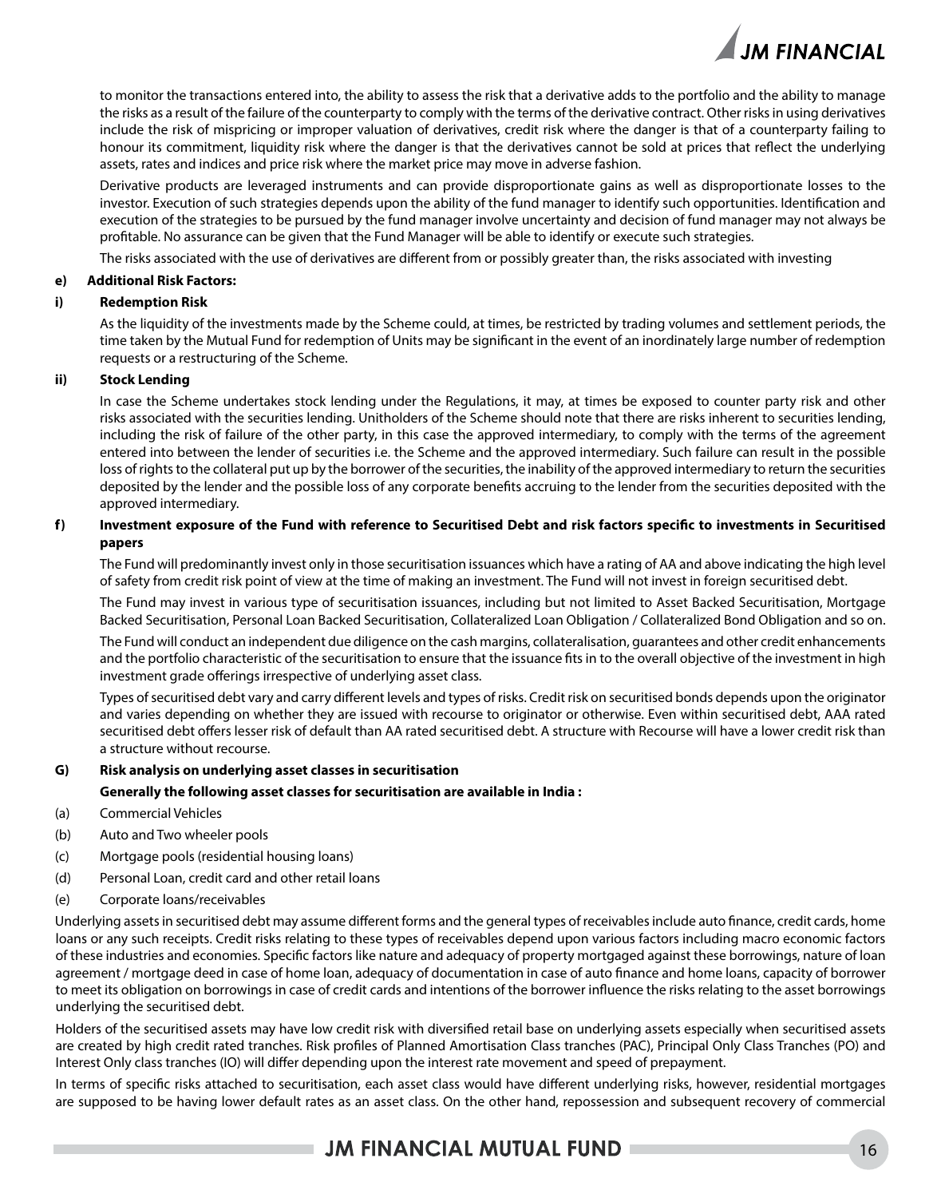

to monitor the transactions entered into, the ability to assess the risk that a derivative adds to the portfolio and the ability to manage the risks as a result of the failure of the counterparty to comply with the terms of the derivative contract. Other risks in using derivatives include the risk of mispricing or improper valuation of derivatives, credit risk where the danger is that of a counterparty failing to honour its commitment, liquidity risk where the danger is that the derivatives cannot be sold at prices that reflect the underlying assets, rates and indices and price risk where the market price may move in adverse fashion.

Derivative products are leveraged instruments and can provide disproportionate gains as well as disproportionate losses to the investor. Execution of such strategies depends upon the ability of the fund manager to identify such opportunities. Identification and execution of the strategies to be pursued by the fund manager involve uncertainty and decision of fund manager may not always be profitable. No assurance can be given that the Fund Manager will be able to identify or execute such strategies.

The risks associated with the use of derivatives are different from or possibly greater than, the risks associated with investing

### **e) Additional Risk Factors:**

### **i) Redemption Risk**

As the liquidity of the investments made by the Scheme could, at times, be restricted by trading volumes and settlement periods, the time taken by the Mutual Fund for redemption of Units may be significant in the event of an inordinately large number of redemption requests or a restructuring of the Scheme.

### **ii) Stock Lending**

In case the Scheme undertakes stock lending under the Regulations, it may, at times be exposed to counter party risk and other risks associated with the securities lending. Unitholders of the Scheme should note that there are risks inherent to securities lending, including the risk of failure of the other party, in this case the approved intermediary, to comply with the terms of the agreement entered into between the lender of securities i.e. the Scheme and the approved intermediary. Such failure can result in the possible loss of rights to the collateral put up by the borrower of the securities, the inability of the approved intermediary to return the securities deposited by the lender and the possible loss of any corporate benefits accruing to the lender from the securities deposited with the approved intermediary.

### **f) Investment exposure of the Fund with reference to Securitised Debt and risk factors specific to investments in Securitised papers**

The Fund will predominantly invest only in those securitisation issuances which have a rating of AA and above indicating the high level of safety from credit risk point of view at the time of making an investment. The Fund will not invest in foreign securitised debt.

The Fund may invest in various type of securitisation issuances, including but not limited to Asset Backed Securitisation, Mortgage Backed Securitisation, Personal Loan Backed Securitisation, Collateralized Loan Obligation / Collateralized Bond Obligation and so on.

The Fund will conduct an independent due diligence on the cash margins, collateralisation, guarantees and other credit enhancements and the portfolio characteristic of the securitisation to ensure that the issuance fits in to the overall objective of the investment in high investment grade offerings irrespective of underlying asset class.

Types of securitised debt vary and carry different levels and types of risks. Credit risk on securitised bonds depends upon the originator and varies depending on whether they are issued with recourse to originator or otherwise. Even within securitised debt, AAA rated securitised debt offers lesser risk of default than AA rated securitised debt. A structure with Recourse will have a lower credit risk than a structure without recourse.

### **G) Risk analysis on underlying asset classes in securitisation**

### **Generally the following asset classes for securitisation are available in India :**

- (a) Commercial Vehicles
- (b) Auto and Two wheeler pools
- (c) Mortgage pools (residential housing loans)
- (d) Personal Loan, credit card and other retail loans
- (e) Corporate loans/receivables

Underlying assets in securitised debt may assume different forms and the general types of receivables include auto finance, credit cards, home loans or any such receipts. Credit risks relating to these types of receivables depend upon various factors including macro economic factors of these industries and economies. Specific factors like nature and adequacy of property mortgaged against these borrowings, nature of loan agreement / mortgage deed in case of home loan, adequacy of documentation in case of auto finance and home loans, capacity of borrower to meet its obligation on borrowings in case of credit cards and intentions of the borrower influence the risks relating to the asset borrowings underlying the securitised debt.

Holders of the securitised assets may have low credit risk with diversified retail base on underlying assets especially when securitised assets are created by high credit rated tranches. Risk profiles of Planned Amortisation Class tranches (PAC), Principal Only Class Tranches (PO) and Interest Only class tranches (IO) will differ depending upon the interest rate movement and speed of prepayment.

In terms of specific risks attached to securitisation, each asset class would have different underlying risks, however, residential mortgages are supposed to be having lower default rates as an asset class. On the other hand, repossession and subsequent recovery of commercial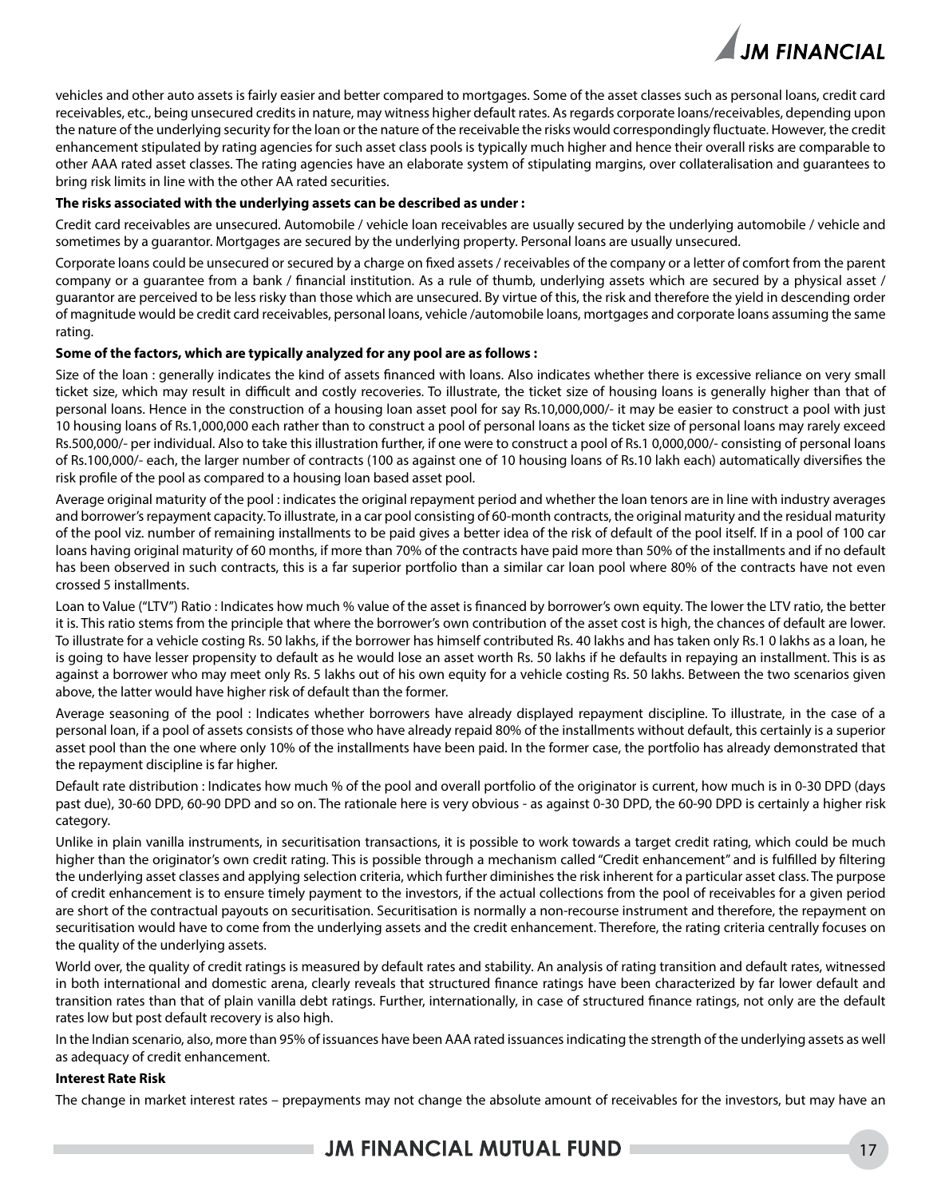

vehicles and other auto assets is fairly easier and better compared to mortgages. Some of the asset classes such as personal loans, credit card receivables, etc., being unsecured credits in nature, may witness higher default rates. As regards corporate loans/receivables, depending upon the nature of the underlying security for the loan or the nature of the receivable the risks would correspondingly fluctuate. However, the credit enhancement stipulated by rating agencies for such asset class pools is typically much higher and hence their overall risks are comparable to other AAA rated asset classes. The rating agencies have an elaborate system of stipulating margins, over collateralisation and guarantees to bring risk limits in line with the other AA rated securities.

### **The risks associated with the underlying assets can be described as under :**

Credit card receivables are unsecured. Automobile / vehicle loan receivables are usually secured by the underlying automobile / vehicle and sometimes by a guarantor. Mortgages are secured by the underlying property. Personal loans are usually unsecured.

Corporate loans could be unsecured or secured by a charge on fixed assets / receivables of the company or a letter of comfort from the parent company or a guarantee from a bank / financial institution. As a rule of thumb, underlying assets which are secured by a physical asset / guarantor are perceived to be less risky than those which are unsecured. By virtue of this, the risk and therefore the yield in descending order of magnitude would be credit card receivables, personal loans, vehicle /automobile loans, mortgages and corporate loans assuming the same rating.

### **Some of the factors, which are typically analyzed for any pool are as follows :**

Size of the loan : generally indicates the kind of assets financed with loans. Also indicates whether there is excessive reliance on very small ticket size, which may result in difficult and costly recoveries. To illustrate, the ticket size of housing loans is generally higher than that of personal loans. Hence in the construction of a housing loan asset pool for say Rs.10,000,000/- it may be easier to construct a pool with just 10 housing loans of Rs.1,000,000 each rather than to construct a pool of personal loans as the ticket size of personal loans may rarely exceed Rs.500,000/- per individual. Also to take this illustration further, if one were to construct a pool of Rs.1 0,000,000/- consisting of personal loans of Rs.100,000/- each, the larger number of contracts (100 as against one of 10 housing loans of Rs.10 lakh each) automatically diversifies the risk profile of the pool as compared to a housing loan based asset pool.

Average original maturity of the pool : indicates the original repayment period and whether the loan tenors are in line with industry averages and borrower's repayment capacity. To illustrate, in a car pool consisting of 60-month contracts, the original maturity and the residual maturity of the pool viz. number of remaining installments to be paid gives a better idea of the risk of default of the pool itself. If in a pool of 100 car loans having original maturity of 60 months, if more than 70% of the contracts have paid more than 50% of the installments and if no default has been observed in such contracts, this is a far superior portfolio than a similar car loan pool where 80% of the contracts have not even crossed 5 installments.

Loan to Value ("LTV") Ratio : Indicates how much % value of the asset is financed by borrower's own equity. The lower the LTV ratio, the better it is. This ratio stems from the principle that where the borrower's own contribution of the asset cost is high, the chances of default are lower. To illustrate for a vehicle costing Rs. 50 lakhs, if the borrower has himself contributed Rs. 40 lakhs and has taken only Rs.1 0 lakhs as a loan, he is going to have lesser propensity to default as he would lose an asset worth Rs. 50 lakhs if he defaults in repaying an installment. This is as against a borrower who may meet only Rs. 5 lakhs out of his own equity for a vehicle costing Rs. 50 lakhs. Between the two scenarios given above, the latter would have higher risk of default than the former.

Average seasoning of the pool : Indicates whether borrowers have already displayed repayment discipline. To illustrate, in the case of a personal loan, if a pool of assets consists of those who have already repaid 80% of the installments without default, this certainly is a superior asset pool than the one where only 10% of the installments have been paid. In the former case, the portfolio has already demonstrated that the repayment discipline is far higher.

Default rate distribution : Indicates how much % of the pool and overall portfolio of the originator is current, how much is in 0-30 DPD (days past due), 30-60 DPD, 60-90 DPD and so on. The rationale here is very obvious - as against 0-30 DPD, the 60-90 DPD is certainly a higher risk category.

Unlike in plain vanilla instruments, in securitisation transactions, it is possible to work towards a target credit rating, which could be much higher than the originator's own credit rating. This is possible through a mechanism called "Credit enhancement" and is fulfilled by filtering the underlying asset classes and applying selection criteria, which further diminishes the risk inherent for a particular asset class. The purpose of credit enhancement is to ensure timely payment to the investors, if the actual collections from the pool of receivables for a given period are short of the contractual payouts on securitisation. Securitisation is normally a non-recourse instrument and therefore, the repayment on securitisation would have to come from the underlying assets and the credit enhancement. Therefore, the rating criteria centrally focuses on the quality of the underlying assets.

World over, the quality of credit ratings is measured by default rates and stability. An analysis of rating transition and default rates, witnessed in both international and domestic arena, clearly reveals that structured finance ratings have been characterized by far lower default and transition rates than that of plain vanilla debt ratings. Further, internationally, in case of structured finance ratings, not only are the default rates low but post default recovery is also high.

In the Indian scenario, also, more than 95% of issuances have been AAA rated issuances indicating the strength of the underlying assets as well as adequacy of credit enhancement.

### **Interest Rate Risk**

The change in market interest rates – prepayments may not change the absolute amount of receivables for the investors, but may have an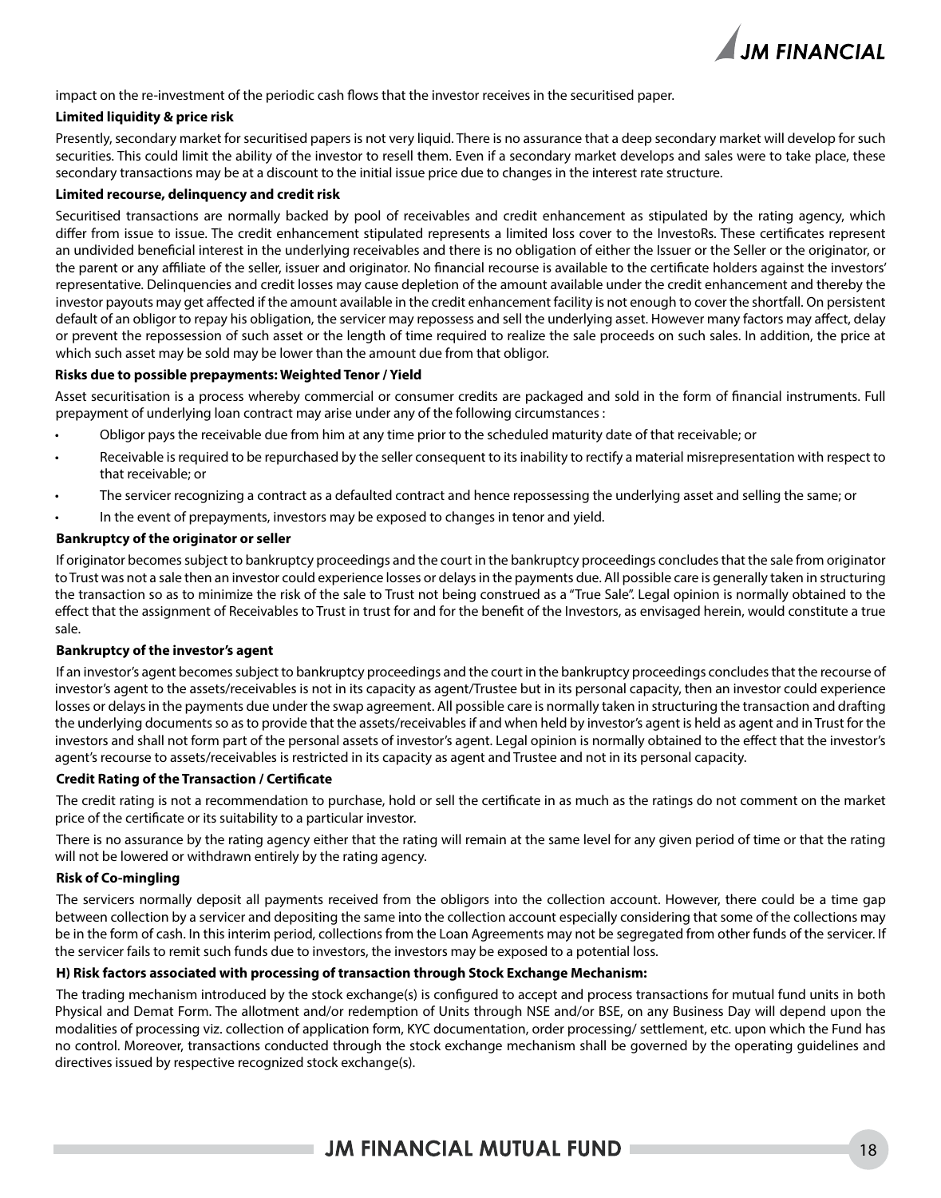

impact on the re-investment of the periodic cash flows that the investor receives in the securitised paper.

#### **Limited liquidity & price risk**

Presently, secondary market for securitised papers is not very liquid. There is no assurance that a deep secondary market will develop for such securities. This could limit the ability of the investor to resell them. Even if a secondary market develops and sales were to take place, these secondary transactions may be at a discount to the initial issue price due to changes in the interest rate structure.

### **Limited recourse, delinquency and credit risk**

Securitised transactions are normally backed by pool of receivables and credit enhancement as stipulated by the rating agency, which differ from issue to issue. The credit enhancement stipulated represents a limited loss cover to the InvestoRs. These certificates represent an undivided beneficial interest in the underlying receivables and there is no obligation of either the Issuer or the Seller or the originator, or the parent or any affiliate of the seller, issuer and originator. No financial recourse is available to the certificate holders against the investors' representative. Delinquencies and credit losses may cause depletion of the amount available under the credit enhancement and thereby the investor payouts may get affected if the amount available in the credit enhancement facility is not enough to cover the shortfall. On persistent default of an obligor to repay his obligation, the servicer may repossess and sell the underlying asset. However many factors may affect, delay or prevent the repossession of such asset or the length of time required to realize the sale proceeds on such sales. In addition, the price at which such asset may be sold may be lower than the amount due from that obligor.

### **Risks due to possible prepayments: Weighted Tenor / Yield**

Asset securitisation is a process whereby commercial or consumer credits are packaged and sold in the form of financial instruments. Full prepayment of underlying loan contract may arise under any of the following circumstances :

- Obligor pays the receivable due from him at any time prior to the scheduled maturity date of that receivable; or
- Receivable is required to be repurchased by the seller consequent to its inability to rectify a material misrepresentation with respect to that receivable; or
- The servicer recognizing a contract as a defaulted contract and hence repossessing the underlying asset and selling the same; or
- In the event of prepayments, investors may be exposed to changes in tenor and yield.

#### **Bankruptcy of the originator or seller**

If originator becomes subject to bankruptcy proceedings and the court in the bankruptcy proceedings concludes that the sale from originator to Trust was not a sale then an investor could experience losses or delays in the payments due. All possible care is generally taken in structuring the transaction so as to minimize the risk of the sale to Trust not being construed as a "True Sale". Legal opinion is normally obtained to the effect that the assignment of Receivables to Trust in trust for and for the benefit of the Investors, as envisaged herein, would constitute a true sale.

### **Bankruptcy of the investor's agent**

If an investor's agent becomes subject to bankruptcy proceedings and the court in the bankruptcy proceedings concludes that the recourse of investor's agent to the assets/receivables is not in its capacity as agent/Trustee but in its personal capacity, then an investor could experience losses or delays in the payments due under the swap agreement. All possible care is normally taken in structuring the transaction and drafting the underlying documents so as to provide that the assets/receivables if and when held by investor's agent is held as agent and in Trust for the investors and shall not form part of the personal assets of investor's agent. Legal opinion is normally obtained to the effect that the investor's agent's recourse to assets/receivables is restricted in its capacity as agent and Trustee and not in its personal capacity.

#### **Credit Rating of the Transaction / Certificate**

The credit rating is not a recommendation to purchase, hold or sell the certificate in as much as the ratings do not comment on the market price of the certificate or its suitability to a particular investor.

There is no assurance by the rating agency either that the rating will remain at the same level for any given period of time or that the rating will not be lowered or withdrawn entirely by the rating agency.

### **Risk of Co-mingling**

The servicers normally deposit all payments received from the obligors into the collection account. However, there could be a time gap between collection by a servicer and depositing the same into the collection account especially considering that some of the collections may be in the form of cash. In this interim period, collections from the Loan Agreements may not be segregated from other funds of the servicer. If the servicer fails to remit such funds due to investors, the investors may be exposed to a potential loss.

### **H) Risk factors associated with processing of transaction through Stock Exchange Mechanism:**

The trading mechanism introduced by the stock exchange(s) is configured to accept and process transactions for mutual fund units in both Physical and Demat Form. The allotment and/or redemption of Units through NSE and/or BSE, on any Business Day will depend upon the modalities of processing viz. collection of application form, KYC documentation, order processing/ settlement, etc. upon which the Fund has no control. Moreover, transactions conducted through the stock exchange mechanism shall be governed by the operating guidelines and directives issued by respective recognized stock exchange(s).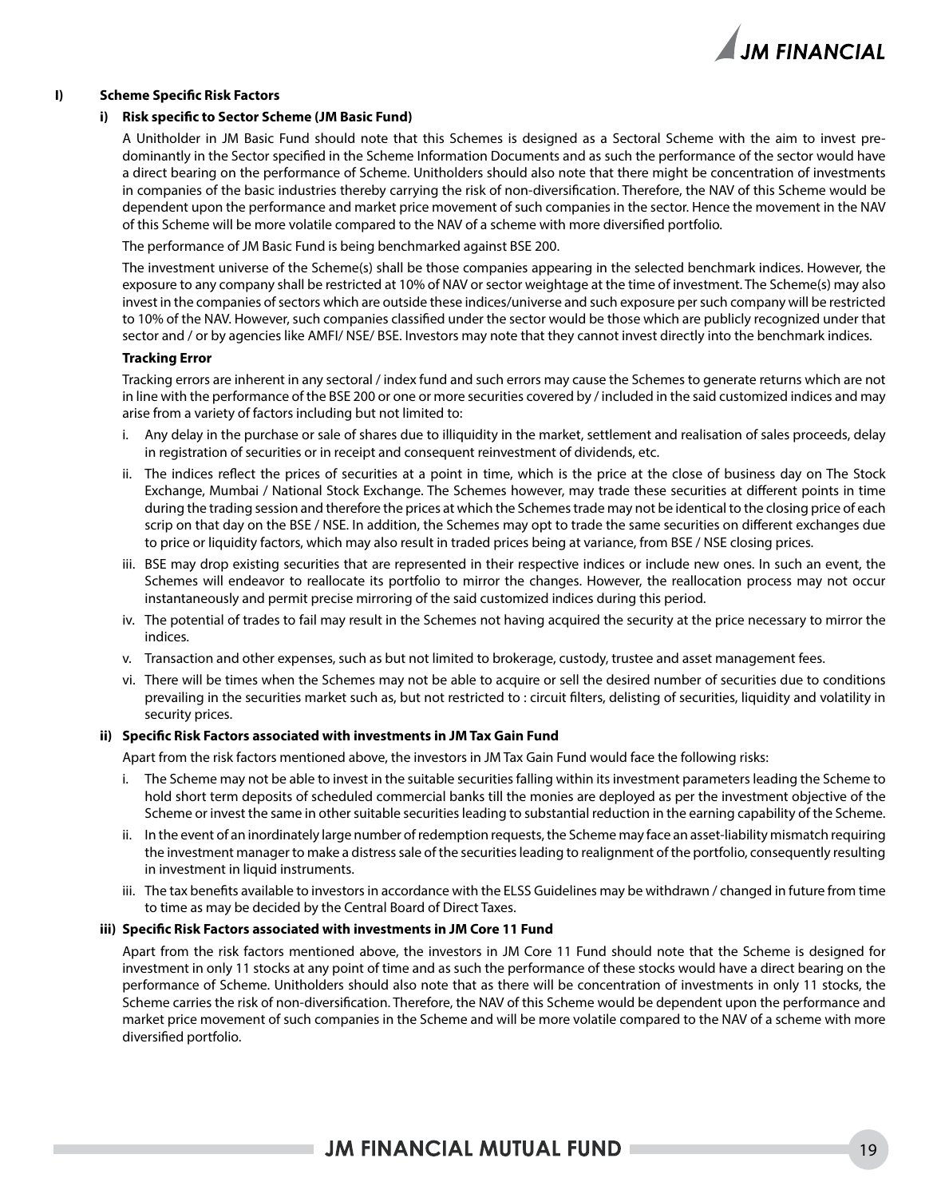

### **I) Scheme Specific Risk Factors**

#### **i) Risk specific to Sector Scheme (JM Basic Fund)**

 A Unitholder in JM Basic Fund should note that this Schemes is designed as a Sectoral Scheme with the aim to invest predominantly in the Sector specified in the Scheme Information Documents and as such the performance of the sector would have a direct bearing on the performance of Scheme. Unitholders should also note that there might be concentration of investments in companies of the basic industries thereby carrying the risk of non-diversification. Therefore, the NAV of this Scheme would be dependent upon the performance and market price movement of such companies in the sector. Hence the movement in the NAV of this Scheme will be more volatile compared to the NAV of a scheme with more diversified portfolio.

The performance of JM Basic Fund is being benchmarked against BSE 200.

 The investment universe of the Scheme(s) shall be those companies appearing in the selected benchmark indices. However, the exposure to any company shall be restricted at 10% of NAV or sector weightage at the time of investment. The Scheme(s) may also invest in the companies of sectors which are outside these indices/universe and such exposure per such company will be restricted to 10% of the NAV. However, such companies classified under the sector would be those which are publicly recognized under that sector and / or by agencies like AMFI/ NSE/ BSE. Investors may note that they cannot invest directly into the benchmark indices.

#### **Tracking Error**

 Tracking errors are inherent in any sectoral / index fund and such errors may cause the Schemes to generate returns which are not in line with the performance of the BSE 200 or one or more securities covered by / included in the said customized indices and may arise from a variety of factors including but not limited to:

- i. Any delay in the purchase or sale of shares due to illiquidity in the market, settlement and realisation of sales proceeds, delay in registration of securities or in receipt and consequent reinvestment of dividends, etc.
- ii. The indices reflect the prices of securities at a point in time, which is the price at the close of business day on The Stock Exchange, Mumbai / National Stock Exchange. The Schemes however, may trade these securities at different points in time during the trading session and therefore the prices at which the Schemes trade may not be identical to the closing price of each scrip on that day on the BSE / NSE. In addition, the Schemes may opt to trade the same securities on different exchanges due to price or liquidity factors, which may also result in traded prices being at variance, from BSE / NSE closing prices.
- iii. BSE may drop existing securities that are represented in their respective indices or include new ones. In such an event, the Schemes will endeavor to reallocate its portfolio to mirror the changes. However, the reallocation process may not occur instantaneously and permit precise mirroring of the said customized indices during this period.
- iv. The potential of trades to fail may result in the Schemes not having acquired the security at the price necessary to mirror the indices.
- v. Transaction and other expenses, such as but not limited to brokerage, custody, trustee and asset management fees.
- vi. There will be times when the Schemes may not be able to acquire or sell the desired number of securities due to conditions prevailing in the securities market such as, but not restricted to : circuit filters, delisting of securities, liquidity and volatility in security prices.

#### **ii) Specific Risk Factors associated with investments in JM Tax Gain Fund**

Apart from the risk factors mentioned above, the investors in JM Tax Gain Fund would face the following risks:

- i. The Scheme may not be able to invest in the suitable securities falling within its investment parameters leading the Scheme to hold short term deposits of scheduled commercial banks till the monies are deployed as per the investment objective of the Scheme or invest the same in other suitable securities leading to substantial reduction in the earning capability of the Scheme.
- ii. In the event of an inordinately large number of redemption requests, the Scheme may face an asset-liability mismatch requiring the investment manager to make a distress sale of the securities leading to realignment of the portfolio, consequently resulting in investment in liquid instruments.
- iii. The tax benefits available to investors in accordance with the ELSS Guidelines may be withdrawn / changed in future from time to time as may be decided by the Central Board of Direct Taxes.

#### **iii) Specific Risk Factors associated with investments in JM Core 11 Fund**

 Apart from the risk factors mentioned above, the investors in JM Core 11 Fund should note that the Scheme is designed for investment in only 11 stocks at any point of time and as such the performance of these stocks would have a direct bearing on the performance of Scheme. Unitholders should also note that as there will be concentration of investments in only 11 stocks, the Scheme carries the risk of non-diversification. Therefore, the NAV of this Scheme would be dependent upon the performance and market price movement of such companies in the Scheme and will be more volatile compared to the NAV of a scheme with more diversified portfolio.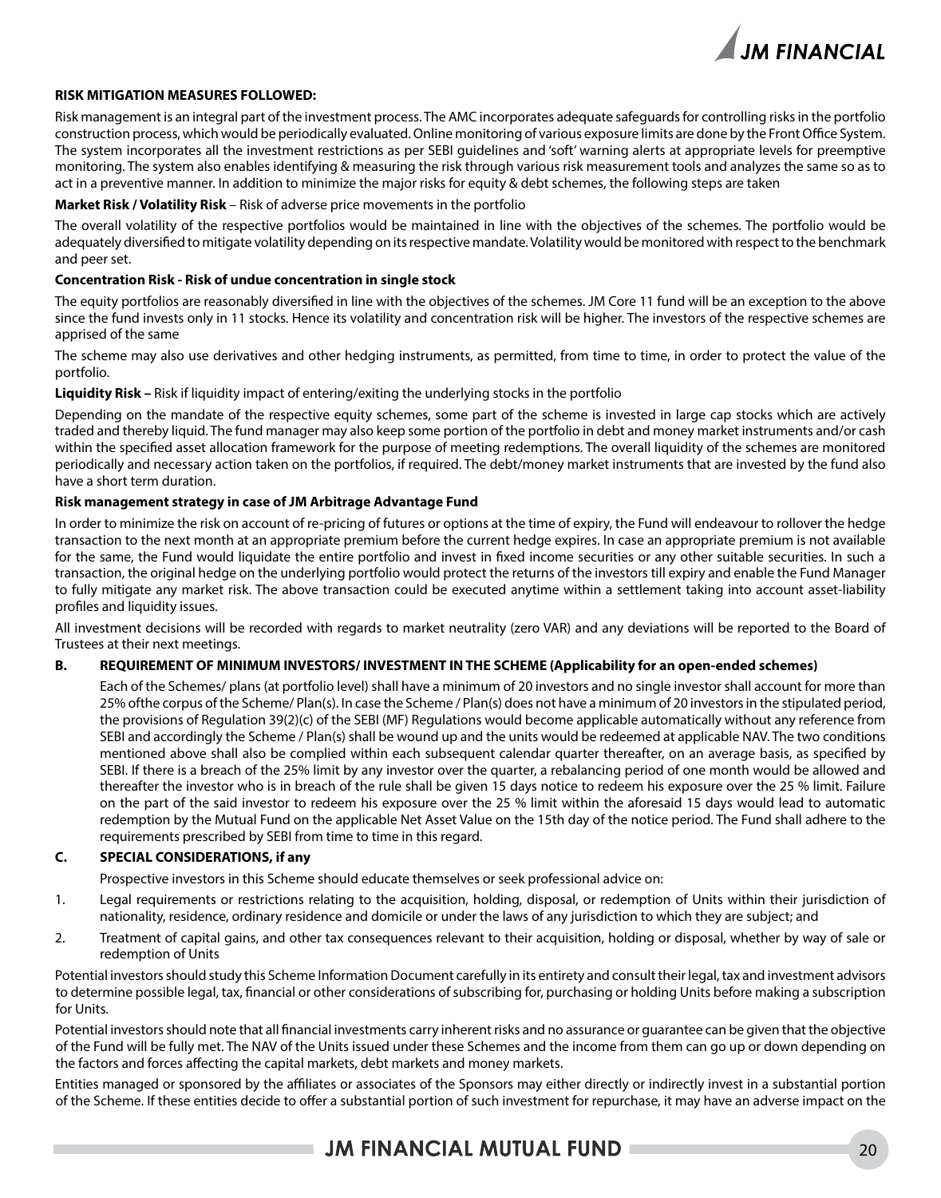

### **RISK MITIGATION MEASURES FOLLOWED:**

Risk management is an integral part of the investment process. The AMC incorporates adequate safeguards for controlling risks in the portfolio construction process, which would be periodically evaluated. Online monitoring of various exposure limits are done by the Front Office System. The system incorporates all the investment restrictions as per SEBI guidelines and 'soft' warning alerts at appropriate levels for preemptive monitoring. The system also enables identifying & measuring the risk through various risk measurement tools and analyzes the same so as to act in a preventive manner. In addition to minimize the major risks for equity & debt schemes, the following steps are taken

### **Market Risk / Volatility Risk** – Risk of adverse price movements in the portfolio

The overall volatility of the respective portfolios would be maintained in line with the objectives of the schemes. The portfolio would be adequately diversified to mitigate volatility depending on its respective mandate. Volatility would be monitored with respect to the benchmark and peer set.

### **Concentration Risk - Risk of undue concentration in single stock**

The equity portfolios are reasonably diversified in line with the objectives of the schemes. JM Core 11 fund will be an exception to the above since the fund invests only in 11 stocks. Hence its volatility and concentration risk will be higher. The investors of the respective schemes are apprised of the same

The scheme may also use derivatives and other hedging instruments, as permitted, from time to time, in order to protect the value of the portfolio.

**Liquidity Risk –** Risk if liquidity impact of entering/exiting the underlying stocks in the portfolio

Depending on the mandate of the respective equity schemes, some part of the scheme is invested in large cap stocks which are actively traded and thereby liquid. The fund manager may also keep some portion of the portfolio in debt and money market instruments and/or cash within the specified asset allocation framework for the purpose of meeting redemptions. The overall liquidity of the schemes are monitored periodically and necessary action taken on the portfolios, if required. The debt/money market instruments that are invested by the fund also have a short term duration.

#### **Risk management strategy in case of JM Arbitrage Advantage Fund**

In order to minimize the risk on account of re-pricing of futures or options at the time of expiry, the Fund will endeavour to rollover the hedge transaction to the next month at an appropriate premium before the current hedge expires. In case an appropriate premium is not available for the same, the Fund would liquidate the entire portfolio and invest in fixed income securities or any other suitable securities. In such a transaction, the original hedge on the underlying portfolio would protect the returns of the investors till expiry and enable the Fund Manager to fully mitigate any market risk. The above transaction could be executed anytime within a settlement taking into account asset-liability profiles and liquidity issues.

All investment decisions will be recorded with regards to market neutrality (zero VAR) and any deviations will be reported to the Board of Trustees at their next meetings.

### **B. REQUIREMENT OF MINIMUM INVESTORS/ INVESTMENT IN THE SCHEME (Applicability for an open-ended schemes)**

Each of the Schemes/ plans (at portfolio level) shall have a minimum of 20 investors and no single investor shall account for more than 25% ofthe corpus of the Scheme/ Plan(s). In case the Scheme / Plan(s) does not have a minimum of 20 investors in the stipulated period, the provisions of Regulation 39(2)(c) of the SEBI (MF) Regulations would become applicable automatically without any reference from SEBI and accordingly the Scheme / Plan(s) shall be wound up and the units would be redeemed at applicable NAV. The two conditions mentioned above shall also be complied within each subsequent calendar quarter thereafter, on an average basis, as specified by SEBI. If there is a breach of the 25% limit by any investor over the quarter, a rebalancing period of one month would be allowed and thereafter the investor who is in breach of the rule shall be given 15 days notice to redeem his exposure over the 25 % limit. Failure on the part of the said investor to redeem his exposure over the 25 % limit within the aforesaid 15 days would lead to automatic redemption by the Mutual Fund on the applicable Net Asset Value on the 15th day of the notice period. The Fund shall adhere to the requirements prescribed by SEBI from time to time in this regard.

### **C. SPECIAL CONSIDERATIONS, if any**

Prospective investors in this Scheme should educate themselves or seek professional advice on:

- 1. Legal requirements or restrictions relating to the acquisition, holding, disposal, or redemption of Units within their jurisdiction of nationality, residence, ordinary residence and domicile or under the laws of any jurisdiction to which they are subject; and
- 2. Treatment of capital gains, and other tax consequences relevant to their acquisition, holding or disposal, whether by way of sale or redemption of Units

Potential investors should study this Scheme Information Document carefully in its entirety and consult their legal, tax and investment advisors to determine possible legal, tax, financial or other considerations of subscribing for, purchasing or holding Units before making a subscription for Units.

Potential investors should note that all financial investments carry inherent risks and no assurance or guarantee can be given that the objective of the Fund will be fully met. The NAV of the Units issued under these Schemes and the income from them can go up or down depending on the factors and forces affecting the capital markets, debt markets and money markets.

Entities managed or sponsored by the affiliates or associates of the Sponsors may either directly or indirectly invest in a substantial portion of the Scheme. If these entities decide to offer a substantial portion of such investment for repurchase, it may have an adverse impact on the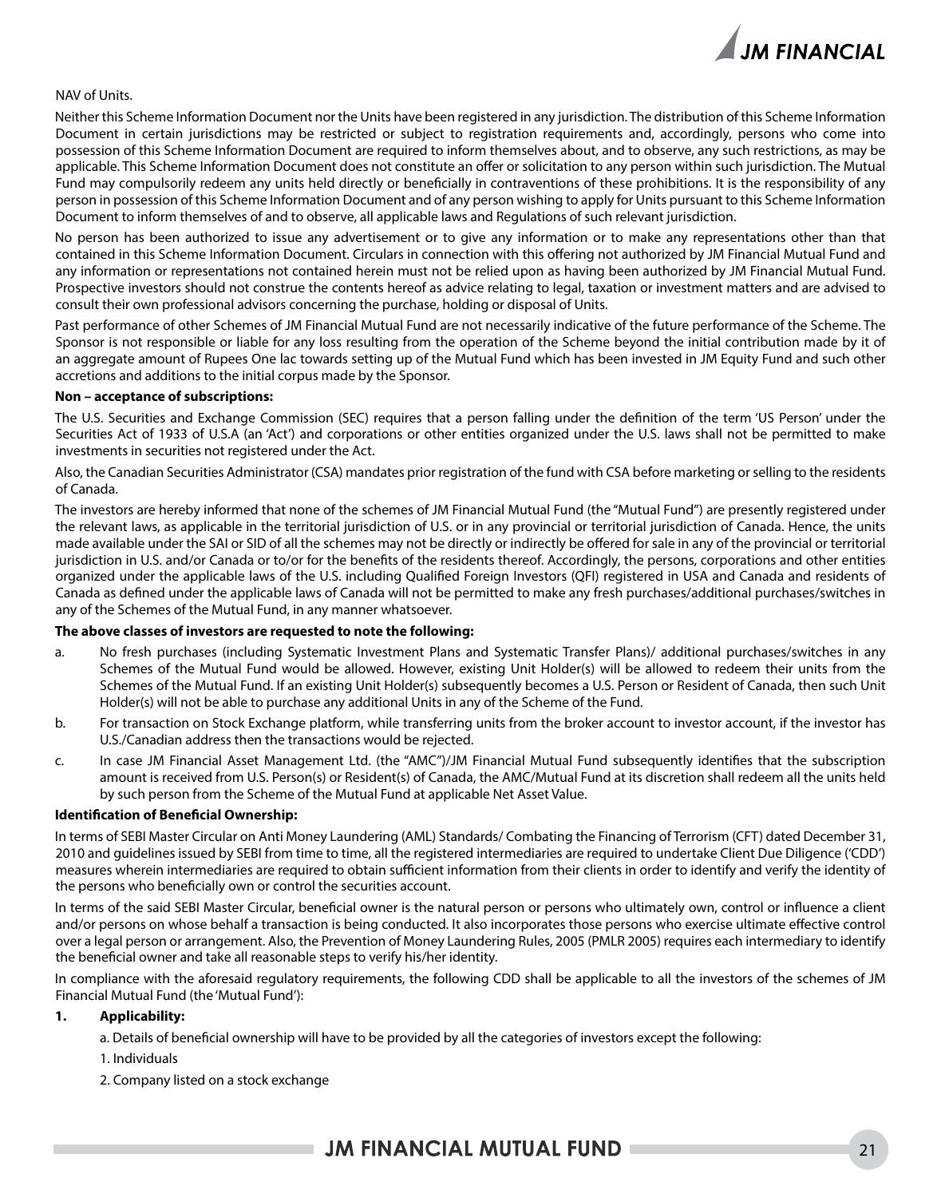

### NAV of Units.

Neither this Scheme Information Document nor the Units have been registered in any jurisdiction. The distribution of this Scheme Information Document in certain jurisdictions may be restricted or subject to registration requirements and, accordingly, persons who come into possession of this Scheme Information Document are required to inform themselves about, and to observe, any such restrictions, as may be applicable. This Scheme Information Document does not constitute an offer or solicitation to any person within such jurisdiction. The Mutual Fund may compulsorily redeem any units held directly or beneficially in contraventions of these prohibitions. It is the responsibility of any person in possession of this Scheme Information Document and of any person wishing to apply for Units pursuant to this Scheme Information Document to inform themselves of and to observe, all applicable laws and Regulations of such relevant jurisdiction.

No person has been authorized to issue any advertisement or to give any information or to make any representations other than that contained in this Scheme Information Document. Circulars in connection with this offering not authorized by JM Financial Mutual Fund and any information or representations not contained herein must not be relied upon as having been authorized by JM Financial Mutual Fund. Prospective investors should not construe the contents hereof as advice relating to legal, taxation or investment matters and are advised to consult their own professional advisors concerning the purchase, holding or disposal of Units.

Past performance of other Schemes of JM Financial Mutual Fund are not necessarily indicative of the future performance of the Scheme. The Sponsor is not responsible or liable for any loss resulting from the operation of the Scheme beyond the initial contribution made by it of an aggregate amount of Rupees One lac towards setting up of the Mutual Fund which has been invested in JM Equity Fund and such other accretions and additions to the initial corpus made by the Sponsor.

#### **Non – acceptance of subscriptions:**

The U.S. Securities and Exchange Commission (SEC) requires that a person falling under the definition of the term 'US Person' under the Securities Act of 1933 of U.S.A (an 'Act') and corporations or other entities organized under the U.S. laws shall not be permitted to make investments in securities not registered under the Act.

Also, the Canadian Securities Administrator (CSA) mandates prior registration of the fund with CSA before marketing or selling to the residents of Canada.

The investors are hereby informed that none of the schemes of JM Financial Mutual Fund (the "Mutual Fund") are presently registered under the relevant laws, as applicable in the territorial jurisdiction of U.S. or in any provincial or territorial jurisdiction of Canada. Hence, the units made available under the SAI or SID of all the schemes may not be directly or indirectly be offered for sale in any of the provincial or territorial jurisdiction in U.S. and/or Canada or to/or for the benefits of the residents thereof. Accordingly, the persons, corporations and other entities organized under the applicable laws of the U.S. including Qualified Foreign Investors (QFI) registered in USA and Canada and residents of Canada as defined under the applicable laws of Canada will not be permitted to make any fresh purchases/additional purchases/switches in any of the Schemes of the Mutual Fund, in any manner whatsoever.

#### **The above classes of investors are requested to note the following:**

- a. No fresh purchases (including Systematic Investment Plans and Systematic Transfer Plans)/ additional purchases/switches in any Schemes of the Mutual Fund would be allowed. However, existing Unit Holder(s) will be allowed to redeem their units from the Schemes of the Mutual Fund. If an existing Unit Holder(s) subsequently becomes a U.S. Person or Resident of Canada, then such Unit Holder(s) will not be able to purchase any additional Units in any of the Scheme of the Fund.
- b. For transaction on Stock Exchange platform, while transferring units from the broker account to investor account, if the investor has U.S./Canadian address then the transactions would be rejected.
- c. In case JM Financial Asset Management Ltd. (the "AMC")/JM Financial Mutual Fund subsequently identifies that the subscription amount is received from U.S. Person(s) or Resident(s) of Canada, the AMC/Mutual Fund at its discretion shall redeem all the units held by such person from the Scheme of the Mutual Fund at applicable Net Asset Value.

#### **Identification of Beneficial Ownership:**

In terms of SEBI Master Circular on Anti Money Laundering (AML) Standards/ Combating the Financing of Terrorism (CFT) dated December 31, 2010 and guidelines issued by SEBI from time to time, all the registered intermediaries are required to undertake Client Due Diligence ('CDD') measures wherein intermediaries are required to obtain sufficient information from their clients in order to identify and verify the identity of the persons who beneficially own or control the securities account.

In terms of the said SEBI Master Circular, beneficial owner is the natural person or persons who ultimately own, control or influence a client and/or persons on whose behalf a transaction is being conducted. It also incorporates those persons who exercise ultimate effective control over a legal person or arrangement. Also, the Prevention of Money Laundering Rules, 2005 (PMLR 2005) requires each intermediary to identify the beneficial owner and take all reasonable steps to verify his/her identity.

In compliance with the aforesaid regulatory requirements, the following CDD shall be applicable to all the investors of the schemes of JM Financial Mutual Fund (the 'Mutual Fund'):

### **1. Applicability:**

a. Details of beneficial ownership will have to be provided by all the categories of investors except the following:

- 1. Individuals
- 2. Company listed on a stock exchange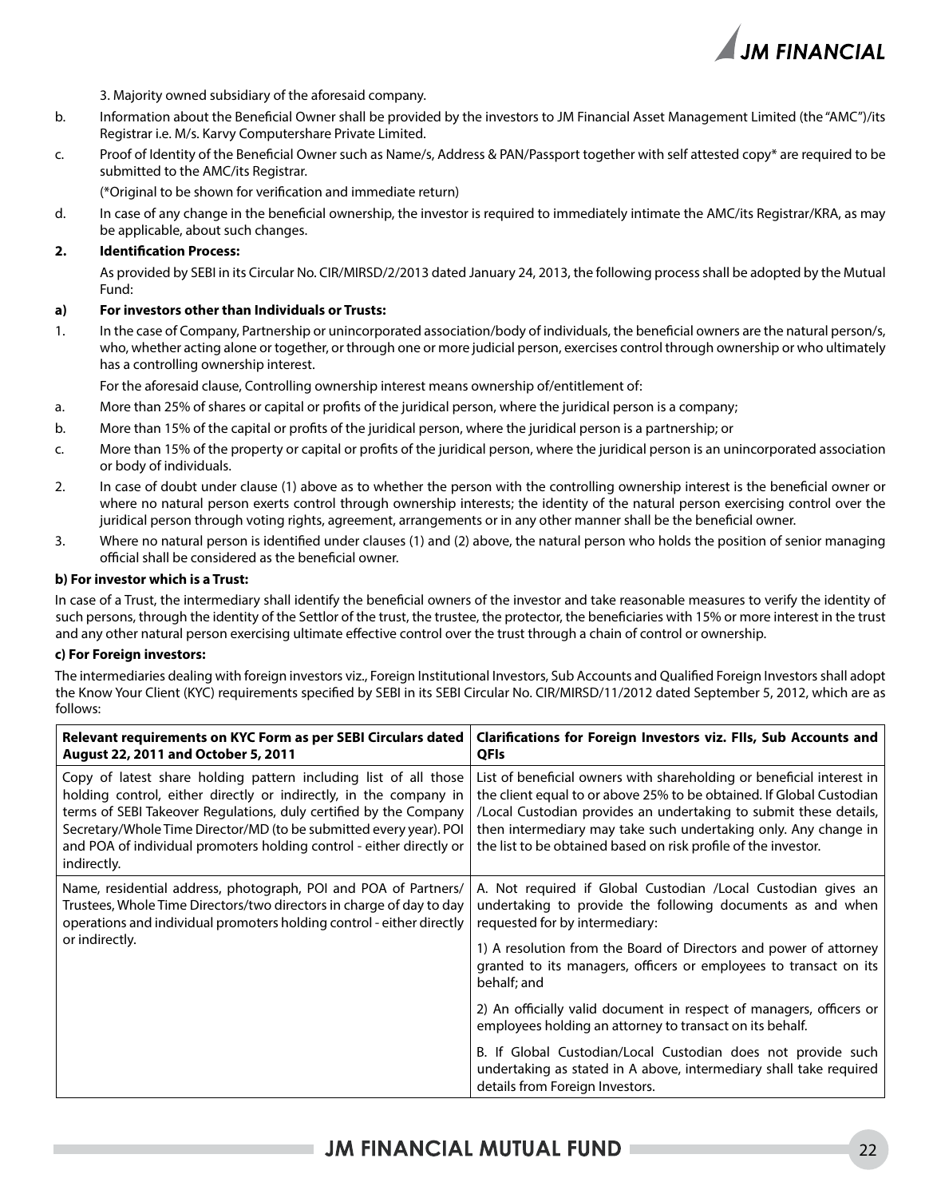

3. Majority owned subsidiary of the aforesaid company.

- b. Information about the Beneficial Owner shall be provided by the investors to JM Financial Asset Management Limited (the "AMC")/its Registrar i.e. M/s. Karvy Computershare Private Limited.
- c. Proof of Identity of the Beneficial Owner such as Name/s, Address & PAN/Passport together with self attested copy\* are required to be submitted to the AMC/its Registrar.

(\*Original to be shown for verification and immediate return)

d. In case of any change in the beneficial ownership, the investor is required to immediately intimate the AMC/its Registrar/KRA, as may be applicable, about such changes.

### **2. Identification Process:**

As provided by SEBI in its Circular No. CIR/MIRSD/2/2013 dated January 24, 2013, the following process shall be adopted by the Mutual Fund:

### **a) For investors other than Individuals or Trusts:**

1. In the case of Company, Partnership or unincorporated association/body of individuals, the beneficial owners are the natural person/s, who, whether acting alone or together, or through one or more judicial person, exercises control through ownership or who ultimately has a controlling ownership interest.

For the aforesaid clause, Controlling ownership interest means ownership of/entitlement of:

- a. More than 25% of shares or capital or profits of the juridical person, where the juridical person is a company;
- b. More than 15% of the capital or profits of the juridical person, where the juridical person is a partnership; or
- c. More than 15% of the property or capital or profits of the juridical person, where the juridical person is an unincorporated association or body of individuals.
- 2. In case of doubt under clause (1) above as to whether the person with the controlling ownership interest is the beneficial owner or where no natural person exerts control through ownership interests; the identity of the natural person exercising control over the juridical person through voting rights, agreement, arrangements or in any other manner shall be the beneficial owner.
- 3. Where no natural person is identified under clauses (1) and (2) above, the natural person who holds the position of senior managing official shall be considered as the beneficial owner.

### **b) For investor which is a Trust:**

In case of a Trust, the intermediary shall identify the beneficial owners of the investor and take reasonable measures to verify the identity of such persons, through the identity of the Settlor of the trust, the trustee, the protector, the beneficiaries with 15% or more interest in the trust and any other natural person exercising ultimate effective control over the trust through a chain of control or ownership.

### **c) For Foreign investors:**

The intermediaries dealing with foreign investors viz., Foreign Institutional Investors, Sub Accounts and Qualified Foreign Investors shall adopt the Know Your Client (KYC) requirements specified by SEBI in its SEBI Circular No. CIR/MIRSD/11/2012 dated September 5, 2012, which are as follows:

| Relevant requirements on KYC Form as per SEBI Circulars dated<br>August 22, 2011 and October 5, 2011                                                                                                                                                                                                                                                                    | <b>Clarifications for Foreign Investors viz. Flls, Sub Accounts and</b><br><b>QFIs</b>                                                                                                                                                                                                                                                                  |
|-------------------------------------------------------------------------------------------------------------------------------------------------------------------------------------------------------------------------------------------------------------------------------------------------------------------------------------------------------------------------|---------------------------------------------------------------------------------------------------------------------------------------------------------------------------------------------------------------------------------------------------------------------------------------------------------------------------------------------------------|
| Copy of latest share holding pattern including list of all those<br>holding control, either directly or indirectly, in the company in<br>terms of SEBI Takeover Regulations, duly certified by the Company<br>Secretary/Whole Time Director/MD (to be submitted every year). POI<br>and POA of individual promoters holding control - either directly or<br>indirectly. | List of beneficial owners with shareholding or beneficial interest in<br>the client equal to or above 25% to be obtained. If Global Custodian<br>/Local Custodian provides an undertaking to submit these details,<br>then intermediary may take such undertaking only. Any change in<br>the list to be obtained based on risk profile of the investor. |
| Name, residential address, photograph, POI and POA of Partners/<br>Trustees, Whole Time Directors/two directors in charge of day to day<br>operations and individual promoters holding control - either directly                                                                                                                                                        | A. Not required if Global Custodian /Local Custodian gives an<br>undertaking to provide the following documents as and when<br>requested for by intermediary:                                                                                                                                                                                           |
| or indirectly.                                                                                                                                                                                                                                                                                                                                                          | 1) A resolution from the Board of Directors and power of attorney<br>granted to its managers, officers or employees to transact on its<br>behalf; and                                                                                                                                                                                                   |
|                                                                                                                                                                                                                                                                                                                                                                         | 2) An officially valid document in respect of managers, officers or<br>employees holding an attorney to transact on its behalf.                                                                                                                                                                                                                         |
|                                                                                                                                                                                                                                                                                                                                                                         | B. If Global Custodian/Local Custodian does not provide such<br>undertaking as stated in A above, intermediary shall take required<br>details from Foreign Investors.                                                                                                                                                                                   |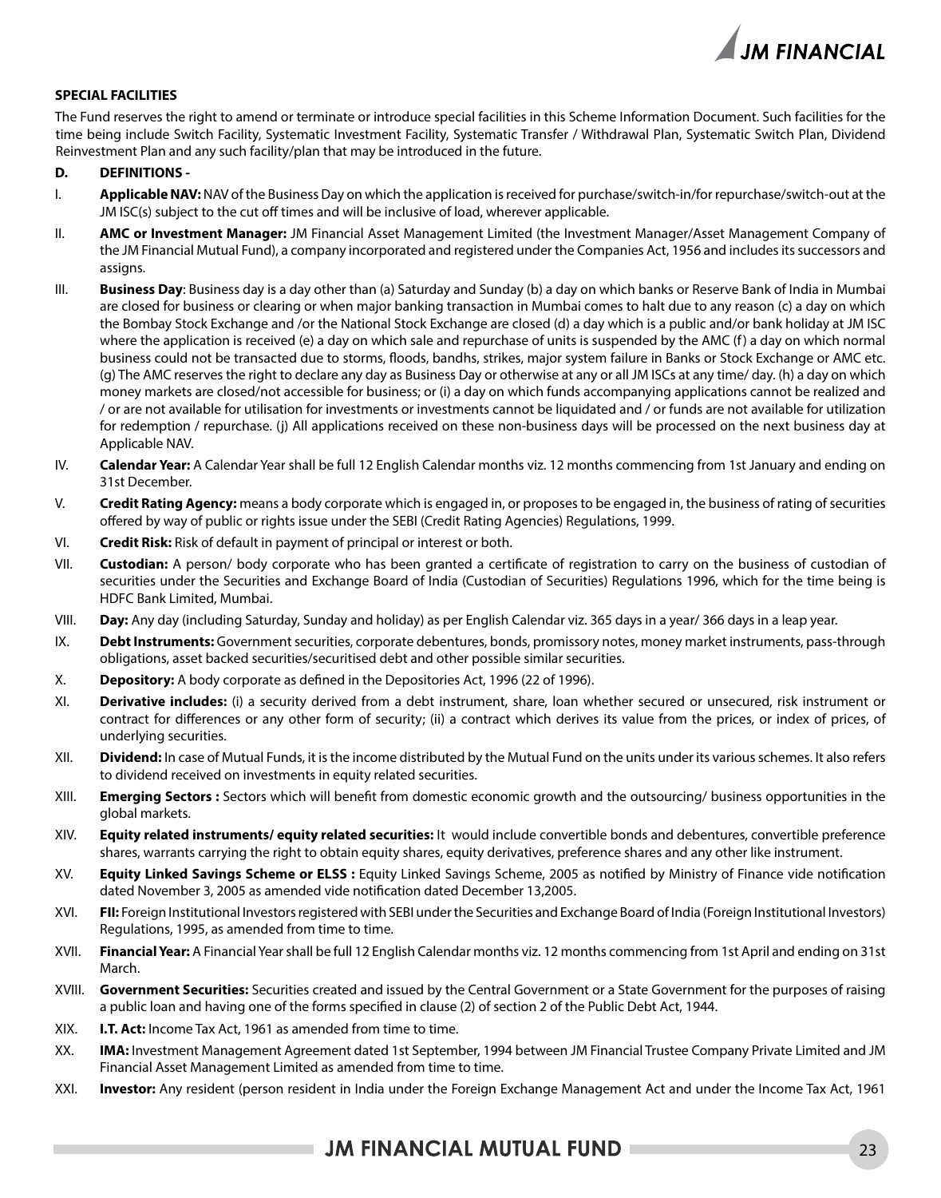

### **SPECIAL FACILITIES**

The Fund reserves the right to amend or terminate or introduce special facilities in this Scheme Information Document. Such facilities for the time being include Switch Facility, Systematic Investment Facility, Systematic Transfer / Withdrawal Plan, Systematic Switch Plan, Dividend Reinvestment Plan and any such facility/plan that may be introduced in the future.

#### **D. DEFINITIONS -**

- I. **Applicable NAV:** NAV of the Business Day on which the application is received for purchase/switch-in/for repurchase/switch-out at the JM ISC(s) subject to the cut off times and will be inclusive of load, wherever applicable.
- II. **AMC or Investment Manager:** JM Financial Asset Management Limited (the Investment Manager/Asset Management Company of the JM Financial Mutual Fund), a company incorporated and registered under the Companies Act, 1956 and includes its successors and assigns.
- III. **Business Day**: Business day is a day other than (a) Saturday and Sunday (b) a day on which banks or Reserve Bank of India in Mumbai are closed for business or clearing or when major banking transaction in Mumbai comes to halt due to any reason (c) a day on which the Bombay Stock Exchange and /or the National Stock Exchange are closed (d) a day which is a public and/or bank holiday at JM ISC where the application is received (e) a day on which sale and repurchase of units is suspended by the AMC (f) a day on which normal business could not be transacted due to storms, floods, bandhs, strikes, major system failure in Banks or Stock Exchange or AMC etc. (g) The AMC reserves the right to declare any day as Business Day or otherwise at any or all JM ISCs at any time/ day. (h) a day on which money markets are closed/not accessible for business; or (i) a day on which funds accompanying applications cannot be realized and / or are not available for utilisation for investments or investments cannot be liquidated and / or funds are not available for utilization for redemption / repurchase. (j) All applications received on these non-business days will be processed on the next business day at Applicable NAV.
- IV. **Calendar Year:** A Calendar Year shall be full 12 English Calendar months viz. 12 months commencing from 1st January and ending on 31st December.
- V. **Credit Rating Agency:** means a body corporate which is engaged in, or proposes to be engaged in, the business of rating of securities offered by way of public or rights issue under the SEBI (Credit Rating Agencies) Regulations, 1999.
- VI. **Credit Risk:** Risk of default in payment of principal or interest or both.
- VII. **Custodian:** A person/ body corporate who has been granted a certificate of registration to carry on the business of custodian of securities under the Securities and Exchange Board of India (Custodian of Securities) Regulations 1996, which for the time being is HDFC Bank Limited, Mumbai.
- VIII. **Day:** Any day (including Saturday, Sunday and holiday) as per English Calendar viz. 365 days in a year/ 366 days in a leap year.
- IX. **Debt Instruments:** Government securities, corporate debentures, bonds, promissory notes, money market instruments, pass-through obligations, asset backed securities/securitised debt and other possible similar securities.
- X. **Depository:** A body corporate as defined in the Depositories Act, 1996 (22 of 1996).
- XI. **Derivative includes:** (i) a security derived from a debt instrument, share, loan whether secured or unsecured, risk instrument or contract for differences or any other form of security; (ii) a contract which derives its value from the prices, or index of prices, of underlying securities.
- XII. **Dividend:** In case of Mutual Funds, it is the income distributed by the Mutual Fund on the units under its various schemes. It also refers to dividend received on investments in equity related securities.
- XIII. **Emerging Sectors :** Sectors which will benefit from domestic economic growth and the outsourcing/ business opportunities in the global markets.
- XIV. **Equity related instruments/ equity related securities:** It would include convertible bonds and debentures, convertible preference shares, warrants carrying the right to obtain equity shares, equity derivatives, preference shares and any other like instrument.
- XV. **Equity Linked Savings Scheme or ELSS :** Equity Linked Savings Scheme, 2005 as notified by Ministry of Finance vide notification dated November 3, 2005 as amended vide notification dated December 13,2005.
- XVI. **FII:** Foreign Institutional Investors registered with SEBI under the Securities and Exchange Board of India (Foreign Institutional Investors) Regulations, 1995, as amended from time to time.
- XVII. **Financial Year:** A Financial Year shall be full 12 English Calendar months viz. 12 months commencing from 1st April and ending on 31st March.
- XVIII. **Government Securities:** Securities created and issued by the Central Government or a State Government for the purposes of raising a public loan and having one of the forms specified in clause (2) of section 2 of the Public Debt Act, 1944.
- XIX. **I.T. Act:** Income Tax Act, 1961 as amended from time to time.
- XX. **IMA:** Investment Management Agreement dated 1st September, 1994 between JM Financial Trustee Company Private Limited and JM Financial Asset Management Limited as amended from time to time.
- XXI. **Investor:** Any resident (person resident in India under the Foreign Exchange Management Act and under the Income Tax Act, 1961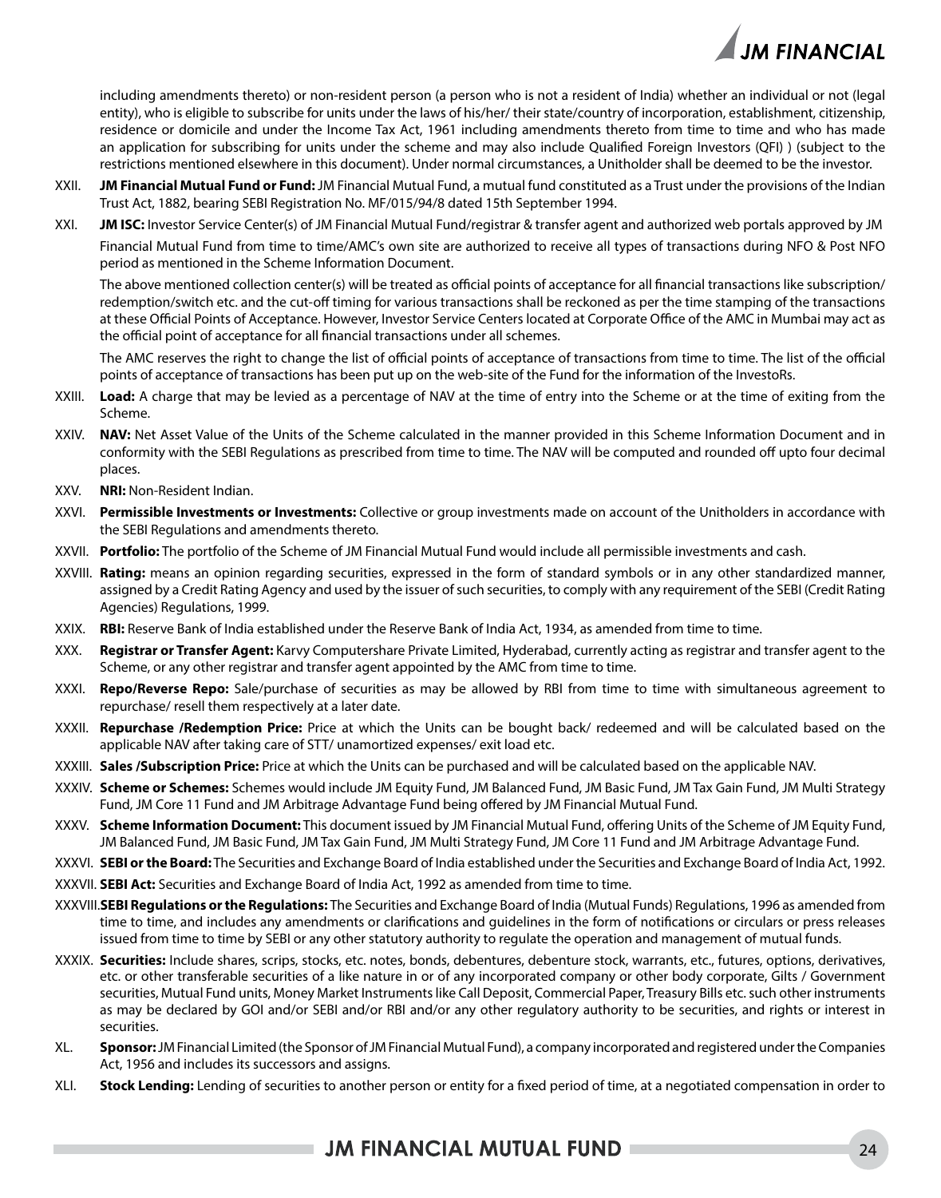

including amendments thereto) or non-resident person (a person who is not a resident of India) whether an individual or not (legal entity), who is eligible to subscribe for units under the laws of his/her/ their state/country of incorporation, establishment, citizenship, residence or domicile and under the Income Tax Act, 1961 including amendments thereto from time to time and who has made an application for subscribing for units under the scheme and may also include Qualified Foreign Investors (QFI) ) (subject to the restrictions mentioned elsewhere in this document). Under normal circumstances, a Unitholder shall be deemed to be the investor.

- XXII. **JM Financial Mutual Fund or Fund:** JM Financial Mutual Fund, a mutual fund constituted as a Trust under the provisions of the Indian Trust Act, 1882, bearing SEBI Registration No. MF/015/94/8 dated 15th September 1994.
- XXI. **JM ISC:** Investor Service Center(s) of JM Financial Mutual Fund/registrar & transfer agent and authorized web portals approved by JM Financial Mutual Fund from time to time/AMC's own site are authorized to receive all types of transactions during NFO & Post NFO period as mentioned in the Scheme Information Document.

The above mentioned collection center(s) will be treated as official points of acceptance for all financial transactions like subscription/ redemption/switch etc. and the cut-off timing for various transactions shall be reckoned as per the time stamping of the transactions at these Official Points of Acceptance. However, Investor Service Centers located at Corporate Office of the AMC in Mumbai may act as the official point of acceptance for all financial transactions under all schemes.

The AMC reserves the right to change the list of official points of acceptance of transactions from time to time. The list of the official points of acceptance of transactions has been put up on the web-site of the Fund for the information of the InvestoRs.

- XXIII. **Load:** A charge that may be levied as a percentage of NAV at the time of entry into the Scheme or at the time of exiting from the Scheme.
- XXIV. **NAV:** Net Asset Value of the Units of the Scheme calculated in the manner provided in this Scheme Information Document and in conformity with the SEBI Regulations as prescribed from time to time. The NAV will be computed and rounded off upto four decimal places.
- XXV. **NRI:** Non-Resident Indian.
- XXVI. **Permissible Investments or Investments:** Collective or group investments made on account of the Unitholders in accordance with the SEBI Regulations and amendments thereto.
- XXVII. **Portfolio:** The portfolio of the Scheme of JM Financial Mutual Fund would include all permissible investments and cash.
- XXVIII. **Rating:** means an opinion regarding securities, expressed in the form of standard symbols or in any other standardized manner, assigned by a Credit Rating Agency and used by the issuer of such securities, to comply with any requirement of the SEBI (Credit Rating Agencies) Regulations, 1999.
- XXIX. **RBI:** Reserve Bank of India established under the Reserve Bank of India Act, 1934, as amended from time to time.
- XXX. **Registrar or Transfer Agent:** Karvy Computershare Private Limited, Hyderabad, currently acting as registrar and transfer agent to the Scheme, or any other registrar and transfer agent appointed by the AMC from time to time.
- XXXI. **Repo/Reverse Repo:** Sale/purchase of securities as may be allowed by RBI from time to time with simultaneous agreement to repurchase/ resell them respectively at a later date.
- XXXII. **Repurchase /Redemption Price:** Price at which the Units can be bought back/ redeemed and will be calculated based on the applicable NAV after taking care of STT/ unamortized expenses/ exit load etc.
- XXXIII. **Sales /Subscription Price:** Price at which the Units can be purchased and will be calculated based on the applicable NAV.
- XXXIV. **Scheme or Schemes:** Schemes would include JM Equity Fund, JM Balanced Fund, JM Basic Fund, JM Tax Gain Fund, JM Multi Strategy Fund, JM Core 11 Fund and JM Arbitrage Advantage Fund being offered by JM Financial Mutual Fund.
- XXXV. **Scheme Information Document:** This document issued by JM Financial Mutual Fund, offering Units of the Scheme of JM Equity Fund, JM Balanced Fund, JM Basic Fund, JM Tax Gain Fund, JM Multi Strategy Fund, JM Core 11 Fund and JM Arbitrage Advantage Fund.
- XXXVI. **SEBI or the Board:** The Securities and Exchange Board of India established under the Securities and Exchange Board of India Act, 1992.
- XXXVII. **SEBI Act:** Securities and Exchange Board of India Act, 1992 as amended from time to time.
- XXXVIII.**SEBI Regulations or the Regulations:** The Securities and Exchange Board of India (Mutual Funds) Regulations, 1996 as amended from time to time, and includes any amendments or clarifications and guidelines in the form of notifications or circulars or press releases issued from time to time by SEBI or any other statutory authority to regulate the operation and management of mutual funds.
- XXXIX. **Securities:** Include shares, scrips, stocks, etc. notes, bonds, debentures, debenture stock, warrants, etc., futures, options, derivatives, etc. or other transferable securities of a like nature in or of any incorporated company or other body corporate, Gilts / Government securities, Mutual Fund units, Money Market Instruments like Call Deposit, Commercial Paper, Treasury Bills etc. such other instruments as may be declared by GOI and/or SEBI and/or RBI and/or any other regulatory authority to be securities, and rights or interest in securities.
- XL. **Sponsor:** JM Financial Limited (the Sponsor of JM Financial Mutual Fund), a company incorporated and registered under the Companies Act, 1956 and includes its successors and assigns.
- XLI. **Stock Lending:** Lending of securities to another person or entity for a fixed period of time, at a negotiated compensation in order to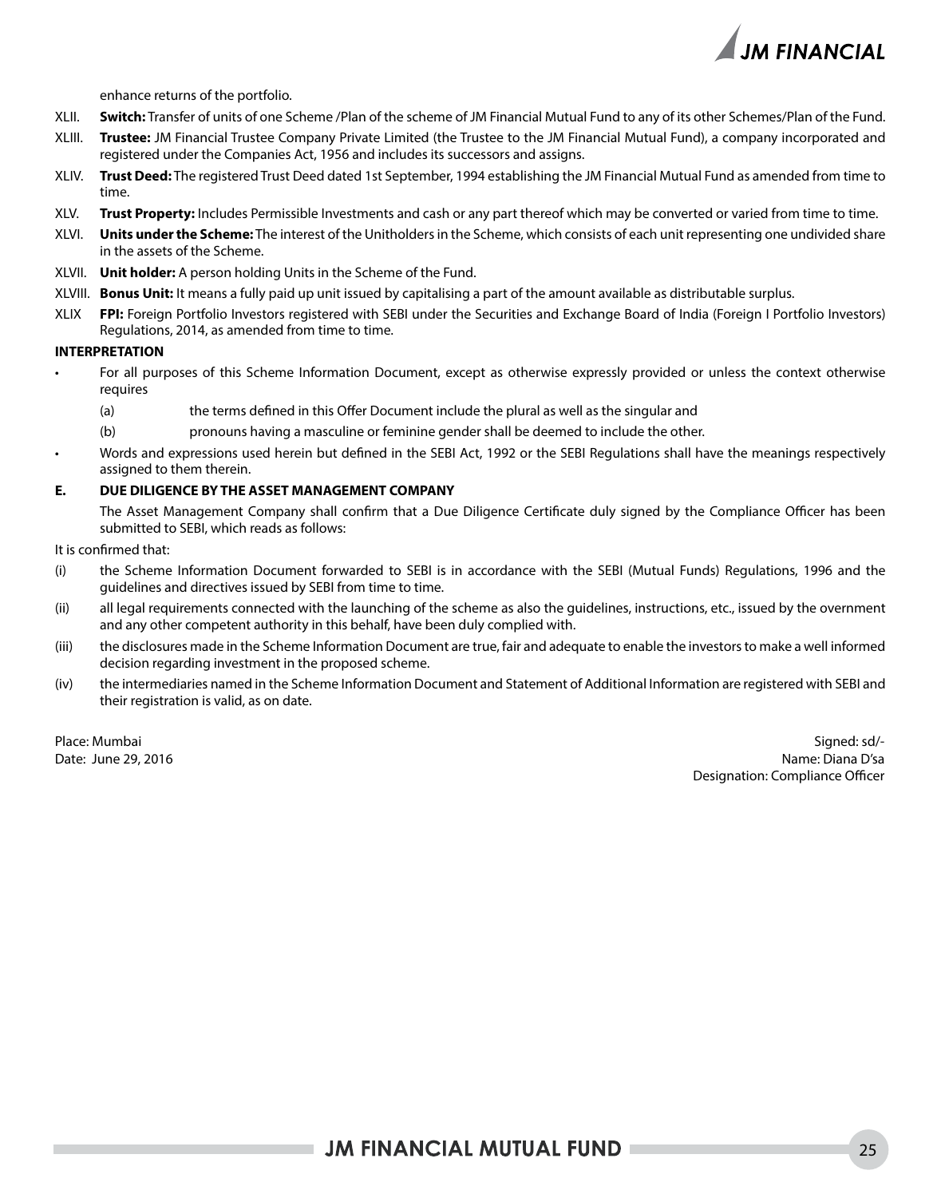

enhance returns of the portfolio.

- XLII. **Switch:** Transfer of units of one Scheme /Plan of the scheme of JM Financial Mutual Fund to any of its other Schemes/Plan of the Fund.
- XLIII. **Trustee:** JM Financial Trustee Company Private Limited (the Trustee to the JM Financial Mutual Fund), a company incorporated and registered under the Companies Act, 1956 and includes its successors and assigns.
- XLIV. **Trust Deed:** The registered Trust Deed dated 1st September, 1994 establishing the JM Financial Mutual Fund as amended from time to time.
- XLV. **Trust Property:** Includes Permissible Investments and cash or any part thereof which may be converted or varied from time to time.
- XLVI. **Units under the Scheme:** The interest of the Unitholders in the Scheme, which consists of each unit representing one undivided share in the assets of the Scheme.
- XLVII. **Unit holder:** A person holding Units in the Scheme of the Fund.
- XLVIII. **Bonus Unit:** It means a fully paid up unit issued by capitalising a part of the amount available as distributable surplus.
- XLIX **FPI:** Foreign Portfolio Investors registered with SEBI under the Securities and Exchange Board of India (Foreign I Portfolio Investors) Regulations, 2014, as amended from time to time.

#### **INTERPRETATION**

- For all purposes of this Scheme Information Document, except as otherwise expressly provided or unless the context otherwise requires
	- (a) the terms defined in this Offer Document include the plural as well as the singular and
	- (b) pronouns having a masculine or feminine gender shall be deemed to include the other.
- Words and expressions used herein but defined in the SEBI Act, 1992 or the SEBI Regulations shall have the meanings respectively assigned to them therein.

#### **E. DUE DILIGENCE BY THE ASSET MANAGEMENT COMPANY**

The Asset Management Company shall confirm that a Due Diligence Certificate duly signed by the Compliance Officer has been submitted to SEBI, which reads as follows:

- It is confirmed that:
- (i) the Scheme Information Document forwarded to SEBI is in accordance with the SEBI (Mutual Funds) Regulations, 1996 and the guidelines and directives issued by SEBI from time to time.
- (ii) all legal requirements connected with the launching of the scheme as also the guidelines, instructions, etc., issued by the overnment and any other competent authority in this behalf, have been duly complied with.
- (iii) the disclosures made in the Scheme Information Document are true, fair and adequate to enable the investors to make a well informed decision regarding investment in the proposed scheme.
- (iv) the intermediaries named in the Scheme Information Document and Statement of Additional Information are registered with SEBI and their registration is valid, as on date.

Place: Mumbai Signed: sd/- Date: June 29, 2016 Name: Diana D'sa Designation: Compliance Officer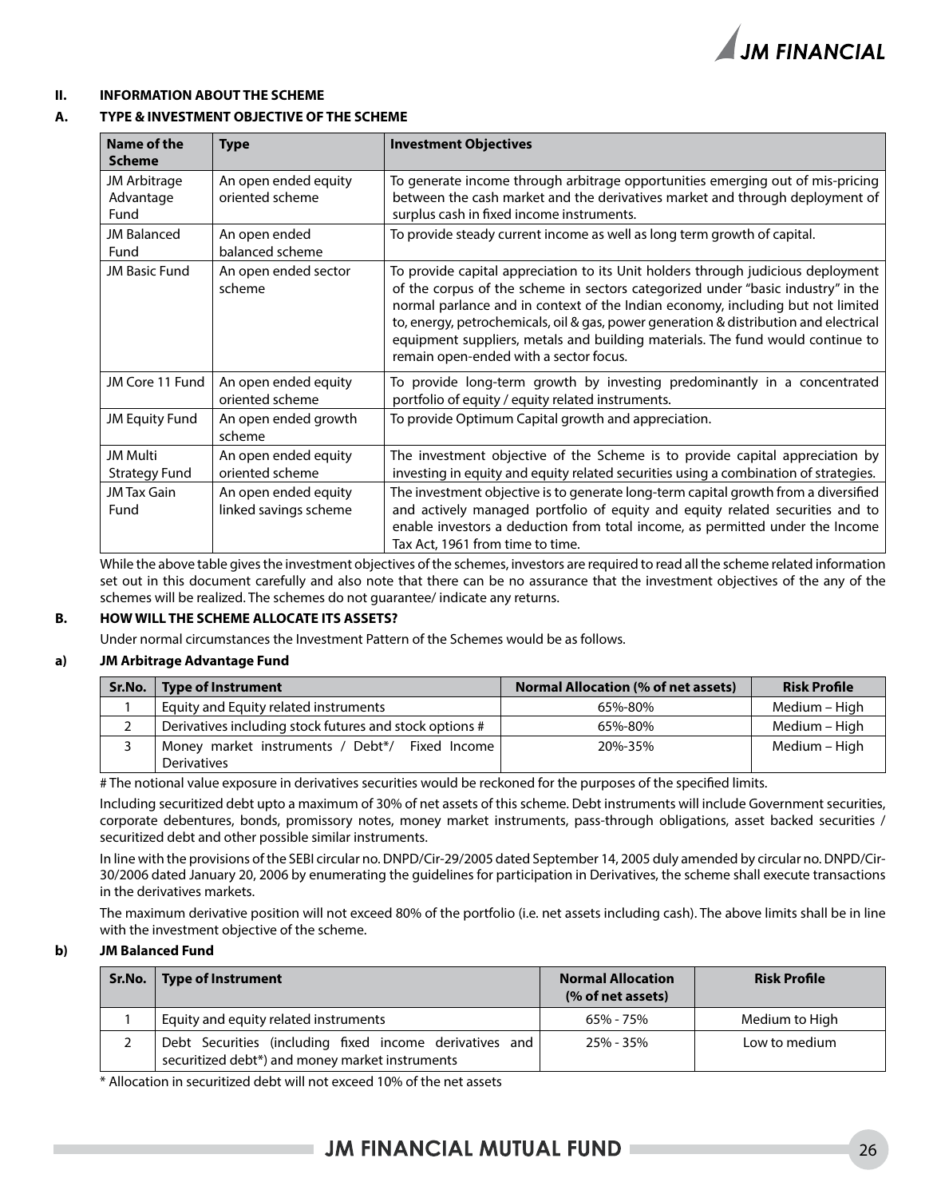

### **II. INFORMATION ABOUT THE SCHEME**

### **A. TYPE & INVESTMENT OBJECTIVE OF THE SCHEME**

| Name of the<br><b>Scheme</b>      | <b>Type</b>                                   | <b>Investment Objectives</b>                                                                                                                                                                                                                                                                                                                                                                                                                                                 |
|-----------------------------------|-----------------------------------------------|------------------------------------------------------------------------------------------------------------------------------------------------------------------------------------------------------------------------------------------------------------------------------------------------------------------------------------------------------------------------------------------------------------------------------------------------------------------------------|
| JM Arbitrage<br>Advantage<br>Fund | An open ended equity<br>oriented scheme       | To generate income through arbitrage opportunities emerging out of mis-pricing<br>between the cash market and the derivatives market and through deployment of<br>surplus cash in fixed income instruments.                                                                                                                                                                                                                                                                  |
| <b>JM Balanced</b><br>Fund        | An open ended<br>balanced scheme              | To provide steady current income as well as long term growth of capital.                                                                                                                                                                                                                                                                                                                                                                                                     |
| <b>JM Basic Fund</b>              | An open ended sector<br>scheme                | To provide capital appreciation to its Unit holders through judicious deployment<br>of the corpus of the scheme in sectors categorized under "basic industry" in the<br>normal parlance and in context of the Indian economy, including but not limited<br>to, energy, petrochemicals, oil & gas, power generation & distribution and electrical<br>equipment suppliers, metals and building materials. The fund would continue to<br>remain open-ended with a sector focus. |
| JM Core 11 Fund                   | An open ended equity<br>oriented scheme       | To provide long-term growth by investing predominantly in a concentrated<br>portfolio of equity / equity related instruments.                                                                                                                                                                                                                                                                                                                                                |
| <b>JM Equity Fund</b>             | An open ended growth<br>scheme                | To provide Optimum Capital growth and appreciation.                                                                                                                                                                                                                                                                                                                                                                                                                          |
| JM Multi<br><b>Strategy Fund</b>  | An open ended equity<br>oriented scheme       | The investment objective of the Scheme is to provide capital appreciation by<br>investing in equity and equity related securities using a combination of strategies.                                                                                                                                                                                                                                                                                                         |
| JM Tax Gain<br>Fund               | An open ended equity<br>linked savings scheme | The investment objective is to generate long-term capital growth from a diversified<br>and actively managed portfolio of equity and equity related securities and to<br>enable investors a deduction from total income, as permitted under the Income<br>Tax Act, 1961 from time to time.                                                                                                                                                                                    |

While the above table gives the investment objectives of the schemes, investors are required to read all the scheme related information set out in this document carefully and also note that there can be no assurance that the investment objectives of the any of the schemes will be realized. The schemes do not guarantee/ indicate any returns.

### **B. HOW WILL THE SCHEME ALLOCATE ITS ASSETS?**

Under normal circumstances the Investment Pattern of the Schemes would be as follows.

### **a) JM Arbitrage Advantage Fund**

| Sr.No.   Type of Instrument                             | <b>Normal Allocation (% of net assets)</b> | <b>Risk Profile</b> |
|---------------------------------------------------------|--------------------------------------------|---------------------|
| Equity and Equity related instruments                   | 65%-80%                                    | Medium – High       |
| Derivatives including stock futures and stock options # | 65%-80%                                    | Medium – High       |
| Money market instruments / Debt*/ Fixed Income          | 20%-35%                                    | Medium – High       |
| <b>Derivatives</b>                                      |                                            |                     |

# The notional value exposure in derivatives securities would be reckoned for the purposes of the specified limits.

Including securitized debt upto a maximum of 30% of net assets of this scheme. Debt instruments will include Government securities, corporate debentures, bonds, promissory notes, money market instruments, pass-through obligations, asset backed securities / securitized debt and other possible similar instruments.

In line with the provisions of the SEBI circular no. DNPD/Cir-29/2005 dated September 14, 2005 duly amended by circular no. DNPD/Cir-30/2006 dated January 20, 2006 by enumerating the guidelines for participation in Derivatives, the scheme shall execute transactions in the derivatives markets.

The maximum derivative position will not exceed 80% of the portfolio (i.e. net assets including cash). The above limits shall be in line with the investment objective of the scheme.

### **b) JM Balanced Fund**

| Sr.No.   Type of Instrument                                                                                | <b>Normal Allocation</b><br>(% of net assets) | <b>Risk Profile</b> |
|------------------------------------------------------------------------------------------------------------|-----------------------------------------------|---------------------|
| Equity and equity related instruments                                                                      | 65% - 75%                                     | Medium to High      |
| Debt Securities (including fixed income derivatives and<br>securitized debt*) and money market instruments | 25% - 35%                                     | Low to medium       |

\* Allocation in securitized debt will not exceed 10% of the net assets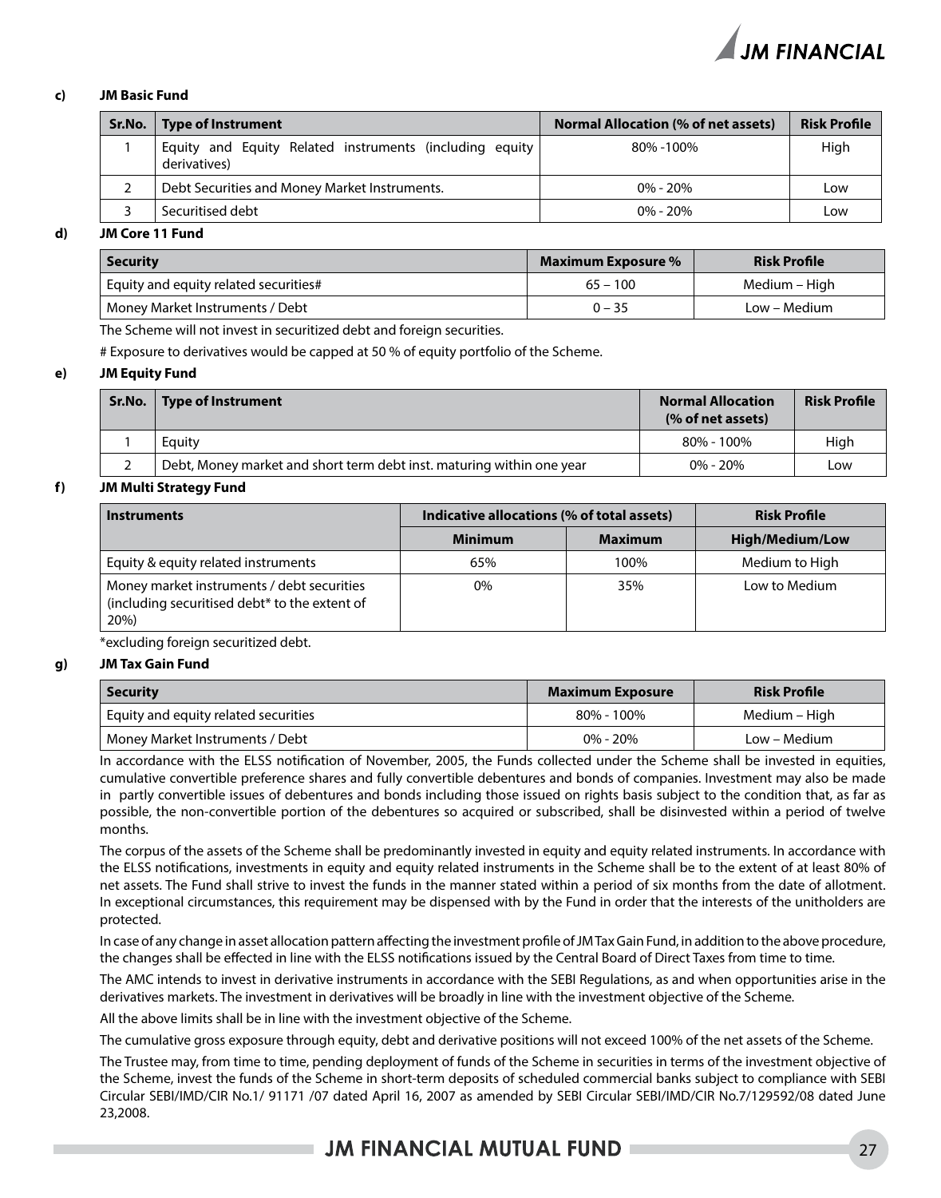

### **c) JM Basic Fund**

| Sr.No. | Type of Instrument                                                      | <b>Normal Allocation (% of net assets)</b> | <b>Risk Profile</b> |
|--------|-------------------------------------------------------------------------|--------------------------------------------|---------------------|
|        | Equity and Equity Related instruments (including equity<br>derivatives) | 80%-100%                                   | High                |
|        | Debt Securities and Money Market Instruments.                           | $0\% - 20\%$                               | Low                 |
|        | Securitised debt                                                        | $0\% - 20\%$                               | Low                 |
| --- -  | ----                                                                    |                                            |                     |

### **d) JM Core 11 Fund**

| <b>Security</b>                       | Maximum Exposure % | <b>Risk Profile</b> |
|---------------------------------------|--------------------|---------------------|
| Equity and equity related securities# | $65 - 100$         | Medium – High       |
| Money Market Instruments / Debt       | $0 - 35$           | Low – Medium        |

The Scheme will not invest in securitized debt and foreign securities.

# Exposure to derivatives would be capped at 50 % of equity portfolio of the Scheme.

#### **e) JM Equity Fund**

| Sr.No. Type of Instrument                                             | <b>Normal Allocation</b><br>(% of net assets) | <b>Risk Profile</b> |
|-----------------------------------------------------------------------|-----------------------------------------------|---------------------|
| Eauity                                                                | 80% - 100%                                    | High                |
| Debt, Money market and short term debt inst. maturing within one year | $0\% - 20\%$                                  | Low                 |

### **f) JM Multi Strategy Fund**

| <b>Instruments</b>                                                                                  | Indicative allocations (% of total assets) |                | <b>Risk Profile</b>    |  |
|-----------------------------------------------------------------------------------------------------|--------------------------------------------|----------------|------------------------|--|
|                                                                                                     | <b>Minimum</b>                             | <b>Maximum</b> | <b>High/Medium/Low</b> |  |
| Equity & equity related instruments                                                                 | 65%                                        | 100%           | Medium to High         |  |
| Money market instruments / debt securities<br>(including securitised debt* to the extent of<br>20%) | 0%                                         | 35%            | Low to Medium          |  |

\*excluding foreign securitized debt.

#### **g) JM Tax Gain Fund**

| <b>Security</b>                      | <b>Maximum Exposure</b> | <b>Risk Profile</b> |
|--------------------------------------|-------------------------|---------------------|
| Equity and equity related securities | 80% - 100%              | Medium – High       |
| Money Market Instruments / Debt      | $0\% - 20\%$            | Low – Medium        |

In accordance with the ELSS notification of November, 2005, the Funds collected under the Scheme shall be invested in equities, cumulative convertible preference shares and fully convertible debentures and bonds of companies. Investment may also be made in partly convertible issues of debentures and bonds including those issued on rights basis subject to the condition that, as far as possible, the non-convertible portion of the debentures so acquired or subscribed, shall be disinvested within a period of twelve months.

The corpus of the assets of the Scheme shall be predominantly invested in equity and equity related instruments. In accordance with the ELSS notifications, investments in equity and equity related instruments in the Scheme shall be to the extent of at least 80% of net assets. The Fund shall strive to invest the funds in the manner stated within a period of six months from the date of allotment. In exceptional circumstances, this requirement may be dispensed with by the Fund in order that the interests of the unitholders are protected.

In case of any change in asset allocation pattern affecting the investment profile of JM Tax Gain Fund, in addition to the above procedure, the changes shall be effected in line with the ELSS notifications issued by the Central Board of Direct Taxes from time to time.

The AMC intends to invest in derivative instruments in accordance with the SEBI Regulations, as and when opportunities arise in the derivatives markets. The investment in derivatives will be broadly in line with the investment objective of the Scheme.

All the above limits shall be in line with the investment objective of the Scheme.

The cumulative gross exposure through equity, debt and derivative positions will not exceed 100% of the net assets of the Scheme.

The Trustee may, from time to time, pending deployment of funds of the Scheme in securities in terms of the investment objective of the Scheme, invest the funds of the Scheme in short-term deposits of scheduled commercial banks subject to compliance with SEBI Circular SEBI/IMD/CIR No.1/ 91171 /07 dated April 16, 2007 as amended by SEBI Circular SEBI/IMD/CIR No.7/129592/08 dated June 23,2008.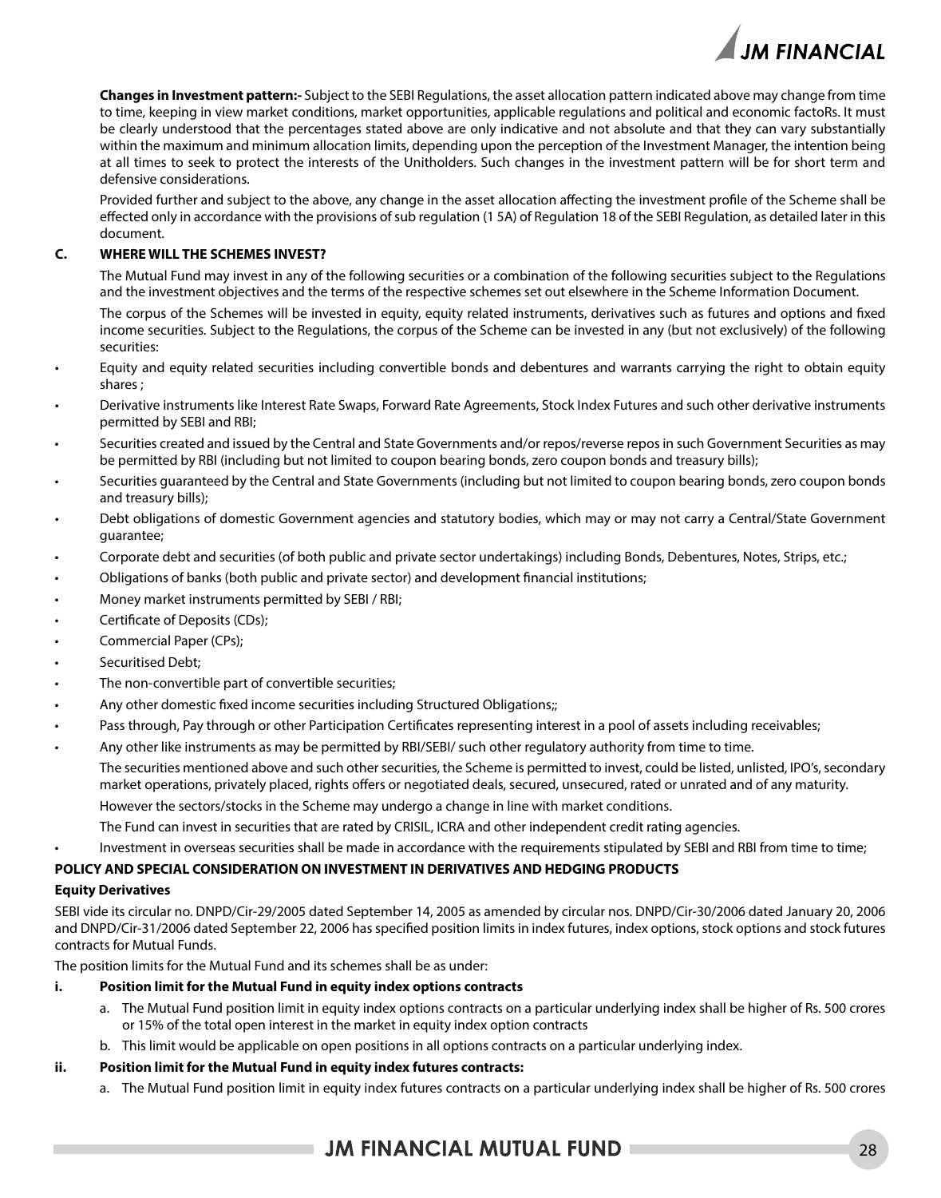

**Changes in Investment pattern:-** Subject to the SEBI Regulations, the asset allocation pattern indicated above may change from time to time, keeping in view market conditions, market opportunities, applicable regulations and political and economic factoRs. It must be clearly understood that the percentages stated above are only indicative and not absolute and that they can vary substantially within the maximum and minimum allocation limits, depending upon the perception of the Investment Manager, the intention being at all times to seek to protect the interests of the Unitholders. Such changes in the investment pattern will be for short term and defensive considerations.

Provided further and subject to the above, any change in the asset allocation affecting the investment profile of the Scheme shall be effected only in accordance with the provisions of sub regulation (1 5A) of Regulation 18 of the SEBI Regulation, as detailed later in this document.

### **C. WHERE WILL THE SCHEMES INVEST?**

The Mutual Fund may invest in any of the following securities or a combination of the following securities subject to the Regulations and the investment objectives and the terms of the respective schemes set out elsewhere in the Scheme Information Document.

The corpus of the Schemes will be invested in equity, equity related instruments, derivatives such as futures and options and fixed income securities. Subject to the Regulations, the corpus of the Scheme can be invested in any (but not exclusively) of the following securities:

- Equity and equity related securities including convertible bonds and debentures and warrants carrying the right to obtain equity shares ;
- Derivative instruments like Interest Rate Swaps, Forward Rate Agreements, Stock Index Futures and such other derivative instruments permitted by SEBI and RBI;
- Securities created and issued by the Central and State Governments and/or repos/reverse repos in such Government Securities as may be permitted by RBI (including but not limited to coupon bearing bonds, zero coupon bonds and treasury bills);
- Securities guaranteed by the Central and State Governments (including but not limited to coupon bearing bonds, zero coupon bonds and treasury bills);
- Debt obligations of domestic Government agencies and statutory bodies, which may or may not carry a Central/State Government guarantee;
- Corporate debt and securities (of both public and private sector undertakings) including Bonds, Debentures, Notes, Strips, etc.;
- Obligations of banks (both public and private sector) and development financial institutions;
- Money market instruments permitted by SEBI / RBI;
- Certificate of Deposits (CDs);
- Commercial Paper (CPs);
- Securitised Debt:
- The non-convertible part of convertible securities;
- Any other domestic fixed income securities including Structured Obligations;;
- Pass through, Pay through or other Participation Certificates representing interest in a pool of assets including receivables;
- Any other like instruments as may be permitted by RBI/SEBI/ such other regulatory authority from time to time.

The securities mentioned above and such other securities, the Scheme is permitted to invest, could be listed, unlisted, IPO's, secondary market operations, privately placed, rights offers or negotiated deals, secured, unsecured, rated or unrated and of any maturity.

However the sectors/stocks in the Scheme may undergo a change in line with market conditions.

The Fund can invest in securities that are rated by CRISIL, ICRA and other independent credit rating agencies.

Investment in overseas securities shall be made in accordance with the requirements stipulated by SEBI and RBI from time to time;

### **POLICY AND SPECIAL CONSIDERATION ON INVESTMENT IN DERIVATIVES AND HEDGING PRODUCTS**

### **Equity Derivatives**

SEBI vide its circular no. DNPD/Cir-29/2005 dated September 14, 2005 as amended by circular nos. DNPD/Cir-30/2006 dated January 20, 2006 and DNPD/Cir-31/2006 dated September 22, 2006 has specified position limits in index futures, index options, stock options and stock futures contracts for Mutual Funds.

The position limits for the Mutual Fund and its schemes shall be as under:

### **i. Position limit for the Mutual Fund in equity index options contracts**

- a. The Mutual Fund position limit in equity index options contracts on a particular underlying index shall be higher of Rs. 500 crores or 15% of the total open interest in the market in equity index option contracts
- b. This limit would be applicable on open positions in all options contracts on a particular underlying index.

### **ii. Position limit for the Mutual Fund in equity index futures contracts:**

a. The Mutual Fund position limit in equity index futures contracts on a particular underlying index shall be higher of Rs. 500 crores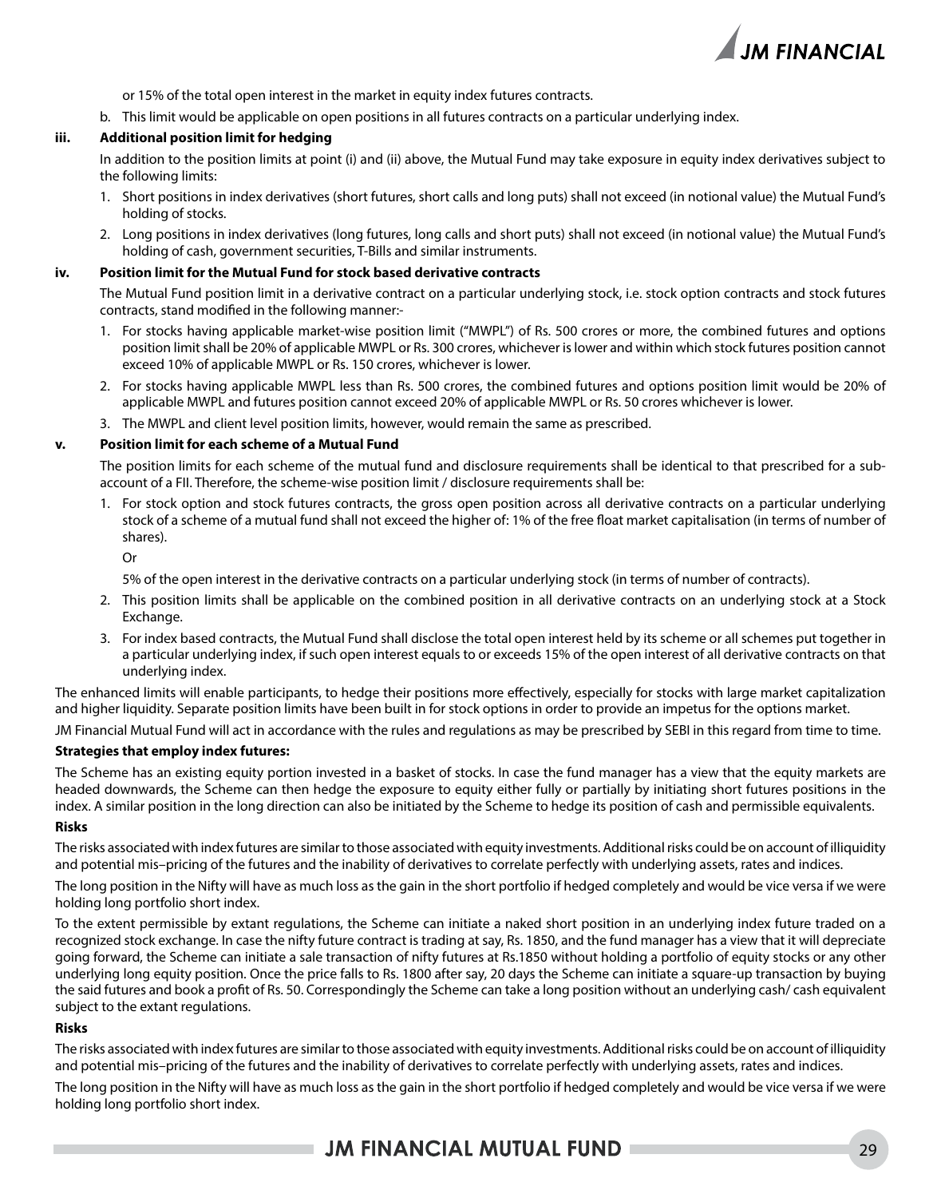

or 15% of the total open interest in the market in equity index futures contracts.

b. This limit would be applicable on open positions in all futures contracts on a particular underlying index.

### **iii. Additional position limit for hedging**

In addition to the position limits at point (i) and (ii) above, the Mutual Fund may take exposure in equity index derivatives subject to the following limits:

- 1. Short positions in index derivatives (short futures, short calls and long puts) shall not exceed (in notional value) the Mutual Fund's holding of stocks.
- 2. Long positions in index derivatives (long futures, long calls and short puts) shall not exceed (in notional value) the Mutual Fund's holding of cash, government securities, T-Bills and similar instruments.

#### **iv. Position limit for the Mutual Fund for stock based derivative contracts**

The Mutual Fund position limit in a derivative contract on a particular underlying stock, i.e. stock option contracts and stock futures contracts, stand modified in the following manner:-

- 1. For stocks having applicable market-wise position limit ("MWPL") of Rs. 500 crores or more, the combined futures and options position limit shall be 20% of applicable MWPL or Rs. 300 crores, whichever is lower and within which stock futures position cannot exceed 10% of applicable MWPL or Rs. 150 crores, whichever is lower.
- 2. For stocks having applicable MWPL less than Rs. 500 crores, the combined futures and options position limit would be 20% of applicable MWPL and futures position cannot exceed 20% of applicable MWPL or Rs. 50 crores whichever is lower.
- 3. The MWPL and client level position limits, however, would remain the same as prescribed.

#### **v. Position limit for each scheme of a Mutual Fund**

The position limits for each scheme of the mutual fund and disclosure requirements shall be identical to that prescribed for a subaccount of a FII. Therefore, the scheme-wise position limit / disclosure requirements shall be:

1. For stock option and stock futures contracts, the gross open position across all derivative contracts on a particular underlying stock of a scheme of a mutual fund shall not exceed the higher of: 1% of the free float market capitalisation (in terms of number of shares).

Or

5% of the open interest in the derivative contracts on a particular underlying stock (in terms of number of contracts).

- 2. This position limits shall be applicable on the combined position in all derivative contracts on an underlying stock at a Stock Exchange.
- 3. For index based contracts, the Mutual Fund shall disclose the total open interest held by its scheme or all schemes put together in a particular underlying index, if such open interest equals to or exceeds 15% of the open interest of all derivative contracts on that underlying index.

The enhanced limits will enable participants, to hedge their positions more effectively, especially for stocks with large market capitalization and higher liquidity. Separate position limits have been built in for stock options in order to provide an impetus for the options market.

JM Financial Mutual Fund will act in accordance with the rules and regulations as may be prescribed by SEBI in this regard from time to time.

### **Strategies that employ index futures:**

The Scheme has an existing equity portion invested in a basket of stocks. In case the fund manager has a view that the equity markets are headed downwards, the Scheme can then hedge the exposure to equity either fully or partially by initiating short futures positions in the index. A similar position in the long direction can also be initiated by the Scheme to hedge its position of cash and permissible equivalents.

#### **Risks**

The risks associated with index futures are similar to those associated with equity investments. Additional risks could be on account of illiquidity and potential mis–pricing of the futures and the inability of derivatives to correlate perfectly with underlying assets, rates and indices.

The long position in the Nifty will have as much loss as the gain in the short portfolio if hedged completely and would be vice versa if we were holding long portfolio short index.

To the extent permissible by extant regulations, the Scheme can initiate a naked short position in an underlying index future traded on a recognized stock exchange. In case the nifty future contract is trading at say, Rs. 1850, and the fund manager has a view that it will depreciate going forward, the Scheme can initiate a sale transaction of nifty futures at Rs.1850 without holding a portfolio of equity stocks or any other underlying long equity position. Once the price falls to Rs. 1800 after say, 20 days the Scheme can initiate a square-up transaction by buying the said futures and book a profit of Rs. 50. Correspondingly the Scheme can take a long position without an underlying cash/ cash equivalent subject to the extant regulations.

### **Risks**

The risks associated with index futures are similar to those associated with equity investments. Additional risks could be on account of illiquidity and potential mis–pricing of the futures and the inability of derivatives to correlate perfectly with underlying assets, rates and indices.

The long position in the Nifty will have as much loss as the gain in the short portfolio if hedged completely and would be vice versa if we were holding long portfolio short index.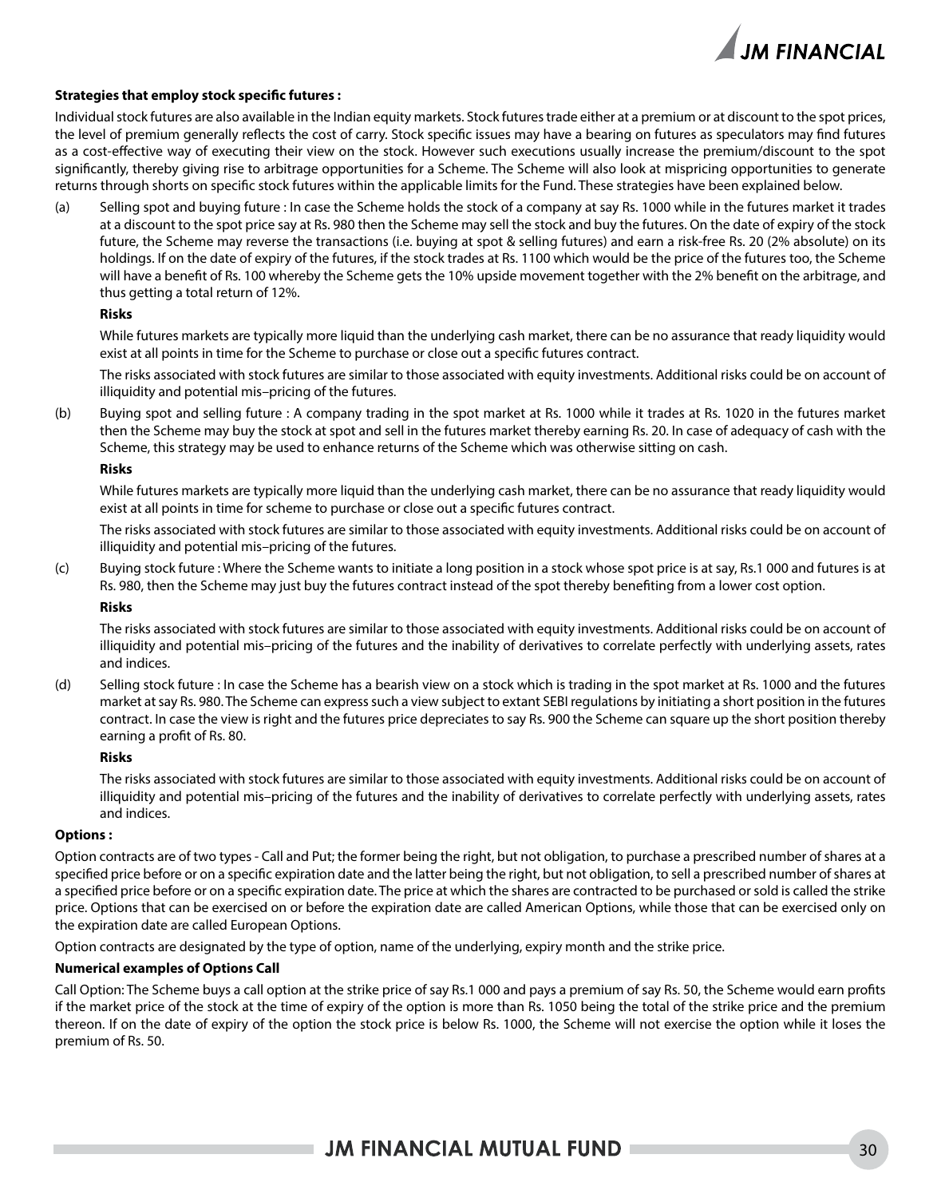

### **Strategies that employ stock specific futures :**

Individual stock futures are also available in the Indian equity markets. Stock futures trade either at a premium or at discount to the spot prices, the level of premium generally reflects the cost of carry. Stock specific issues may have a bearing on futures as speculators may find futures as a cost-effective way of executing their view on the stock. However such executions usually increase the premium/discount to the spot significantly, thereby giving rise to arbitrage opportunities for a Scheme. The Scheme will also look at mispricing opportunities to generate returns through shorts on specific stock futures within the applicable limits for the Fund. These strategies have been explained below.

(a) Selling spot and buying future : In case the Scheme holds the stock of a company at say Rs. 1000 while in the futures market it trades at a discount to the spot price say at Rs. 980 then the Scheme may sell the stock and buy the futures. On the date of expiry of the stock future, the Scheme may reverse the transactions (i.e. buying at spot & selling futures) and earn a risk-free Rs. 20 (2% absolute) on its holdings. If on the date of expiry of the futures, if the stock trades at Rs. 1100 which would be the price of the futures too, the Scheme will have a benefit of Rs. 100 whereby the Scheme gets the 10% upside movement together with the 2% benefit on the arbitrage, and thus getting a total return of 12%.

#### **Risks**

While futures markets are typically more liquid than the underlying cash market, there can be no assurance that ready liquidity would exist at all points in time for the Scheme to purchase or close out a specific futures contract.

The risks associated with stock futures are similar to those associated with equity investments. Additional risks could be on account of illiquidity and potential mis–pricing of the futures.

(b) Buying spot and selling future : A company trading in the spot market at Rs. 1000 while it trades at Rs. 1020 in the futures market then the Scheme may buy the stock at spot and sell in the futures market thereby earning Rs. 20. In case of adequacy of cash with the Scheme, this strategy may be used to enhance returns of the Scheme which was otherwise sitting on cash.

#### **Risks**

While futures markets are typically more liquid than the underlying cash market, there can be no assurance that ready liquidity would exist at all points in time for scheme to purchase or close out a specific futures contract.

The risks associated with stock futures are similar to those associated with equity investments. Additional risks could be on account of illiquidity and potential mis–pricing of the futures.

(c) Buying stock future : Where the Scheme wants to initiate a long position in a stock whose spot price is at say, Rs.1 000 and futures is at Rs. 980, then the Scheme may just buy the futures contract instead of the spot thereby benefiting from a lower cost option.

#### **Risks**

The risks associated with stock futures are similar to those associated with equity investments. Additional risks could be on account of illiquidity and potential mis–pricing of the futures and the inability of derivatives to correlate perfectly with underlying assets, rates and indices.

(d) Selling stock future : In case the Scheme has a bearish view on a stock which is trading in the spot market at Rs. 1000 and the futures market at say Rs. 980. The Scheme can express such a view subject to extant SEBI regulations by initiating a short position in the futures contract. In case the view is right and the futures price depreciates to say Rs. 900 the Scheme can square up the short position thereby earning a profit of Rs. 80.

### **Risks**

The risks associated with stock futures are similar to those associated with equity investments. Additional risks could be on account of illiquidity and potential mis–pricing of the futures and the inability of derivatives to correlate perfectly with underlying assets, rates and indices.

### **Options :**

Option contracts are of two types - Call and Put; the former being the right, but not obligation, to purchase a prescribed number of shares at a specified price before or on a specific expiration date and the latter being the right, but not obligation, to sell a prescribed number of shares at a specified price before or on a specific expiration date. The price at which the shares are contracted to be purchased or sold is called the strike price. Options that can be exercised on or before the expiration date are called American Options, while those that can be exercised only on the expiration date are called European Options.

Option contracts are designated by the type of option, name of the underlying, expiry month and the strike price.

### **Numerical examples of Options Call**

Call Option: The Scheme buys a call option at the strike price of say Rs.1 000 and pays a premium of say Rs. 50, the Scheme would earn profits if the market price of the stock at the time of expiry of the option is more than Rs. 1050 being the total of the strike price and the premium thereon. If on the date of expiry of the option the stock price is below Rs. 1000, the Scheme will not exercise the option while it loses the premium of Rs. 50.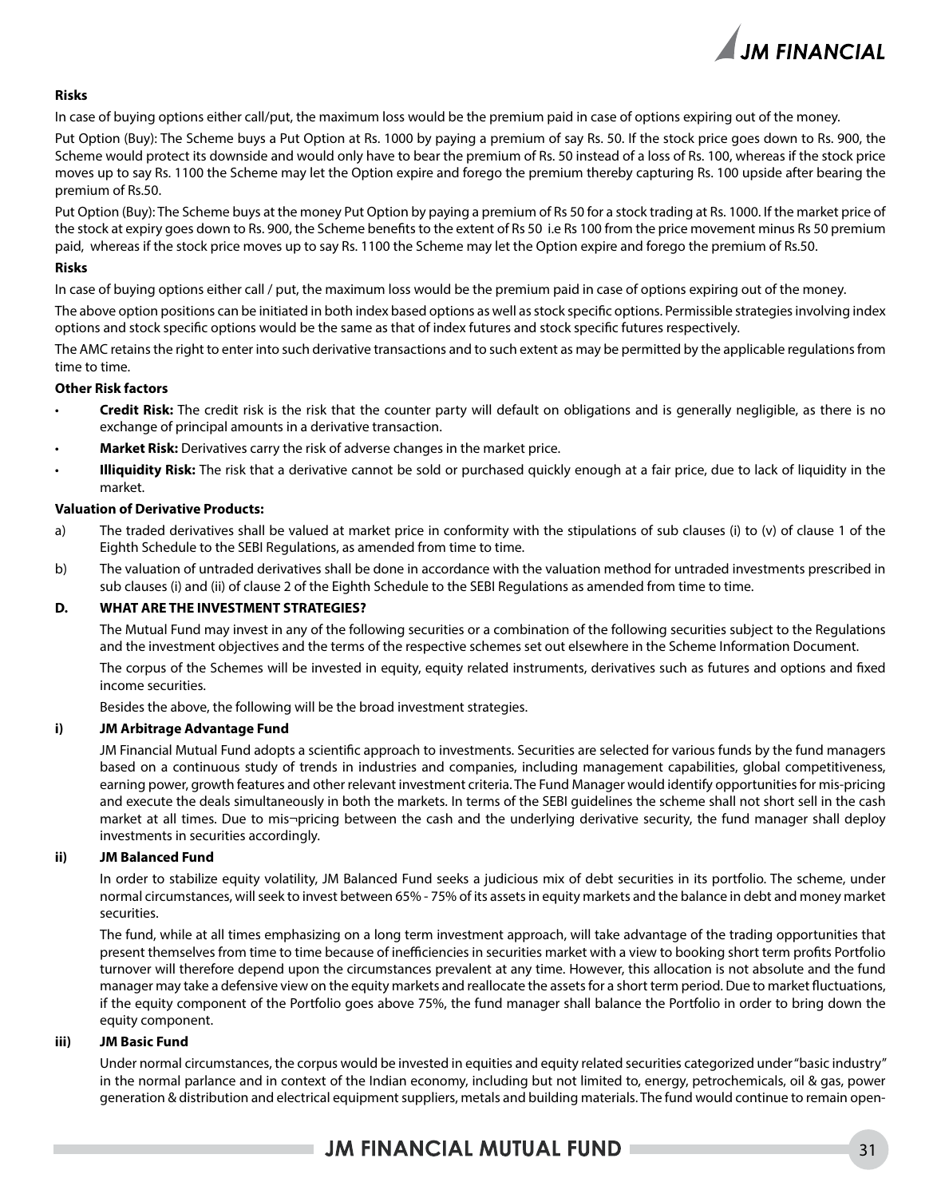

### **Risks**

In case of buying options either call/put, the maximum loss would be the premium paid in case of options expiring out of the money.

Put Option (Buy): The Scheme buys a Put Option at Rs. 1000 by paying a premium of say Rs. 50. If the stock price goes down to Rs. 900, the Scheme would protect its downside and would only have to bear the premium of Rs. 50 instead of a loss of Rs. 100, whereas if the stock price moves up to say Rs. 1100 the Scheme may let the Option expire and forego the premium thereby capturing Rs. 100 upside after bearing the premium of Rs.50.

Put Option (Buy): The Scheme buys at the money Put Option by paying a premium of Rs 50 for a stock trading at Rs. 1000. If the market price of the stock at expiry goes down to Rs. 900, the Scheme benefits to the extent of Rs 50 i.e Rs 100 from the price movement minus Rs 50 premium paid, whereas if the stock price moves up to say Rs. 1100 the Scheme may let the Option expire and forego the premium of Rs.50.

### **Risks**

In case of buying options either call / put, the maximum loss would be the premium paid in case of options expiring out of the money.

The above option positions can be initiated in both index based options as well as stock specific options. Permissible strategies involving index options and stock specific options would be the same as that of index futures and stock specific futures respectively.

The AMC retains the right to enter into such derivative transactions and to such extent as may be permitted by the applicable regulations from time to time.

### **Other Risk factors**

- Credit Risk: The credit risk is the risk that the counter party will default on obligations and is generally negligible, as there is no exchange of principal amounts in a derivative transaction.
- **Market Risk:** Derivatives carry the risk of adverse changes in the market price.
- **Illiquidity Risk:** The risk that a derivative cannot be sold or purchased quickly enough at a fair price, due to lack of liquidity in the market.

### **Valuation of Derivative Products:**

- a) The traded derivatives shall be valued at market price in conformity with the stipulations of sub clauses (i) to (v) of clause 1 of the Eighth Schedule to the SEBI Regulations, as amended from time to time.
- b) The valuation of untraded derivatives shall be done in accordance with the valuation method for untraded investments prescribed in sub clauses (i) and (ii) of clause 2 of the Eighth Schedule to the SEBI Regulations as amended from time to time.

### **D. WHAT ARE THE INVESTMENT STRATEGIES?**

The Mutual Fund may invest in any of the following securities or a combination of the following securities subject to the Regulations and the investment objectives and the terms of the respective schemes set out elsewhere in the Scheme Information Document.

The corpus of the Schemes will be invested in equity, equity related instruments, derivatives such as futures and options and fixed income securities.

Besides the above, the following will be the broad investment strategies.

### **i) JM Arbitrage Advantage Fund**

JM Financial Mutual Fund adopts a scientific approach to investments. Securities are selected for various funds by the fund managers based on a continuous study of trends in industries and companies, including management capabilities, global competitiveness, earning power, growth features and other relevant investment criteria. The Fund Manager would identify opportunities for mis-pricing and execute the deals simultaneously in both the markets. In terms of the SEBI guidelines the scheme shall not short sell in the cash market at all times. Due to mis¬pricing between the cash and the underlying derivative security, the fund manager shall deploy investments in securities accordingly.

### **ii) JM Balanced Fund**

In order to stabilize equity volatility, JM Balanced Fund seeks a judicious mix of debt securities in its portfolio. The scheme, under normal circumstances, will seek to invest between 65% - 75% of its assets in equity markets and the balance in debt and money market securities.

The fund, while at all times emphasizing on a long term investment approach, will take advantage of the trading opportunities that present themselves from time to time because of inefficiencies in securities market with a view to booking short term profits Portfolio turnover will therefore depend upon the circumstances prevalent at any time. However, this allocation is not absolute and the fund manager may take a defensive view on the equity markets and reallocate the assets for a short term period. Due to market fluctuations, if the equity component of the Portfolio goes above 75%, the fund manager shall balance the Portfolio in order to bring down the equity component.

### **iii) JM Basic Fund**

Under normal circumstances, the corpus would be invested in equities and equity related securities categorized under "basic industry" in the normal parlance and in context of the Indian economy, including but not limited to, energy, petrochemicals, oil & gas, power generation & distribution and electrical equipment suppliers, metals and building materials. The fund would continue to remain open-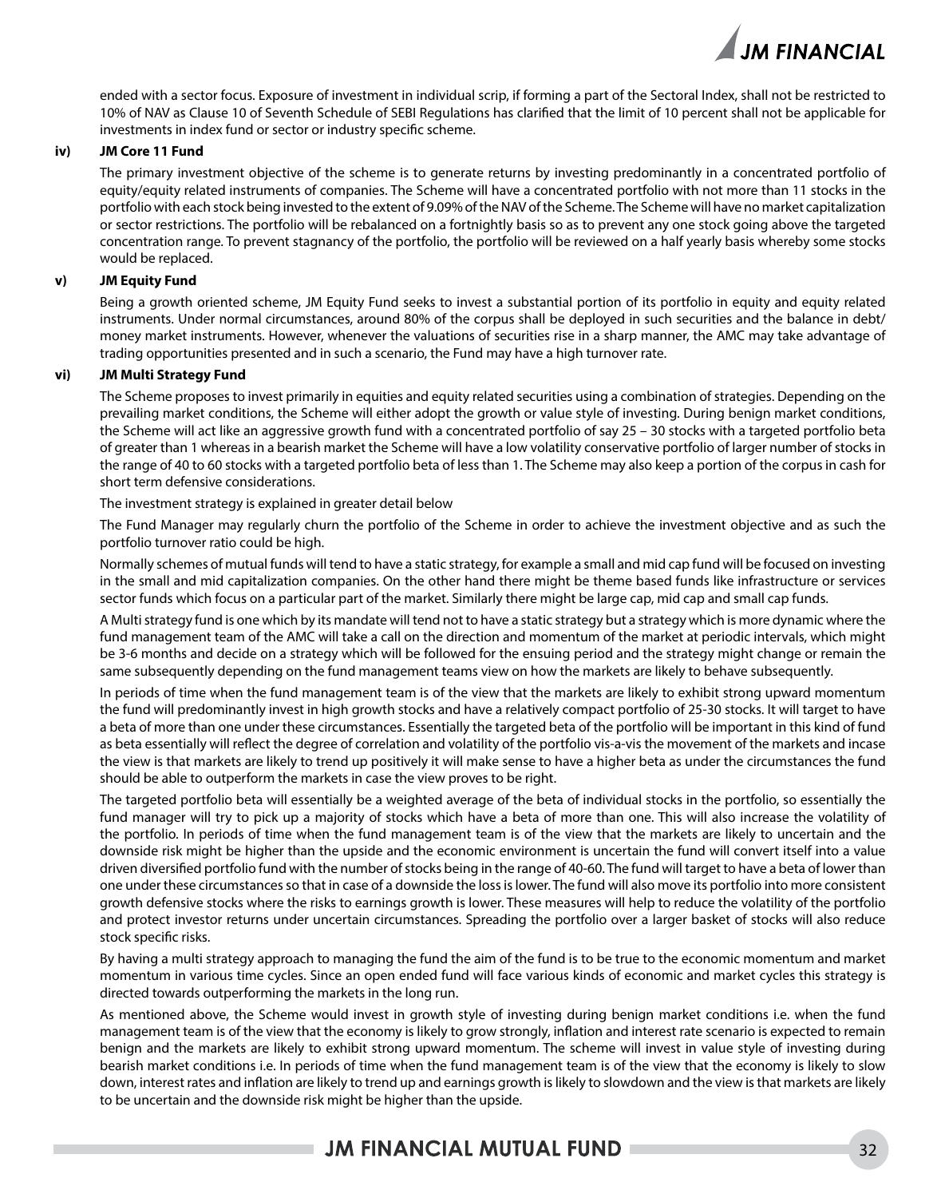

ended with a sector focus. Exposure of investment in individual scrip, if forming a part of the Sectoral Index, shall not be restricted to 10% of NAV as Clause 10 of Seventh Schedule of SEBI Regulations has clarified that the limit of 10 percent shall not be applicable for investments in index fund or sector or industry specific scheme.

#### **iv) JM Core 11 Fund**

The primary investment objective of the scheme is to generate returns by investing predominantly in a concentrated portfolio of equity/equity related instruments of companies. The Scheme will have a concentrated portfolio with not more than 11 stocks in the portfolio with each stock being invested to the extent of 9.09% of the NAV of the Scheme. The Scheme will have no market capitalization or sector restrictions. The portfolio will be rebalanced on a fortnightly basis so as to prevent any one stock going above the targeted concentration range. To prevent stagnancy of the portfolio, the portfolio will be reviewed on a half yearly basis whereby some stocks would be replaced.

### **v) JM Equity Fund**

Being a growth oriented scheme, JM Equity Fund seeks to invest a substantial portion of its portfolio in equity and equity related instruments. Under normal circumstances, around 80% of the corpus shall be deployed in such securities and the balance in debt/ money market instruments. However, whenever the valuations of securities rise in a sharp manner, the AMC may take advantage of trading opportunities presented and in such a scenario, the Fund may have a high turnover rate.

### **vi) JM Multi Strategy Fund**

The Scheme proposes to invest primarily in equities and equity related securities using a combination of strategies. Depending on the prevailing market conditions, the Scheme will either adopt the growth or value style of investing. During benign market conditions, the Scheme will act like an aggressive growth fund with a concentrated portfolio of say 25 – 30 stocks with a targeted portfolio beta of greater than 1 whereas in a bearish market the Scheme will have a low volatility conservative portfolio of larger number of stocks in the range of 40 to 60 stocks with a targeted portfolio beta of less than 1. The Scheme may also keep a portion of the corpus in cash for short term defensive considerations.

The investment strategy is explained in greater detail below

The Fund Manager may regularly churn the portfolio of the Scheme in order to achieve the investment objective and as such the portfolio turnover ratio could be high.

Normally schemes of mutual funds will tend to have a static strategy, for example a small and mid cap fund will be focused on investing in the small and mid capitalization companies. On the other hand there might be theme based funds like infrastructure or services sector funds which focus on a particular part of the market. Similarly there might be large cap, mid cap and small cap funds.

A Multi strategy fund is one which by its mandate will tend not to have a static strategy but a strategy which is more dynamic where the fund management team of the AMC will take a call on the direction and momentum of the market at periodic intervals, which might be 3-6 months and decide on a strategy which will be followed for the ensuing period and the strategy might change or remain the same subsequently depending on the fund management teams view on how the markets are likely to behave subsequently.

In periods of time when the fund management team is of the view that the markets are likely to exhibit strong upward momentum the fund will predominantly invest in high growth stocks and have a relatively compact portfolio of 25-30 stocks. It will target to have a beta of more than one under these circumstances. Essentially the targeted beta of the portfolio will be important in this kind of fund as beta essentially will reflect the degree of correlation and volatility of the portfolio vis-a-vis the movement of the markets and incase the view is that markets are likely to trend up positively it will make sense to have a higher beta as under the circumstances the fund should be able to outperform the markets in case the view proves to be right.

The targeted portfolio beta will essentially be a weighted average of the beta of individual stocks in the portfolio, so essentially the fund manager will try to pick up a majority of stocks which have a beta of more than one. This will also increase the volatility of the portfolio. In periods of time when the fund management team is of the view that the markets are likely to uncertain and the downside risk might be higher than the upside and the economic environment is uncertain the fund will convert itself into a value driven diversified portfolio fund with the number of stocks being in the range of 40-60. The fund will target to have a beta of lower than one under these circumstances so that in case of a downside the loss is lower. The fund will also move its portfolio into more consistent growth defensive stocks where the risks to earnings growth is lower. These measures will help to reduce the volatility of the portfolio and protect investor returns under uncertain circumstances. Spreading the portfolio over a larger basket of stocks will also reduce stock specific risks.

By having a multi strategy approach to managing the fund the aim of the fund is to be true to the economic momentum and market momentum in various time cycles. Since an open ended fund will face various kinds of economic and market cycles this strategy is directed towards outperforming the markets in the long run.

As mentioned above, the Scheme would invest in growth style of investing during benign market conditions i.e. when the fund management team is of the view that the economy is likely to grow strongly, inflation and interest rate scenario is expected to remain benign and the markets are likely to exhibit strong upward momentum. The scheme will invest in value style of investing during bearish market conditions i.e. In periods of time when the fund management team is of the view that the economy is likely to slow down, interest rates and inflation are likely to trend up and earnings growth is likely to slowdown and the view is that markets are likely to be uncertain and the downside risk might be higher than the upside.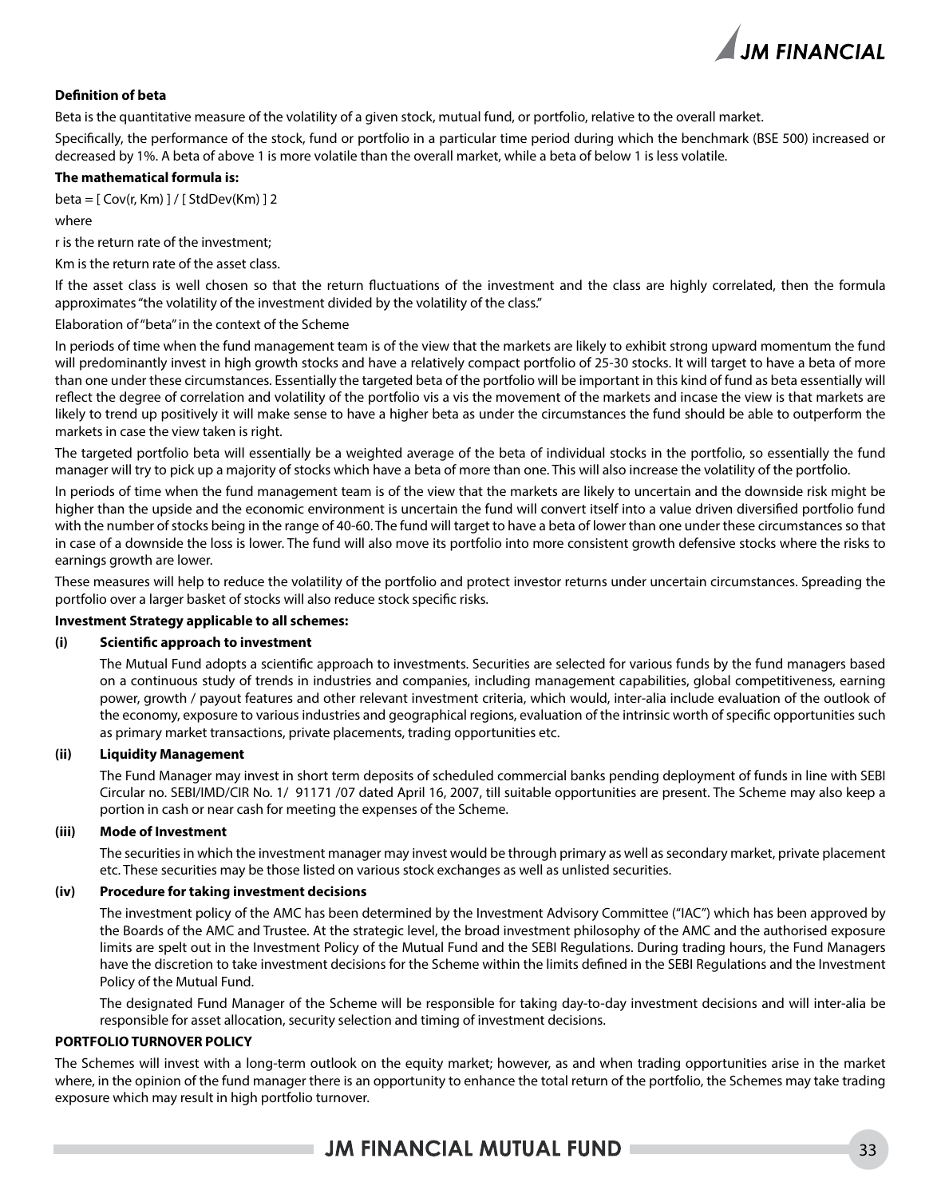

### **Definition of beta**

Beta is the quantitative measure of the volatility of a given stock, mutual fund, or portfolio, relative to the overall market.

Specifically, the performance of the stock, fund or portfolio in a particular time period during which the benchmark (BSE 500) increased or decreased by 1%. A beta of above 1 is more volatile than the overall market, while a beta of below 1 is less volatile.

### **The mathematical formula is:**

beta = [ Cov(r, Km) ] / [ StdDev(Km) ] 2

#### where

r is the return rate of the investment;

Km is the return rate of the asset class.

If the asset class is well chosen so that the return fluctuations of the investment and the class are highly correlated, then the formula approximates "the volatility of the investment divided by the volatility of the class."

### Elaboration of "beta" in the context of the Scheme

In periods of time when the fund management team is of the view that the markets are likely to exhibit strong upward momentum the fund will predominantly invest in high growth stocks and have a relatively compact portfolio of 25-30 stocks. It will target to have a beta of more than one under these circumstances. Essentially the targeted beta of the portfolio will be important in this kind of fund as beta essentially will reflect the degree of correlation and volatility of the portfolio vis a vis the movement of the markets and incase the view is that markets are likely to trend up positively it will make sense to have a higher beta as under the circumstances the fund should be able to outperform the markets in case the view taken is right.

The targeted portfolio beta will essentially be a weighted average of the beta of individual stocks in the portfolio, so essentially the fund manager will try to pick up a majority of stocks which have a beta of more than one. This will also increase the volatility of the portfolio.

In periods of time when the fund management team is of the view that the markets are likely to uncertain and the downside risk might be higher than the upside and the economic environment is uncertain the fund will convert itself into a value driven diversified portfolio fund with the number of stocks being in the range of 40-60. The fund will target to have a beta of lower than one under these circumstances so that in case of a downside the loss is lower. The fund will also move its portfolio into more consistent growth defensive stocks where the risks to earnings growth are lower.

These measures will help to reduce the volatility of the portfolio and protect investor returns under uncertain circumstances. Spreading the portfolio over a larger basket of stocks will also reduce stock specific risks.

### **Investment Strategy applicable to all schemes:**

### **(i) Scientific approach to investment**

The Mutual Fund adopts a scientific approach to investments. Securities are selected for various funds by the fund managers based on a continuous study of trends in industries and companies, including management capabilities, global competitiveness, earning power, growth / payout features and other relevant investment criteria, which would, inter-alia include evaluation of the outlook of the economy, exposure to various industries and geographical regions, evaluation of the intrinsic worth of specific opportunities such as primary market transactions, private placements, trading opportunities etc.

### **(ii) Liquidity Management**

The Fund Manager may invest in short term deposits of scheduled commercial banks pending deployment of funds in line with SEBI Circular no. SEBI/IMD/CIR No. 1/ 91171 /07 dated April 16, 2007, till suitable opportunities are present. The Scheme may also keep a portion in cash or near cash for meeting the expenses of the Scheme.

#### **(iii) Mode of Investment**

The securities in which the investment manager may invest would be through primary as well as secondary market, private placement etc. These securities may be those listed on various stock exchanges as well as unlisted securities.

#### **(iv) Procedure for taking investment decisions**

The investment policy of the AMC has been determined by the Investment Advisory Committee ("IAC") which has been approved by the Boards of the AMC and Trustee. At the strategic level, the broad investment philosophy of the AMC and the authorised exposure limits are spelt out in the Investment Policy of the Mutual Fund and the SEBI Regulations. During trading hours, the Fund Managers have the discretion to take investment decisions for the Scheme within the limits defined in the SEBI Regulations and the Investment Policy of the Mutual Fund.

The designated Fund Manager of the Scheme will be responsible for taking day-to-day investment decisions and will inter-alia be responsible for asset allocation, security selection and timing of investment decisions.

### **PORTFOLIO TURNOVER POLICY**

The Schemes will invest with a long-term outlook on the equity market; however, as and when trading opportunities arise in the market where, in the opinion of the fund manager there is an opportunity to enhance the total return of the portfolio, the Schemes may take trading exposure which may result in high portfolio turnover.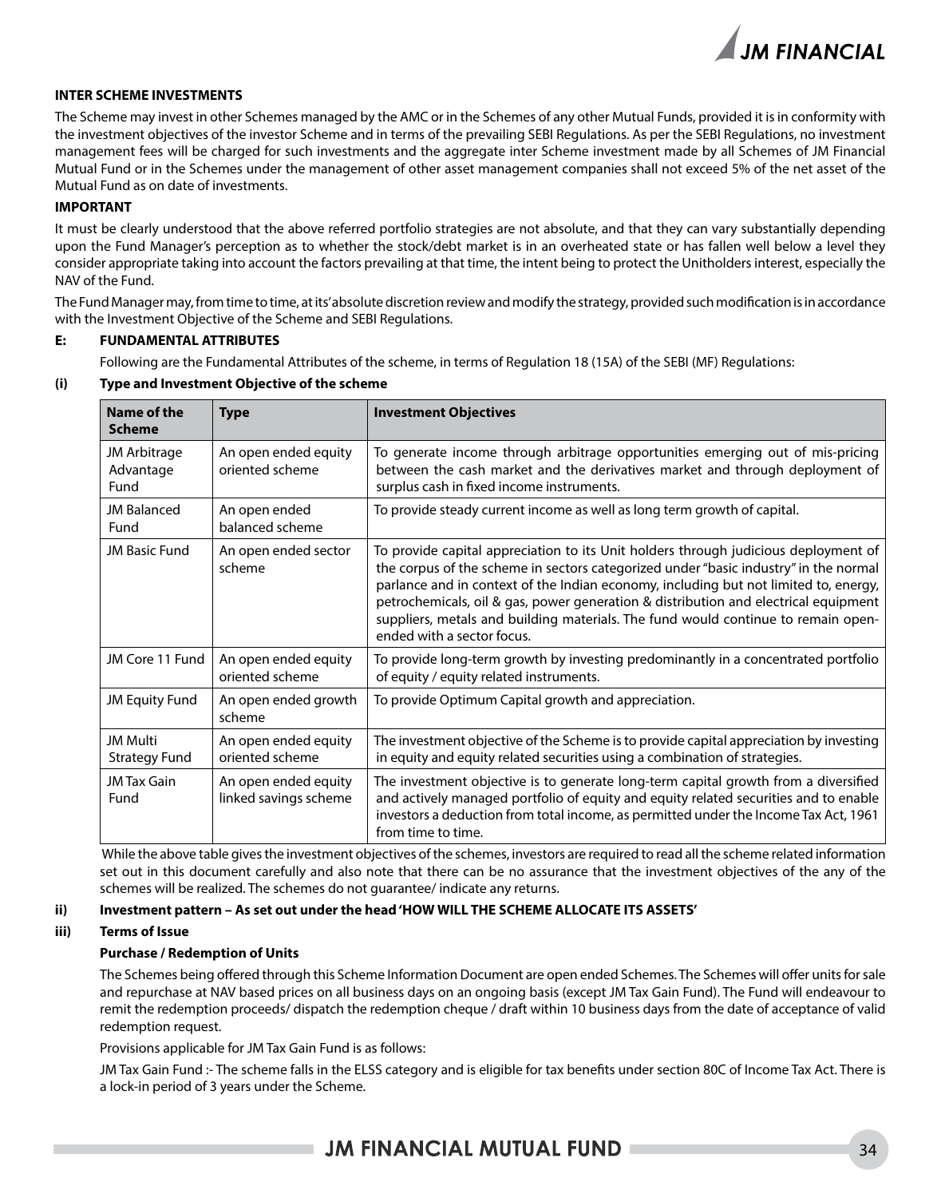

### **INTER SCHEME INVESTMENTS**

The Scheme may invest in other Schemes managed by the AMC or in the Schemes of any other Mutual Funds, provided it is in conformity with the investment objectives of the investor Scheme and in terms of the prevailing SEBI Regulations. As per the SEBI Regulations, no investment management fees will be charged for such investments and the aggregate inter Scheme investment made by all Schemes of JM Financial Mutual Fund or in the Schemes under the management of other asset management companies shall not exceed 5% of the net asset of the Mutual Fund as on date of investments.

#### **IMPORTANT**

It must be clearly understood that the above referred portfolio strategies are not absolute, and that they can vary substantially depending upon the Fund Manager's perception as to whether the stock/debt market is in an overheated state or has fallen well below a level they consider appropriate taking into account the factors prevailing at that time, the intent being to protect the Unitholders interest, especially the NAV of the Fund.

The Fund Manager may, from time to time, at its' absolute discretion review and modify the strategy, provided such modification is in accordance with the Investment Objective of the Scheme and SEBI Regulations.

#### **E: FUNDAMENTAL ATTRIBUTES**

Following are the Fundamental Attributes of the scheme, in terms of Regulation 18 (15A) of the SEBI (MF) Regulations:

### **(i) Type and Investment Objective of the scheme**

| Name of the<br><b>Scheme</b>            | <b>Type</b>                                   | <b>Investment Objectives</b>                                                                                                                                                                                                                                                                                                                                                                                                                                                  |
|-----------------------------------------|-----------------------------------------------|-------------------------------------------------------------------------------------------------------------------------------------------------------------------------------------------------------------------------------------------------------------------------------------------------------------------------------------------------------------------------------------------------------------------------------------------------------------------------------|
| JM Arbitrage<br>Advantage<br>Fund       | An open ended equity<br>oriented scheme       | To generate income through arbitrage opportunities emerging out of mis-pricing<br>between the cash market and the derivatives market and through deployment of<br>surplus cash in fixed income instruments.                                                                                                                                                                                                                                                                   |
| <b>JM Balanced</b><br>Fund              | An open ended<br>balanced scheme              | To provide steady current income as well as long term growth of capital.                                                                                                                                                                                                                                                                                                                                                                                                      |
| JM Basic Fund                           | An open ended sector<br>scheme                | To provide capital appreciation to its Unit holders through judicious deployment of<br>the corpus of the scheme in sectors categorized under "basic industry" in the normal<br>parlance and in context of the Indian economy, including but not limited to, energy,<br>petrochemicals, oil & gas, power generation & distribution and electrical equipment<br>suppliers, metals and building materials. The fund would continue to remain open-<br>ended with a sector focus. |
| JM Core 11 Fund                         | An open ended equity<br>oriented scheme       | To provide long-term growth by investing predominantly in a concentrated portfolio<br>of equity / equity related instruments.                                                                                                                                                                                                                                                                                                                                                 |
| <b>JM Equity Fund</b>                   | An open ended growth<br>scheme                | To provide Optimum Capital growth and appreciation.                                                                                                                                                                                                                                                                                                                                                                                                                           |
| <b>JM Multi</b><br><b>Strategy Fund</b> | An open ended equity<br>oriented scheme       | The investment objective of the Scheme is to provide capital appreciation by investing<br>in equity and equity related securities using a combination of strategies.                                                                                                                                                                                                                                                                                                          |
| <b>JM Tax Gain</b><br>Fund              | An open ended equity<br>linked savings scheme | The investment objective is to generate long-term capital growth from a diversified<br>and actively managed portfolio of equity and equity related securities and to enable<br>investors a deduction from total income, as permitted under the Income Tax Act, 1961<br>from time to time.                                                                                                                                                                                     |

 While the above table gives the investment objectives of the schemes, investors are required to read all the scheme related information set out in this document carefully and also note that there can be no assurance that the investment objectives of the any of the schemes will be realized. The schemes do not guarantee/ indicate any returns.

### **ii) Investment pattern – As set out under the head 'HOW WILL THE SCHEME ALLOCATE ITS ASSETS'**

### **iii) Terms of Issue**

### **Purchase / Redemption of Units**

The Schemes being offered through this Scheme Information Document are open ended Schemes. The Schemes will offer units for sale and repurchase at NAV based prices on all business days on an ongoing basis (except JM Tax Gain Fund). The Fund will endeavour to remit the redemption proceeds/ dispatch the redemption cheque / draft within 10 business days from the date of acceptance of valid redemption request.

Provisions applicable for JM Tax Gain Fund is as follows:

JM Tax Gain Fund :- The scheme falls in the ELSS category and is eligible for tax benefits under section 80C of Income Tax Act. There is a lock-in period of 3 years under the Scheme.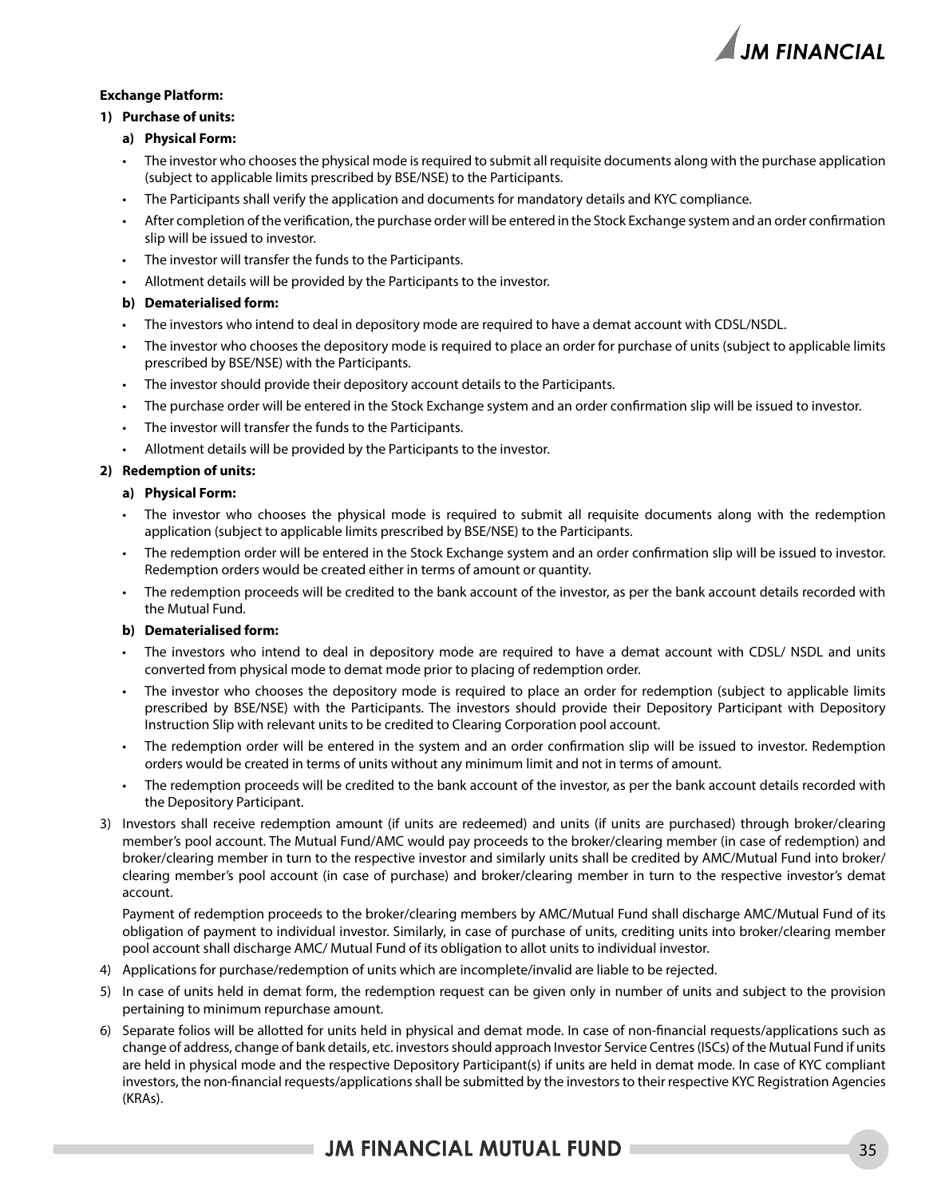

### **Exchange Platform:**

### **1) Purchase of units:**

- **a) Physical Form:**
- The investor who chooses the physical mode is required to submit all requisite documents along with the purchase application (subject to applicable limits prescribed by BSE/NSE) to the Participants.
- The Participants shall verify the application and documents for mandatory details and KYC compliance.
- After completion of the verification, the purchase order will be entered in the Stock Exchange system and an order confirmation slip will be issued to investor.
- The investor will transfer the funds to the Participants.
- Allotment details will be provided by the Participants to the investor.

### **b) Dematerialised form:**

- The investors who intend to deal in depository mode are required to have a demat account with CDSL/NSDL.
- The investor who chooses the depository mode is required to place an order for purchase of units (subject to applicable limits prescribed by BSE/NSE) with the Participants.
- The investor should provide their depository account details to the Participants.
- The purchase order will be entered in the Stock Exchange system and an order confirmation slip will be issued to investor.
- The investor will transfer the funds to the Participants.
- Allotment details will be provided by the Participants to the investor.

### **2) Redemption of units:**

### **a) Physical Form:**

- The investor who chooses the physical mode is required to submit all requisite documents along with the redemption application (subject to applicable limits prescribed by BSE/NSE) to the Participants.
- The redemption order will be entered in the Stock Exchange system and an order confirmation slip will be issued to investor. Redemption orders would be created either in terms of amount or quantity.
- The redemption proceeds will be credited to the bank account of the investor, as per the bank account details recorded with the Mutual Fund.

### **b) Dematerialised form:**

- The investors who intend to deal in depository mode are required to have a demat account with CDSL/ NSDL and units converted from physical mode to demat mode prior to placing of redemption order.
- The investor who chooses the depository mode is required to place an order for redemption (subject to applicable limits prescribed by BSE/NSE) with the Participants. The investors should provide their Depository Participant with Depository Instruction Slip with relevant units to be credited to Clearing Corporation pool account.
- The redemption order will be entered in the system and an order confirmation slip will be issued to investor. Redemption orders would be created in terms of units without any minimum limit and not in terms of amount.
- The redemption proceeds will be credited to the bank account of the investor, as per the bank account details recorded with the Depository Participant.
- 3) Investors shall receive redemption amount (if units are redeemed) and units (if units are purchased) through broker/clearing member's pool account. The Mutual Fund/AMC would pay proceeds to the broker/clearing member (in case of redemption) and broker/clearing member in turn to the respective investor and similarly units shall be credited by AMC/Mutual Fund into broker/ clearing member's pool account (in case of purchase) and broker/clearing member in turn to the respective investor's demat account.

 Payment of redemption proceeds to the broker/clearing members by AMC/Mutual Fund shall discharge AMC/Mutual Fund of its obligation of payment to individual investor. Similarly, in case of purchase of units, crediting units into broker/clearing member pool account shall discharge AMC/ Mutual Fund of its obligation to allot units to individual investor.

- 4) Applications for purchase/redemption of units which are incomplete/invalid are liable to be rejected.
- 5) In case of units held in demat form, the redemption request can be given only in number of units and subject to the provision pertaining to minimum repurchase amount.
- 6) Separate folios will be allotted for units held in physical and demat mode. In case of non-financial requests/applications such as change of address, change of bank details, etc. investors should approach Investor Service Centres (ISCs) of the Mutual Fund if units are held in physical mode and the respective Depository Participant(s) if units are held in demat mode. In case of KYC compliant investors, the non-financial requests/applications shall be submitted by the investors to their respective KYC Registration Agencies (KRAs).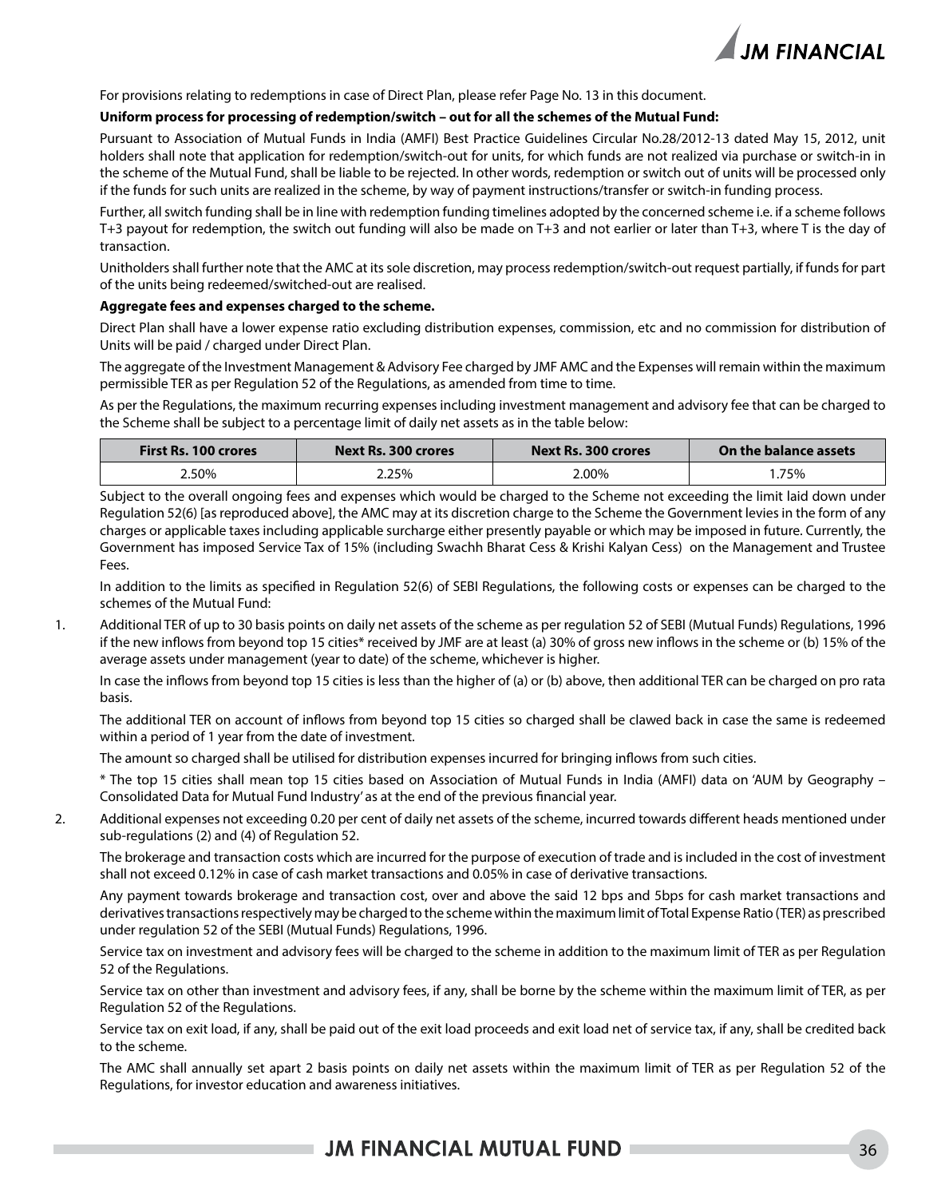

For provisions relating to redemptions in case of Direct Plan, please refer Page No. 13 in this document.

#### **Uniform process for processing of redemption/switch – out for all the schemes of the Mutual Fund:**

Pursuant to Association of Mutual Funds in India (AMFI) Best Practice Guidelines Circular No.28/2012-13 dated May 15, 2012, unit holders shall note that application for redemption/switch-out for units, for which funds are not realized via purchase or switch-in in the scheme of the Mutual Fund, shall be liable to be rejected. In other words, redemption or switch out of units will be processed only if the funds for such units are realized in the scheme, by way of payment instructions/transfer or switch-in funding process.

Further, all switch funding shall be in line with redemption funding timelines adopted by the concerned scheme i.e. if a scheme follows T+3 payout for redemption, the switch out funding will also be made on T+3 and not earlier or later than T+3, where T is the day of transaction.

Unitholders shall further note that the AMC at its sole discretion, may process redemption/switch-out request partially, if funds for part of the units being redeemed/switched-out are realised.

#### **Aggregate fees and expenses charged to the scheme.**

Direct Plan shall have a lower expense ratio excluding distribution expenses, commission, etc and no commission for distribution of Units will be paid / charged under Direct Plan.

The aggregate of the Investment Management & Advisory Fee charged by JMF AMC and the Expenses will remain within the maximum permissible TER as per Regulation 52 of the Regulations, as amended from time to time.

As per the Regulations, the maximum recurring expenses including investment management and advisory fee that can be charged to the Scheme shall be subject to a percentage limit of daily net assets as in the table below:

| <b>First Rs. 100 crores</b><br>Next Rs. 300 crores |       | Next Rs. 300 crores | On the balance assets |
|----------------------------------------------------|-------|---------------------|-----------------------|
| 2.50%                                              | 2.25% | 2.00%               | 75%،                  |

Subject to the overall ongoing fees and expenses which would be charged to the Scheme not exceeding the limit laid down under Regulation 52(6) [as reproduced above], the AMC may at its discretion charge to the Scheme the Government levies in the form of any charges or applicable taxes including applicable surcharge either presently payable or which may be imposed in future. Currently, the Government has imposed Service Tax of 15% (including Swachh Bharat Cess & Krishi Kalyan Cess) on the Management and Trustee Fees.

In addition to the limits as specified in Regulation 52(6) of SEBI Regulations, the following costs or expenses can be charged to the schemes of the Mutual Fund:

1. Additional TER of up to 30 basis points on daily net assets of the scheme as per regulation 52 of SEBI (Mutual Funds) Regulations, 1996 if the new inflows from beyond top 15 cities\* received by JMF are at least (a) 30% of gross new inflows in the scheme or (b) 15% of the average assets under management (year to date) of the scheme, whichever is higher.

In case the inflows from beyond top 15 cities is less than the higher of (a) or (b) above, then additional TER can be charged on pro rata basis.

The additional TER on account of inflows from beyond top 15 cities so charged shall be clawed back in case the same is redeemed within a period of 1 year from the date of investment.

The amount so charged shall be utilised for distribution expenses incurred for bringing inflows from such cities.

\* The top 15 cities shall mean top 15 cities based on Association of Mutual Funds in India (AMFI) data on 'AUM by Geography – Consolidated Data for Mutual Fund Industry' as at the end of the previous financial year.

2. Additional expenses not exceeding 0.20 per cent of daily net assets of the scheme, incurred towards different heads mentioned under sub-regulations (2) and (4) of Regulation 52.

The brokerage and transaction costs which are incurred for the purpose of execution of trade and is included in the cost of investment shall not exceed 0.12% in case of cash market transactions and 0.05% in case of derivative transactions.

Any payment towards brokerage and transaction cost, over and above the said 12 bps and 5bps for cash market transactions and derivatives transactions respectively may be charged to the scheme within the maximum limit of Total Expense Ratio (TER) as prescribed under regulation 52 of the SEBI (Mutual Funds) Regulations, 1996.

Service tax on investment and advisory fees will be charged to the scheme in addition to the maximum limit of TER as per Regulation 52 of the Regulations.

Service tax on other than investment and advisory fees, if any, shall be borne by the scheme within the maximum limit of TER, as per Regulation 52 of the Regulations.

Service tax on exit load, if any, shall be paid out of the exit load proceeds and exit load net of service tax, if any, shall be credited back to the scheme.

The AMC shall annually set apart 2 basis points on daily net assets within the maximum limit of TER as per Regulation 52 of the Regulations, for investor education and awareness initiatives.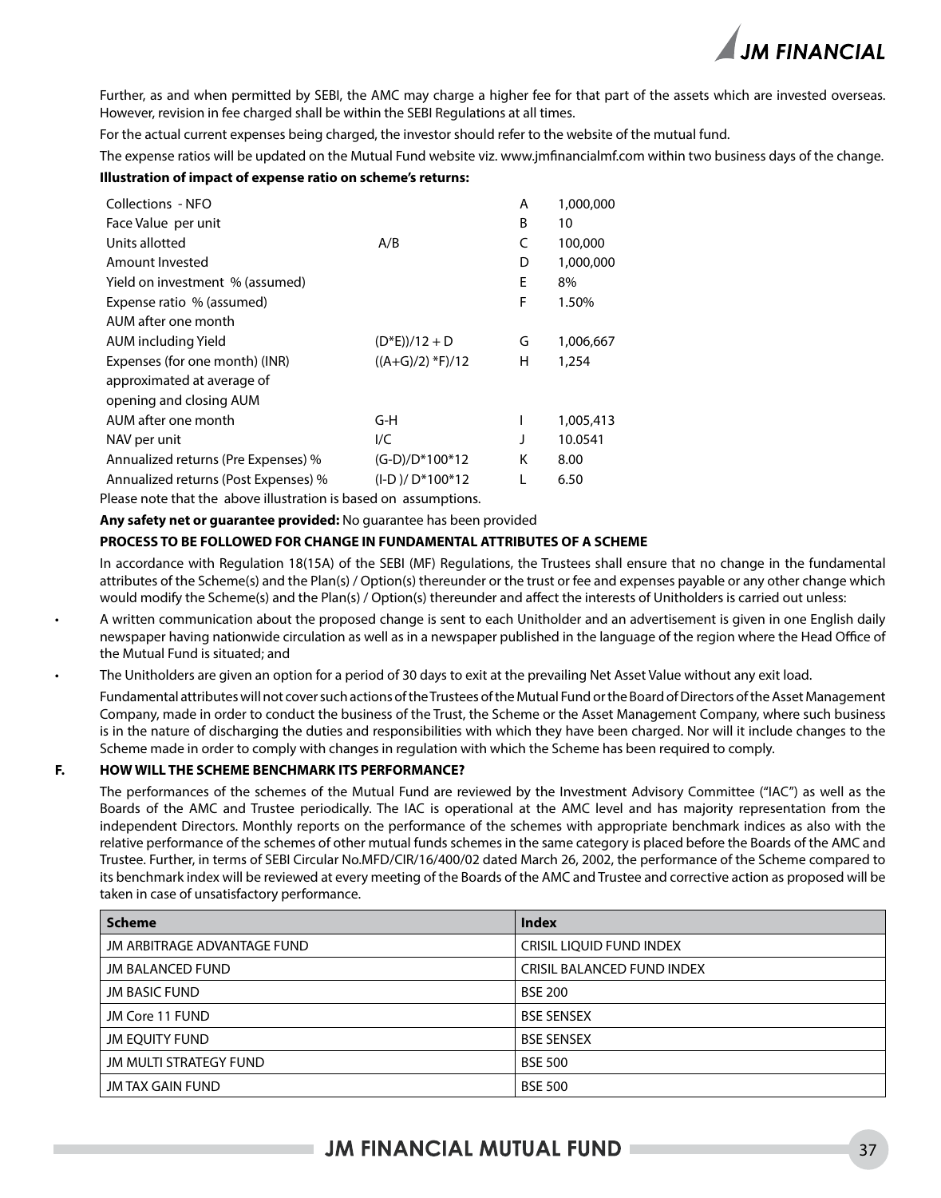

Further, as and when permitted by SEBI, the AMC may charge a higher fee for that part of the assets which are invested overseas. However, revision in fee charged shall be within the SEBI Regulations at all times.

For the actual current expenses being charged, the investor should refer to the website of the mutual fund.

The expense ratios will be updated on the Mutual Fund website viz. www.jmfinancialmf.com within two business days of the change.

#### **Illustration of impact of expense ratio on scheme's returns:**

| Collections - NFO                    |                       | А | 1,000,000 |
|--------------------------------------|-----------------------|---|-----------|
| Face Value per unit                  |                       | B | 10        |
| Units allotted                       | A/B                   | C | 100,000   |
| Amount Invested                      |                       | D | 1,000,000 |
| Yield on investment % (assumed)      |                       | E | 8%        |
| Expense ratio % (assumed)            |                       | F | 1.50%     |
| AUM after one month                  |                       |   |           |
| AUM including Yield                  | $(D*E)/12 + D$        | G | 1,006,667 |
| Expenses (for one month) (INR)       | $((A+G)/2)$ *F $)/12$ | н | 1,254     |
| approximated at average of           |                       |   |           |
| opening and closing AUM              |                       |   |           |
| AUM after one month                  | G-H                   | I | 1,005,413 |
| NAV per unit                         | I/C                   | J | 10.0541   |
| Annualized returns (Pre Expenses) %  | (G-D)/D*100*12        | K | 8.00      |
| Annualized returns (Post Expenses) % | $(I-D)/D*100*12$      | L | 6.50      |
|                                      |                       |   |           |

Please note that the above illustration is based on assumptions.

**Any safety net or guarantee provided:** No guarantee has been provided

#### **PROCESS TO BE FOLLOWED FOR CHANGE IN FUNDAMENTAL ATTRIBUTES OF A SCHEME**

In accordance with Regulation 18(15A) of the SEBI (MF) Regulations, the Trustees shall ensure that no change in the fundamental attributes of the Scheme(s) and the Plan(s) / Option(s) thereunder or the trust or fee and expenses payable or any other change which would modify the Scheme(s) and the Plan(s) / Option(s) thereunder and affect the interests of Unitholders is carried out unless:

- A written communication about the proposed change is sent to each Unitholder and an advertisement is given in one English daily newspaper having nationwide circulation as well as in a newspaper published in the language of the region where the Head Office of the Mutual Fund is situated; and
- The Unitholders are given an option for a period of 30 days to exit at the prevailing Net Asset Value without any exit load.

Fundamental attributes will not cover such actions of the Trustees of the Mutual Fund or the Board of Directors of the Asset Management Company, made in order to conduct the business of the Trust, the Scheme or the Asset Management Company, where such business is in the nature of discharging the duties and responsibilities with which they have been charged. Nor will it include changes to the Scheme made in order to comply with changes in regulation with which the Scheme has been required to comply.

#### **F. HOW WILL THE SCHEME BENCHMARK ITS PERFORMANCE?**

The performances of the schemes of the Mutual Fund are reviewed by the Investment Advisory Committee ("IAC") as well as the Boards of the AMC and Trustee periodically. The IAC is operational at the AMC level and has majority representation from the independent Directors. Monthly reports on the performance of the schemes with appropriate benchmark indices as also with the relative performance of the schemes of other mutual funds schemes in the same category is placed before the Boards of the AMC and Trustee. Further, in terms of SEBI Circular No.MFD/CIR/16/400/02 dated March 26, 2002, the performance of the Scheme compared to its benchmark index will be reviewed at every meeting of the Boards of the AMC and Trustee and corrective action as proposed will be taken in case of unsatisfactory performance.

| <b>Scheme</b>               | <b>Index</b>                    |
|-----------------------------|---------------------------------|
| JM ARBITRAGE ADVANTAGE FUND | <b>CRISIL LIOUID FUND INDEX</b> |
| <b>JM BALANCED FUND</b>     | CRISIL BALANCED FUND INDEX      |
| <b>JM BASIC FUND</b>        | <b>BSE 200</b>                  |
| JM Core 11 FUND             | <b>BSE SENSEX</b>               |
| <b>JM EOUITY FUND</b>       | <b>BSE SENSEX</b>               |
| JM MULTI STRATEGY FUND      | <b>BSE 500</b>                  |
| JM TAX GAIN FUND            | <b>BSE 500</b>                  |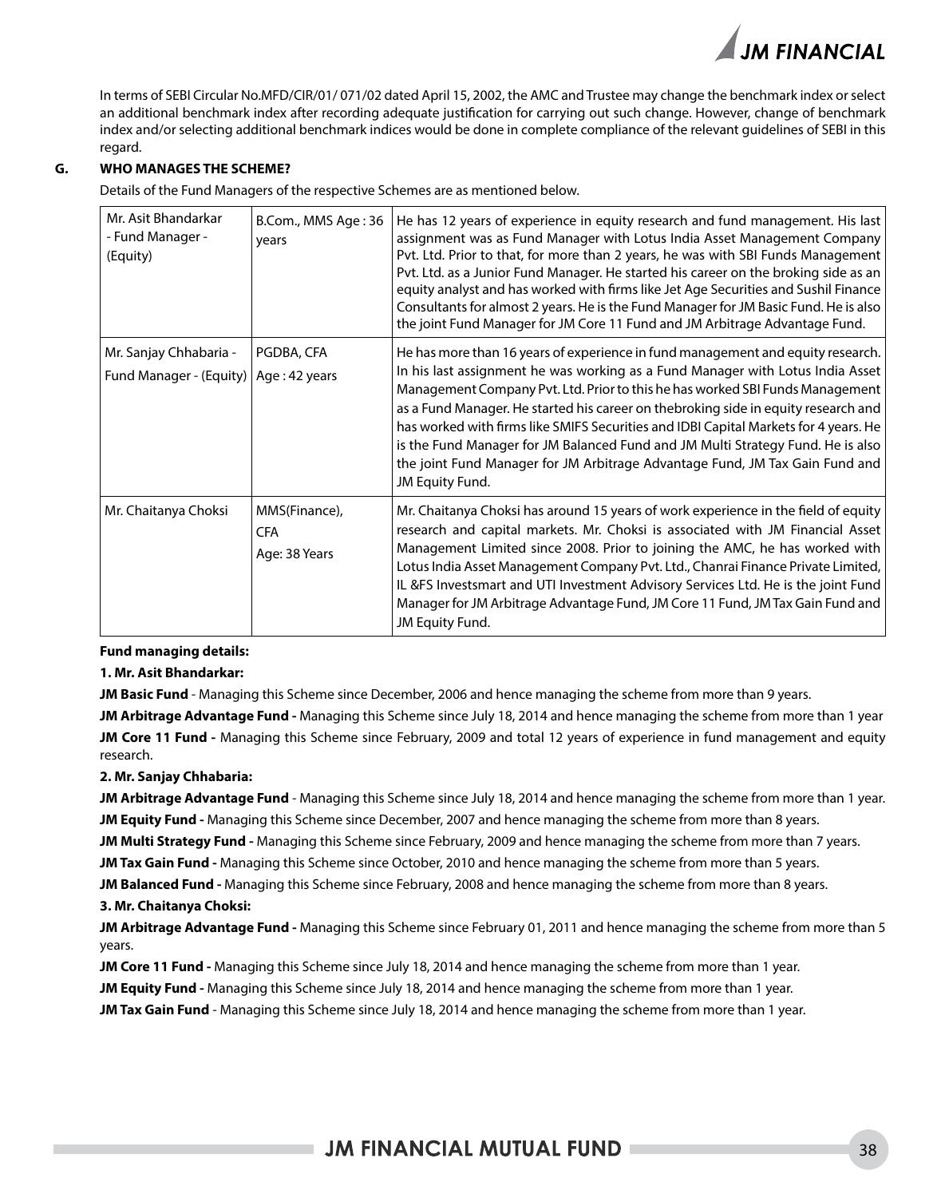In terms of SEBI Circular No.MFD/CIR/01/ 071/02 dated April 15, 2002, the AMC and Trustee may change the benchmark index or select an additional benchmark index after recording adequate justification for carrying out such change. However, change of benchmark index and/or selecting additional benchmark indices would be done in complete compliance of the relevant guidelines of SEBI in this regard.

#### **G. WHO MANAGES THE SCHEME?**

Details of the Fund Managers of the respective Schemes are as mentioned below.

| Mr. Asit Bhandarkar<br>- Fund Manager -<br>(Equity) | B.Com., MMS Age: 36<br>years                 | He has 12 years of experience in equity research and fund management. His last<br>assignment was as Fund Manager with Lotus India Asset Management Company<br>Pvt. Ltd. Prior to that, for more than 2 years, he was with SBI Funds Management<br>Pvt. Ltd. as a Junior Fund Manager. He started his career on the broking side as an<br>equity analyst and has worked with firms like Jet Age Securities and Sushil Finance<br>Consultants for almost 2 years. He is the Fund Manager for JM Basic Fund. He is also<br>the joint Fund Manager for JM Core 11 Fund and JM Arbitrage Advantage Fund. |
|-----------------------------------------------------|----------------------------------------------|-----------------------------------------------------------------------------------------------------------------------------------------------------------------------------------------------------------------------------------------------------------------------------------------------------------------------------------------------------------------------------------------------------------------------------------------------------------------------------------------------------------------------------------------------------------------------------------------------------|
| Mr. Sanjay Chhabaria -                              | PGDBA, CFA                                   | He has more than 16 years of experience in fund management and equity research.                                                                                                                                                                                                                                                                                                                                                                                                                                                                                                                     |
| Fund Manager - (Equity)                             | Age: 42 years                                | In his last assignment he was working as a Fund Manager with Lotus India Asset<br>Management Company Pvt. Ltd. Prior to this he has worked SBI Funds Management<br>as a Fund Manager. He started his career on thebroking side in equity research and<br>has worked with firms like SMIFS Securities and IDBI Capital Markets for 4 years. He<br>is the Fund Manager for JM Balanced Fund and JM Multi Strategy Fund. He is also<br>the joint Fund Manager for JM Arbitrage Advantage Fund, JM Tax Gain Fund and<br>JM Equity Fund.                                                                 |
| Mr. Chaitanya Choksi                                | MMS(Finance),<br><b>CFA</b><br>Age: 38 Years | Mr. Chaitanya Choksi has around 15 years of work experience in the field of equity<br>research and capital markets. Mr. Choksi is associated with JM Financial Asset<br>Management Limited since 2008. Prior to joining the AMC, he has worked with<br>Lotus India Asset Management Company Pvt. Ltd., Chanrai Finance Private Limited,<br>IL &FS Investsmart and UTI Investment Advisory Services Ltd. He is the joint Fund<br>Manager for JM Arbitrage Advantage Fund, JM Core 11 Fund, JM Tax Gain Fund and<br>JM Equity Fund.                                                                   |

**Fund managing details:**

#### **1. Mr. Asit Bhandarkar:**

**JM Basic Fund** - Managing this Scheme since December, 2006 and hence managing the scheme from more than 9 years.

**JM Arbitrage Advantage Fund -** Managing this Scheme since July 18, 2014 and hence managing the scheme from more than 1 year **JM Core 11 Fund -** Managing this Scheme since February, 2009 and total 12 years of experience in fund management and equity research.

#### **2. Mr. Sanjay Chhabaria:**

**JM Arbitrage Advantage Fund** - Managing this Scheme since July 18, 2014 and hence managing the scheme from more than 1 year. **JM Equity Fund -** Managing this Scheme since December, 2007 and hence managing the scheme from more than 8 years.

**JM Multi Strategy Fund -** Managing this Scheme since February, 2009 and hence managing the scheme from more than 7 years.

**JM Tax Gain Fund -** Managing this Scheme since October, 2010 and hence managing the scheme from more than 5 years.

**JM Balanced Fund -** Managing this Scheme since February, 2008 and hence managing the scheme from more than 8 years.

#### **3. Mr. Chaitanya Choksi:**

**JM Arbitrage Advantage Fund -** Managing this Scheme since February 01, 2011 and hence managing the scheme from more than 5 years.

**JM Core 11 Fund -** Managing this Scheme since July 18, 2014 and hence managing the scheme from more than 1 year.

**JM Equity Fund -** Managing this Scheme since July 18, 2014 and hence managing the scheme from more than 1 year.

**JM Tax Gain Fund** - Managing this Scheme since July 18, 2014 and hence managing the scheme from more than 1 year.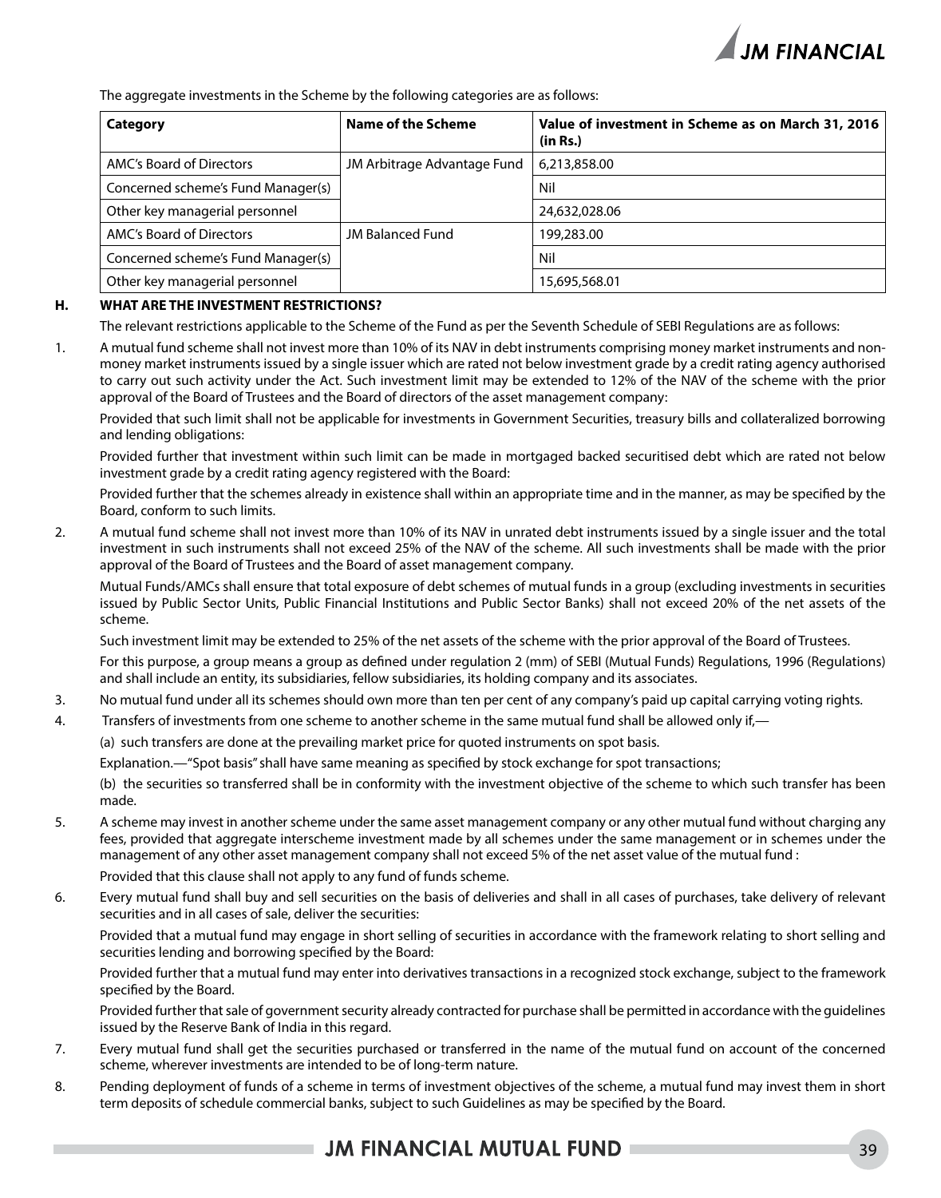

The aggregate investments in the Scheme by the following categories are as follows:

| Category                           | Name of the Scheme          | Value of investment in Scheme as on March 31, 2016<br>(in Rs.) |
|------------------------------------|-----------------------------|----------------------------------------------------------------|
| AMC's Board of Directors           | JM Arbitrage Advantage Fund | 6,213,858.00                                                   |
| Concerned scheme's Fund Manager(s) |                             | Nil                                                            |
| Other key managerial personnel     |                             | 24,632,028.06                                                  |
| AMC's Board of Directors           | <b>JM Balanced Fund</b>     | 199,283.00                                                     |
| Concerned scheme's Fund Manager(s) |                             | Nil                                                            |
| Other key managerial personnel     |                             | 15,695,568.01                                                  |

#### **H. WHAT ARE THE INVESTMENT RESTRICTIONS?**

The relevant restrictions applicable to the Scheme of the Fund as per the Seventh Schedule of SEBI Regulations are as follows:

1. A mutual fund scheme shall not invest more than 10% of its NAV in debt instruments comprising money market instruments and nonmoney market instruments issued by a single issuer which are rated not below investment grade by a credit rating agency authorised to carry out such activity under the Act. Such investment limit may be extended to 12% of the NAV of the scheme with the prior approval of the Board of Trustees and the Board of directors of the asset management company:

Provided that such limit shall not be applicable for investments in Government Securities, treasury bills and collateralized borrowing and lending obligations:

Provided further that investment within such limit can be made in mortgaged backed securitised debt which are rated not below investment grade by a credit rating agency registered with the Board:

Provided further that the schemes already in existence shall within an appropriate time and in the manner, as may be specified by the Board, conform to such limits.

2. A mutual fund scheme shall not invest more than 10% of its NAV in unrated debt instruments issued by a single issuer and the total investment in such instruments shall not exceed 25% of the NAV of the scheme. All such investments shall be made with the prior approval of the Board of Trustees and the Board of asset management company.

Mutual Funds/AMCs shall ensure that total exposure of debt schemes of mutual funds in a group (excluding investments in securities issued by Public Sector Units, Public Financial Institutions and Public Sector Banks) shall not exceed 20% of the net assets of the scheme.

Such investment limit may be extended to 25% of the net assets of the scheme with the prior approval of the Board of Trustees.

For this purpose, a group means a group as defined under regulation 2 (mm) of SEBI (Mutual Funds) Regulations, 1996 (Regulations) and shall include an entity, its subsidiaries, fellow subsidiaries, its holding company and its associates.

- 3. No mutual fund under all its schemes should own more than ten per cent of any company's paid up capital carrying voting rights.
- 4. Transfers of investments from one scheme to another scheme in the same mutual fund shall be allowed only if,—

(a) such transfers are done at the prevailing market price for quoted instruments on spot basis.

Explanation.—"Spot basis" shall have same meaning as specified by stock exchange for spot transactions;

(b) the securities so transferred shall be in conformity with the investment objective of the scheme to which such transfer has been made.

- 5. A scheme may invest in another scheme under the same asset management company or any other mutual fund without charging any fees, provided that aggregate interscheme investment made by all schemes under the same management or in schemes under the management of any other asset management company shall not exceed 5% of the net asset value of the mutual fund : Provided that this clause shall not apply to any fund of funds scheme.
- 6. Every mutual fund shall buy and sell securities on the basis of deliveries and shall in all cases of purchases, take delivery of relevant securities and in all cases of sale, deliver the securities:

Provided that a mutual fund may engage in short selling of securities in accordance with the framework relating to short selling and securities lending and borrowing specified by the Board:

Provided further that a mutual fund may enter into derivatives transactions in a recognized stock exchange, subject to the framework specified by the Board.

Provided further that sale of government security already contracted for purchase shall be permitted in accordance with the guidelines issued by the Reserve Bank of India in this regard.

- 7. Every mutual fund shall get the securities purchased or transferred in the name of the mutual fund on account of the concerned scheme, wherever investments are intended to be of long-term nature.
- 8. Pending deployment of funds of a scheme in terms of investment objectives of the scheme, a mutual fund may invest them in short term deposits of schedule commercial banks, subject to such Guidelines as may be specified by the Board.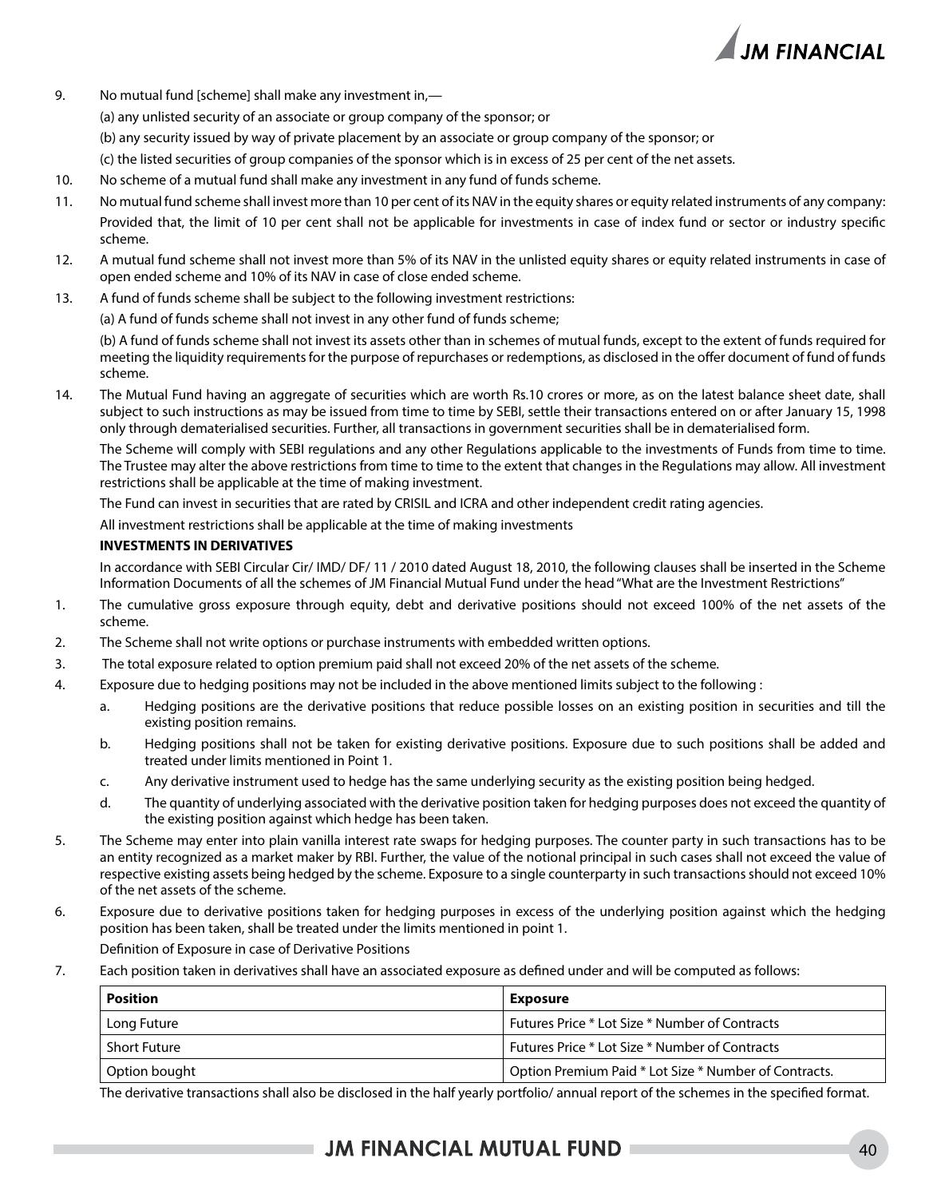

- 9. No mutual fund [scheme] shall make any investment in,—
	- (a) any unlisted security of an associate or group company of the sponsor; or
	- (b) any security issued by way of private placement by an associate or group company of the sponsor; or
	- (c) the listed securities of group companies of the sponsor which is in excess of 25 per cent of the net assets.
- 10. No scheme of a mutual fund shall make any investment in any fund of funds scheme.
- 11. No mutual fund scheme shall invest more than 10 per cent of its NAV in the equity shares or equity related instruments of any company: Provided that, the limit of 10 per cent shall not be applicable for investments in case of index fund or sector or industry specific scheme.
- 12. A mutual fund scheme shall not invest more than 5% of its NAV in the unlisted equity shares or equity related instruments in case of open ended scheme and 10% of its NAV in case of close ended scheme.
- 13. A fund of funds scheme shall be subject to the following investment restrictions:

(a) A fund of funds scheme shall not invest in any other fund of funds scheme;

(b) A fund of funds scheme shall not invest its assets other than in schemes of mutual funds, except to the extent of funds required for meeting the liquidity requirements for the purpose of repurchases or redemptions, as disclosed in the offer document of fund of funds scheme.

14. The Mutual Fund having an aggregate of securities which are worth Rs.10 crores or more, as on the latest balance sheet date, shall subject to such instructions as may be issued from time to time by SEBI, settle their transactions entered on or after January 15, 1998 only through dematerialised securities. Further, all transactions in government securities shall be in dematerialised form.

The Scheme will comply with SEBI regulations and any other Regulations applicable to the investments of Funds from time to time. The Trustee may alter the above restrictions from time to time to the extent that changes in the Regulations may allow. All investment restrictions shall be applicable at the time of making investment.

The Fund can invest in securities that are rated by CRISIL and ICRA and other independent credit rating agencies.

All investment restrictions shall be applicable at the time of making investments

#### **INVESTMENTS IN DERIVATIVES**

In accordance with SEBI Circular Cir/ IMD/ DF/ 11 / 2010 dated August 18, 2010, the following clauses shall be inserted in the Scheme Information Documents of all the schemes of JM Financial Mutual Fund under the head "What are the Investment Restrictions"

- 1. The cumulative gross exposure through equity, debt and derivative positions should not exceed 100% of the net assets of the scheme.
- 2. The Scheme shall not write options or purchase instruments with embedded written options.
- 3. The total exposure related to option premium paid shall not exceed 20% of the net assets of the scheme.
- 4. Exposure due to hedging positions may not be included in the above mentioned limits subject to the following :
	- a. Hedging positions are the derivative positions that reduce possible losses on an existing position in securities and till the existing position remains.
	- b. Hedging positions shall not be taken for existing derivative positions. Exposure due to such positions shall be added and treated under limits mentioned in Point 1.
	- c. Any derivative instrument used to hedge has the same underlying security as the existing position being hedged.
	- d. The quantity of underlying associated with the derivative position taken for hedging purposes does not exceed the quantity of the existing position against which hedge has been taken.
- 5. The Scheme may enter into plain vanilla interest rate swaps for hedging purposes. The counter party in such transactions has to be an entity recognized as a market maker by RBI. Further, the value of the notional principal in such cases shall not exceed the value of respective existing assets being hedged by the scheme. Exposure to a single counterparty in such transactions should not exceed 10% of the net assets of the scheme.
- 6. Exposure due to derivative positions taken for hedging purposes in excess of the underlying position against which the hedging position has been taken, shall be treated under the limits mentioned in point 1.

Definition of Exposure in case of Derivative Positions

7. Each position taken in derivatives shall have an associated exposure as defined under and will be computed as follows:

| <b>Position</b>     | Exposure                                              |  |
|---------------------|-------------------------------------------------------|--|
| Long Future         | Futures Price * Lot Size * Number of Contracts        |  |
| <b>Short Future</b> | Futures Price * Lot Size * Number of Contracts        |  |
| Option bought       | Option Premium Paid * Lot Size * Number of Contracts. |  |

The derivative transactions shall also be disclosed in the half yearly portfolio/ annual report of the schemes in the specified format.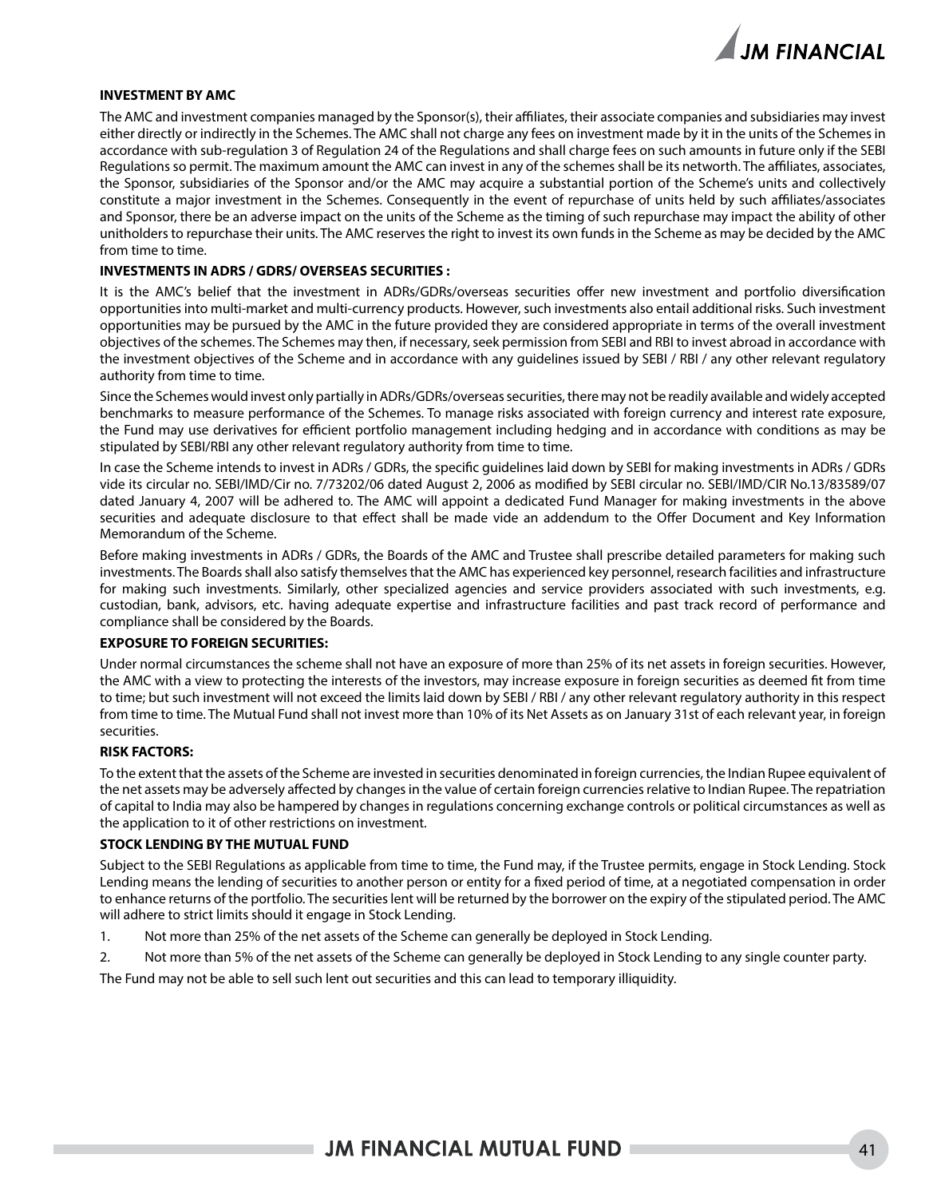

#### **INVESTMENT BY AMC**

The AMC and investment companies managed by the Sponsor(s), their affiliates, their associate companies and subsidiaries may invest either directly or indirectly in the Schemes. The AMC shall not charge any fees on investment made by it in the units of the Schemes in accordance with sub-regulation 3 of Regulation 24 of the Regulations and shall charge fees on such amounts in future only if the SEBI Regulations so permit. The maximum amount the AMC can invest in any of the schemes shall be its networth. The affiliates, associates, the Sponsor, subsidiaries of the Sponsor and/or the AMC may acquire a substantial portion of the Scheme's units and collectively constitute a major investment in the Schemes. Consequently in the event of repurchase of units held by such affiliates/associates and Sponsor, there be an adverse impact on the units of the Scheme as the timing of such repurchase may impact the ability of other unitholders to repurchase their units. The AMC reserves the right to invest its own funds in the Scheme as may be decided by the AMC from time to time.

#### **INVESTMENTS IN ADRS / GDRS/ OVERSEAS SECURITIES :**

It is the AMC's belief that the investment in ADRs/GDRs/overseas securities offer new investment and portfolio diversification opportunities into multi-market and multi-currency products. However, such investments also entail additional risks. Such investment opportunities may be pursued by the AMC in the future provided they are considered appropriate in terms of the overall investment objectives of the schemes. The Schemes may then, if necessary, seek permission from SEBI and RBI to invest abroad in accordance with the investment objectives of the Scheme and in accordance with any guidelines issued by SEBI / RBI / any other relevant regulatory authority from time to time.

Since the Schemes would invest only partially in ADRs/GDRs/overseas securities, there may not be readily available and widely accepted benchmarks to measure performance of the Schemes. To manage risks associated with foreign currency and interest rate exposure, the Fund may use derivatives for efficient portfolio management including hedging and in accordance with conditions as may be stipulated by SEBI/RBI any other relevant regulatory authority from time to time.

In case the Scheme intends to invest in ADRs / GDRs, the specific guidelines laid down by SEBI for making investments in ADRs / GDRs vide its circular no. SEBI/IMD/Cir no. 7/73202/06 dated August 2, 2006 as modified by SEBI circular no. SEBI/IMD/CIR No.13/83589/07 dated January 4, 2007 will be adhered to. The AMC will appoint a dedicated Fund Manager for making investments in the above securities and adequate disclosure to that effect shall be made vide an addendum to the Offer Document and Key Information Memorandum of the Scheme.

Before making investments in ADRs / GDRs, the Boards of the AMC and Trustee shall prescribe detailed parameters for making such investments. The Boards shall also satisfy themselves that the AMC has experienced key personnel, research facilities and infrastructure for making such investments. Similarly, other specialized agencies and service providers associated with such investments, e.g. custodian, bank, advisors, etc. having adequate expertise and infrastructure facilities and past track record of performance and compliance shall be considered by the Boards.

#### **EXPOSURE TO FOREIGN SECURITIES:**

Under normal circumstances the scheme shall not have an exposure of more than 25% of its net assets in foreign securities. However, the AMC with a view to protecting the interests of the investors, may increase exposure in foreign securities as deemed fit from time to time; but such investment will not exceed the limits laid down by SEBI / RBI / any other relevant regulatory authority in this respect from time to time. The Mutual Fund shall not invest more than 10% of its Net Assets as on January 31st of each relevant year, in foreign securities.

#### **RISK FACTORS:**

To the extent that the assets of the Scheme are invested in securities denominated in foreign currencies, the Indian Rupee equivalent of the net assets may be adversely affected by changes in the value of certain foreign currencies relative to Indian Rupee. The repatriation of capital to India may also be hampered by changes in regulations concerning exchange controls or political circumstances as well as the application to it of other restrictions on investment.

#### **STOCK LENDING BY THE MUTUAL FUND**

Subject to the SEBI Regulations as applicable from time to time, the Fund may, if the Trustee permits, engage in Stock Lending. Stock Lending means the lending of securities to another person or entity for a fixed period of time, at a negotiated compensation in order to enhance returns of the portfolio. The securities lent will be returned by the borrower on the expiry of the stipulated period. The AMC will adhere to strict limits should it engage in Stock Lending.

- 1. Not more than 25% of the net assets of the Scheme can generally be deployed in Stock Lending.
- 2. Not more than 5% of the net assets of the Scheme can generally be deployed in Stock Lending to any single counter party.

The Fund may not be able to sell such lent out securities and this can lead to temporary illiquidity.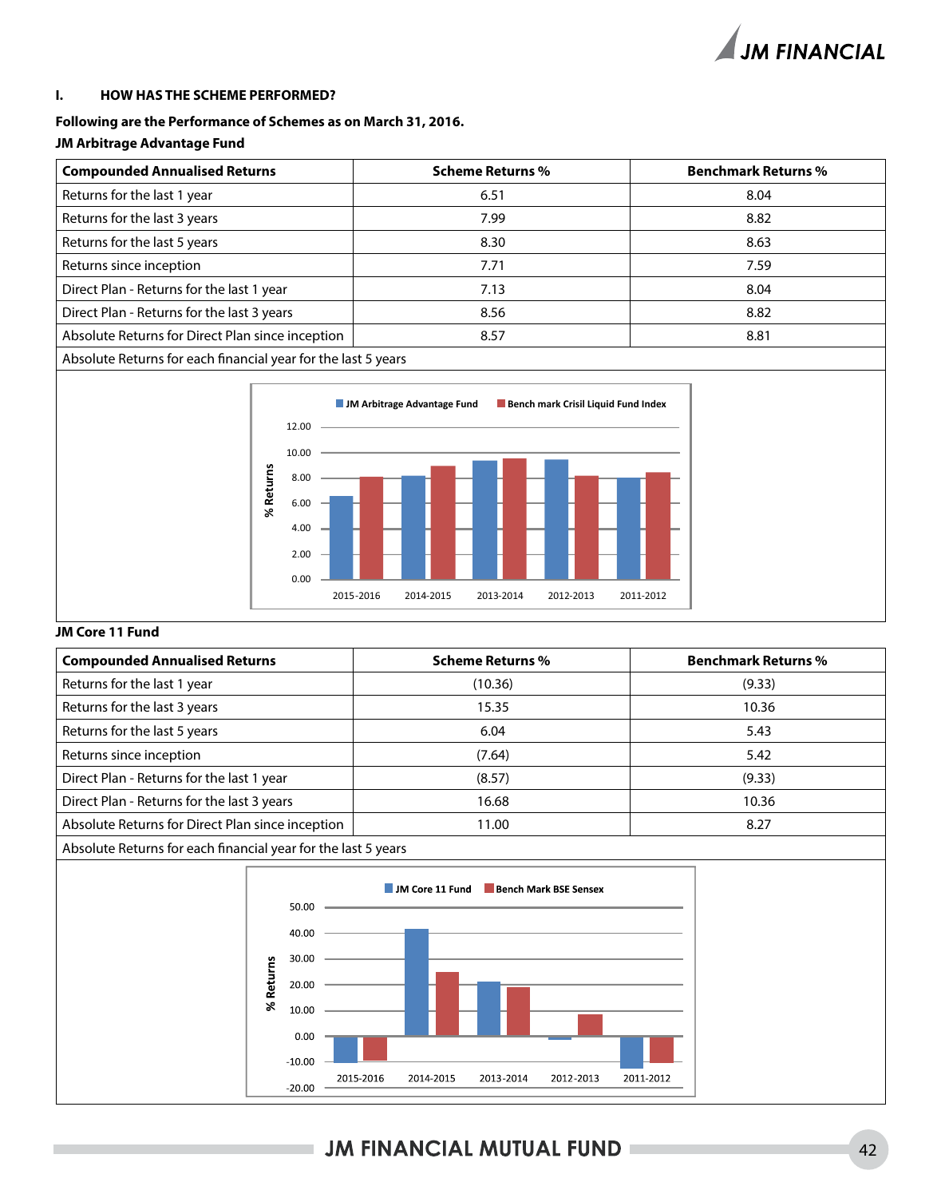

#### **I. HOW HAS THE SCHEME PERFORMED?**

#### **Following are the Performance of Schemes as on March 31, 2016.**

#### **JM Arbitrage Advantage Fund**

| <b>Compounded Annualised Returns</b>                          | <b>Scheme Returns %</b> | <b>Benchmark Returns %</b> |
|---------------------------------------------------------------|-------------------------|----------------------------|
| Returns for the last 1 year                                   | 6.51                    | 8.04                       |
| Returns for the last 3 years                                  | 7.99                    | 8.82                       |
| Returns for the last 5 years                                  | 8.30                    | 8.63                       |
| Returns since inception                                       | 7.71                    | 7.59                       |
| Direct Plan - Returns for the last 1 year                     | 7.13                    | 8.04                       |
| Direct Plan - Returns for the last 3 years                    | 8.56                    | 8.82                       |
| Absolute Returns for Direct Plan since inception              | 8.57                    | 8.81                       |
| Absolute Returns for each financial year for the last 5 years |                         |                            |



#### **JM Core 11 Fund**

| <b>Compounded Annualised Returns</b>                          | <b>Scheme Returns %</b> | <b>Benchmark Returns %</b> |
|---------------------------------------------------------------|-------------------------|----------------------------|
| Returns for the last 1 year                                   | (10.36)                 | (9.33)                     |
| Returns for the last 3 years                                  | 15.35                   | 10.36                      |
| Returns for the last 5 years                                  | 6.04                    | 5.43                       |
| Returns since inception                                       | (7.64)                  | 5.42                       |
| Direct Plan - Returns for the last 1 year                     | (8.57)                  | (9.33)                     |
| Direct Plan - Returns for the last 3 years                    | 16.68                   | 10.36                      |
| Absolute Returns for Direct Plan since inception              | 11.00                   | 8.27                       |
| Absolute Returns for each financial year for the last 5 years |                         |                            |

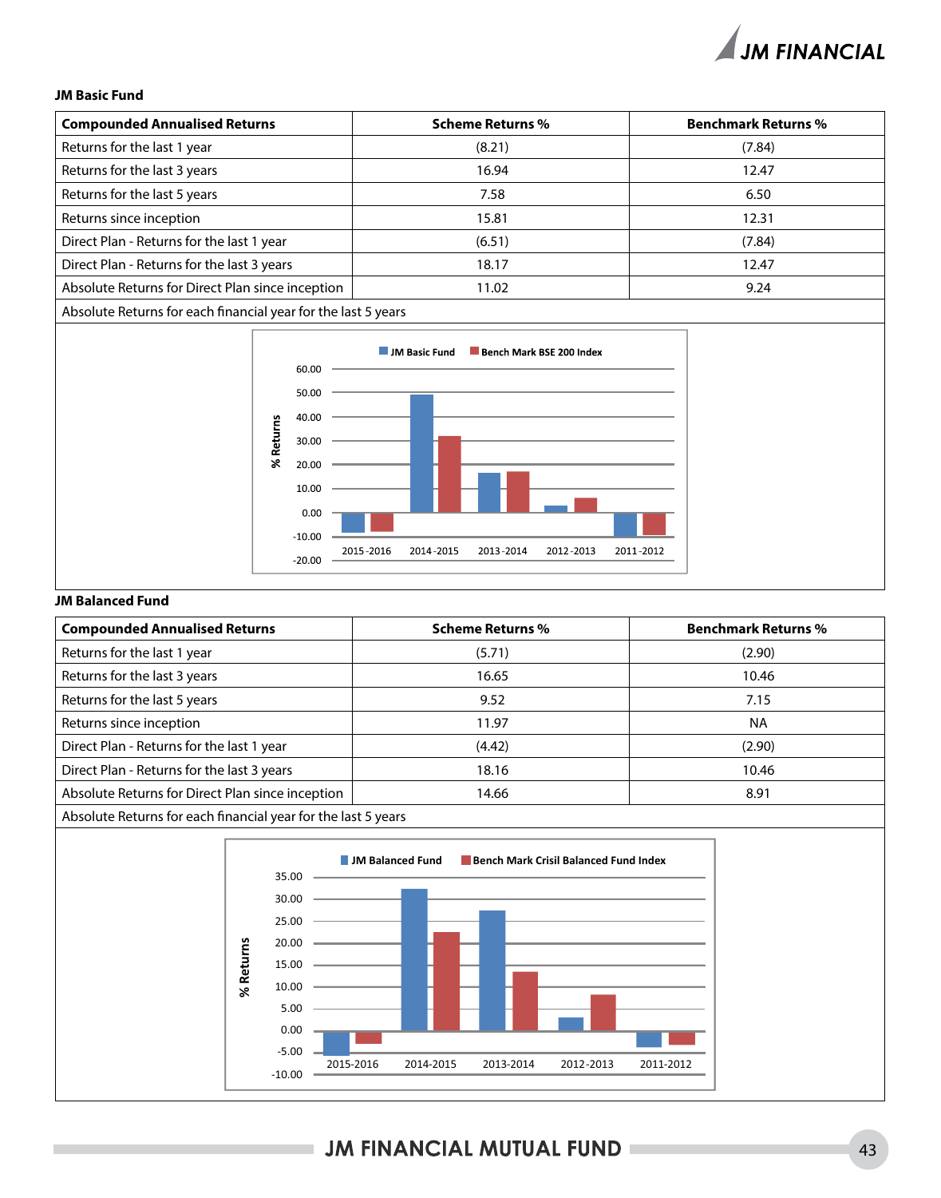#### **JM Basic Fund**

| <b>Compounded Annualised Returns</b>                          | <b>Scheme Returns %</b> | <b>Benchmark Returns %</b> |
|---------------------------------------------------------------|-------------------------|----------------------------|
| Returns for the last 1 year                                   | (8.21)                  | (7.84)                     |
| Returns for the last 3 years                                  | 16.94                   | 12.47                      |
| Returns for the last 5 years                                  | 7.58                    | 6.50                       |
| Returns since inception                                       | 15.81                   | 12.31                      |
| Direct Plan - Returns for the last 1 year                     | (6.51)                  | (7.84)                     |
| Direct Plan - Returns for the last 3 years                    | 18.17                   | 12.47                      |
| Absolute Returns for Direct Plan since inception              | 11.02                   | 9.24                       |
| Absolute Returns for each financial year for the last 5 years |                         |                            |



#### **JM Balanced Fund**

| <b>Compounded Annualised Returns</b>                          | <b>Scheme Returns %</b> | <b>Benchmark Returns %</b> |
|---------------------------------------------------------------|-------------------------|----------------------------|
| Returns for the last 1 year                                   | (5.71)                  | (2.90)                     |
| Returns for the last 3 years                                  | 16.65                   | 10.46                      |
| Returns for the last 5 years                                  | 9.52                    | 7.15                       |
| Returns since inception                                       | 11.97                   | <b>NA</b>                  |
| Direct Plan - Returns for the last 1 year                     | (4.42)                  | (2.90)                     |
| Direct Plan - Returns for the last 3 years                    | 18.16                   | 10.46                      |
| Absolute Returns for Direct Plan since inception              | 14.66                   | 8.91                       |
| Absolute Returns for each financial year for the last 5 years |                         |                            |



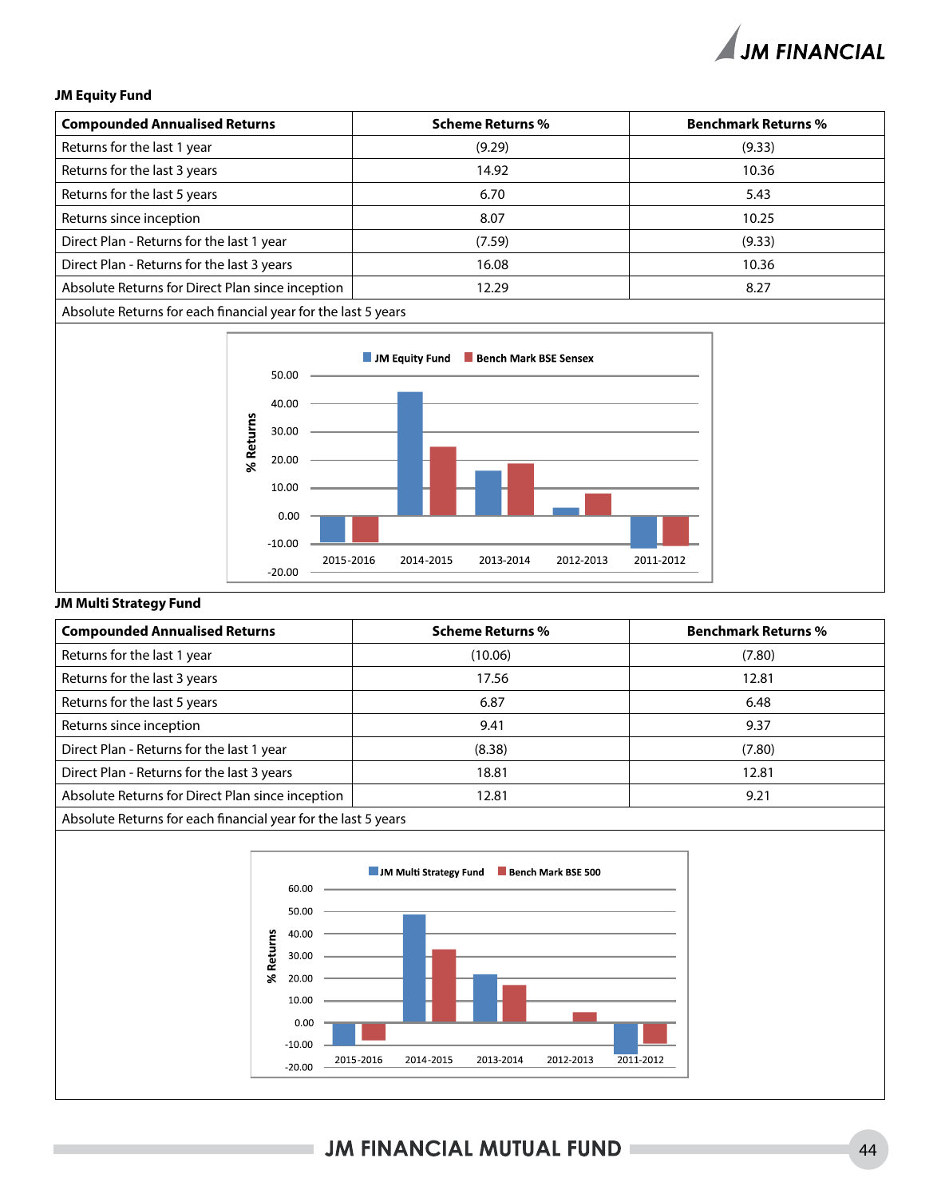#### **JM Equity Fund**

| <b>Compounded Annualised Returns</b>                          | <b>Scheme Returns %</b> | <b>Benchmark Returns %</b> |
|---------------------------------------------------------------|-------------------------|----------------------------|
| Returns for the last 1 year                                   | (9.29)                  | (9.33)                     |
| Returns for the last 3 years                                  | 14.92                   | 10.36                      |
| Returns for the last 5 years                                  | 6.70                    | 5.43                       |
| Returns since inception                                       | 8.07                    | 10.25                      |
| Direct Plan - Returns for the last 1 year                     | (7.59)                  | (9.33)                     |
| Direct Plan - Returns for the last 3 years                    | 16.08                   | 10.36                      |
| Absolute Returns for Direct Plan since inception              | 12.29                   | 8.27                       |
| Absolute Returns for each financial year for the last 5 years |                         |                            |



#### **JM Multi Strategy Fund**

| <b>Compounded Annualised Returns</b>                          | <b>Scheme Returns %</b> | <b>Benchmark Returns %</b> |
|---------------------------------------------------------------|-------------------------|----------------------------|
| Returns for the last 1 year                                   | (10.06)                 | (7.80)                     |
| Returns for the last 3 years                                  | 17.56                   | 12.81                      |
| Returns for the last 5 years                                  | 6.87                    | 6.48                       |
| Returns since inception                                       | 9.41                    | 9.37                       |
| Direct Plan - Returns for the last 1 year                     | (8.38)                  | (7.80)                     |
| Direct Plan - Returns for the last 3 years                    | 18.81                   | 12.81                      |
| Absolute Returns for Direct Plan since inception              | 12.81                   | 9.21                       |
| Absolute Returns for each financial year for the last 5 years |                         |                            |



### **JM FINANCIAL MUTUAL FUND I**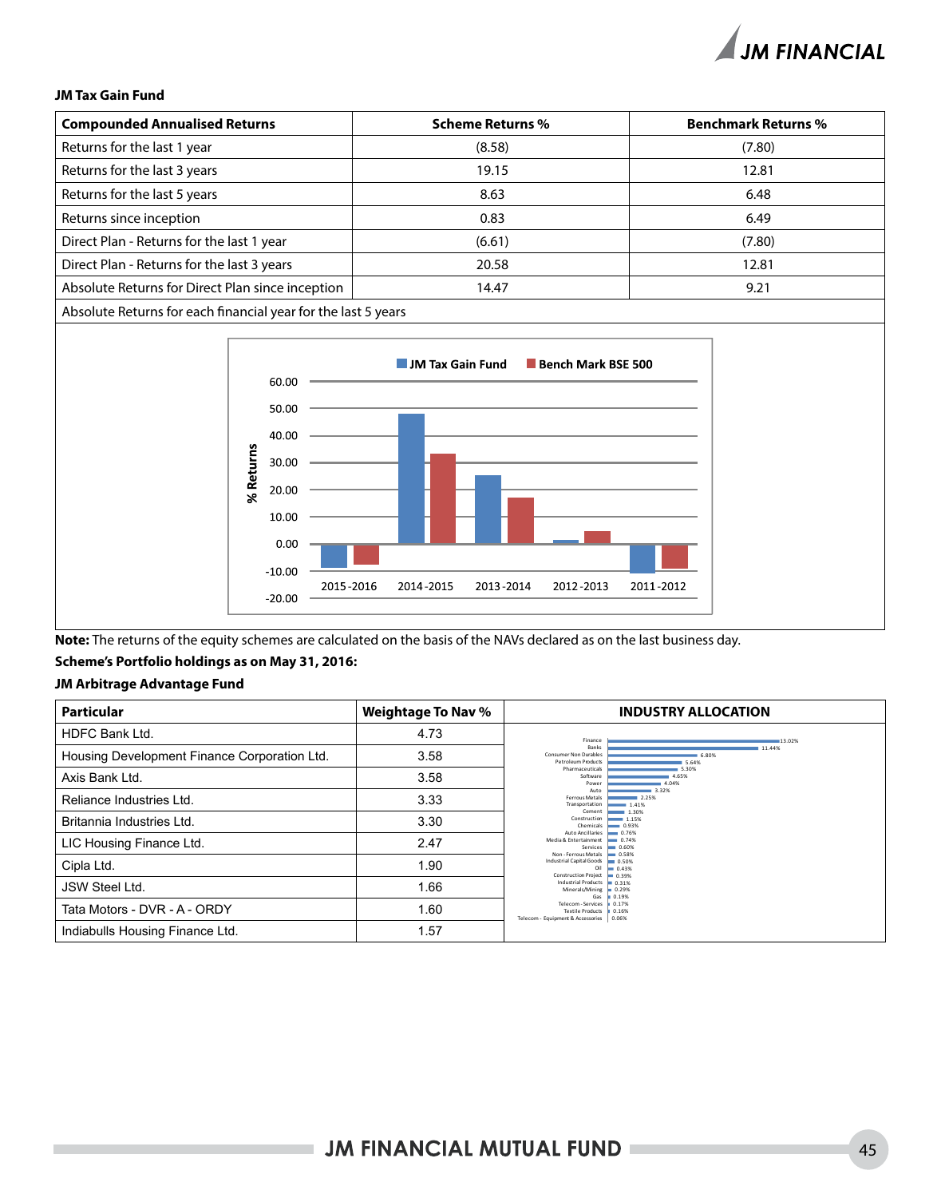#### **JM Tax Gain Fund**

| <b>Compounded Annualised Returns</b>                          | <b>Scheme Returns %</b> | <b>Benchmark Returns %</b> |
|---------------------------------------------------------------|-------------------------|----------------------------|
| Returns for the last 1 year                                   | (8.58)                  | (7.80)                     |
| Returns for the last 3 years                                  | 19.15                   | 12.81                      |
| Returns for the last 5 years                                  | 8.63                    | 6.48                       |
| Returns since inception                                       | 0.83                    | 6.49                       |
| Direct Plan - Returns for the last 1 year                     | (6.61)                  | (7.80)                     |
| Direct Plan - Returns for the last 3 years                    | 20.58                   | 12.81                      |
| Absolute Returns for Direct Plan since inception              | 14.47                   | 9.21                       |
| Absolute Returns for each financial year for the last 5 years |                         |                            |



**Note:** The returns of the equity schemes are calculated on the basis of the NAVs declared as on the last business day.

#### **Scheme's Portfolio holdings as on May 31, 2016:**

#### **JM Arbitrage Advantage Fund**

| <b>Particular</b>                            | <b>Weightage To Nav %</b> | <b>INDUSTRY ALLOCATION</b>                                                                                                             |
|----------------------------------------------|---------------------------|----------------------------------------------------------------------------------------------------------------------------------------|
| <b>HDFC Bank Ltd.</b>                        | 4.73                      | 13.02%<br>Finance                                                                                                                      |
| Housing Development Finance Corporation Ltd. | 3.58                      | 11.44%<br>Banks<br>6.80%<br>Consumer Non Durables<br>5.64%<br><b>Petroleum Products</b>                                                |
| Axis Bank Ltd.                               | 3.58                      | Pharmaceuticals<br>5.30%<br>Software<br>4.65%<br>4.04%<br>Power                                                                        |
| Reliance Industries Ltd.                     | 3.33                      | Auto<br>$= 3.32%$<br>Ferrous Metals<br>2.25%<br>Transportation<br>1.41%                                                                |
| Britannia Industries Ltd.                    | 3.30                      | Cement<br>1.30%<br>Construction<br>$-1.15%$<br>Chemicals<br>$-0.93%$                                                                   |
| LIC Housing Finance Ltd.                     | 2.47                      | <b>Auto Ancillaries</b><br>$- 0.76%$<br>Media & Entertainment<br>$- 0.74%$<br>Services<br>$= 0.60%$<br>Non-Ferrous Metals<br>$= 0.58%$ |
| Cipla Ltd.                                   | 1.90                      | $= 0.50%$<br><b>Industrial Capital Goods</b><br>$= 0.43%$<br>Oil<br>$= 0.39%$<br><b>Construction Project</b>                           |
| JSW Steel Ltd.                               | 1.66                      | Industrial Products   0.31%<br>Minerals/Mining $\equiv 0.29%$<br>0.19%<br>Gas                                                          |
| Tata Motors - DVR - A - ORDY                 | 1.60                      | Telecom - Services<br>0.17%<br><b>Textile Products</b><br>0.16%<br>Telecom - Equipment & Accessories   0.06%                           |
| Indiabulls Housing Finance Ltd.              | 1.57                      |                                                                                                                                        |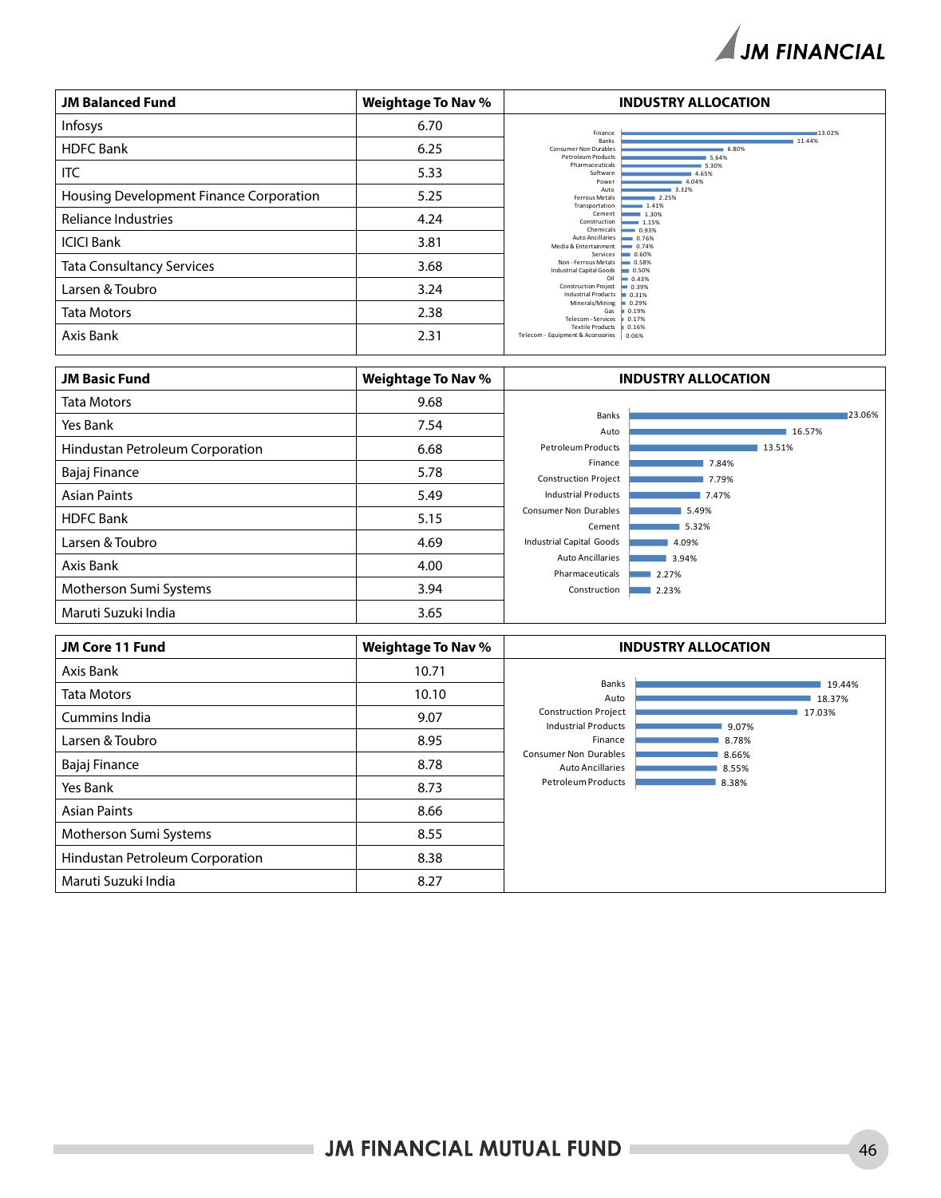

| <b>JM Balanced Fund</b>                 | <b>Weightage To Nav %</b> | <b>INDUSTRY ALLOCATION</b>                                                                               |
|-----------------------------------------|---------------------------|----------------------------------------------------------------------------------------------------------|
| Infosys                                 | 6.70                      | Finance<br>13.02%                                                                                        |
| <b>HDFC Bank</b>                        | 6.25                      | <b>Banks</b><br>11.44%<br><b>Consumer Non Durables</b><br>6.80%<br><b>Petroleum Products</b><br>5.64%    |
| <b>ITC</b>                              | 5.33                      | Pharmaceuticals<br>5.30%<br>Software<br>4.65%<br>Power<br>4.04%                                          |
| Housing Development Finance Corporation | 5.25                      | 3.32%<br>Auto<br>Ferrous Metals<br>2.25%<br>Transportation<br>$-1.41%$                                   |
| Reliance Industries                     | 4.24                      | 1.30%<br>Cement<br>Construction<br>$-1.15%$<br>Chemicals<br>$- 0.93%$                                    |
| <b>ICICI Bank</b>                       | 3.81                      | Auto Ancillaries<br>$- 0.76%$<br>Media & Entertainment<br>$- 0.74%$<br>$- 0.60%$                         |
| <b>Tata Consultancy Services</b>        | 3.68                      | Services<br>Non - Ferrous Metals<br>$= 0.58%$<br><b>Industrial Capital Goods</b><br>$\blacksquare$ 0.50% |
| Larsen & Toubro                         | 3.24                      | Oil<br>$= 0.43%$<br><b>Construction Project</b><br>$= 0.39%$<br>Industrial Products   0.31%              |
| <b>Tata Motors</b>                      | 2.38                      | Minerals/Mining<br>$= 0.29%$<br>Gas<br>0.19%<br>Telecom - Services<br>0.17%                              |
| Axis Bank                               | 2.31                      | <b>Textile Products</b><br>0.16%<br>Telecom - Equipment & Accessories<br>0.06%                           |

| <b>JM Basic Fund</b>            | <b>Weightage To Nav %</b> |                                            | <b>INDUSTRY ALLOCATION</b> |        |        |
|---------------------------------|---------------------------|--------------------------------------------|----------------------------|--------|--------|
| <b>Tata Motors</b>              | 9.68                      |                                            |                            |        |        |
| Yes Bank                        | 7.54                      | Banks<br>Auto                              |                            | 16.57% | 23.06% |
| Hindustan Petroleum Corporation | 6.68                      | <b>Petroleum Products</b>                  |                            | 13.51% |        |
| Bajaj Finance                   | 5.78                      | Finance<br><b>Construction Project</b>     | 7.84%<br>7.79%             |        |        |
| <b>Asian Paints</b>             | 5.49                      | <b>Industrial Products</b>                 | 7.47%                      |        |        |
| <b>HDFC Bank</b>                | 5.15                      | <b>Consumer Non Durables</b><br>Cement     | 5.49%<br>5.32%             |        |        |
| Larsen & Toubro                 | 4.69                      | Industrial Capital Goods                   | 4.09%                      |        |        |
| Axis Bank                       | 4.00                      | <b>Auto Ancillaries</b><br>Pharmaceuticals | 3.94%<br>2.27%             |        |        |
| Motherson Sumi Systems          | 3.94                      | Construction                               | 2.23%                      |        |        |
| Maruti Suzuki India             | 3.65                      |                                            |                            |        |        |

| JM Core 11 Fund                 | Weightage To Nav % |                                                           | <b>INDUSTRY ALLOCATION</b> |
|---------------------------------|--------------------|-----------------------------------------------------------|----------------------------|
| Axis Bank                       | 10.71              |                                                           |                            |
| <b>Tata Motors</b>              | 10.10              | Banks<br>Auto                                             | 19.44%<br>18.37%           |
| Cummins India                   | 9.07               | <b>Construction Project</b><br><b>Industrial Products</b> | 17.03%<br>9.07%            |
| Larsen & Toubro                 | 8.95               | Finance                                                   | 8.78%                      |
| Bajaj Finance                   | 8.78               | <b>Consumer Non Durables</b><br><b>Auto Ancillaries</b>   | 8.66%<br>8.55%             |
| Yes Bank                        | 8.73               | <b>Petroleum Products</b>                                 | 8.38%                      |
| <b>Asian Paints</b>             | 8.66               |                                                           |                            |
| Motherson Sumi Systems          | 8.55               |                                                           |                            |
| Hindustan Petroleum Corporation | 8.38               |                                                           |                            |
| Maruti Suzuki India             | 8.27               |                                                           |                            |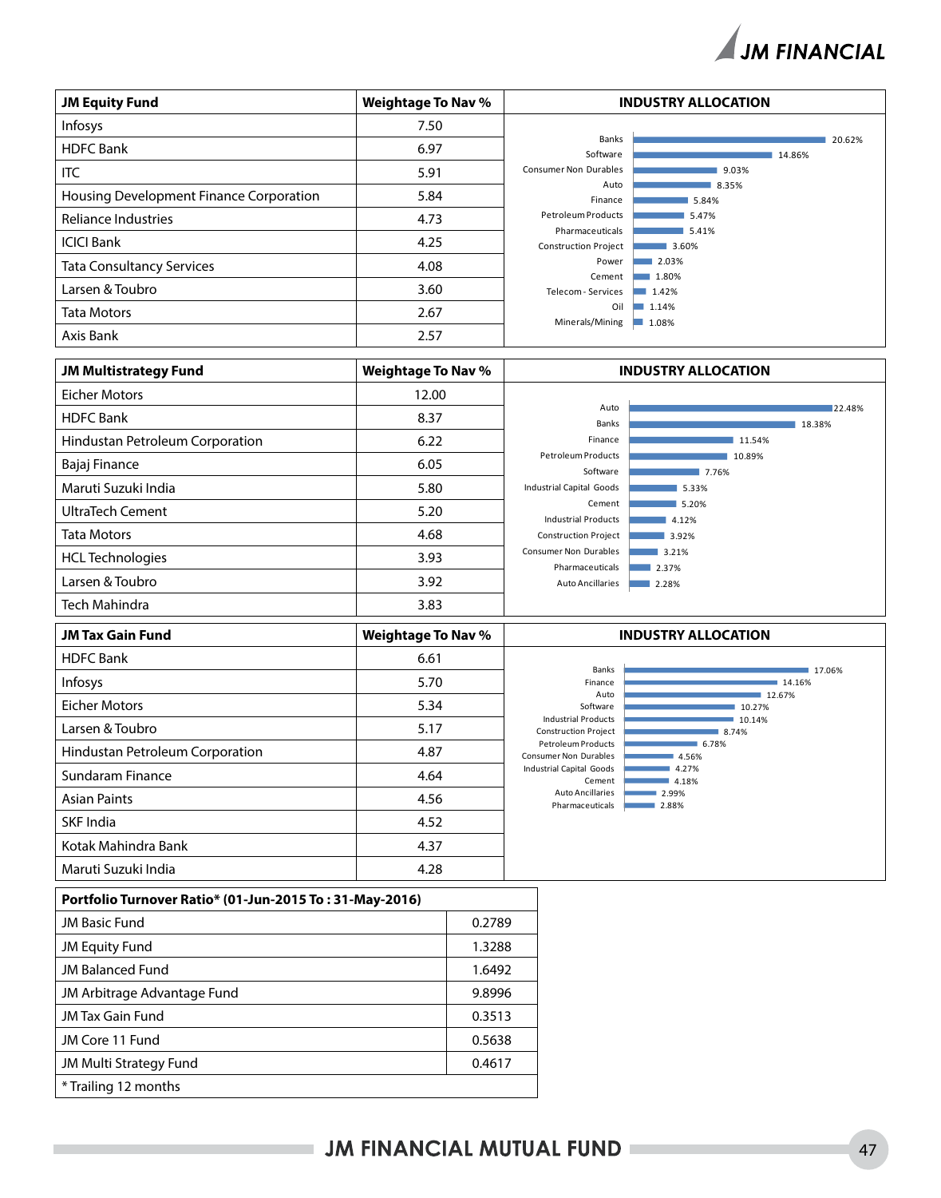

| <b>JM Equity Fund</b>                   | <b>Weightage To Nav %</b> |                                                | <b>INDUSTRY ALLOCATION</b> |
|-----------------------------------------|---------------------------|------------------------------------------------|----------------------------|
| Infosys                                 | 7.50                      |                                                |                            |
| <b>HDFC Bank</b>                        | 6.97                      | Banks<br>Software                              | 20.62%<br>14.86%           |
| ITC                                     | 5.91                      | <b>Consumer Non Durables</b>                   | 9.03%                      |
| Housing Development Finance Corporation | 5.84                      | Auto<br>Finance                                | 8.35%<br>5.84%             |
| Reliance Industries                     | 4.73                      | <b>Petroleum Products</b>                      | 5.47%                      |
| <b>ICICI Bank</b>                       | 4.25                      | Pharmaceuticals<br><b>Construction Project</b> | 5.41%<br>3.60%             |
| <b>Tata Consultancy Services</b>        | 4.08                      | Power                                          | 2.03%                      |
| Larsen & Toubro                         | 3.60                      | Cement<br>Telecom - Services                   | 1.80%<br>1.42%             |
| <b>Tata Motors</b>                      | 2.67                      | Oil<br>Minerals/Mining                         | 1.14%<br>1.08%             |
| Axis Bank                               | 2.57                      |                                                |                            |

| <b>JM Multistrategy Fund</b>    | <b>Weightage To Nav %</b> |                                                 | <b>INDUSTRY ALLOCATION</b> |
|---------------------------------|---------------------------|-------------------------------------------------|----------------------------|
| <b>Eicher Motors</b>            | 12.00                     |                                                 |                            |
| <b>HDFC</b> Bank                | 8.37                      | Auto<br>Banks                                   | 22.48%<br>18.38%           |
| Hindustan Petroleum Corporation | 6.22                      | Finance                                         | 11.54%                     |
| Bajaj Finance                   | 6.05                      | Petroleum Products<br>Software                  | 10.89%<br>7.76%            |
| Maruti Suzuki India             | 5.80                      | Industrial Capital Goods                        | 5.33%                      |
| UltraTech Cement                | 5.20                      | Cement<br><b>Industrial Products</b>            | 5.20%<br>4.12%             |
| <b>Tata Motors</b>              | 4.68                      | <b>Construction Project</b>                     | 3.92%                      |
| <b>HCL Technologies</b>         | 3.93                      | <b>Consumer Non Durables</b><br>Pharmaceuticals | 3.21%<br>2.37%             |
| Larsen & Toubro                 | 3.92                      | <b>Auto Ancillaries</b>                         | 2.28%                      |
| <b>Tech Mahindra</b>            | 3.83                      |                                                 |                            |

| <b>JM Tax Gain Fund</b>         | <b>Weightage To Nav %</b> |                                                           | <b>INDUSTRY ALLOCATION</b> |
|---------------------------------|---------------------------|-----------------------------------------------------------|----------------------------|
| <b>HDFC Bank</b>                | 6.61                      | Banks                                                     | 17.06%                     |
| <b>Infosys</b>                  | 5.70                      | Finance                                                   | 14.16%                     |
| Eicher Motors                   | 5.34                      | Auto<br>Software                                          | 12.67%<br>10.27%           |
| Larsen & Toubro                 | 5.17                      | <b>Industrial Products</b><br><b>Construction Project</b> | 10.14%<br>8.74%            |
| Hindustan Petroleum Corporation | 4.87                      | Petroleum Products<br><b>Consumer Non Durables</b>        | 6.78%<br>4.56%             |
| Sundaram Finance                | 4.64                      | Industrial Capital Goods<br>Cement                        | 4.27%<br>4.18%             |
| <b>Asian Paints</b>             | 4.56                      | <b>Auto Ancillaries</b><br>Pharmaceuticals                | 2.99%<br>2.88%             |
| SKF India                       | 4.52                      |                                                           |                            |
| Kotak Mahindra Bank             | 4.37                      |                                                           |                            |
| Maruti Suzuki India             | 4.28                      |                                                           |                            |

| Portfolio Turnover Ratio* (01-Jun-2015 To: 31-May-2016) |        |  |
|---------------------------------------------------------|--------|--|
| <b>JM Basic Fund</b>                                    | 0.2789 |  |
| JM Equity Fund                                          | 1.3288 |  |
| <b>JM Balanced Fund</b>                                 | 1.6492 |  |
| JM Arbitrage Advantage Fund                             | 9.8996 |  |
| <b>JM Tax Gain Fund</b>                                 | 0.3513 |  |
| JM Core 11 Fund                                         | 0.5638 |  |
| <b>JM Multi Strategy Fund</b>                           | 0.4617 |  |
| * Trailing 12 months                                    |        |  |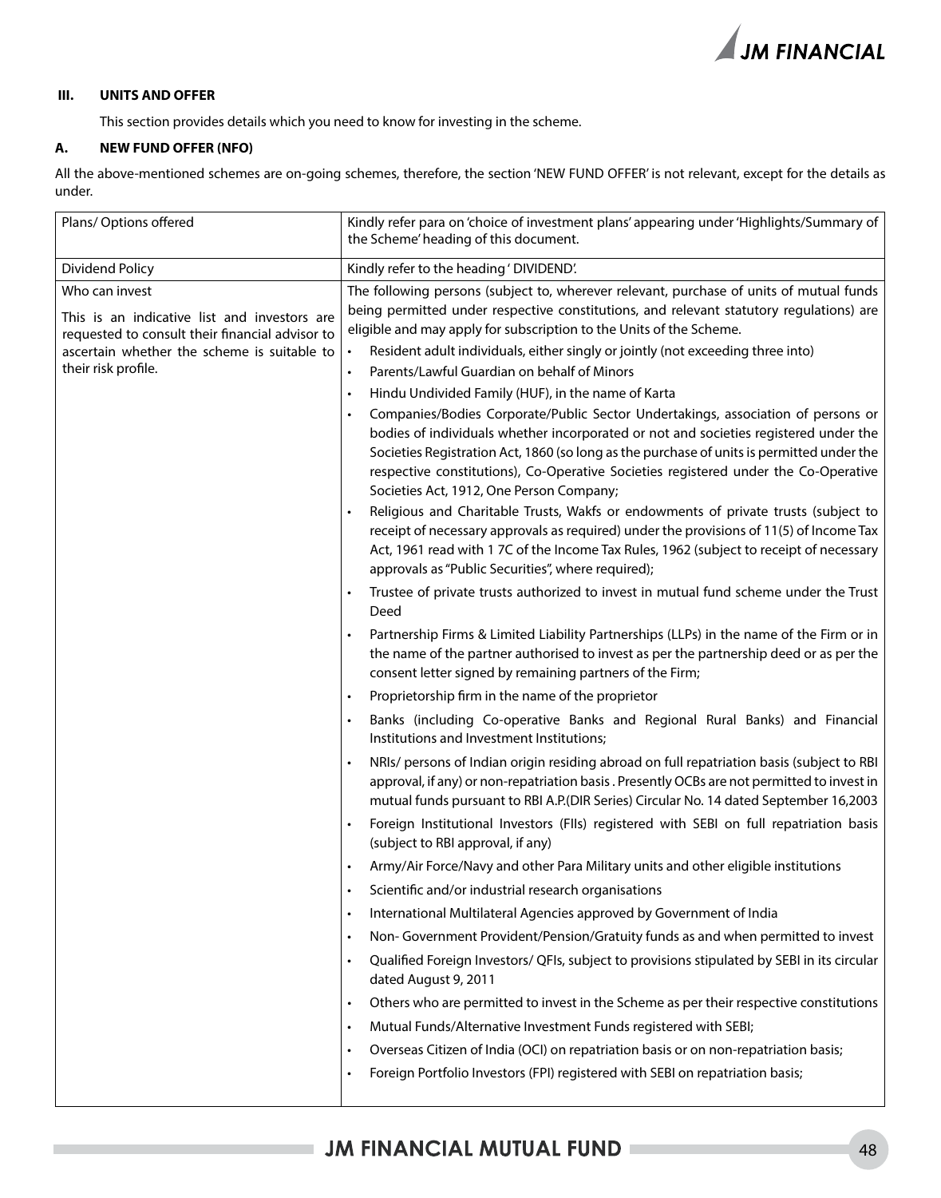

#### **III. UNITS AND OFFER**

This section provides details which you need to know for investing in the scheme.

#### **A. NEW FUND OFFER (NFO)**

All the above-mentioned schemes are on-going schemes, therefore, the section 'NEW FUND OFFER' is not relevant, except for the details as under.

| Plans/ Options offered                                                                                                                                           | Kindly refer para on 'choice of investment plans' appearing under 'Highlights/Summary of<br>the Scheme' heading of this document.                                                                                                                                                                                                                                                                        |
|------------------------------------------------------------------------------------------------------------------------------------------------------------------|----------------------------------------------------------------------------------------------------------------------------------------------------------------------------------------------------------------------------------------------------------------------------------------------------------------------------------------------------------------------------------------------------------|
| Dividend Policy                                                                                                                                                  | Kindly refer to the heading ' DIVIDEND'.                                                                                                                                                                                                                                                                                                                                                                 |
| Who can invest<br>This is an indicative list and investors are<br>requested to consult their financial advisor to<br>ascertain whether the scheme is suitable to | The following persons (subject to, wherever relevant, purchase of units of mutual funds<br>being permitted under respective constitutions, and relevant statutory regulations) are<br>eligible and may apply for subscription to the Units of the Scheme.<br>Resident adult individuals, either singly or jointly (not exceeding three into)<br>$\bullet$                                                |
| their risk profile.                                                                                                                                              | Parents/Lawful Guardian on behalf of Minors<br>$\bullet$                                                                                                                                                                                                                                                                                                                                                 |
|                                                                                                                                                                  | Hindu Undivided Family (HUF), in the name of Karta<br>$\bullet$                                                                                                                                                                                                                                                                                                                                          |
|                                                                                                                                                                  | Companies/Bodies Corporate/Public Sector Undertakings, association of persons or<br>bodies of individuals whether incorporated or not and societies registered under the<br>Societies Registration Act, 1860 (so long as the purchase of units is permitted under the<br>respective constitutions), Co-Operative Societies registered under the Co-Operative<br>Societies Act, 1912, One Person Company; |
|                                                                                                                                                                  | Religious and Charitable Trusts, Wakfs or endowments of private trusts (subject to<br>receipt of necessary approvals as required) under the provisions of 11(5) of Income Tax<br>Act, 1961 read with 17C of the Income Tax Rules, 1962 (subject to receipt of necessary<br>approvals as "Public Securities", where required);                                                                            |
|                                                                                                                                                                  | Trustee of private trusts authorized to invest in mutual fund scheme under the Trust<br>Deed                                                                                                                                                                                                                                                                                                             |
|                                                                                                                                                                  | Partnership Firms & Limited Liability Partnerships (LLPs) in the name of the Firm or in<br>the name of the partner authorised to invest as per the partnership deed or as per the<br>consent letter signed by remaining partners of the Firm;                                                                                                                                                            |
|                                                                                                                                                                  | Proprietorship firm in the name of the proprietor<br>$\bullet$                                                                                                                                                                                                                                                                                                                                           |
|                                                                                                                                                                  | Banks (including Co-operative Banks and Regional Rural Banks) and Financial<br>Institutions and Investment Institutions;                                                                                                                                                                                                                                                                                 |
|                                                                                                                                                                  | NRIs/ persons of Indian origin residing abroad on full repatriation basis (subject to RBI<br>$\bullet$<br>approval, if any) or non-repatriation basis . Presently OCBs are not permitted to invest in<br>mutual funds pursuant to RBI A.P.(DIR Series) Circular No. 14 dated September 16,2003                                                                                                           |
|                                                                                                                                                                  | Foreign Institutional Investors (FIIs) registered with SEBI on full repatriation basis<br>(subject to RBI approval, if any)                                                                                                                                                                                                                                                                              |
|                                                                                                                                                                  | Army/Air Force/Navy and other Para Military units and other eligible institutions<br>$\bullet$                                                                                                                                                                                                                                                                                                           |
|                                                                                                                                                                  | Scientific and/or industrial research organisations                                                                                                                                                                                                                                                                                                                                                      |
|                                                                                                                                                                  | International Multilateral Agencies approved by Government of India<br>$\bullet$                                                                                                                                                                                                                                                                                                                         |
|                                                                                                                                                                  | Non-Government Provident/Pension/Gratuity funds as and when permitted to invest<br>$\bullet$                                                                                                                                                                                                                                                                                                             |
|                                                                                                                                                                  | Qualified Foreign Investors/ QFIs, subject to provisions stipulated by SEBI in its circular<br>$\bullet$<br>dated August 9, 2011                                                                                                                                                                                                                                                                         |
|                                                                                                                                                                  | Others who are permitted to invest in the Scheme as per their respective constitutions<br>$\bullet$                                                                                                                                                                                                                                                                                                      |
|                                                                                                                                                                  | Mutual Funds/Alternative Investment Funds registered with SEBI;<br>$\bullet$                                                                                                                                                                                                                                                                                                                             |
|                                                                                                                                                                  | Overseas Citizen of India (OCI) on repatriation basis or on non-repatriation basis;<br>$\bullet$                                                                                                                                                                                                                                                                                                         |
|                                                                                                                                                                  | Foreign Portfolio Investors (FPI) registered with SEBI on repatriation basis;<br>$\bullet$                                                                                                                                                                                                                                                                                                               |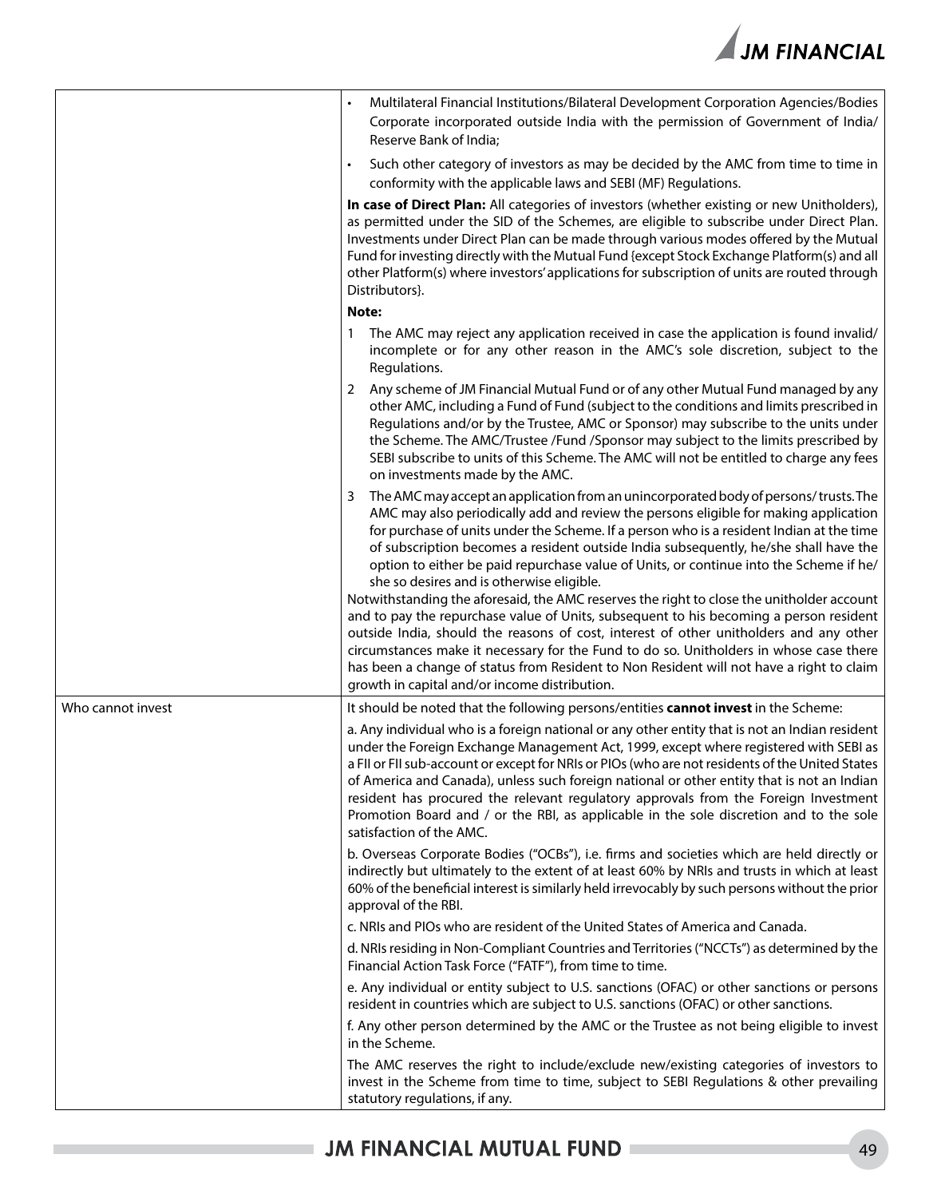

|                   | Multilateral Financial Institutions/Bilateral Development Corporation Agencies/Bodies<br>Corporate incorporated outside India with the permission of Government of India/<br>Reserve Bank of India;                                                                                                                                                                                                                                                                                                                                                                                                                                                                                                                                                                                                                                                                                                                                                                                                                                  |
|-------------------|--------------------------------------------------------------------------------------------------------------------------------------------------------------------------------------------------------------------------------------------------------------------------------------------------------------------------------------------------------------------------------------------------------------------------------------------------------------------------------------------------------------------------------------------------------------------------------------------------------------------------------------------------------------------------------------------------------------------------------------------------------------------------------------------------------------------------------------------------------------------------------------------------------------------------------------------------------------------------------------------------------------------------------------|
|                   | Such other category of investors as may be decided by the AMC from time to time in<br>$\bullet$<br>conformity with the applicable laws and SEBI (MF) Regulations.                                                                                                                                                                                                                                                                                                                                                                                                                                                                                                                                                                                                                                                                                                                                                                                                                                                                    |
|                   | In case of Direct Plan: All categories of investors (whether existing or new Unitholders),<br>as permitted under the SID of the Schemes, are eligible to subscribe under Direct Plan.<br>Investments under Direct Plan can be made through various modes offered by the Mutual<br>Fund for investing directly with the Mutual Fund {except Stock Exchange Platform(s) and all<br>other Platform(s) where investors' applications for subscription of units are routed through<br>Distributors}.                                                                                                                                                                                                                                                                                                                                                                                                                                                                                                                                      |
|                   | Note:                                                                                                                                                                                                                                                                                                                                                                                                                                                                                                                                                                                                                                                                                                                                                                                                                                                                                                                                                                                                                                |
|                   | The AMC may reject any application received in case the application is found invalid/<br>incomplete or for any other reason in the AMC's sole discretion, subject to the<br>Regulations.                                                                                                                                                                                                                                                                                                                                                                                                                                                                                                                                                                                                                                                                                                                                                                                                                                             |
|                   | Any scheme of JM Financial Mutual Fund or of any other Mutual Fund managed by any<br>2<br>other AMC, including a Fund of Fund (subject to the conditions and limits prescribed in<br>Regulations and/or by the Trustee, AMC or Sponsor) may subscribe to the units under<br>the Scheme. The AMC/Trustee /Fund /Sponsor may subject to the limits prescribed by<br>SEBI subscribe to units of this Scheme. The AMC will not be entitled to charge any fees<br>on investments made by the AMC.                                                                                                                                                                                                                                                                                                                                                                                                                                                                                                                                         |
|                   | The AMC may accept an application from an unincorporated body of persons/trusts. The<br>3<br>AMC may also periodically add and review the persons eligible for making application<br>for purchase of units under the Scheme. If a person who is a resident Indian at the time<br>of subscription becomes a resident outside India subsequently, he/she shall have the<br>option to either be paid repurchase value of Units, or continue into the Scheme if he/<br>she so desires and is otherwise eligible.<br>Notwithstanding the aforesaid, the AMC reserves the right to close the unitholder account<br>and to pay the repurchase value of Units, subsequent to his becoming a person resident<br>outside India, should the reasons of cost, interest of other unitholders and any other<br>circumstances make it necessary for the Fund to do so. Unitholders in whose case there<br>has been a change of status from Resident to Non Resident will not have a right to claim<br>growth in capital and/or income distribution. |
| Who cannot invest | It should be noted that the following persons/entities cannot invest in the Scheme:                                                                                                                                                                                                                                                                                                                                                                                                                                                                                                                                                                                                                                                                                                                                                                                                                                                                                                                                                  |
|                   | a. Any individual who is a foreign national or any other entity that is not an Indian resident<br>under the Foreign Exchange Management Act, 1999, except where registered with SEBI as<br>a FII or FII sub-account or except for NRIs or PIOs (who are not residents of the United States<br>of America and Canada), unless such foreign national or other entity that is not an Indian<br>resident has procured the relevant regulatory approvals from the Foreign Investment<br>Promotion Board and / or the RBI, as applicable in the sole discretion and to the sole<br>satisfaction of the AMC.                                                                                                                                                                                                                                                                                                                                                                                                                                |
|                   | b. Overseas Corporate Bodies ("OCBs"), i.e. firms and societies which are held directly or<br>indirectly but ultimately to the extent of at least 60% by NRIs and trusts in which at least<br>60% of the beneficial interest is similarly held irrevocably by such persons without the prior<br>approval of the RBI.                                                                                                                                                                                                                                                                                                                                                                                                                                                                                                                                                                                                                                                                                                                 |
|                   | c. NRIs and PIOs who are resident of the United States of America and Canada.                                                                                                                                                                                                                                                                                                                                                                                                                                                                                                                                                                                                                                                                                                                                                                                                                                                                                                                                                        |
|                   | d. NRIs residing in Non-Compliant Countries and Territories ("NCCTs") as determined by the<br>Financial Action Task Force ("FATF"), from time to time.                                                                                                                                                                                                                                                                                                                                                                                                                                                                                                                                                                                                                                                                                                                                                                                                                                                                               |
|                   | e. Any individual or entity subject to U.S. sanctions (OFAC) or other sanctions or persons<br>resident in countries which are subject to U.S. sanctions (OFAC) or other sanctions.                                                                                                                                                                                                                                                                                                                                                                                                                                                                                                                                                                                                                                                                                                                                                                                                                                                   |
|                   | f. Any other person determined by the AMC or the Trustee as not being eligible to invest<br>in the Scheme.                                                                                                                                                                                                                                                                                                                                                                                                                                                                                                                                                                                                                                                                                                                                                                                                                                                                                                                           |
|                   | The AMC reserves the right to include/exclude new/existing categories of investors to<br>invest in the Scheme from time to time, subject to SEBI Regulations & other prevailing<br>statutory regulations, if any.                                                                                                                                                                                                                                                                                                                                                                                                                                                                                                                                                                                                                                                                                                                                                                                                                    |

i.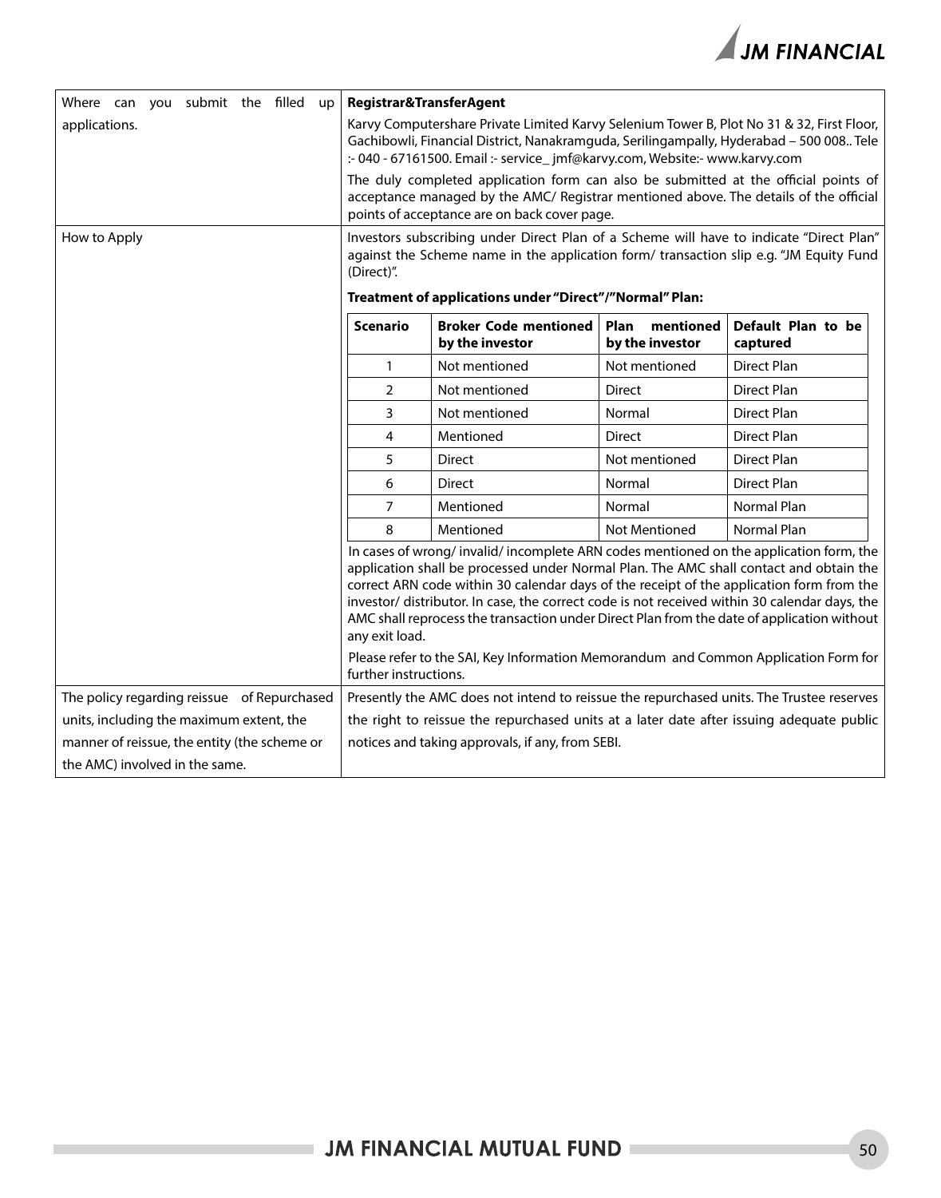

| Where can you submit the filled up           | Registrar&TransferAgent                                                                                                                                                                                                                                                                                                                                                                                                                                                                      |                                                                                                                                                                                   |                                      |                                |
|----------------------------------------------|----------------------------------------------------------------------------------------------------------------------------------------------------------------------------------------------------------------------------------------------------------------------------------------------------------------------------------------------------------------------------------------------------------------------------------------------------------------------------------------------|-----------------------------------------------------------------------------------------------------------------------------------------------------------------------------------|--------------------------------------|--------------------------------|
| applications.                                | Karvy Computershare Private Limited Karvy Selenium Tower B, Plot No 31 & 32, First Floor,<br>Gachibowli, Financial District, Nanakramguda, Serilingampally, Hyderabad - 500 008 Tele<br>:- 040 - 67161500. Email :- service_jmf@karvy.com, Website:- www.karvy.com                                                                                                                                                                                                                           |                                                                                                                                                                                   |                                      |                                |
|                                              | The duly completed application form can also be submitted at the official points of<br>acceptance managed by the AMC/ Registrar mentioned above. The details of the official<br>points of acceptance are on back cover page.                                                                                                                                                                                                                                                                 |                                                                                                                                                                                   |                                      |                                |
| How to Apply                                 | (Direct)".                                                                                                                                                                                                                                                                                                                                                                                                                                                                                   | Investors subscribing under Direct Plan of a Scheme will have to indicate "Direct Plan"<br>against the Scheme name in the application form/ transaction slip e.g. "JM Equity Fund |                                      |                                |
|                                              |                                                                                                                                                                                                                                                                                                                                                                                                                                                                                              | Treatment of applications under "Direct"/"Normal" Plan:                                                                                                                           |                                      |                                |
|                                              | <b>Scenario</b>                                                                                                                                                                                                                                                                                                                                                                                                                                                                              | <b>Broker Code mentioned</b><br>by the investor                                                                                                                                   | Plan<br>mentioned<br>by the investor | Default Plan to be<br>captured |
|                                              | $\mathbf{1}$                                                                                                                                                                                                                                                                                                                                                                                                                                                                                 | Not mentioned                                                                                                                                                                     | Not mentioned                        | <b>Direct Plan</b>             |
|                                              | $\overline{2}$                                                                                                                                                                                                                                                                                                                                                                                                                                                                               | Not mentioned                                                                                                                                                                     | <b>Direct</b>                        | Direct Plan                    |
|                                              | 3                                                                                                                                                                                                                                                                                                                                                                                                                                                                                            | Not mentioned                                                                                                                                                                     | Normal                               | <b>Direct Plan</b>             |
|                                              | 4                                                                                                                                                                                                                                                                                                                                                                                                                                                                                            | Mentioned                                                                                                                                                                         | <b>Direct</b>                        | <b>Direct Plan</b>             |
|                                              | 5                                                                                                                                                                                                                                                                                                                                                                                                                                                                                            | <b>Direct</b>                                                                                                                                                                     | Not mentioned                        | <b>Direct Plan</b>             |
|                                              | 6                                                                                                                                                                                                                                                                                                                                                                                                                                                                                            | Direct                                                                                                                                                                            | Normal                               | <b>Direct Plan</b>             |
|                                              | $\overline{7}$                                                                                                                                                                                                                                                                                                                                                                                                                                                                               | Mentioned                                                                                                                                                                         | Normal                               | <b>Normal Plan</b>             |
|                                              | 8                                                                                                                                                                                                                                                                                                                                                                                                                                                                                            | Mentioned                                                                                                                                                                         | <b>Not Mentioned</b>                 | <b>Normal Plan</b>             |
|                                              | In cases of wrong/invalid/incomplete ARN codes mentioned on the application form, the<br>application shall be processed under Normal Plan. The AMC shall contact and obtain the<br>correct ARN code within 30 calendar days of the receipt of the application form from the<br>investor/ distributor. In case, the correct code is not received within 30 calendar days, the<br>AMC shall reprocess the transaction under Direct Plan from the date of application without<br>any exit load. |                                                                                                                                                                                   |                                      |                                |
|                                              | further instructions.                                                                                                                                                                                                                                                                                                                                                                                                                                                                        | Please refer to the SAI, Key Information Memorandum and Common Application Form for                                                                                               |                                      |                                |
| The policy regarding reissue of Repurchased  | Presently the AMC does not intend to reissue the repurchased units. The Trustee reserves                                                                                                                                                                                                                                                                                                                                                                                                     |                                                                                                                                                                                   |                                      |                                |
| units, including the maximum extent, the     | the right to reissue the repurchased units at a later date after issuing adequate public                                                                                                                                                                                                                                                                                                                                                                                                     |                                                                                                                                                                                   |                                      |                                |
| manner of reissue, the entity (the scheme or |                                                                                                                                                                                                                                                                                                                                                                                                                                                                                              | notices and taking approvals, if any, from SEBI.                                                                                                                                  |                                      |                                |
| the AMC) involved in the same.               |                                                                                                                                                                                                                                                                                                                                                                                                                                                                                              |                                                                                                                                                                                   |                                      |                                |

i.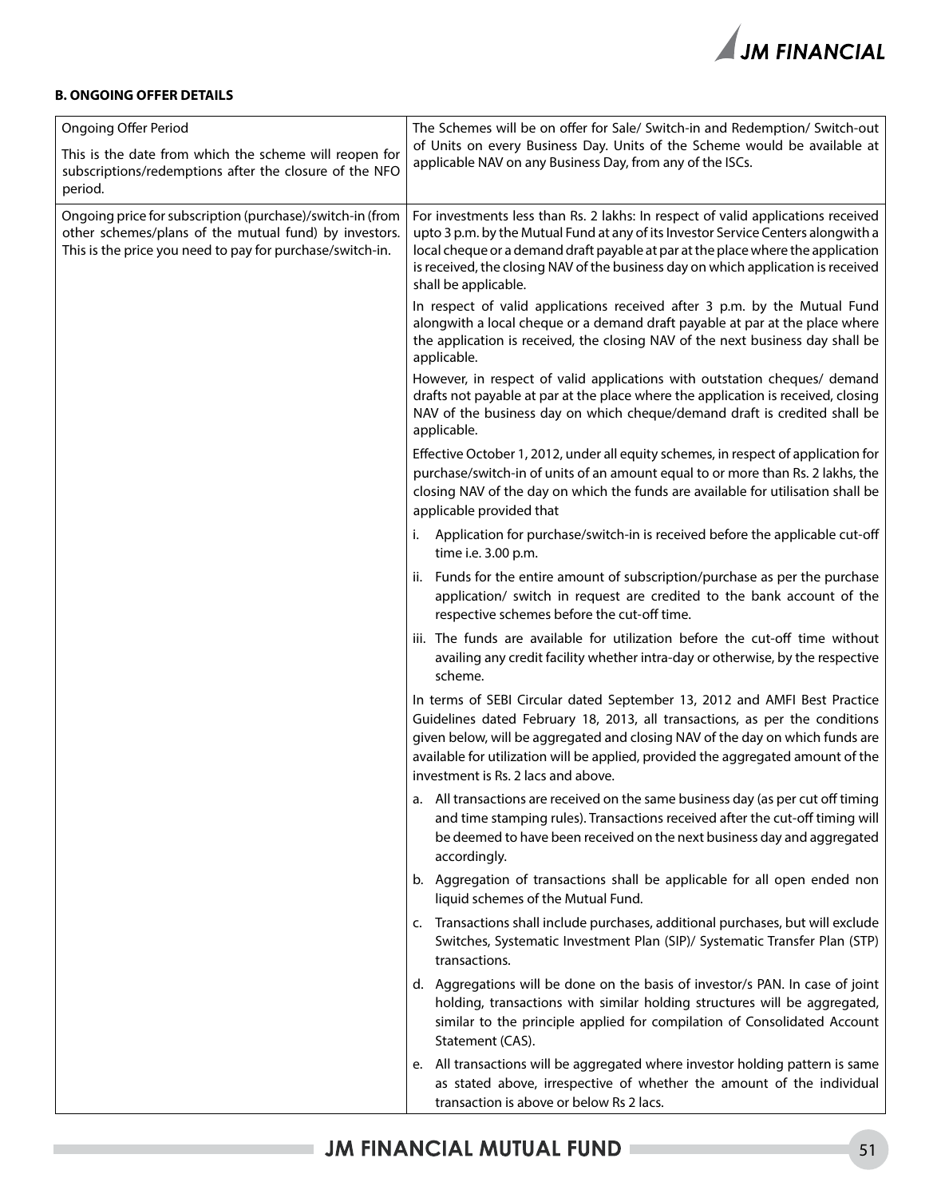

#### **B. ONGOING OFFER DETAILS**

| <b>Ongoing Offer Period</b>                                                                                                                                                     | The Schemes will be on offer for Sale/ Switch-in and Redemption/ Switch-out                                                                                                                                                                                                                                                                                            |
|---------------------------------------------------------------------------------------------------------------------------------------------------------------------------------|------------------------------------------------------------------------------------------------------------------------------------------------------------------------------------------------------------------------------------------------------------------------------------------------------------------------------------------------------------------------|
| This is the date from which the scheme will reopen for<br>subscriptions/redemptions after the closure of the NFO<br>period.                                                     | of Units on every Business Day. Units of the Scheme would be available at<br>applicable NAV on any Business Day, from any of the ISCs.                                                                                                                                                                                                                                 |
| Ongoing price for subscription (purchase)/switch-in (from<br>other schemes/plans of the mutual fund) by investors.<br>This is the price you need to pay for purchase/switch-in. | For investments less than Rs. 2 lakhs: In respect of valid applications received<br>upto 3 p.m. by the Mutual Fund at any of its Investor Service Centers alongwith a<br>local cheque or a demand draft payable at par at the place where the application<br>is received, the closing NAV of the business day on which application is received<br>shall be applicable. |
|                                                                                                                                                                                 | In respect of valid applications received after 3 p.m. by the Mutual Fund<br>alongwith a local cheque or a demand draft payable at par at the place where<br>the application is received, the closing NAV of the next business day shall be<br>applicable.                                                                                                             |
|                                                                                                                                                                                 | However, in respect of valid applications with outstation cheques/ demand<br>drafts not payable at par at the place where the application is received, closing<br>NAV of the business day on which cheque/demand draft is credited shall be<br>applicable.                                                                                                             |
|                                                                                                                                                                                 | Effective October 1, 2012, under all equity schemes, in respect of application for<br>purchase/switch-in of units of an amount equal to or more than Rs. 2 lakhs, the<br>closing NAV of the day on which the funds are available for utilisation shall be<br>applicable provided that                                                                                  |
|                                                                                                                                                                                 | Application for purchase/switch-in is received before the applicable cut-off<br>i.<br>time i.e. 3.00 p.m.                                                                                                                                                                                                                                                              |
|                                                                                                                                                                                 | ii. Funds for the entire amount of subscription/purchase as per the purchase<br>application/ switch in request are credited to the bank account of the<br>respective schemes before the cut-off time.                                                                                                                                                                  |
|                                                                                                                                                                                 | iii. The funds are available for utilization before the cut-off time without<br>availing any credit facility whether intra-day or otherwise, by the respective<br>scheme.                                                                                                                                                                                              |
|                                                                                                                                                                                 | In terms of SEBI Circular dated September 13, 2012 and AMFI Best Practice<br>Guidelines dated February 18, 2013, all transactions, as per the conditions<br>given below, will be aggregated and closing NAV of the day on which funds are<br>available for utilization will be applied, provided the aggregated amount of the<br>investment is Rs. 2 lacs and above.   |
|                                                                                                                                                                                 | a. All transactions are received on the same business day (as per cut off timing<br>and time stamping rules). Transactions received after the cut-off timing will<br>be deemed to have been received on the next business day and aggregated<br>accordingly.                                                                                                           |
|                                                                                                                                                                                 | b. Aggregation of transactions shall be applicable for all open ended non<br>liquid schemes of the Mutual Fund.                                                                                                                                                                                                                                                        |
|                                                                                                                                                                                 | Transactions shall include purchases, additional purchases, but will exclude<br>c.<br>Switches, Systematic Investment Plan (SIP)/ Systematic Transfer Plan (STP)<br>transactions.                                                                                                                                                                                      |
|                                                                                                                                                                                 | d. Aggregations will be done on the basis of investor/s PAN. In case of joint<br>holding, transactions with similar holding structures will be aggregated,<br>similar to the principle applied for compilation of Consolidated Account<br>Statement (CAS).                                                                                                             |
|                                                                                                                                                                                 | e. All transactions will be aggregated where investor holding pattern is same<br>as stated above, irrespective of whether the amount of the individual<br>transaction is above or below Rs 2 lacs.                                                                                                                                                                     |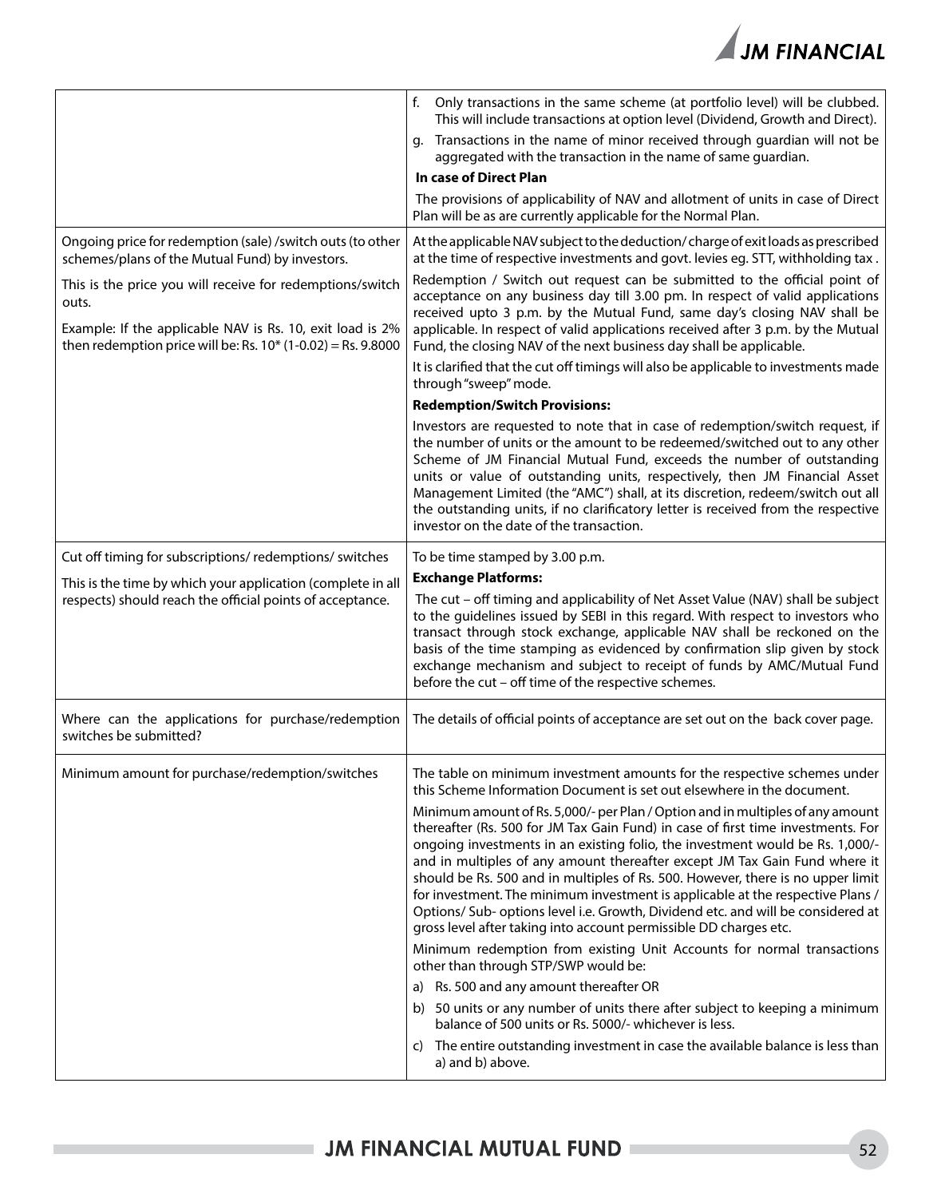

|                                                                                                                                                                                                                                                                                                                        | f.<br>Only transactions in the same scheme (at portfolio level) will be clubbed.<br>This will include transactions at option level (Dividend, Growth and Direct).<br>Transactions in the name of minor received through guardian will not be<br>q.<br>aggregated with the transaction in the name of same guardian.<br>In case of Direct Plan<br>The provisions of applicability of NAV and allotment of units in case of Direct<br>Plan will be as are currently applicable for the Normal Plan.                                                                                                                                                                                                                                                                                                                                                                                                                                                                                                                                                                                                                                                                                                                                                                            |
|------------------------------------------------------------------------------------------------------------------------------------------------------------------------------------------------------------------------------------------------------------------------------------------------------------------------|------------------------------------------------------------------------------------------------------------------------------------------------------------------------------------------------------------------------------------------------------------------------------------------------------------------------------------------------------------------------------------------------------------------------------------------------------------------------------------------------------------------------------------------------------------------------------------------------------------------------------------------------------------------------------------------------------------------------------------------------------------------------------------------------------------------------------------------------------------------------------------------------------------------------------------------------------------------------------------------------------------------------------------------------------------------------------------------------------------------------------------------------------------------------------------------------------------------------------------------------------------------------------|
| Ongoing price for redemption (sale) / switch outs (to other<br>schemes/plans of the Mutual Fund) by investors.<br>This is the price you will receive for redemptions/switch<br>outs.<br>Example: If the applicable NAV is Rs. 10, exit load is 2%<br>then redemption price will be: Rs. $10^{*}$ (1-0.02) = Rs. 9.8000 | At the applicable NAV subject to the deduction/charge of exit loads as prescribed<br>at the time of respective investments and govt. levies eg. STT, withholding tax.<br>Redemption / Switch out request can be submitted to the official point of<br>acceptance on any business day till 3.00 pm. In respect of valid applications<br>received upto 3 p.m. by the Mutual Fund, same day's closing NAV shall be<br>applicable. In respect of valid applications received after 3 p.m. by the Mutual<br>Fund, the closing NAV of the next business day shall be applicable.<br>It is clarified that the cut off timings will also be applicable to investments made<br>through "sweep" mode.<br><b>Redemption/Switch Provisions:</b><br>Investors are requested to note that in case of redemption/switch request, if<br>the number of units or the amount to be redeemed/switched out to any other<br>Scheme of JM Financial Mutual Fund, exceeds the number of outstanding<br>units or value of outstanding units, respectively, then JM Financial Asset<br>Management Limited (the "AMC") shall, at its discretion, redeem/switch out all<br>the outstanding units, if no clarificatory letter is received from the respective<br>investor on the date of the transaction. |
| Cut off timing for subscriptions/ redemptions/ switches<br>This is the time by which your application (complete in all<br>respects) should reach the official points of acceptance.                                                                                                                                    | To be time stamped by 3.00 p.m.<br><b>Exchange Platforms:</b><br>The cut - off timing and applicability of Net Asset Value (NAV) shall be subject<br>to the guidelines issued by SEBI in this regard. With respect to investors who<br>transact through stock exchange, applicable NAV shall be reckoned on the<br>basis of the time stamping as evidenced by confirmation slip given by stock<br>exchange mechanism and subject to receipt of funds by AMC/Mutual Fund<br>before the cut - off time of the respective schemes.                                                                                                                                                                                                                                                                                                                                                                                                                                                                                                                                                                                                                                                                                                                                              |
| Where can the applications for purchase/redemption<br>switches be submitted?                                                                                                                                                                                                                                           | The details of official points of acceptance are set out on the back cover page.                                                                                                                                                                                                                                                                                                                                                                                                                                                                                                                                                                                                                                                                                                                                                                                                                                                                                                                                                                                                                                                                                                                                                                                             |
| Minimum amount for purchase/redemption/switches                                                                                                                                                                                                                                                                        | The table on minimum investment amounts for the respective schemes under<br>this Scheme Information Document is set out elsewhere in the document.<br>Minimum amount of Rs. 5,000/- per Plan / Option and in multiples of any amount<br>thereafter (Rs. 500 for JM Tax Gain Fund) in case of first time investments. For<br>ongoing investments in an existing folio, the investment would be Rs. 1,000/-<br>and in multiples of any amount thereafter except JM Tax Gain Fund where it<br>should be Rs. 500 and in multiples of Rs. 500. However, there is no upper limit<br>for investment. The minimum investment is applicable at the respective Plans /<br>Options/ Sub- options level i.e. Growth, Dividend etc. and will be considered at<br>gross level after taking into account permissible DD charges etc.<br>Minimum redemption from existing Unit Accounts for normal transactions<br>other than through STP/SWP would be:<br>a) Rs. 500 and any amount thereafter OR<br>b) 50 units or any number of units there after subject to keeping a minimum<br>balance of 500 units or Rs. 5000/- whichever is less.<br>The entire outstanding investment in case the available balance is less than<br>C)<br>a) and b) above.                                         |

۰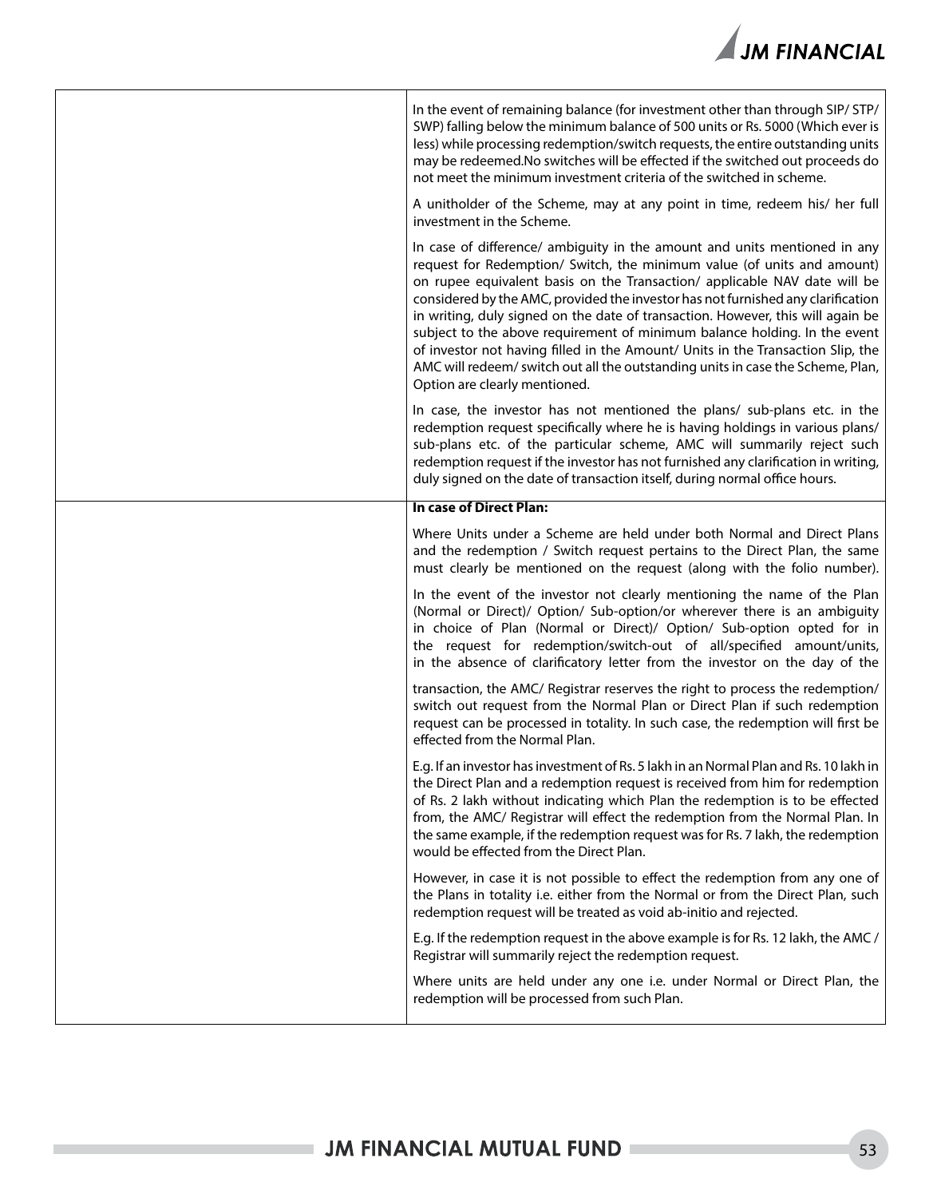

| In the event of remaining balance (for investment other than through SIP/ STP/<br>SWP) falling below the minimum balance of 500 units or Rs. 5000 (Which ever is<br>less) while processing redemption/switch requests, the entire outstanding units<br>may be redeemed. No switches will be effected if the switched out proceeds do<br>not meet the minimum investment criteria of the switched in scheme.                                                                                                                                                                                                                                                                                  |
|----------------------------------------------------------------------------------------------------------------------------------------------------------------------------------------------------------------------------------------------------------------------------------------------------------------------------------------------------------------------------------------------------------------------------------------------------------------------------------------------------------------------------------------------------------------------------------------------------------------------------------------------------------------------------------------------|
| A unitholder of the Scheme, may at any point in time, redeem his/ her full<br>investment in the Scheme.                                                                                                                                                                                                                                                                                                                                                                                                                                                                                                                                                                                      |
| In case of difference/ ambiguity in the amount and units mentioned in any<br>request for Redemption/ Switch, the minimum value (of units and amount)<br>on rupee equivalent basis on the Transaction/ applicable NAV date will be<br>considered by the AMC, provided the investor has not furnished any clarification<br>in writing, duly signed on the date of transaction. However, this will again be<br>subject to the above requirement of minimum balance holding. In the event<br>of investor not having filled in the Amount/ Units in the Transaction Slip, the<br>AMC will redeem/ switch out all the outstanding units in case the Scheme, Plan,<br>Option are clearly mentioned. |
| In case, the investor has not mentioned the plans/ sub-plans etc. in the<br>redemption request specifically where he is having holdings in various plans/<br>sub-plans etc. of the particular scheme, AMC will summarily reject such<br>redemption request if the investor has not furnished any clarification in writing,<br>duly signed on the date of transaction itself, during normal office hours.                                                                                                                                                                                                                                                                                     |
| In case of Direct Plan:                                                                                                                                                                                                                                                                                                                                                                                                                                                                                                                                                                                                                                                                      |
| Where Units under a Scheme are held under both Normal and Direct Plans<br>and the redemption / Switch request pertains to the Direct Plan, the same<br>must clearly be mentioned on the request (along with the folio number).                                                                                                                                                                                                                                                                                                                                                                                                                                                               |
| In the event of the investor not clearly mentioning the name of the Plan<br>(Normal or Direct)/ Option/ Sub-option/or wherever there is an ambiguity<br>in choice of Plan (Normal or Direct)/ Option/ Sub-option opted for in<br>the request for redemption/switch-out of all/specified amount/units,<br>in the absence of clarificatory letter from the investor on the day of the                                                                                                                                                                                                                                                                                                          |
| transaction, the AMC/ Registrar reserves the right to process the redemption/<br>switch out request from the Normal Plan or Direct Plan if such redemption<br>request can be processed in totality. In such case, the redemption will first be<br>effected from the Normal Plan.                                                                                                                                                                                                                                                                                                                                                                                                             |
| E.g. If an investor has investment of Rs. 5 lakh in an Normal Plan and Rs. 10 lakh in<br>the Direct Plan and a redemption request is received from him for redemption<br>of Rs. 2 lakh without indicating which Plan the redemption is to be effected<br>from, the AMC/ Registrar will effect the redemption from the Normal Plan. In<br>the same example, if the redemption request was for Rs. 7 lakh, the redemption<br>would be effected from the Direct Plan.                                                                                                                                                                                                                           |
| However, in case it is not possible to effect the redemption from any one of<br>the Plans in totality i.e. either from the Normal or from the Direct Plan, such<br>redemption request will be treated as void ab-initio and rejected.                                                                                                                                                                                                                                                                                                                                                                                                                                                        |
| E.g. If the redemption request in the above example is for Rs. 12 lakh, the AMC /<br>Registrar will summarily reject the redemption request.                                                                                                                                                                                                                                                                                                                                                                                                                                                                                                                                                 |
| Where units are held under any one i.e. under Normal or Direct Plan, the<br>redemption will be processed from such Plan.                                                                                                                                                                                                                                                                                                                                                                                                                                                                                                                                                                     |
|                                                                                                                                                                                                                                                                                                                                                                                                                                                                                                                                                                                                                                                                                              |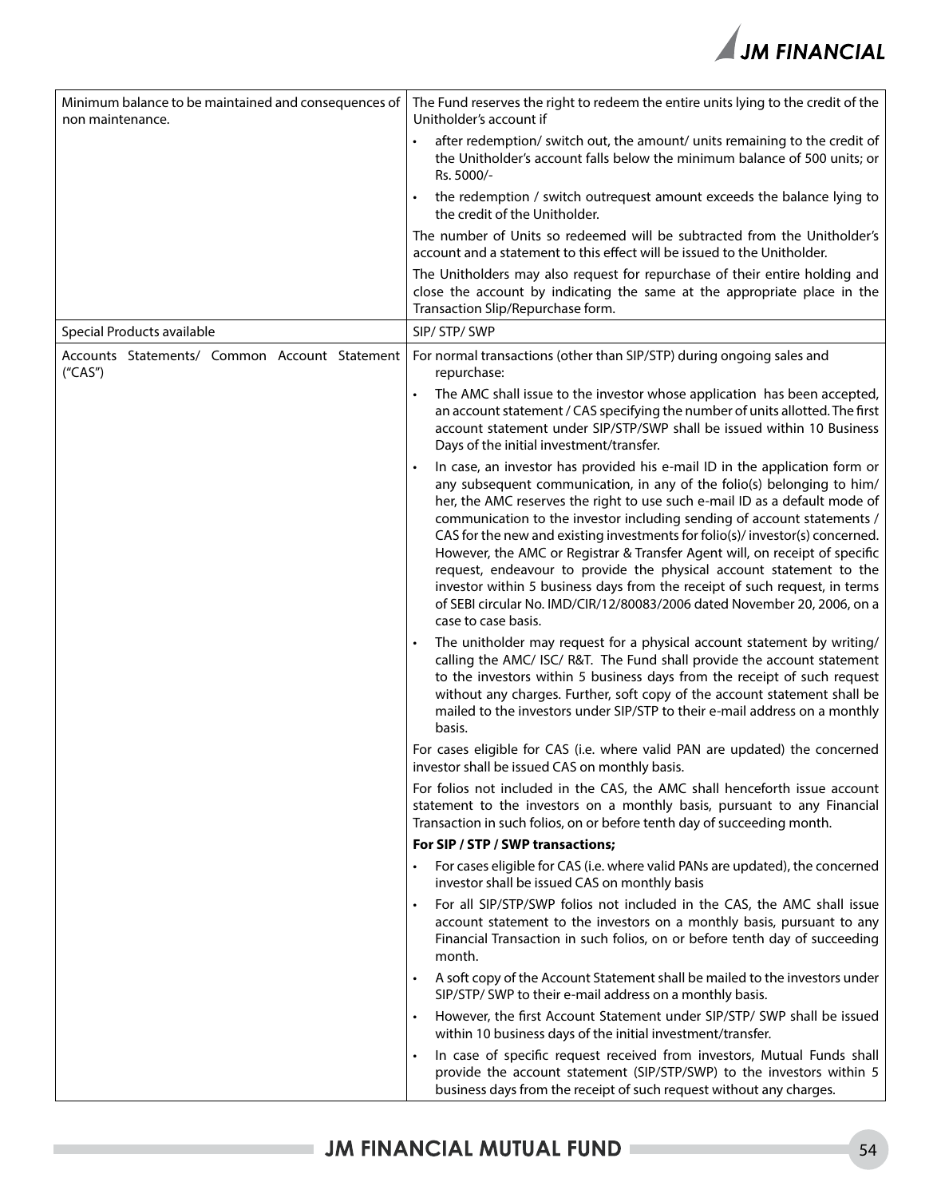

| Minimum balance to be maintained and consequences of<br>non maintenance. | The Fund reserves the right to redeem the entire units lying to the credit of the<br>Unitholder's account if                                                                                                                                                                                                                                                                                                                                                                                                                                                                                                                                                                                                                         |  |  |  |  |
|--------------------------------------------------------------------------|--------------------------------------------------------------------------------------------------------------------------------------------------------------------------------------------------------------------------------------------------------------------------------------------------------------------------------------------------------------------------------------------------------------------------------------------------------------------------------------------------------------------------------------------------------------------------------------------------------------------------------------------------------------------------------------------------------------------------------------|--|--|--|--|
|                                                                          | after redemption/ switch out, the amount/ units remaining to the credit of<br>the Unitholder's account falls below the minimum balance of 500 units; or<br>Rs. 5000/-                                                                                                                                                                                                                                                                                                                                                                                                                                                                                                                                                                |  |  |  |  |
|                                                                          | the redemption / switch outrequest amount exceeds the balance lying to<br>the credit of the Unitholder.                                                                                                                                                                                                                                                                                                                                                                                                                                                                                                                                                                                                                              |  |  |  |  |
|                                                                          | The number of Units so redeemed will be subtracted from the Unitholder's<br>account and a statement to this effect will be issued to the Unitholder.                                                                                                                                                                                                                                                                                                                                                                                                                                                                                                                                                                                 |  |  |  |  |
|                                                                          | The Unitholders may also request for repurchase of their entire holding and<br>close the account by indicating the same at the appropriate place in the<br>Transaction Slip/Repurchase form.                                                                                                                                                                                                                                                                                                                                                                                                                                                                                                                                         |  |  |  |  |
| Special Products available                                               | SIP/ STP/ SWP                                                                                                                                                                                                                                                                                                                                                                                                                                                                                                                                                                                                                                                                                                                        |  |  |  |  |
| Accounts Statements/ Common Account Statement<br>("CAS")                 | For normal transactions (other than SIP/STP) during ongoing sales and<br>repurchase:                                                                                                                                                                                                                                                                                                                                                                                                                                                                                                                                                                                                                                                 |  |  |  |  |
|                                                                          | The AMC shall issue to the investor whose application has been accepted,<br>an account statement / CAS specifying the number of units allotted. The first<br>account statement under SIP/STP/SWP shall be issued within 10 Business<br>Days of the initial investment/transfer.                                                                                                                                                                                                                                                                                                                                                                                                                                                      |  |  |  |  |
|                                                                          | In case, an investor has provided his e-mail ID in the application form or<br>any subsequent communication, in any of the folio(s) belonging to him/<br>her, the AMC reserves the right to use such e-mail ID as a default mode of<br>communication to the investor including sending of account statements /<br>CAS for the new and existing investments for folio(s)/investor(s) concerned.<br>However, the AMC or Registrar & Transfer Agent will, on receipt of specific<br>request, endeavour to provide the physical account statement to the<br>investor within 5 business days from the receipt of such request, in terms<br>of SEBI circular No. IMD/CIR/12/80083/2006 dated November 20, 2006, on a<br>case to case basis. |  |  |  |  |
|                                                                          | The unitholder may request for a physical account statement by writing/<br>calling the AMC/ ISC/ R&T. The Fund shall provide the account statement<br>to the investors within 5 business days from the receipt of such request<br>without any charges. Further, soft copy of the account statement shall be<br>mailed to the investors under SIP/STP to their e-mail address on a monthly<br>basis.                                                                                                                                                                                                                                                                                                                                  |  |  |  |  |
|                                                                          | For cases eligible for CAS (i.e. where valid PAN are updated) the concerned<br>investor shall be issued CAS on monthly basis.                                                                                                                                                                                                                                                                                                                                                                                                                                                                                                                                                                                                        |  |  |  |  |
|                                                                          | For folios not included in the CAS, the AMC shall henceforth issue account<br>statement to the investors on a monthly basis, pursuant to any Financial<br>Transaction in such folios, on or before tenth day of succeeding month.                                                                                                                                                                                                                                                                                                                                                                                                                                                                                                    |  |  |  |  |
|                                                                          | For SIP / STP / SWP transactions;                                                                                                                                                                                                                                                                                                                                                                                                                                                                                                                                                                                                                                                                                                    |  |  |  |  |
|                                                                          | For cases eligible for CAS (i.e. where valid PANs are updated), the concerned<br>investor shall be issued CAS on monthly basis                                                                                                                                                                                                                                                                                                                                                                                                                                                                                                                                                                                                       |  |  |  |  |
|                                                                          | For all SIP/STP/SWP folios not included in the CAS, the AMC shall issue<br>$\bullet$<br>account statement to the investors on a monthly basis, pursuant to any<br>Financial Transaction in such folios, on or before tenth day of succeeding<br>month.                                                                                                                                                                                                                                                                                                                                                                                                                                                                               |  |  |  |  |
|                                                                          | A soft copy of the Account Statement shall be mailed to the investors under<br>SIP/STP/ SWP to their e-mail address on a monthly basis.                                                                                                                                                                                                                                                                                                                                                                                                                                                                                                                                                                                              |  |  |  |  |
|                                                                          | However, the first Account Statement under SIP/STP/ SWP shall be issued<br>within 10 business days of the initial investment/transfer.                                                                                                                                                                                                                                                                                                                                                                                                                                                                                                                                                                                               |  |  |  |  |
|                                                                          | In case of specific request received from investors, Mutual Funds shall<br>provide the account statement (SIP/STP/SWP) to the investors within 5<br>business days from the receipt of such request without any charges.                                                                                                                                                                                                                                                                                                                                                                                                                                                                                                              |  |  |  |  |

ı,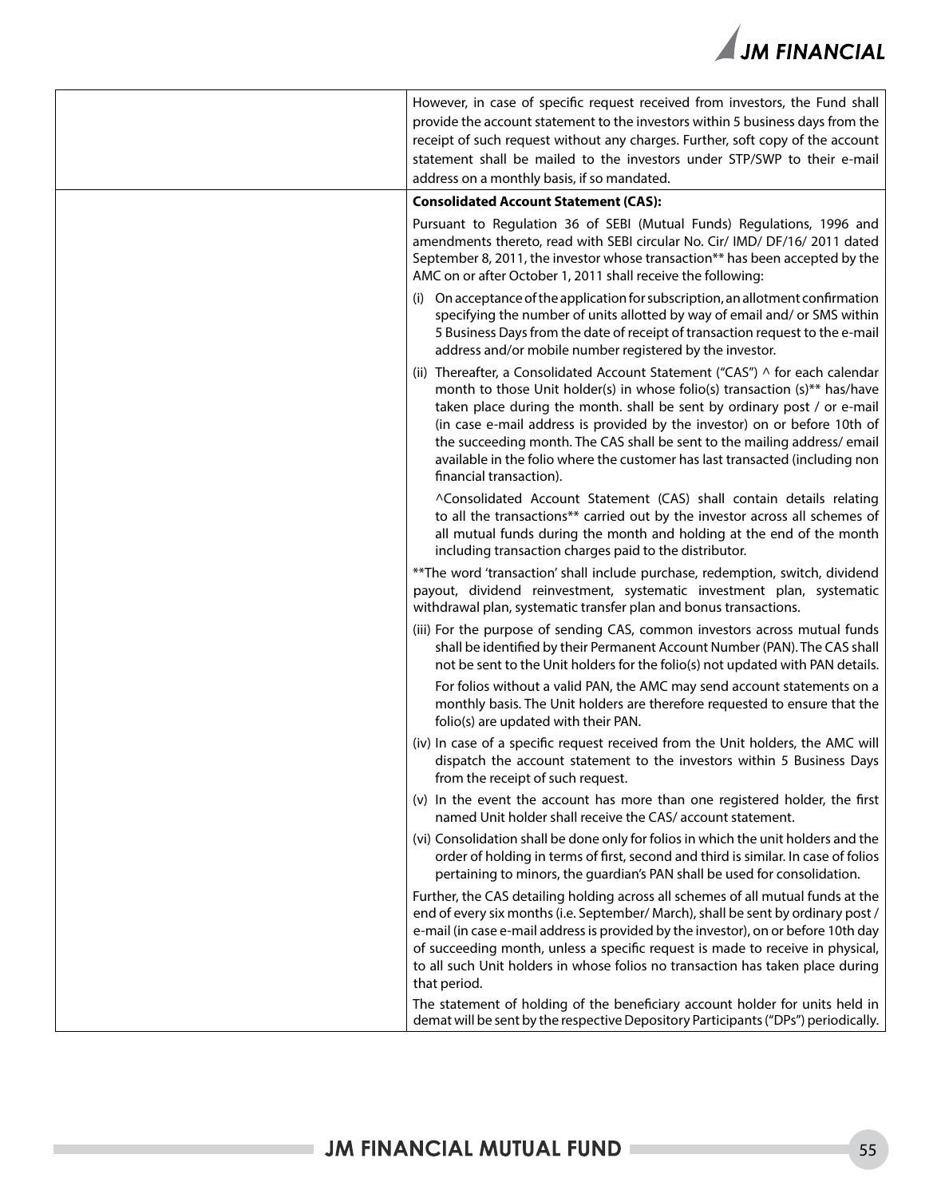

| However, in case of specific request received from investors, the Fund shall<br>provide the account statement to the investors within 5 business days from the<br>receipt of such request without any charges. Further, soft copy of the account<br>statement shall be mailed to the investors under STP/SWP to their e-mail<br>address on a monthly basis, if so mandated.                                                                                                                                       |
|-------------------------------------------------------------------------------------------------------------------------------------------------------------------------------------------------------------------------------------------------------------------------------------------------------------------------------------------------------------------------------------------------------------------------------------------------------------------------------------------------------------------|
| <b>Consolidated Account Statement (CAS):</b>                                                                                                                                                                                                                                                                                                                                                                                                                                                                      |
| Pursuant to Regulation 36 of SEBI (Mutual Funds) Regulations, 1996 and<br>amendments thereto, read with SEBI circular No. Cir/ IMD/ DF/16/ 2011 dated<br>September 8, 2011, the investor whose transaction** has been accepted by the<br>AMC on or after October 1, 2011 shall receive the following:                                                                                                                                                                                                             |
| (i) On acceptance of the application for subscription, an allotment confirmation<br>specifying the number of units allotted by way of email and/ or SMS within<br>5 Business Days from the date of receipt of transaction request to the e-mail<br>address and/or mobile number registered by the investor.                                                                                                                                                                                                       |
| (ii) Thereafter, a Consolidated Account Statement ("CAS") $\land$ for each calendar<br>month to those Unit holder(s) in whose folio(s) transaction (s)** has/have<br>taken place during the month. shall be sent by ordinary post / or e-mail<br>(in case e-mail address is provided by the investor) on or before 10th of<br>the succeeding month. The CAS shall be sent to the mailing address/email<br>available in the folio where the customer has last transacted (including non<br>financial transaction). |
| ^Consolidated Account Statement (CAS) shall contain details relating<br>to all the transactions** carried out by the investor across all schemes of<br>all mutual funds during the month and holding at the end of the month<br>including transaction charges paid to the distributor.                                                                                                                                                                                                                            |
| **The word 'transaction' shall include purchase, redemption, switch, dividend<br>payout, dividend reinvestment, systematic investment plan, systematic<br>withdrawal plan, systematic transfer plan and bonus transactions.                                                                                                                                                                                                                                                                                       |
| (iii) For the purpose of sending CAS, common investors across mutual funds<br>shall be identified by their Permanent Account Number (PAN). The CAS shall<br>not be sent to the Unit holders for the folio(s) not updated with PAN details.                                                                                                                                                                                                                                                                        |
| For folios without a valid PAN, the AMC may send account statements on a<br>monthly basis. The Unit holders are therefore requested to ensure that the<br>folio(s) are updated with their PAN.                                                                                                                                                                                                                                                                                                                    |
| (iv) In case of a specific request received from the Unit holders, the AMC will<br>dispatch the account statement to the investors within 5 Business Days<br>from the receipt of such request.                                                                                                                                                                                                                                                                                                                    |
| (v) In the event the account has more than one registered holder, the first<br>named Unit holder shall receive the CAS/ account statement.                                                                                                                                                                                                                                                                                                                                                                        |
| (vi) Consolidation shall be done only for folios in which the unit holders and the<br>order of holding in terms of first, second and third is similar. In case of folios<br>pertaining to minors, the guardian's PAN shall be used for consolidation.                                                                                                                                                                                                                                                             |
| Further, the CAS detailing holding across all schemes of all mutual funds at the<br>end of every six months (i.e. September/ March), shall be sent by ordinary post /<br>e-mail (in case e-mail address is provided by the investor), on or before 10th day<br>of succeeding month, unless a specific request is made to receive in physical,<br>to all such Unit holders in whose folios no transaction has taken place during<br>that period.                                                                   |
| The statement of holding of the beneficiary account holder for units held in<br>demat will be sent by the respective Depository Participants ("DPs") periodically.                                                                                                                                                                                                                                                                                                                                                |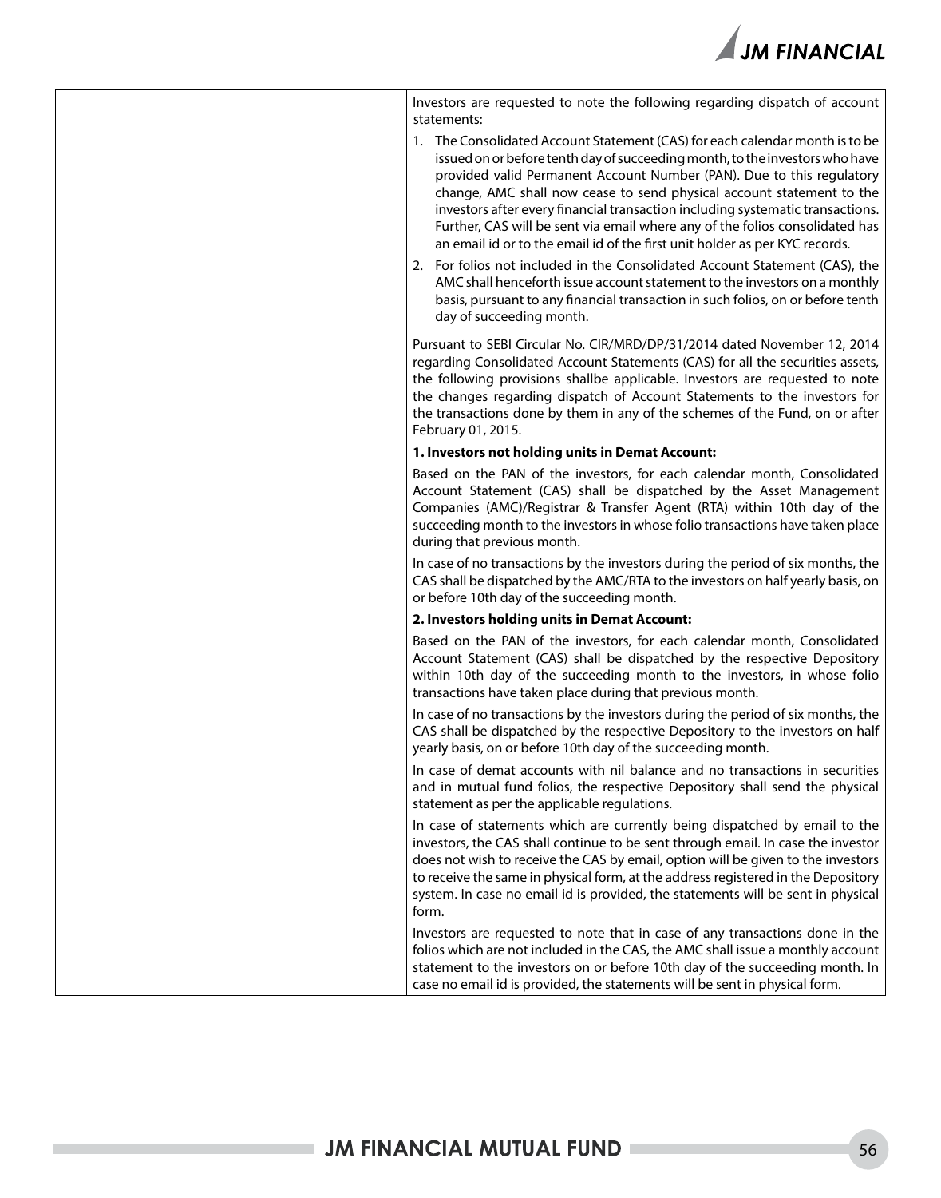

| Investors are requested to note the following regarding dispatch of account<br>statements:                                                                                                                                                                                                                                                                                                                                                                                                                                                                      |
|-----------------------------------------------------------------------------------------------------------------------------------------------------------------------------------------------------------------------------------------------------------------------------------------------------------------------------------------------------------------------------------------------------------------------------------------------------------------------------------------------------------------------------------------------------------------|
| 1. The Consolidated Account Statement (CAS) for each calendar month is to be<br>issued on or before tenth day of succeeding month, to the investors who have<br>provided valid Permanent Account Number (PAN). Due to this regulatory<br>change, AMC shall now cease to send physical account statement to the<br>investors after every financial transaction including systematic transactions.<br>Further, CAS will be sent via email where any of the folios consolidated has<br>an email id or to the email id of the first unit holder as per KYC records. |
| 2. For folios not included in the Consolidated Account Statement (CAS), the<br>AMC shall henceforth issue account statement to the investors on a monthly<br>basis, pursuant to any financial transaction in such folios, on or before tenth<br>day of succeeding month.                                                                                                                                                                                                                                                                                        |
| Pursuant to SEBI Circular No. CIR/MRD/DP/31/2014 dated November 12, 2014<br>regarding Consolidated Account Statements (CAS) for all the securities assets,<br>the following provisions shallbe applicable. Investors are requested to note<br>the changes regarding dispatch of Account Statements to the investors for<br>the transactions done by them in any of the schemes of the Fund, on or after<br>February 01, 2015.                                                                                                                                   |
| 1. Investors not holding units in Demat Account:                                                                                                                                                                                                                                                                                                                                                                                                                                                                                                                |
| Based on the PAN of the investors, for each calendar month, Consolidated<br>Account Statement (CAS) shall be dispatched by the Asset Management<br>Companies (AMC)/Registrar & Transfer Agent (RTA) within 10th day of the<br>succeeding month to the investors in whose folio transactions have taken place<br>during that previous month.                                                                                                                                                                                                                     |
| In case of no transactions by the investors during the period of six months, the<br>CAS shall be dispatched by the AMC/RTA to the investors on half yearly basis, on<br>or before 10th day of the succeeding month.                                                                                                                                                                                                                                                                                                                                             |
| 2. Investors holding units in Demat Account:                                                                                                                                                                                                                                                                                                                                                                                                                                                                                                                    |
| Based on the PAN of the investors, for each calendar month, Consolidated<br>Account Statement (CAS) shall be dispatched by the respective Depository<br>within 10th day of the succeeding month to the investors, in whose folio<br>transactions have taken place during that previous month.                                                                                                                                                                                                                                                                   |
| In case of no transactions by the investors during the period of six months, the<br>CAS shall be dispatched by the respective Depository to the investors on half<br>yearly basis, on or before 10th day of the succeeding month.                                                                                                                                                                                                                                                                                                                               |
| In case of demat accounts with nil balance and no transactions in securities<br>and in mutual fund folios, the respective Depository shall send the physical<br>statement as per the applicable regulations.                                                                                                                                                                                                                                                                                                                                                    |
| In case of statements which are currently being dispatched by email to the<br>investors, the CAS shall continue to be sent through email. In case the investor<br>does not wish to receive the CAS by email, option will be given to the investors<br>to receive the same in physical form, at the address registered in the Depository<br>system. In case no email id is provided, the statements will be sent in physical<br>form.                                                                                                                            |
| Investors are requested to note that in case of any transactions done in the<br>folios which are not included in the CAS, the AMC shall issue a monthly account<br>statement to the investors on or before 10th day of the succeeding month. In<br>case no email id is provided, the statements will be sent in physical form.                                                                                                                                                                                                                                  |

H.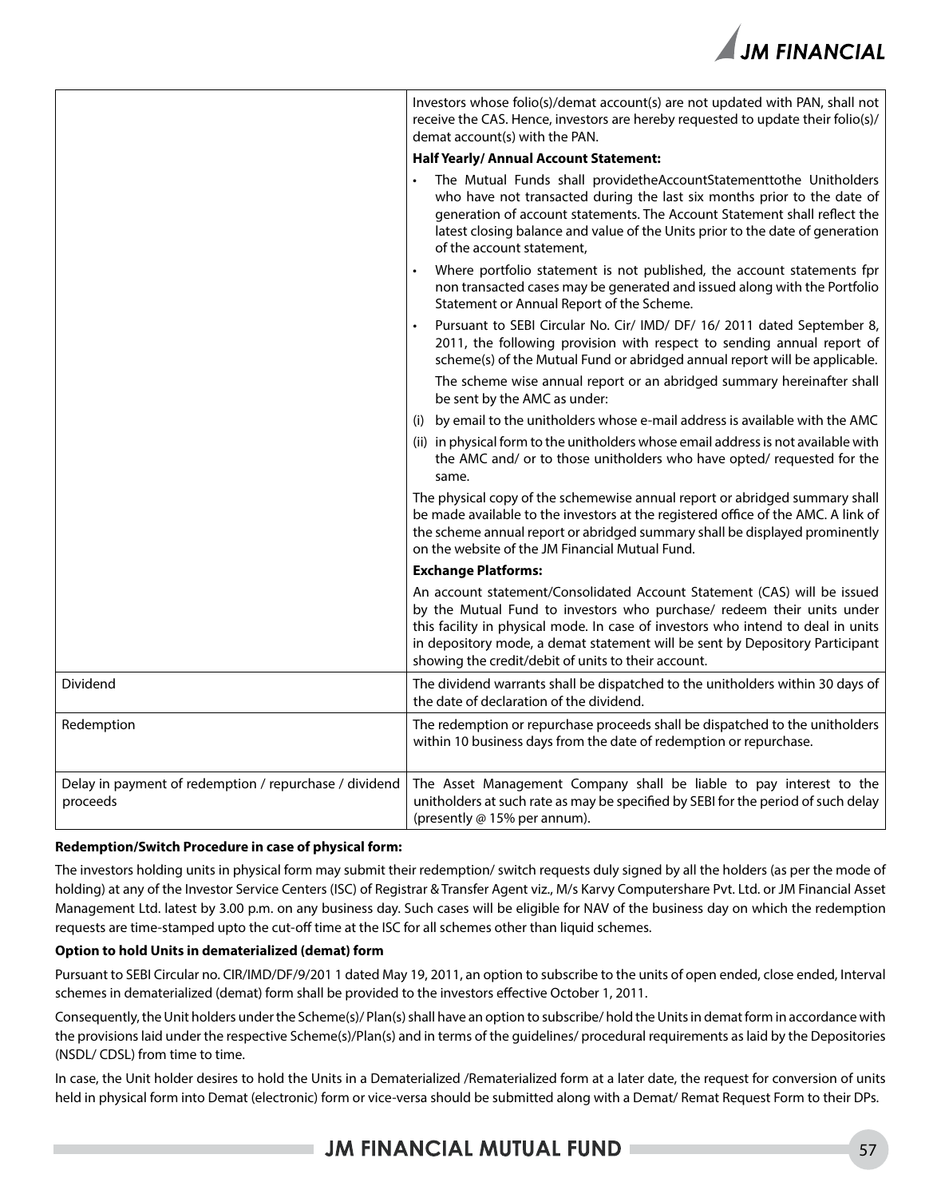

|                                                                    | Investors whose folio(s)/demat account(s) are not updated with PAN, shall not<br>receive the CAS. Hence, investors are hereby requested to update their folio(s)/<br>demat account(s) with the PAN.                                                                                                                                                                           |  |  |
|--------------------------------------------------------------------|-------------------------------------------------------------------------------------------------------------------------------------------------------------------------------------------------------------------------------------------------------------------------------------------------------------------------------------------------------------------------------|--|--|
|                                                                    | <b>Half Yearly/Annual Account Statement:</b>                                                                                                                                                                                                                                                                                                                                  |  |  |
|                                                                    | The Mutual Funds shall providetheAccountStatementtothe Unitholders<br>who have not transacted during the last six months prior to the date of<br>generation of account statements. The Account Statement shall reflect the<br>latest closing balance and value of the Units prior to the date of generation<br>of the account statement,                                      |  |  |
|                                                                    | Where portfolio statement is not published, the account statements fpr<br>non transacted cases may be generated and issued along with the Portfolio<br>Statement or Annual Report of the Scheme.                                                                                                                                                                              |  |  |
|                                                                    | Pursuant to SEBI Circular No. Cir/ IMD/ DF/ 16/ 2011 dated September 8,<br>2011, the following provision with respect to sending annual report of<br>scheme(s) of the Mutual Fund or abridged annual report will be applicable.                                                                                                                                               |  |  |
|                                                                    | The scheme wise annual report or an abridged summary hereinafter shall<br>be sent by the AMC as under:                                                                                                                                                                                                                                                                        |  |  |
|                                                                    | by email to the unitholders whose e-mail address is available with the AMC<br>(i)                                                                                                                                                                                                                                                                                             |  |  |
|                                                                    | (ii) in physical form to the unitholders whose email address is not available with<br>the AMC and/ or to those unitholders who have opted/ requested for the<br>same.                                                                                                                                                                                                         |  |  |
|                                                                    | The physical copy of the schemewise annual report or abridged summary shall<br>be made available to the investors at the registered office of the AMC. A link of<br>the scheme annual report or abridged summary shall be displayed prominently<br>on the website of the JM Financial Mutual Fund.                                                                            |  |  |
|                                                                    | <b>Exchange Platforms:</b>                                                                                                                                                                                                                                                                                                                                                    |  |  |
|                                                                    | An account statement/Consolidated Account Statement (CAS) will be issued<br>by the Mutual Fund to investors who purchase/ redeem their units under<br>this facility in physical mode. In case of investors who intend to deal in units<br>in depository mode, a demat statement will be sent by Depository Participant<br>showing the credit/debit of units to their account. |  |  |
| Dividend                                                           | The dividend warrants shall be dispatched to the unitholders within 30 days of<br>the date of declaration of the dividend.                                                                                                                                                                                                                                                    |  |  |
| Redemption                                                         | The redemption or repurchase proceeds shall be dispatched to the unitholders<br>within 10 business days from the date of redemption or repurchase.                                                                                                                                                                                                                            |  |  |
| Delay in payment of redemption / repurchase / dividend<br>proceeds | The Asset Management Company shall be liable to pay interest to the<br>unitholders at such rate as may be specified by SEBI for the period of such delay<br>(presently @ 15% per annum).                                                                                                                                                                                      |  |  |

#### **Redemption/Switch Procedure in case of physical form:**

The investors holding units in physical form may submit their redemption/ switch requests duly signed by all the holders (as per the mode of holding) at any of the Investor Service Centers (ISC) of Registrar & Transfer Agent viz., M/s Karvy Computershare Pvt. Ltd. or JM Financial Asset Management Ltd. latest by 3.00 p.m. on any business day. Such cases will be eligible for NAV of the business day on which the redemption requests are time-stamped upto the cut-off time at the ISC for all schemes other than liquid schemes.

#### **Option to hold Units in dematerialized (demat) form**

Pursuant to SEBI Circular no. CIR/IMD/DF/9/201 1 dated May 19, 2011, an option to subscribe to the units of open ended, close ended, Interval schemes in dematerialized (demat) form shall be provided to the investors effective October 1, 2011.

Consequently, the Unit holders under the Scheme(s)/ Plan(s) shall have an option to subscribe/ hold the Units in demat form in accordance with the provisions laid under the respective Scheme(s)/Plan(s) and in terms of the guidelines/ procedural requirements as laid by the Depositories (NSDL/ CDSL) from time to time.

In case, the Unit holder desires to hold the Units in a Dematerialized /Rematerialized form at a later date, the request for conversion of units held in physical form into Demat (electronic) form or vice-versa should be submitted along with a Demat/ Remat Request Form to their DPs.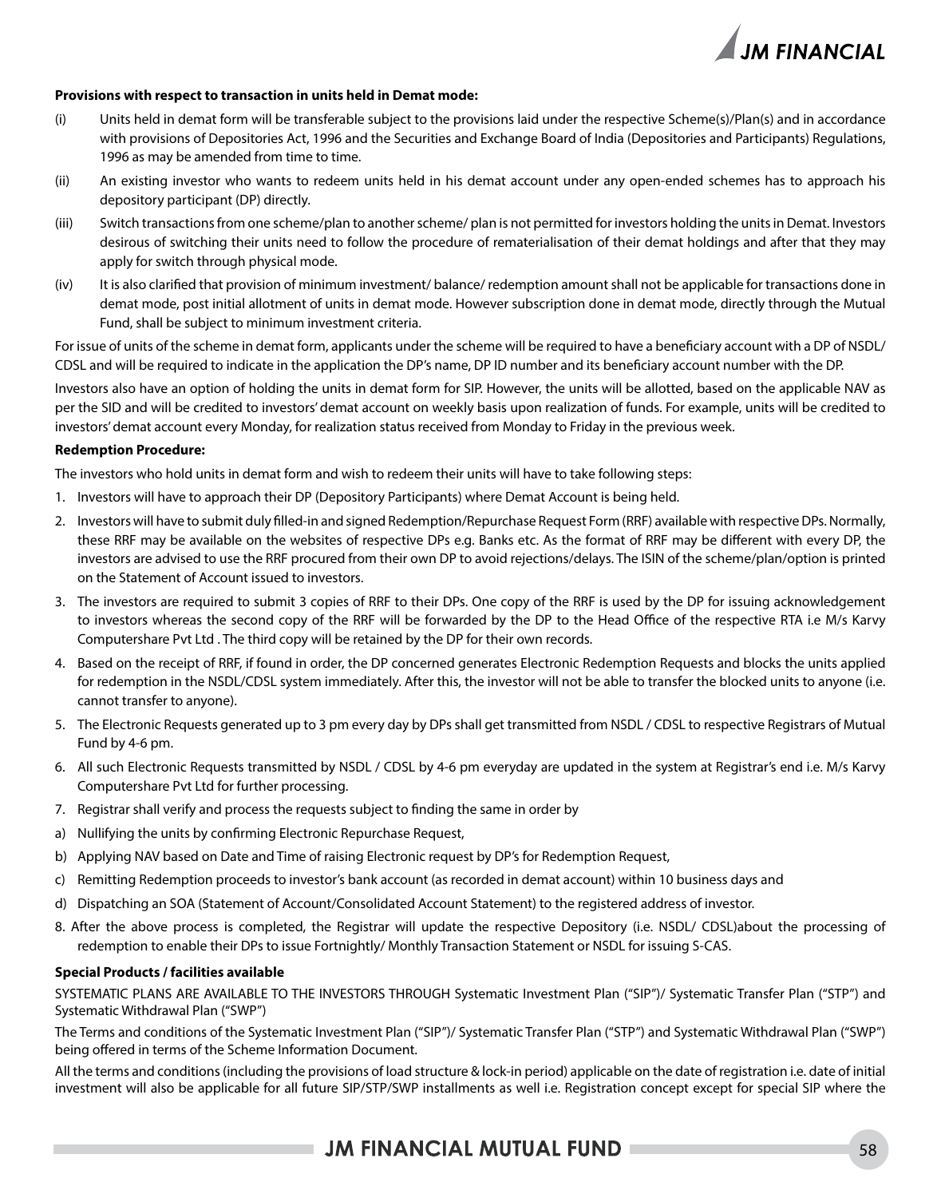

#### **Provisions with respect to transaction in units held in Demat mode:**

- (i) Units held in demat form will be transferable subject to the provisions laid under the respective Scheme(s)/Plan(s) and in accordance with provisions of Depositories Act, 1996 and the Securities and Exchange Board of India (Depositories and Participants) Regulations, 1996 as may be amended from time to time.
- (ii) An existing investor who wants to redeem units held in his demat account under any open-ended schemes has to approach his depository participant (DP) directly.
- (iii) Switch transactions from one scheme/plan to another scheme/ plan is not permitted for investors holding the units in Demat. Investors desirous of switching their units need to follow the procedure of rematerialisation of their demat holdings and after that they may apply for switch through physical mode.
- (iv) It is also clarified that provision of minimum investment/ balance/ redemption amount shall not be applicable for transactions done in demat mode, post initial allotment of units in demat mode. However subscription done in demat mode, directly through the Mutual Fund, shall be subject to minimum investment criteria.

For issue of units of the scheme in demat form, applicants under the scheme will be required to have a beneficiary account with a DP of NSDL/ CDSL and will be required to indicate in the application the DP's name, DP ID number and its beneficiary account number with the DP.

Investors also have an option of holding the units in demat form for SIP. However, the units will be allotted, based on the applicable NAV as per the SID and will be credited to investors' demat account on weekly basis upon realization of funds. For example, units will be credited to investors' demat account every Monday, for realization status received from Monday to Friday in the previous week.

#### **Redemption Procedure:**

The investors who hold units in demat form and wish to redeem their units will have to take following steps:

- 1. Investors will have to approach their DP (Depository Participants) where Demat Account is being held.
- 2. Investors will have to submit duly filled-in and signed Redemption/Repurchase Request Form (RRF) available with respective DPs. Normally, these RRF may be available on the websites of respective DPs e.g. Banks etc. As the format of RRF may be different with every DP, the investors are advised to use the RRF procured from their own DP to avoid rejections/delays. The ISIN of the scheme/plan/option is printed on the Statement of Account issued to investors.
- 3. The investors are required to submit 3 copies of RRF to their DPs. One copy of the RRF is used by the DP for issuing acknowledgement to investors whereas the second copy of the RRF will be forwarded by the DP to the Head Office of the respective RTA i.e M/s Karvy Computershare Pvt Ltd . The third copy will be retained by the DP for their own records.
- 4. Based on the receipt of RRF, if found in order, the DP concerned generates Electronic Redemption Requests and blocks the units applied for redemption in the NSDL/CDSL system immediately. After this, the investor will not be able to transfer the blocked units to anyone (i.e. cannot transfer to anyone).
- 5. The Electronic Requests generated up to 3 pm every day by DPs shall get transmitted from NSDL / CDSL to respective Registrars of Mutual Fund by 4-6 pm.
- 6. All such Electronic Requests transmitted by NSDL / CDSL by 4-6 pm everyday are updated in the system at Registrar's end i.e. M/s Karvy Computershare Pvt Ltd for further processing.
- 7. Registrar shall verify and process the requests subject to finding the same in order by
- a) Nullifying the units by confirming Electronic Repurchase Request,
- b) Applying NAV based on Date and Time of raising Electronic request by DP's for Redemption Request,
- c) Remitting Redemption proceeds to investor's bank account (as recorded in demat account) within 10 business days and
- d) Dispatching an SOA (Statement of Account/Consolidated Account Statement) to the registered address of investor.
- 8. After the above process is completed, the Registrar will update the respective Depository (i.e. NSDL/ CDSL)about the processing of redemption to enable their DPs to issue Fortnightly/ Monthly Transaction Statement or NSDL for issuing S-CAS.

#### **Special Products / facilities available**

SYSTEMATIC PLANS ARE AVAILABLE TO THE INVESTORS THROUGH Systematic Investment Plan ("SIP")/ Systematic Transfer Plan ("STP") and Systematic Withdrawal Plan ("SWP")

The Terms and conditions of the Systematic Investment Plan ("SIP")/ Systematic Transfer Plan ("STP") and Systematic Withdrawal Plan ("SWP") being offered in terms of the Scheme Information Document.

All the terms and conditions (including the provisions of load structure & lock-in period) applicable on the date of registration i.e. date of initial investment will also be applicable for all future SIP/STP/SWP installments as well i.e. Registration concept except for special SIP where the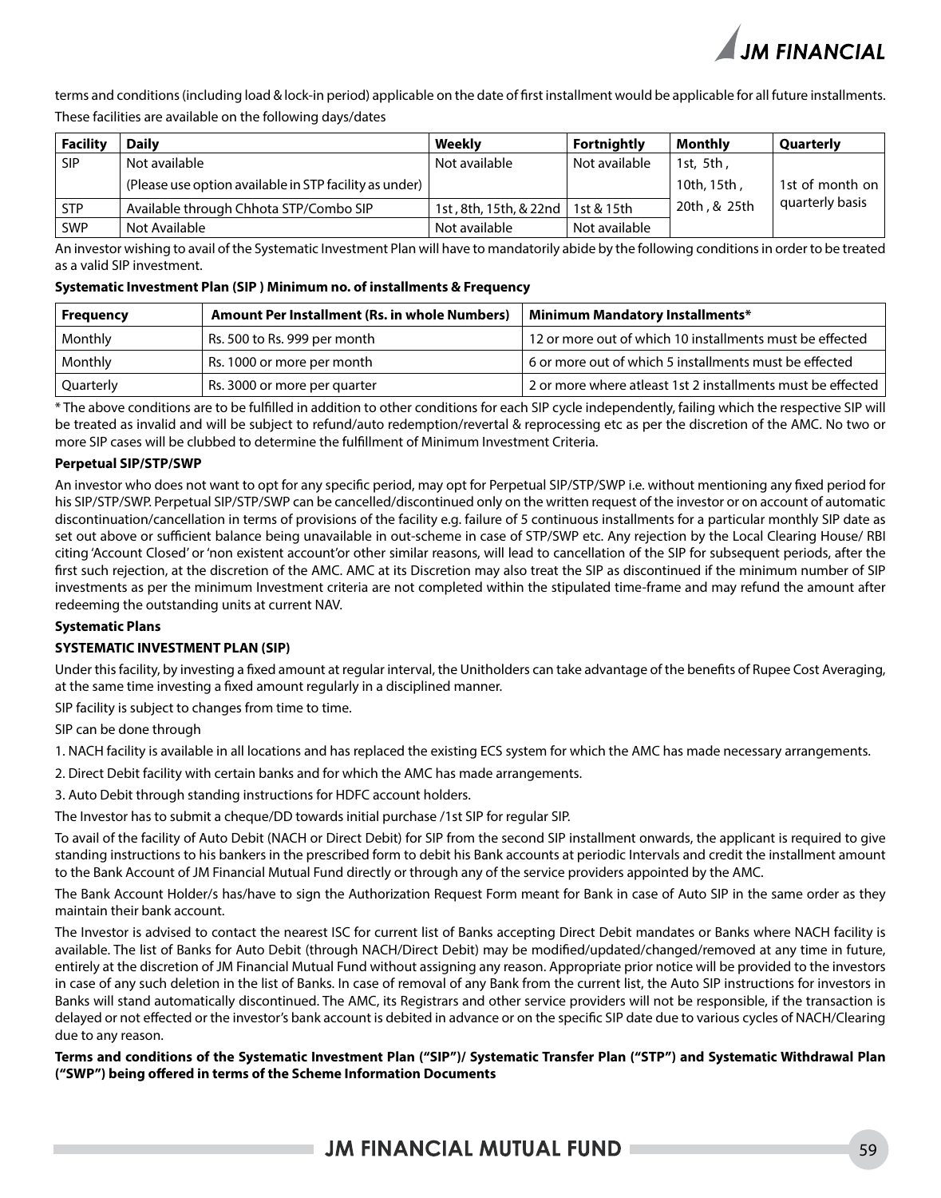

terms and conditions (including load & lock-in period) applicable on the date of first installment would be applicable for all future installments. These facilities are available on the following days/dates

| <b>Facility</b> | <b>Daily</b>                                           | Weekly                 | <b>Fortnightly</b> | Monthly      | Quarterly         |
|-----------------|--------------------------------------------------------|------------------------|--------------------|--------------|-------------------|
| <b>SIP</b>      | Not available                                          | Not available          | Not available      | 1st, 5th ,   |                   |
|                 | (Please use option available in STP facility as under) |                        |                    | . 10th, 15th | 1st of month on I |
| <b>STP</b>      | Available through Chhota STP/Combo SIP                 | 1st, 8th, 15th, & 22nd | 1st & 15th         | 20th, & 25th | quarterly basis   |
| <b>SWP</b>      | Not Available                                          | Not available          | Not available      |              |                   |

An investor wishing to avail of the Systematic Investment Plan will have to mandatorily abide by the following conditions in order to be treated as a valid SIP investment.

#### **Systematic Investment Plan (SIP ) Minimum no. of installments & Frequency**

| <b>Frequency</b> | <b>Amount Per Installment (Rs. in whole Numbers)</b> | <b>Minimum Mandatory Installments*</b>                      |
|------------------|------------------------------------------------------|-------------------------------------------------------------|
| Monthly          | Rs. 500 to Rs. 999 per month                         | 12 or more out of which 10 installments must be effected    |
| Monthly          | Rs. 1000 or more per month                           | 6 or more out of which 5 installments must be effected      |
| Quarterly        | Rs. 3000 or more per quarter                         | 2 or more where atleast 1st 2 installments must be effected |

\* The above conditions are to be fulfilled in addition to other conditions for each SIP cycle independently, failing which the respective SIP will be treated as invalid and will be subject to refund/auto redemption/revertal & reprocessing etc as per the discretion of the AMC. No two or more SIP cases will be clubbed to determine the fulfillment of Minimum Investment Criteria.

#### **Perpetual SIP/STP/SWP**

An investor who does not want to opt for any specific period, may opt for Perpetual SIP/STP/SWP i.e. without mentioning any fixed period for his SIP/STP/SWP. Perpetual SIP/STP/SWP can be cancelled/discontinued only on the written request of the investor or on account of automatic discontinuation/cancellation in terms of provisions of the facility e.g. failure of 5 continuous installments for a particular monthly SIP date as set out above or sufficient balance being unavailable in out-scheme in case of STP/SWP etc. Any rejection by the Local Clearing House/ RBI citing 'Account Closed' or 'non existent account'or other similar reasons, will lead to cancellation of the SIP for subsequent periods, after the first such rejection, at the discretion of the AMC. AMC at its Discretion may also treat the SIP as discontinued if the minimum number of SIP investments as per the minimum Investment criteria are not completed within the stipulated time-frame and may refund the amount after redeeming the outstanding units at current NAV.

#### **Systematic Plans**

#### **SYSTEMATIC INVESTMENT PLAN (SIP)**

Under this facility, by investing a fixed amount at regular interval, the Unitholders can take advantage of the benefits of Rupee Cost Averaging, at the same time investing a fixed amount regularly in a disciplined manner.

SIP facility is subject to changes from time to time.

SIP can be done through

1. NACH facility is available in all locations and has replaced the existing ECS system for which the AMC has made necessary arrangements.

2. Direct Debit facility with certain banks and for which the AMC has made arrangements.

3. Auto Debit through standing instructions for HDFC account holders.

The Investor has to submit a cheque/DD towards initial purchase /1st SIP for regular SIP.

To avail of the facility of Auto Debit (NACH or Direct Debit) for SIP from the second SIP installment onwards, the applicant is required to give standing instructions to his bankers in the prescribed form to debit his Bank accounts at periodic Intervals and credit the installment amount to the Bank Account of JM Financial Mutual Fund directly or through any of the service providers appointed by the AMC.

The Bank Account Holder/s has/have to sign the Authorization Request Form meant for Bank in case of Auto SIP in the same order as they maintain their bank account.

The Investor is advised to contact the nearest ISC for current list of Banks accepting Direct Debit mandates or Banks where NACH facility is available. The list of Banks for Auto Debit (through NACH/Direct Debit) may be modified/updated/changed/removed at any time in future, entirely at the discretion of JM Financial Mutual Fund without assigning any reason. Appropriate prior notice will be provided to the investors in case of any such deletion in the list of Banks. In case of removal of any Bank from the current list, the Auto SIP instructions for investors in Banks will stand automatically discontinued. The AMC, its Registrars and other service providers will not be responsible, if the transaction is delayed or not effected or the investor's bank account is debited in advance or on the specific SIP date due to various cycles of NACH/Clearing due to any reason.

**Terms and conditions of the Systematic Investment Plan ("SIP")/ Systematic Transfer Plan ("STP") and Systematic Withdrawal Plan ("SWP") being offered in terms of the Scheme Information Documents**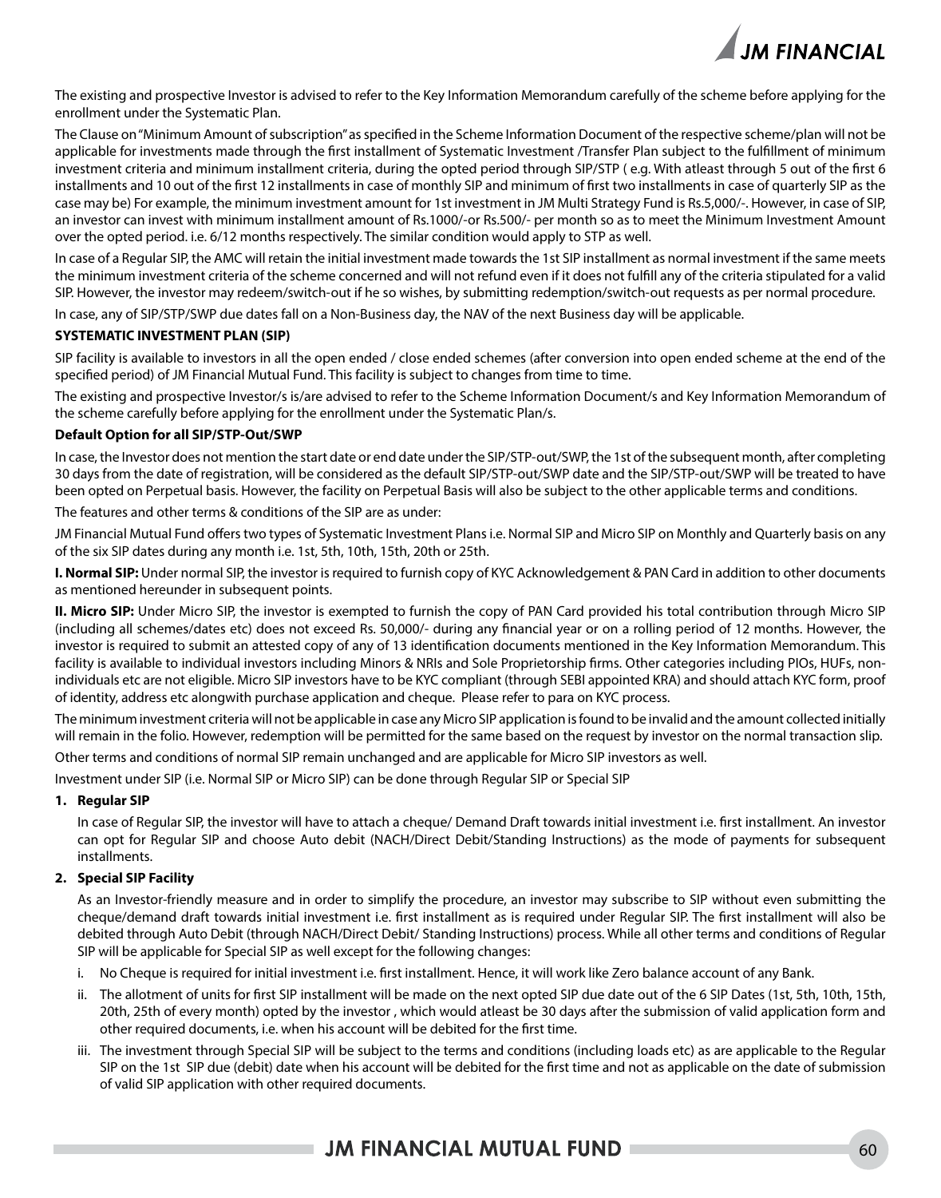

The existing and prospective Investor is advised to refer to the Key Information Memorandum carefully of the scheme before applying for the enrollment under the Systematic Plan.

The Clause on "Minimum Amount of subscription" as specified in the Scheme Information Document of the respective scheme/plan will not be applicable for investments made through the first installment of Systematic Investment /Transfer Plan subject to the fulfillment of minimum investment criteria and minimum installment criteria, during the opted period through SIP/STP ( e.g. With atleast through 5 out of the first 6 installments and 10 out of the first 12 installments in case of monthly SIP and minimum of first two installments in case of quarterly SIP as the case may be) For example, the minimum investment amount for 1st investment in JM Multi Strategy Fund is Rs.5,000/-. However, in case of SIP, an investor can invest with minimum installment amount of Rs.1000/-or Rs.500/- per month so as to meet the Minimum Investment Amount over the opted period. i.e. 6/12 months respectively. The similar condition would apply to STP as well.

In case of a Regular SIP, the AMC will retain the initial investment made towards the 1st SIP installment as normal investment if the same meets the minimum investment criteria of the scheme concerned and will not refund even if it does not fulfill any of the criteria stipulated for a valid SIP. However, the investor may redeem/switch-out if he so wishes, by submitting redemption/switch-out requests as per normal procedure.

In case, any of SIP/STP/SWP due dates fall on a Non-Business day, the NAV of the next Business day will be applicable.

#### **SYSTEMATIC INVESTMENT PLAN (SIP)**

SIP facility is available to investors in all the open ended / close ended schemes (after conversion into open ended scheme at the end of the specified period) of JM Financial Mutual Fund. This facility is subject to changes from time to time.

The existing and prospective Investor/s is/are advised to refer to the Scheme Information Document/s and Key Information Memorandum of the scheme carefully before applying for the enrollment under the Systematic Plan/s.

#### **Default Option for all SIP/STP-Out/SWP**

In case, the Investor does not mention the start date or end date under the SIP/STP-out/SWP, the 1st of the subsequent month, after completing 30 days from the date of registration, will be considered as the default SIP/STP-out/SWP date and the SIP/STP-out/SWP will be treated to have been opted on Perpetual basis. However, the facility on Perpetual Basis will also be subject to the other applicable terms and conditions.

The features and other terms & conditions of the SIP are as under:

JM Financial Mutual Fund offers two types of Systematic Investment Plans i.e. Normal SIP and Micro SIP on Monthly and Quarterly basis on any of the six SIP dates during any month i.e. 1st, 5th, 10th, 15th, 20th or 25th.

**I. Normal SIP:** Under normal SIP, the investor is required to furnish copy of KYC Acknowledgement & PAN Card in addition to other documents as mentioned hereunder in subsequent points.

**II. Micro SIP:** Under Micro SIP, the investor is exempted to furnish the copy of PAN Card provided his total contribution through Micro SIP (including all schemes/dates etc) does not exceed Rs. 50,000/- during any financial year or on a rolling period of 12 months. However, the investor is required to submit an attested copy of any of 13 identification documents mentioned in the Key Information Memorandum. This facility is available to individual investors including Minors & NRIs and Sole Proprietorship firms. Other categories including PIOs, HUFs, nonindividuals etc are not eligible. Micro SIP investors have to be KYC compliant (through SEBI appointed KRA) and should attach KYC form, proof of identity, address etc alongwith purchase application and cheque. Please refer to para on KYC process.

The minimum investment criteria will not be applicable in case any Micro SIP application is found to be invalid and the amount collected initially will remain in the folio. However, redemption will be permitted for the same based on the request by investor on the normal transaction slip.

Other terms and conditions of normal SIP remain unchanged and are applicable for Micro SIP investors as well.

Investment under SIP (i.e. Normal SIP or Micro SIP) can be done through Regular SIP or Special SIP

#### **1. Regular SIP**

In case of Regular SIP, the investor will have to attach a cheque/ Demand Draft towards initial investment i.e. first installment. An investor can opt for Regular SIP and choose Auto debit (NACH/Direct Debit/Standing Instructions) as the mode of payments for subsequent installments.

#### **2. Special SIP Facility**

As an Investor-friendly measure and in order to simplify the procedure, an investor may subscribe to SIP without even submitting the cheque/demand draft towards initial investment i.e. first installment as is required under Regular SIP. The first installment will also be debited through Auto Debit (through NACH/Direct Debit/ Standing Instructions) process. While all other terms and conditions of Regular SIP will be applicable for Special SIP as well except for the following changes:

- i. No Cheque is required for initial investment i.e. first installment. Hence, it will work like Zero balance account of any Bank.
- ii. The allotment of units for first SIP installment will be made on the next opted SIP due date out of the 6 SIP Dates (1st, 5th, 10th, 15th, 20th, 25th of every month) opted by the investor , which would atleast be 30 days after the submission of valid application form and other required documents, i.e. when his account will be debited for the first time.
- iii. The investment through Special SIP will be subject to the terms and conditions (including loads etc) as are applicable to the Regular SIP on the 1st SIP due (debit) date when his account will be debited for the first time and not as applicable on the date of submission of valid SIP application with other required documents.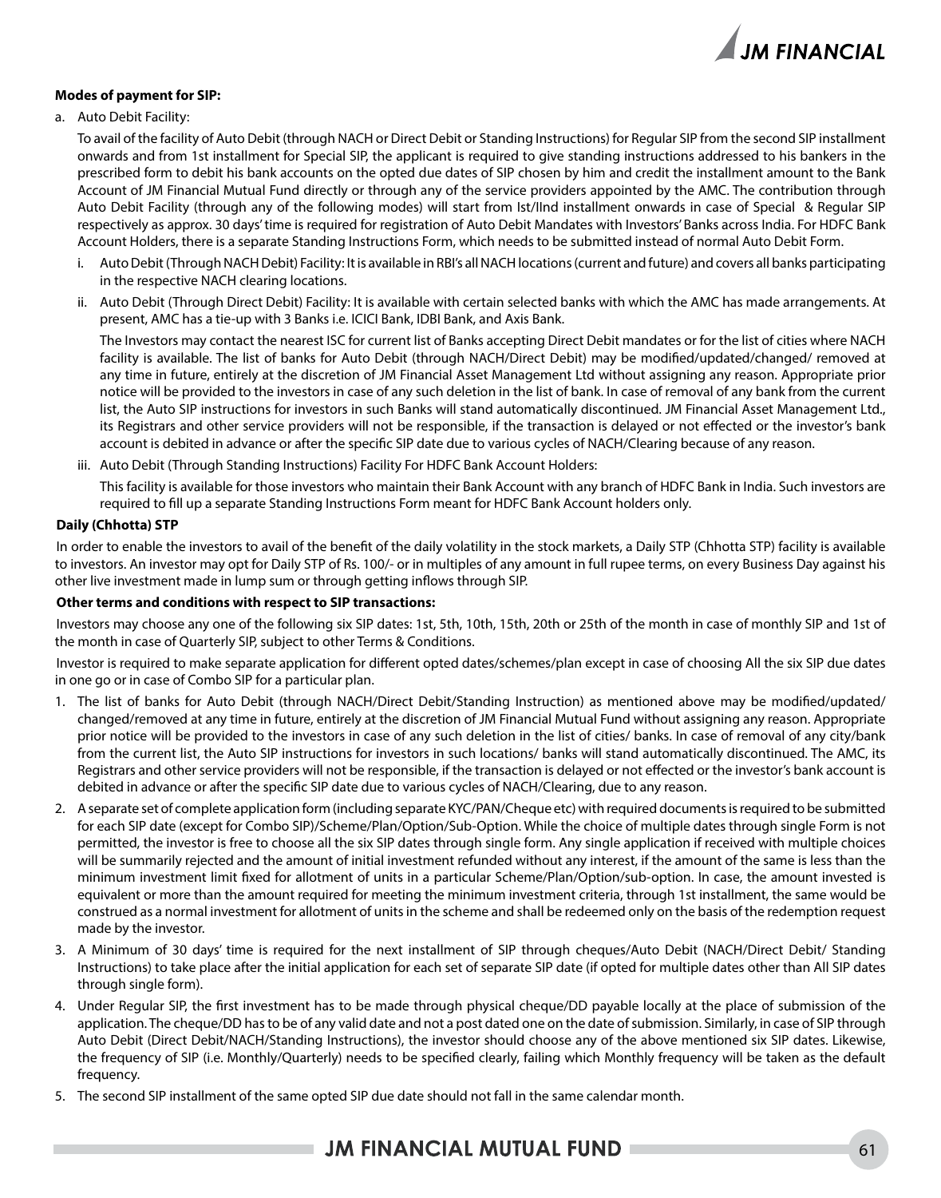

#### **Modes of payment for SIP:**

a. Auto Debit Facility:

To avail of the facility of Auto Debit (through NACH or Direct Debit or Standing Instructions) for Regular SIP from the second SIP installment onwards and from 1st installment for Special SIP, the applicant is required to give standing instructions addressed to his bankers in the prescribed form to debit his bank accounts on the opted due dates of SIP chosen by him and credit the installment amount to the Bank Account of JM Financial Mutual Fund directly or through any of the service providers appointed by the AMC. The contribution through Auto Debit Facility (through any of the following modes) will start from Ist/IInd installment onwards in case of Special & Regular SIP respectively as approx. 30 days' time is required for registration of Auto Debit Mandates with Investors' Banks across India. For HDFC Bank Account Holders, there is a separate Standing Instructions Form, which needs to be submitted instead of normal Auto Debit Form.

- i. Auto Debit (Through NACH Debit) Facility: It is available in RBI's all NACH locations (current and future) and covers all banks participating in the respective NACH clearing locations.
- ii. Auto Debit (Through Direct Debit) Facility: It is available with certain selected banks with which the AMC has made arrangements. At present, AMC has a tie-up with 3 Banks i.e. ICICI Bank, IDBI Bank, and Axis Bank.

 The Investors may contact the nearest ISC for current list of Banks accepting Direct Debit mandates or for the list of cities where NACH facility is available. The list of banks for Auto Debit (through NACH/Direct Debit) may be modified/updated/changed/ removed at any time in future, entirely at the discretion of JM Financial Asset Management Ltd without assigning any reason. Appropriate prior notice will be provided to the investors in case of any such deletion in the list of bank. In case of removal of any bank from the current list, the Auto SIP instructions for investors in such Banks will stand automatically discontinued. JM Financial Asset Management Ltd., its Registrars and other service providers will not be responsible, if the transaction is delayed or not effected or the investor's bank account is debited in advance or after the specific SIP date due to various cycles of NACH/Clearing because of any reason.

iii. Auto Debit (Through Standing Instructions) Facility For HDFC Bank Account Holders:

 This facility is available for those investors who maintain their Bank Account with any branch of HDFC Bank in India. Such investors are required to fill up a separate Standing Instructions Form meant for HDFC Bank Account holders only.

#### **Daily (Chhotta) STP**

In order to enable the investors to avail of the benefit of the daily volatility in the stock markets, a Daily STP (Chhotta STP) facility is available to investors. An investor may opt for Daily STP of Rs. 100/- or in multiples of any amount in full rupee terms, on every Business Day against his other live investment made in lump sum or through getting inflows through SIP.

#### **Other terms and conditions with respect to SIP transactions:**

Investors may choose any one of the following six SIP dates: 1st, 5th, 10th, 15th, 20th or 25th of the month in case of monthly SIP and 1st of the month in case of Quarterly SIP, subject to other Terms & Conditions.

Investor is required to make separate application for different opted dates/schemes/plan except in case of choosing All the six SIP due dates in one go or in case of Combo SIP for a particular plan.

- 1. The list of banks for Auto Debit (through NACH/Direct Debit/Standing Instruction) as mentioned above may be modified/updated/ changed/removed at any time in future, entirely at the discretion of JM Financial Mutual Fund without assigning any reason. Appropriate prior notice will be provided to the investors in case of any such deletion in the list of cities/ banks. In case of removal of any city/bank from the current list, the Auto SIP instructions for investors in such locations/ banks will stand automatically discontinued. The AMC, its Registrars and other service providers will not be responsible, if the transaction is delayed or not effected or the investor's bank account is debited in advance or after the specific SIP date due to various cycles of NACH/Clearing, due to any reason.
- 2. A separate set of complete application form (including separate KYC/PAN/Cheque etc) with required documents is required to be submitted for each SIP date (except for Combo SIP)/Scheme/Plan/Option/Sub-Option. While the choice of multiple dates through single Form is not permitted, the investor is free to choose all the six SIP dates through single form. Any single application if received with multiple choices will be summarily rejected and the amount of initial investment refunded without any interest, if the amount of the same is less than the minimum investment limit fixed for allotment of units in a particular Scheme/Plan/Option/sub-option. In case, the amount invested is equivalent or more than the amount required for meeting the minimum investment criteria, through 1st installment, the same would be construed as a normal investment for allotment of units in the scheme and shall be redeemed only on the basis of the redemption request made by the investor.
- 3. A Minimum of 30 days' time is required for the next installment of SIP through cheques/Auto Debit (NACH/Direct Debit/ Standing Instructions) to take place after the initial application for each set of separate SIP date (if opted for multiple dates other than All SIP dates through single form).
- 4. Under Regular SIP, the first investment has to be made through physical cheque/DD payable locally at the place of submission of the application. The cheque/DD has to be of any valid date and not a post dated one on the date of submission. Similarly, in case of SIP through Auto Debit (Direct Debit/NACH/Standing Instructions), the investor should choose any of the above mentioned six SIP dates. Likewise, the frequency of SIP (i.e. Monthly/Quarterly) needs to be specified clearly, failing which Monthly frequency will be taken as the default frequency.
- 5. The second SIP installment of the same opted SIP due date should not fall in the same calendar month.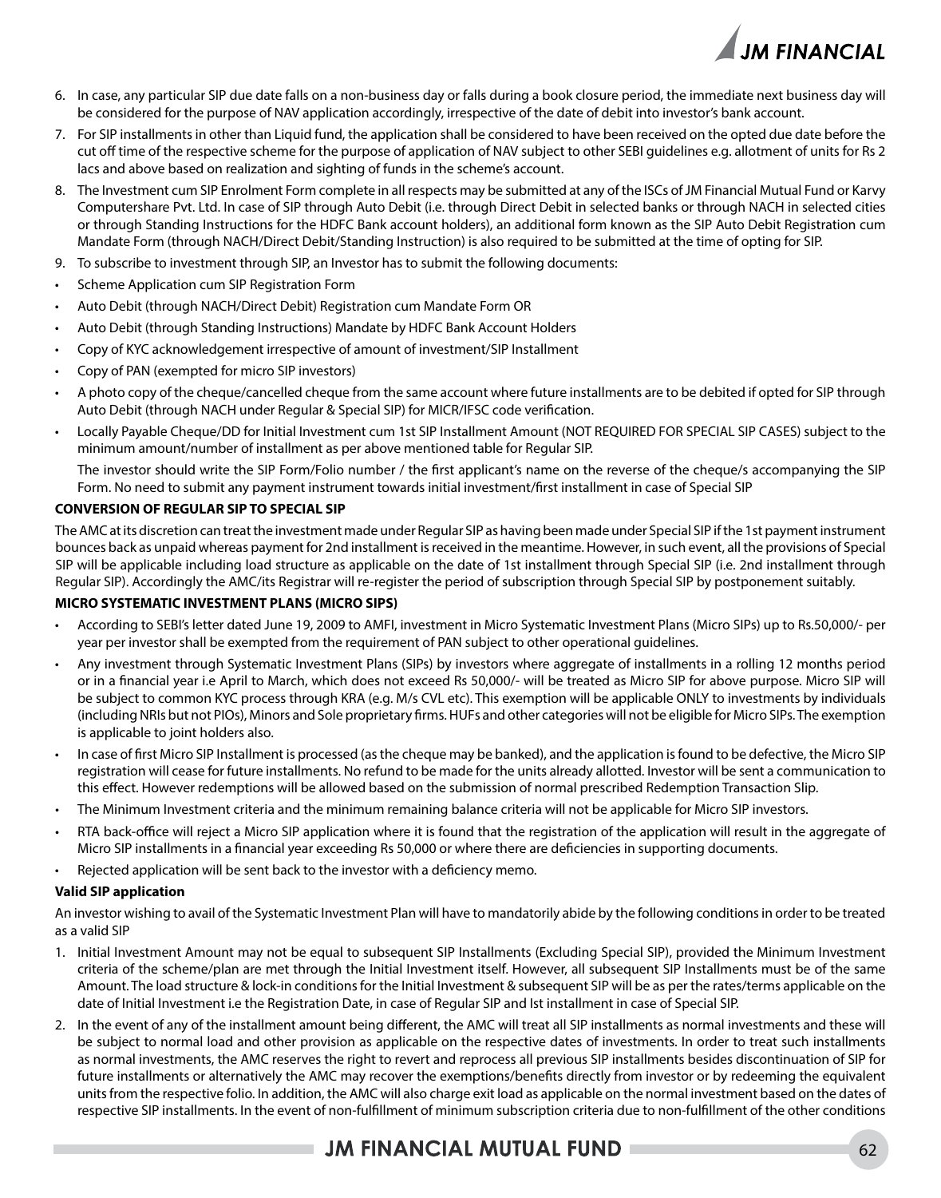

- 6. In case, any particular SIP due date falls on a non-business day or falls during a book closure period, the immediate next business day will be considered for the purpose of NAV application accordingly, irrespective of the date of debit into investor's bank account.
- 7. For SIP installments in other than Liquid fund, the application shall be considered to have been received on the opted due date before the cut off time of the respective scheme for the purpose of application of NAV subject to other SEBI guidelines e.g. allotment of units for Rs 2 lacs and above based on realization and sighting of funds in the scheme's account.
- 8. The Investment cum SIP Enrolment Form complete in all respects may be submitted at any of the ISCs of JM Financial Mutual Fund or Karvy Computershare Pvt. Ltd. In case of SIP through Auto Debit (i.e. through Direct Debit in selected banks or through NACH in selected cities or through Standing Instructions for the HDFC Bank account holders), an additional form known as the SIP Auto Debit Registration cum Mandate Form (through NACH/Direct Debit/Standing Instruction) is also required to be submitted at the time of opting for SIP.
- 9. To subscribe to investment through SIP, an Investor has to submit the following documents:
- Scheme Application cum SIP Registration Form
- Auto Debit (through NACH/Direct Debit) Registration cum Mandate Form OR
- Auto Debit (through Standing Instructions) Mandate by HDFC Bank Account Holders
- Copy of KYC acknowledgement irrespective of amount of investment/SIP Installment
- Copy of PAN (exempted for micro SIP investors)
- A photo copy of the cheque/cancelled cheque from the same account where future installments are to be debited if opted for SIP through Auto Debit (through NACH under Regular & Special SIP) for MICR/IFSC code verification.
- Locally Payable Cheque/DD for Initial Investment cum 1st SIP Installment Amount (NOT REQUIRED FOR SPECIAL SIP CASES) subject to the minimum amount/number of installment as per above mentioned table for Regular SIP.

The investor should write the SIP Form/Folio number / the first applicant's name on the reverse of the cheque/s accompanying the SIP Form. No need to submit any payment instrument towards initial investment/first installment in case of Special SIP

#### **CONVERSION OF REGULAR SIP TO SPECIAL SIP**

The AMC at its discretion can treat the investment made under Regular SIP as having been made under Special SIP if the 1st payment instrument bounces back as unpaid whereas payment for 2nd installment is received in the meantime. However, in such event, all the provisions of Special SIP will be applicable including load structure as applicable on the date of 1st installment through Special SIP (i.e. 2nd installment through Regular SIP). Accordingly the AMC/its Registrar will re-register the period of subscription through Special SIP by postponement suitably.

#### **MICRO SYSTEMATIC INVESTMENT PLANS (MICRO SIPS)**

- According to SEBI's letter dated June 19, 2009 to AMFI, investment in Micro Systematic Investment Plans (Micro SIPs) up to Rs.50,000/- per year per investor shall be exempted from the requirement of PAN subject to other operational guidelines.
- Any investment through Systematic Investment Plans (SIPs) by investors where aggregate of installments in a rolling 12 months period or in a financial year i.e April to March, which does not exceed Rs 50,000/- will be treated as Micro SIP for above purpose. Micro SIP will be subject to common KYC process through KRA (e.g. M/s CVL etc). This exemption will be applicable ONLY to investments by individuals (including NRIs but not PIOs), Minors and Sole proprietary firms. HUFs and other categories will not be eligible for Micro SIPs. The exemption is applicable to joint holders also.
- In case of first Micro SIP Installment is processed (as the cheque may be banked), and the application is found to be defective, the Micro SIP registration will cease for future installments. No refund to be made for the units already allotted. Investor will be sent a communication to this effect. However redemptions will be allowed based on the submission of normal prescribed Redemption Transaction Slip.
- The Minimum Investment criteria and the minimum remaining balance criteria will not be applicable for Micro SIP investors.
- RTA back-office will reject a Micro SIP application where it is found that the registration of the application will result in the aggregate of Micro SIP installments in a financial year exceeding Rs 50,000 or where there are deficiencies in supporting documents.
- Rejected application will be sent back to the investor with a deficiency memo.

#### **Valid SIP application**

An investor wishing to avail of the Systematic Investment Plan will have to mandatorily abide by the following conditions in order to be treated as a valid SIP

- 1. Initial Investment Amount may not be equal to subsequent SIP Installments (Excluding Special SIP), provided the Minimum Investment criteria of the scheme/plan are met through the Initial Investment itself. However, all subsequent SIP Installments must be of the same Amount. The load structure & lock-in conditions for the Initial Investment & subsequent SIP will be as per the rates/terms applicable on the date of Initial Investment i.e the Registration Date, in case of Regular SIP and Ist installment in case of Special SIP.
- 2. In the event of any of the installment amount being different, the AMC will treat all SIP installments as normal investments and these will be subject to normal load and other provision as applicable on the respective dates of investments. In order to treat such installments as normal investments, the AMC reserves the right to revert and reprocess all previous SIP installments besides discontinuation of SIP for future installments or alternatively the AMC may recover the exemptions/benefits directly from investor or by redeeming the equivalent units from the respective folio. In addition, the AMC will also charge exit load as applicable on the normal investment based on the dates of respective SIP installments. In the event of non-fulfillment of minimum subscription criteria due to non-fulfillment of the other conditions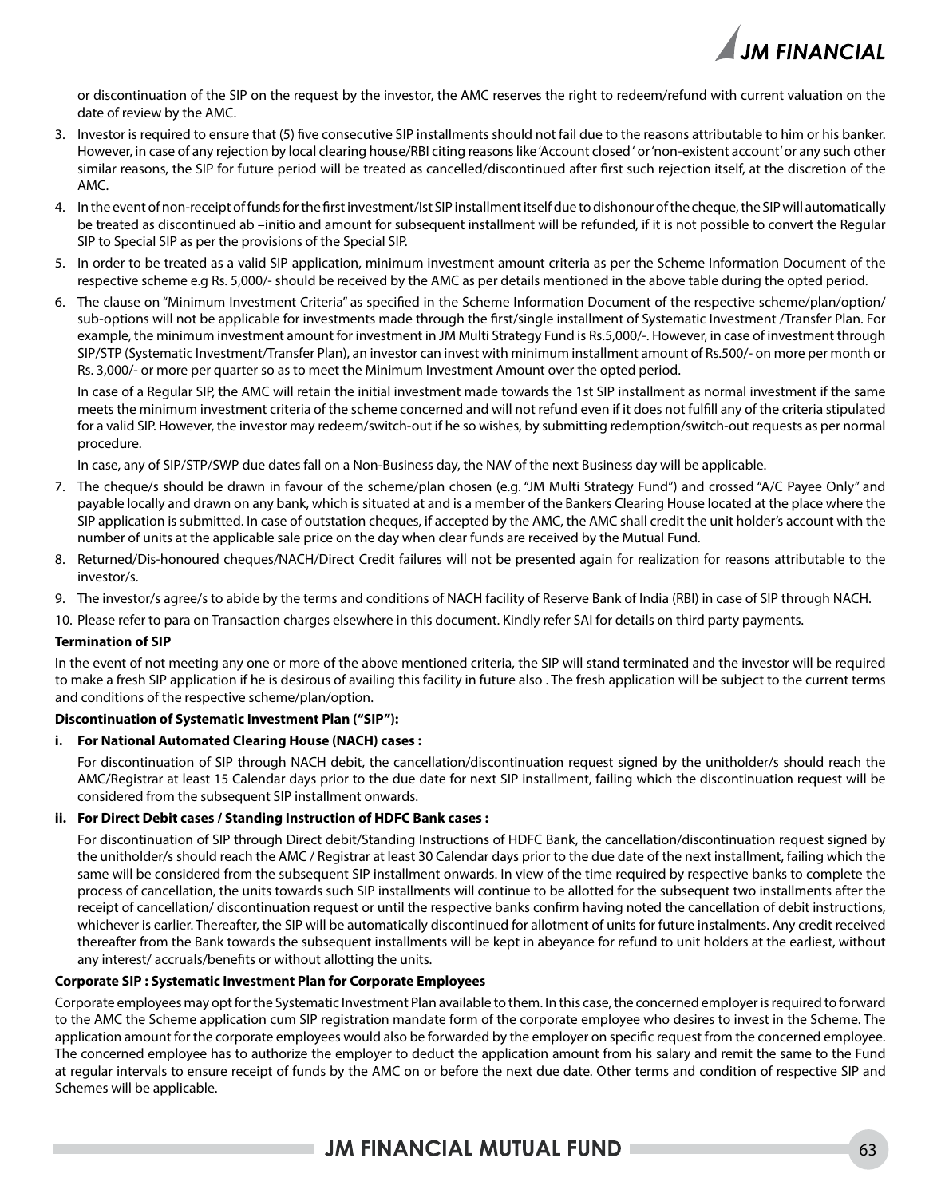

or discontinuation of the SIP on the request by the investor, the AMC reserves the right to redeem/refund with current valuation on the date of review by the AMC.

- 3. Investor is required to ensure that (5) five consecutive SIP installments should not fail due to the reasons attributable to him or his banker. However, in case of any rejection by local clearing house/RBI citing reasons like 'Account closed ' or 'non-existent account' or any such other similar reasons, the SIP for future period will be treated as cancelled/discontinued after first such rejection itself, at the discretion of the AMC.
- 4. In the event of non-receipt of funds for the first investment/Ist SIP installment itself due to dishonour of the cheque, the SIP will automatically be treated as discontinued ab –initio and amount for subsequent installment will be refunded, if it is not possible to convert the Regular SIP to Special SIP as per the provisions of the Special SIP.
- 5. In order to be treated as a valid SIP application, minimum investment amount criteria as per the Scheme Information Document of the respective scheme e.g Rs. 5,000/- should be received by the AMC as per details mentioned in the above table during the opted period.
- 6. The clause on "Minimum Investment Criteria" as specified in the Scheme Information Document of the respective scheme/plan/option/ sub-options will not be applicable for investments made through the first/single installment of Systematic Investment /Transfer Plan. For example, the minimum investment amount for investment in JM Multi Strategy Fund is Rs.5,000/-. However, in case of investment through SIP/STP (Systematic Investment/Transfer Plan), an investor can invest with minimum installment amount of Rs.500/- on more per month or Rs. 3,000/- or more per quarter so as to meet the Minimum Investment Amount over the opted period.

In case of a Regular SIP, the AMC will retain the initial investment made towards the 1st SIP installment as normal investment if the same meets the minimum investment criteria of the scheme concerned and will not refund even if it does not fulfill any of the criteria stipulated for a valid SIP. However, the investor may redeem/switch-out if he so wishes, by submitting redemption/switch-out requests as per normal procedure.

In case, any of SIP/STP/SWP due dates fall on a Non-Business day, the NAV of the next Business day will be applicable.

- 7. The cheque/s should be drawn in favour of the scheme/plan chosen (e.g. "JM Multi Strategy Fund") and crossed "A/C Payee Only" and payable locally and drawn on any bank, which is situated at and is a member of the Bankers Clearing House located at the place where the SIP application is submitted. In case of outstation cheques, if accepted by the AMC, the AMC shall credit the unit holder's account with the number of units at the applicable sale price on the day when clear funds are received by the Mutual Fund.
- 8. Returned/Dis-honoured cheques/NACH/Direct Credit failures will not be presented again for realization for reasons attributable to the investor/s.
- 9. The investor/s agree/s to abide by the terms and conditions of NACH facility of Reserve Bank of India (RBI) in case of SIP through NACH.
- 10. Please refer to para on Transaction charges elsewhere in this document. Kindly refer SAI for details on third party payments.

#### **Termination of SIP**

In the event of not meeting any one or more of the above mentioned criteria, the SIP will stand terminated and the investor will be required to make a fresh SIP application if he is desirous of availing this facility in future also . The fresh application will be subject to the current terms and conditions of the respective scheme/plan/option.

#### **Discontinuation of Systematic Investment Plan ("SIP"):**

#### **i. For National Automated Clearing House (NACH) cases :**

For discontinuation of SIP through NACH debit, the cancellation/discontinuation request signed by the unitholder/s should reach the AMC/Registrar at least 15 Calendar days prior to the due date for next SIP installment, failing which the discontinuation request will be considered from the subsequent SIP installment onwards.

#### **ii. For Direct Debit cases / Standing Instruction of HDFC Bank cases :**

For discontinuation of SIP through Direct debit/Standing Instructions of HDFC Bank, the cancellation/discontinuation request signed by the unitholder/s should reach the AMC / Registrar at least 30 Calendar days prior to the due date of the next installment, failing which the same will be considered from the subsequent SIP installment onwards. In view of the time required by respective banks to complete the process of cancellation, the units towards such SIP installments will continue to be allotted for the subsequent two installments after the receipt of cancellation/ discontinuation request or until the respective banks confirm having noted the cancellation of debit instructions, whichever is earlier. Thereafter, the SIP will be automatically discontinued for allotment of units for future instalments. Any credit received thereafter from the Bank towards the subsequent installments will be kept in abeyance for refund to unit holders at the earliest, without any interest/ accruals/benefits or without allotting the units.

#### **Corporate SIP : Systematic Investment Plan for Corporate Employees**

Corporate employees may opt for the Systematic Investment Plan available to them. In this case, the concerned employer is required to forward to the AMC the Scheme application cum SIP registration mandate form of the corporate employee who desires to invest in the Scheme. The application amount for the corporate employees would also be forwarded by the employer on specific request from the concerned employee. The concerned employee has to authorize the employer to deduct the application amount from his salary and remit the same to the Fund at regular intervals to ensure receipt of funds by the AMC on or before the next due date. Other terms and condition of respective SIP and Schemes will be applicable.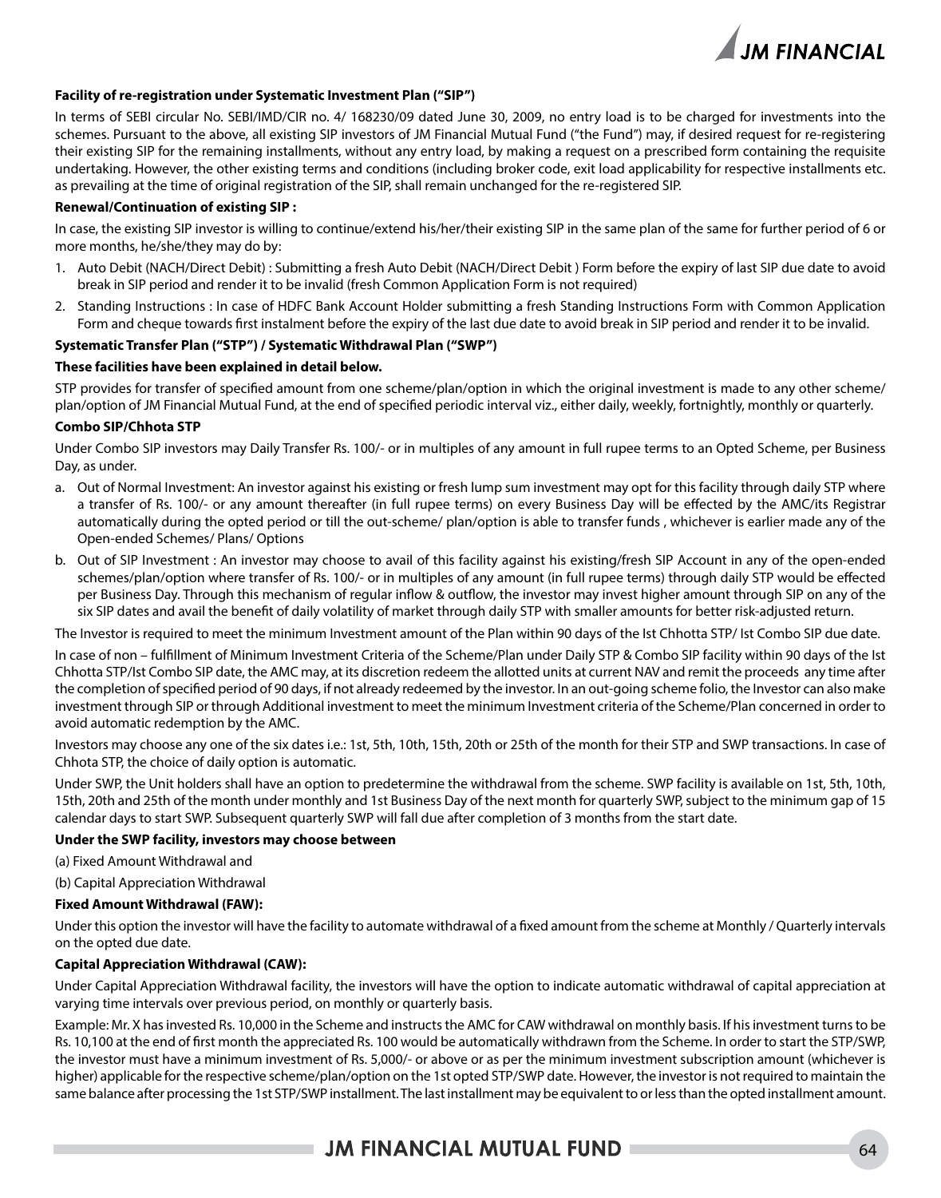

#### **Facility of re-registration under Systematic Investment Plan ("SIP")**

In terms of SEBI circular No. SEBI/IMD/CIR no. 4/ 168230/09 dated June 30, 2009, no entry load is to be charged for investments into the schemes. Pursuant to the above, all existing SIP investors of JM Financial Mutual Fund ("the Fund") may, if desired request for re-registering their existing SIP for the remaining installments, without any entry load, by making a request on a prescribed form containing the requisite undertaking. However, the other existing terms and conditions (including broker code, exit load applicability for respective installments etc. as prevailing at the time of original registration of the SIP, shall remain unchanged for the re-registered SIP.

#### **Renewal/Continuation of existing SIP :**

In case, the existing SIP investor is willing to continue/extend his/her/their existing SIP in the same plan of the same for further period of 6 or more months, he/she/they may do by:

- 1. Auto Debit (NACH/Direct Debit) : Submitting a fresh Auto Debit (NACH/Direct Debit ) Form before the expiry of last SIP due date to avoid break in SIP period and render it to be invalid (fresh Common Application Form is not required)
- 2. Standing Instructions : In case of HDFC Bank Account Holder submitting a fresh Standing Instructions Form with Common Application Form and cheque towards first instalment before the expiry of the last due date to avoid break in SIP period and render it to be invalid.

#### **Systematic Transfer Plan ("STP") / Systematic Withdrawal Plan ("SWP")**

#### **These facilities have been explained in detail below.**

STP provides for transfer of specified amount from one scheme/plan/option in which the original investment is made to any other scheme/ plan/option of JM Financial Mutual Fund, at the end of specified periodic interval viz., either daily, weekly, fortnightly, monthly or quarterly.

#### **Combo SIP/Chhota STP**

Under Combo SIP investors may Daily Transfer Rs. 100/- or in multiples of any amount in full rupee terms to an Opted Scheme, per Business Day, as under.

- a. Out of Normal Investment: An investor against his existing or fresh lump sum investment may opt for this facility through daily STP where a transfer of Rs. 100/- or any amount thereafter (in full rupee terms) on every Business Day will be effected by the AMC/its Registrar automatically during the opted period or till the out-scheme/ plan/option is able to transfer funds , whichever is earlier made any of the Open-ended Schemes/ Plans/ Options
- b. Out of SIP Investment : An investor may choose to avail of this facility against his existing/fresh SIP Account in any of the open-ended schemes/plan/option where transfer of Rs. 100/- or in multiples of any amount (in full rupee terms) through daily STP would be effected per Business Day. Through this mechanism of regular inflow & outflow, the investor may invest higher amount through SIP on any of the six SIP dates and avail the benefit of daily volatility of market through daily STP with smaller amounts for better risk-adjusted return.

The Investor is required to meet the minimum Investment amount of the Plan within 90 days of the Ist Chhotta STP/ Ist Combo SIP due date.

In case of non – fulfillment of Minimum Investment Criteria of the Scheme/Plan under Daily STP & Combo SIP facility within 90 days of the Ist Chhotta STP/Ist Combo SIP date, the AMC may, at its discretion redeem the allotted units at current NAV and remit the proceeds any time after the completion of specified period of 90 days, if not already redeemed by the investor. In an out-going scheme folio, the Investor can also make investment through SIP or through Additional investment to meet the minimum Investment criteria of the Scheme/Plan concerned in order to avoid automatic redemption by the AMC.

Investors may choose any one of the six dates i.e.: 1st, 5th, 10th, 15th, 20th or 25th of the month for their STP and SWP transactions. In case of Chhota STP, the choice of daily option is automatic.

Under SWP, the Unit holders shall have an option to predetermine the withdrawal from the scheme. SWP facility is available on 1st, 5th, 10th, 15th, 20th and 25th of the month under monthly and 1st Business Day of the next month for quarterly SWP, subject to the minimum gap of 15 calendar days to start SWP. Subsequent quarterly SWP will fall due after completion of 3 months from the start date.

#### **Under the SWP facility, investors may choose between**

(a) Fixed Amount Withdrawal and

(b) Capital Appreciation Withdrawal

#### **Fixed Amount Withdrawal (FAW):**

Under this option the investor will have the facility to automate withdrawal of a fixed amount from the scheme at Monthly / Quarterly intervals on the opted due date.

#### **Capital Appreciation Withdrawal (CAW):**

Under Capital Appreciation Withdrawal facility, the investors will have the option to indicate automatic withdrawal of capital appreciation at varying time intervals over previous period, on monthly or quarterly basis.

Example: Mr. X has invested Rs. 10,000 in the Scheme and instructs the AMC for CAW withdrawal on monthly basis. If his investment turns to be Rs. 10,100 at the end of first month the appreciated Rs. 100 would be automatically withdrawn from the Scheme. In order to start the STP/SWP, the investor must have a minimum investment of Rs. 5,000/- or above or as per the minimum investment subscription amount (whichever is higher) applicable for the respective scheme/plan/option on the 1st opted STP/SWP date. However, the investor is not required to maintain the same balance after processing the 1st STP/SWP installment. The last installment may be equivalent to or less than the opted installment amount.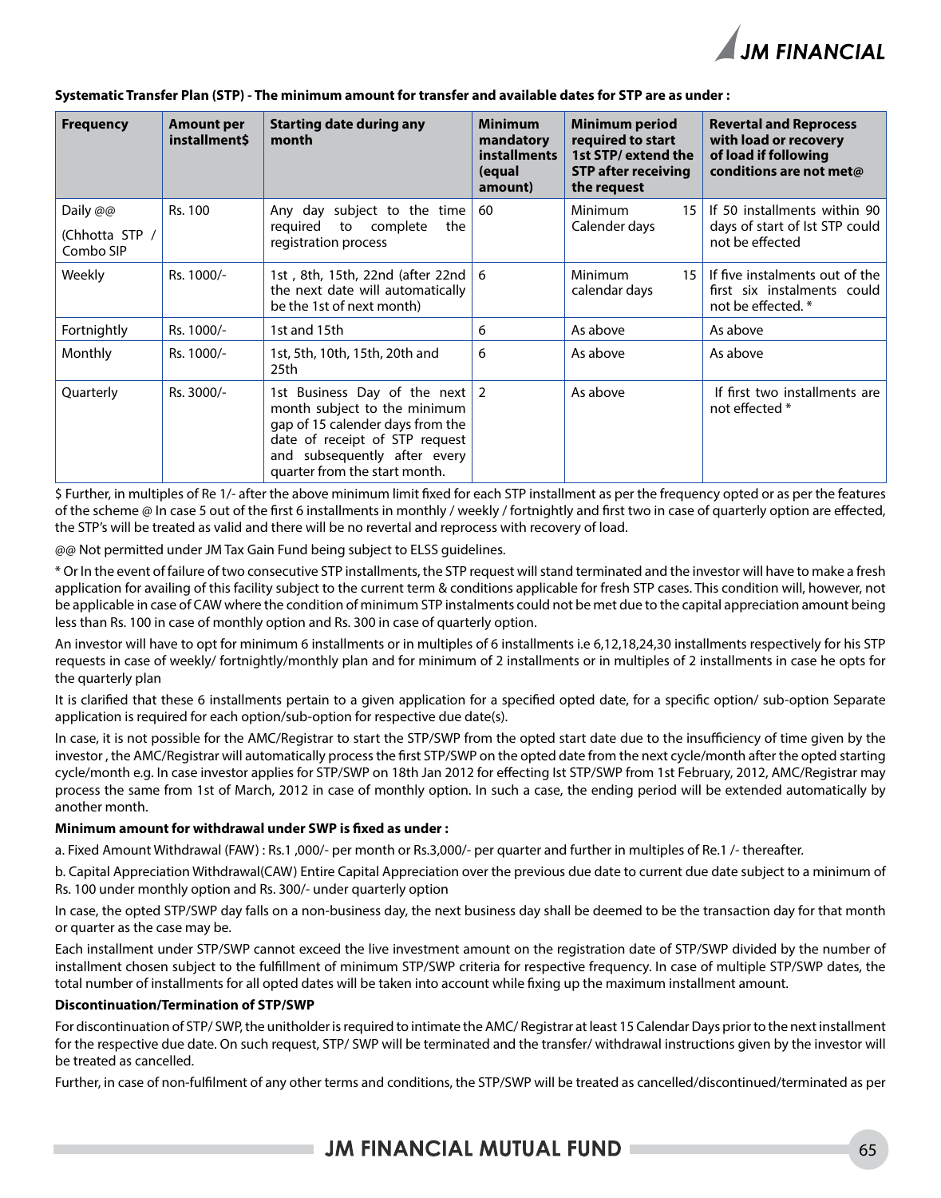

| <b>Frequency</b>            | <b>Amount per</b><br><b>installment\$</b> | <b>Starting date during any</b><br>month                                                                                                                                                                  | <b>Minimum</b><br>mandatory<br><b>installments</b><br>(equal<br>amount) | <b>Minimum period</b><br>required to start<br>1st STP/extend the<br><b>STP after receiving</b><br>the request | <b>Revertal and Reprocess</b><br>with load or recovery<br>of load if following<br>conditions are not met@ |
|-----------------------------|-------------------------------------------|-----------------------------------------------------------------------------------------------------------------------------------------------------------------------------------------------------------|-------------------------------------------------------------------------|---------------------------------------------------------------------------------------------------------------|-----------------------------------------------------------------------------------------------------------|
| Daily @@                    | Rs. 100                                   | Any day subject to the time                                                                                                                                                                               | 60                                                                      | Minimum<br>15                                                                                                 | If 50 installments within 90                                                                              |
| (Chhotta STP /<br>Combo SIP |                                           | reguired<br>to complete<br>the<br>registration process                                                                                                                                                    |                                                                         | Calender days                                                                                                 | days of start of lst STP could<br>not be effected                                                         |
| <b>Weekly</b>               | Rs. 1000/-                                | 1st, 8th, 15th, 22nd (after 22nd   6<br>the next date will automatically<br>be the 1st of next month)                                                                                                     |                                                                         | Minimum<br>15<br>calendar days                                                                                | If five instalments out of the<br>first six instalments could<br>not be effected. *                       |
| Fortnightly                 | Rs. 1000/-                                | 1st and 15th                                                                                                                                                                                              | 6                                                                       | As above                                                                                                      | As above                                                                                                  |
| Monthly                     | Rs. 1000/-                                | 1st, 5th, 10th, 15th, 20th and<br>25th                                                                                                                                                                    | 6                                                                       | As above                                                                                                      | As above                                                                                                  |
| Quarterly                   | Rs. 3000/-                                | 1st Business Day of the next $ 2 $<br>month subject to the minimum<br>gap of 15 calender days from the<br>date of receipt of STP request<br>and subsequently after every<br>quarter from the start month. |                                                                         | As above                                                                                                      | If first two installments are<br>not effected *                                                           |

#### **Systematic Transfer Plan (STP) - The minimum amount for transfer and available dates for STP are as under :**

\$ Further, in multiples of Re 1/- after the above minimum limit fixed for each STP installment as per the frequency opted or as per the features of the scheme @ In case 5 out of the first 6 installments in monthly / weekly / fortnightly and first two in case of quarterly option are effected, the STP's will be treated as valid and there will be no revertal and reprocess with recovery of load.

@@ Not permitted under JM Tax Gain Fund being subject to ELSS guidelines.

\* Or In the event of failure of two consecutive STP installments, the STP request will stand terminated and the investor will have to make a fresh application for availing of this facility subject to the current term & conditions applicable for fresh STP cases. This condition will, however, not be applicable in case of CAW where the condition of minimum STP instalments could not be met due to the capital appreciation amount being less than Rs. 100 in case of monthly option and Rs. 300 in case of quarterly option.

An investor will have to opt for minimum 6 installments or in multiples of 6 installments i.e 6,12,18,24,30 installments respectively for his STP requests in case of weekly/ fortnightly/monthly plan and for minimum of 2 installments or in multiples of 2 installments in case he opts for the quarterly plan

It is clarified that these 6 installments pertain to a given application for a specified opted date, for a specific option/ sub-option Separate application is required for each option/sub-option for respective due date(s).

In case, it is not possible for the AMC/Registrar to start the STP/SWP from the opted start date due to the insufficiency of time given by the investor , the AMC/Registrar will automatically process the first STP/SWP on the opted date from the next cycle/month after the opted starting cycle/month e.g. In case investor applies for STP/SWP on 18th Jan 2012 for effecting Ist STP/SWP from 1st February, 2012, AMC/Registrar may process the same from 1st of March, 2012 in case of monthly option. In such a case, the ending period will be extended automatically by another month.

#### **Minimum amount for withdrawal under SWP is fixed as under :**

a. Fixed Amount Withdrawal (FAW) : Rs.1 ,000/- per month or Rs.3,000/- per quarter and further in multiples of Re.1 /- thereafter.

b. Capital Appreciation Withdrawal(CAW) Entire Capital Appreciation over the previous due date to current due date subject to a minimum of Rs. 100 under monthly option and Rs. 300/- under quarterly option

In case, the opted STP/SWP day falls on a non-business day, the next business day shall be deemed to be the transaction day for that month or quarter as the case may be.

Each installment under STP/SWP cannot exceed the live investment amount on the registration date of STP/SWP divided by the number of installment chosen subject to the fulfillment of minimum STP/SWP criteria for respective frequency. In case of multiple STP/SWP dates, the total number of installments for all opted dates will be taken into account while fixing up the maximum installment amount.

#### **Discontinuation/Termination of STP/SWP**

For discontinuation of STP/ SWP, the unitholder is required to intimate the AMC/ Registrar at least 15 Calendar Days prior to the next installment for the respective due date. On such request, STP/ SWP will be terminated and the transfer/ withdrawal instructions given by the investor will be treated as cancelled.

Further, in case of non-fulfilment of any other terms and conditions, the STP/SWP will be treated as cancelled/discontinued/terminated as per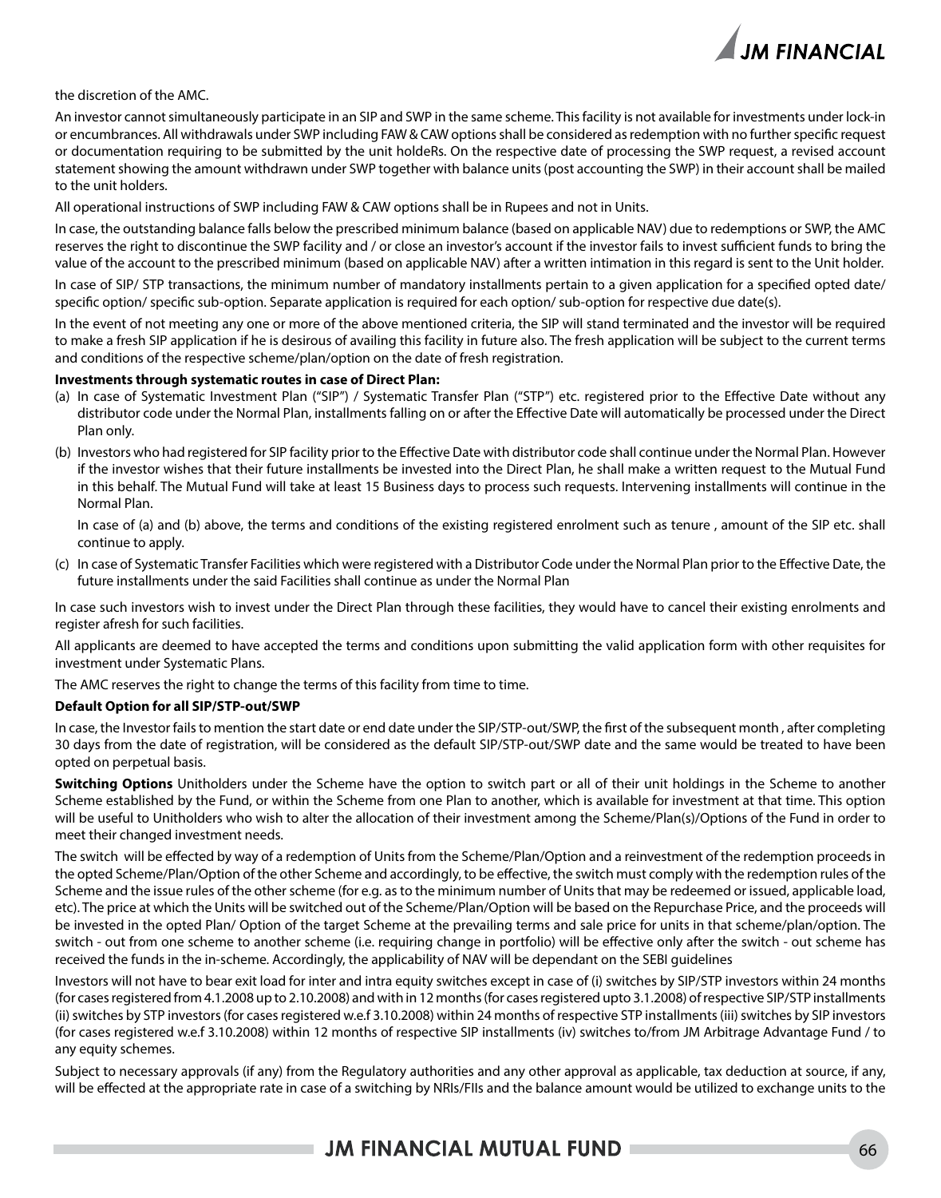

#### the discretion of the AMC.

An investor cannot simultaneously participate in an SIP and SWP in the same scheme. This facility is not available for investments under lock-in or encumbrances. All withdrawals under SWP including FAW & CAW options shall be considered as redemption with no further specific request or documentation requiring to be submitted by the unit holdeRs. On the respective date of processing the SWP request, a revised account statement showing the amount withdrawn under SWP together with balance units (post accounting the SWP) in their account shall be mailed to the unit holders.

All operational instructions of SWP including FAW & CAW options shall be in Rupees and not in Units.

In case, the outstanding balance falls below the prescribed minimum balance (based on applicable NAV) due to redemptions or SWP, the AMC reserves the right to discontinue the SWP facility and / or close an investor's account if the investor fails to invest sufficient funds to bring the value of the account to the prescribed minimum (based on applicable NAV) after a written intimation in this regard is sent to the Unit holder.

In case of SIP/ STP transactions, the minimum number of mandatory installments pertain to a given application for a specified opted date/ specific option/ specific sub-option. Separate application is required for each option/ sub-option for respective due date(s).

In the event of not meeting any one or more of the above mentioned criteria, the SIP will stand terminated and the investor will be required to make a fresh SIP application if he is desirous of availing this facility in future also. The fresh application will be subject to the current terms and conditions of the respective scheme/plan/option on the date of fresh registration.

#### **Investments through systematic routes in case of Direct Plan:**

- (a) In case of Systematic Investment Plan ("SIP") / Systematic Transfer Plan ("STP") etc. registered prior to the Effective Date without any distributor code under the Normal Plan, installments falling on or after the Effective Date will automatically be processed under the Direct Plan only.
- (b) Investors who had registered for SIP facility prior to the Effective Date with distributor code shall continue under the Normal Plan. However if the investor wishes that their future installments be invested into the Direct Plan, he shall make a written request to the Mutual Fund in this behalf. The Mutual Fund will take at least 15 Business days to process such requests. Intervening installments will continue in the Normal Plan.

In case of (a) and (b) above, the terms and conditions of the existing registered enrolment such as tenure , amount of the SIP etc. shall continue to apply.

(c) In case of Systematic Transfer Facilities which were registered with a Distributor Code under the Normal Plan prior to the Effective Date, the future installments under the said Facilities shall continue as under the Normal Plan

In case such investors wish to invest under the Direct Plan through these facilities, they would have to cancel their existing enrolments and register afresh for such facilities.

All applicants are deemed to have accepted the terms and conditions upon submitting the valid application form with other requisites for investment under Systematic Plans.

The AMC reserves the right to change the terms of this facility from time to time.

#### **Default Option for all SIP/STP-out/SWP**

In case, the Investor fails to mention the start date or end date under the SIP/STP-out/SWP, the first of the subsequent month , after completing 30 days from the date of registration, will be considered as the default SIP/STP-out/SWP date and the same would be treated to have been opted on perpetual basis.

**Switching Options** Unitholders under the Scheme have the option to switch part or all of their unit holdings in the Scheme to another Scheme established by the Fund, or within the Scheme from one Plan to another, which is available for investment at that time. This option will be useful to Unitholders who wish to alter the allocation of their investment among the Scheme/Plan(s)/Options of the Fund in order to meet their changed investment needs.

The switch will be effected by way of a redemption of Units from the Scheme/Plan/Option and a reinvestment of the redemption proceeds in the opted Scheme/Plan/Option of the other Scheme and accordingly, to be effective, the switch must comply with the redemption rules of the Scheme and the issue rules of the other scheme (for e.g. as to the minimum number of Units that may be redeemed or issued, applicable load, etc). The price at which the Units will be switched out of the Scheme/Plan/Option will be based on the Repurchase Price, and the proceeds will be invested in the opted Plan/ Option of the target Scheme at the prevailing terms and sale price for units in that scheme/plan/option. The switch - out from one scheme to another scheme (i.e. requiring change in portfolio) will be effective only after the switch - out scheme has received the funds in the in-scheme. Accordingly, the applicability of NAV will be dependant on the SEBI guidelines

Investors will not have to bear exit load for inter and intra equity switches except in case of (i) switches by SIP/STP investors within 24 months (for cases registered from 4.1.2008 up to 2.10.2008) and with in 12 months (for cases registered upto 3.1.2008) of respective SIP/STP installments (ii) switches by STP investors (for cases registered w.e.f 3.10.2008) within 24 months of respective STP installments (iii) switches by SIP investors (for cases registered w.e.f 3.10.2008) within 12 months of respective SIP installments (iv) switches to/from JM Arbitrage Advantage Fund / to any equity schemes.

Subject to necessary approvals (if any) from the Regulatory authorities and any other approval as applicable, tax deduction at source, if any, will be effected at the appropriate rate in case of a switching by NRIs/FIIs and the balance amount would be utilized to exchange units to the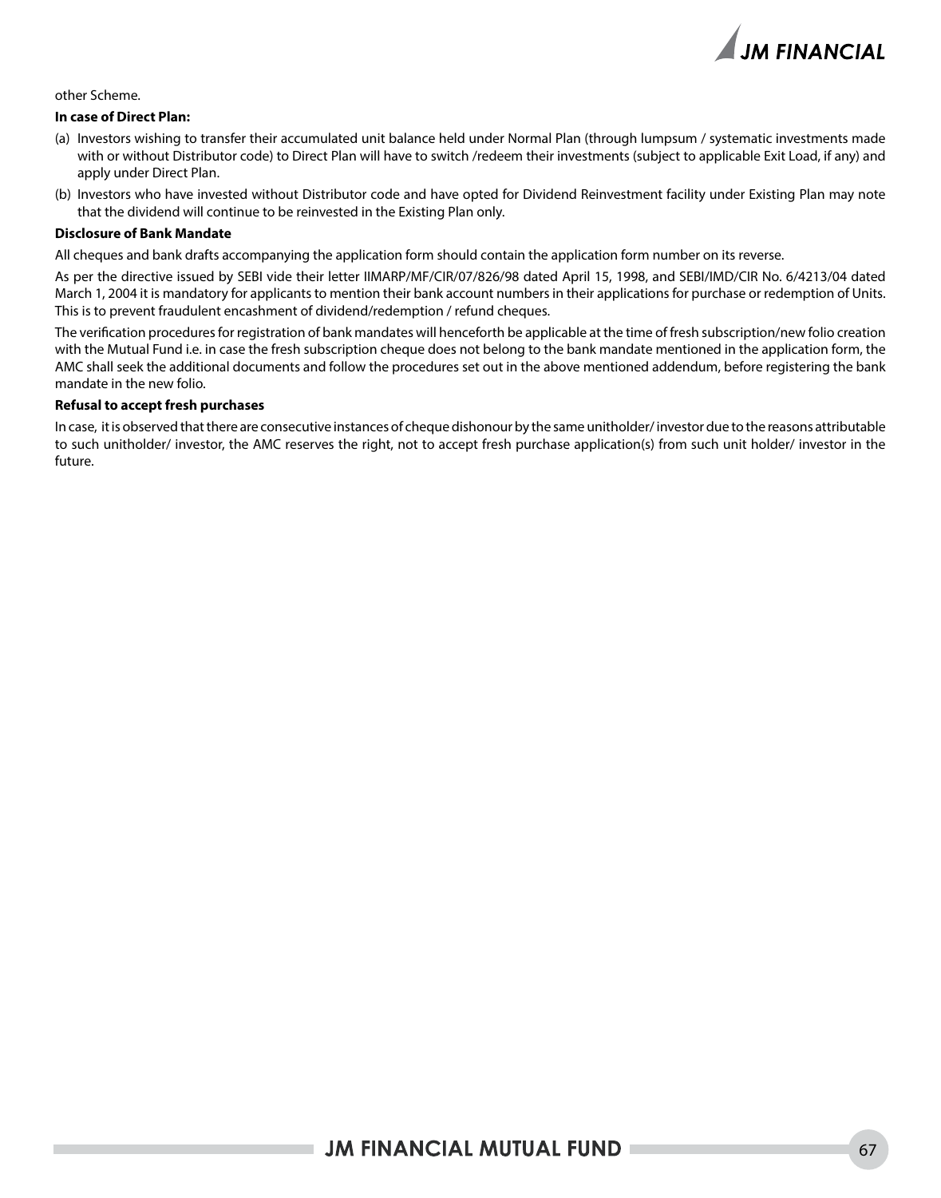

#### other Scheme.

#### **In case of Direct Plan:**

- (a) Investors wishing to transfer their accumulated unit balance held under Normal Plan (through lumpsum / systematic investments made with or without Distributor code) to Direct Plan will have to switch /redeem their investments (subject to applicable Exit Load, if any) and apply under Direct Plan.
- (b) Investors who have invested without Distributor code and have opted for Dividend Reinvestment facility under Existing Plan may note that the dividend will continue to be reinvested in the Existing Plan only.

#### **Disclosure of Bank Mandate**

All cheques and bank drafts accompanying the application form should contain the application form number on its reverse.

As per the directive issued by SEBI vide their letter IIMARP/MF/CIR/07/826/98 dated April 15, 1998, and SEBI/IMD/CIR No. 6/4213/04 dated March 1, 2004 it is mandatory for applicants to mention their bank account numbers in their applications for purchase or redemption of Units. This is to prevent fraudulent encashment of dividend/redemption / refund cheques.

The verification procedures for registration of bank mandates will henceforth be applicable at the time of fresh subscription/new folio creation with the Mutual Fund i.e. in case the fresh subscription cheque does not belong to the bank mandate mentioned in the application form, the AMC shall seek the additional documents and follow the procedures set out in the above mentioned addendum, before registering the bank mandate in the new folio.

#### **Refusal to accept fresh purchases**

In case, it is observed that there are consecutive instances of cheque dishonour by the same unitholder/ investor due to the reasons attributable to such unitholder/ investor, the AMC reserves the right, not to accept fresh purchase application(s) from such unit holder/ investor in the future.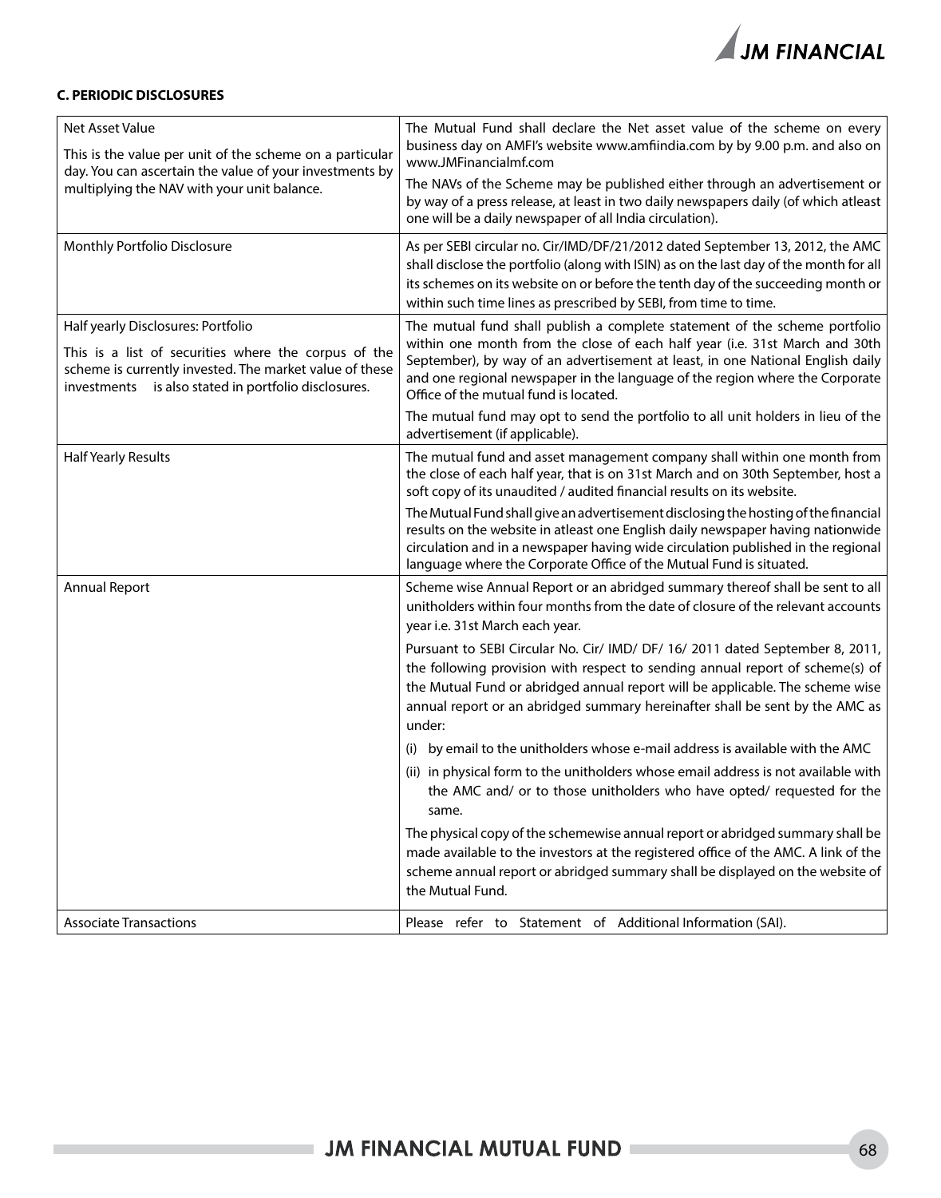

#### **C. PERIODIC DISCLOSURES**

| Net Asset Value<br>This is the value per unit of the scheme on a particular<br>day. You can ascertain the value of your investments by<br>multiplying the NAV with your unit balance.                         | The Mutual Fund shall declare the Net asset value of the scheme on every<br>business day on AMFI's website www.amfiindia.com by by 9.00 p.m. and also on<br>www.JMFinancialmf.com<br>The NAVs of the Scheme may be published either through an advertisement or<br>by way of a press release, at least in two daily newspapers daily (of which atleast<br>one will be a daily newspaper of all India circulation).                                                                                                                                                                                                                                                                                                                                                                                                                                                                                                                                                                                                                                                                        |  |  |  |
|---------------------------------------------------------------------------------------------------------------------------------------------------------------------------------------------------------------|-------------------------------------------------------------------------------------------------------------------------------------------------------------------------------------------------------------------------------------------------------------------------------------------------------------------------------------------------------------------------------------------------------------------------------------------------------------------------------------------------------------------------------------------------------------------------------------------------------------------------------------------------------------------------------------------------------------------------------------------------------------------------------------------------------------------------------------------------------------------------------------------------------------------------------------------------------------------------------------------------------------------------------------------------------------------------------------------|--|--|--|
| Monthly Portfolio Disclosure                                                                                                                                                                                  | As per SEBI circular no. Cir/IMD/DF/21/2012 dated September 13, 2012, the AMC<br>shall disclose the portfolio (along with ISIN) as on the last day of the month for all<br>its schemes on its website on or before the tenth day of the succeeding month or<br>within such time lines as prescribed by SEBI, from time to time.                                                                                                                                                                                                                                                                                                                                                                                                                                                                                                                                                                                                                                                                                                                                                           |  |  |  |
| Half yearly Disclosures: Portfolio<br>This is a list of securities where the corpus of the<br>scheme is currently invested. The market value of these<br>investments is also stated in portfolio disclosures. | The mutual fund shall publish a complete statement of the scheme portfolio<br>within one month from the close of each half year (i.e. 31st March and 30th<br>September), by way of an advertisement at least, in one National English daily<br>and one regional newspaper in the language of the region where the Corporate<br>Office of the mutual fund is located.<br>The mutual fund may opt to send the portfolio to all unit holders in lieu of the<br>advertisement (if applicable).                                                                                                                                                                                                                                                                                                                                                                                                                                                                                                                                                                                                |  |  |  |
| <b>Half Yearly Results</b>                                                                                                                                                                                    | The mutual fund and asset management company shall within one month from<br>the close of each half year, that is on 31st March and on 30th September, host a<br>soft copy of its unaudited / audited financial results on its website.<br>The Mutual Fund shall give an advertisement disclosing the hosting of the financial<br>results on the website in atleast one English daily newspaper having nationwide<br>circulation and in a newspaper having wide circulation published in the regional<br>language where the Corporate Office of the Mutual Fund is situated.                                                                                                                                                                                                                                                                                                                                                                                                                                                                                                               |  |  |  |
| <b>Annual Report</b>                                                                                                                                                                                          | Scheme wise Annual Report or an abridged summary thereof shall be sent to all<br>unitholders within four months from the date of closure of the relevant accounts<br>year i.e. 31st March each year.<br>Pursuant to SEBI Circular No. Cir/ IMD/ DF/ 16/ 2011 dated September 8, 2011,<br>the following provision with respect to sending annual report of scheme(s) of<br>the Mutual Fund or abridged annual report will be applicable. The scheme wise<br>annual report or an abridged summary hereinafter shall be sent by the AMC as<br>under:<br>(i) by email to the unitholders whose e-mail address is available with the AMC<br>(ii) in physical form to the unitholders whose email address is not available with<br>the AMC and/ or to those unitholders who have opted/ requested for the<br>same.<br>The physical copy of the schemewise annual report or abridged summary shall be<br>made available to the investors at the registered office of the AMC. A link of the<br>scheme annual report or abridged summary shall be displayed on the website of<br>the Mutual Fund. |  |  |  |
| <b>Associate Transactions</b>                                                                                                                                                                                 | Please refer to Statement of Additional Information (SAI).                                                                                                                                                                                                                                                                                                                                                                                                                                                                                                                                                                                                                                                                                                                                                                                                                                                                                                                                                                                                                                |  |  |  |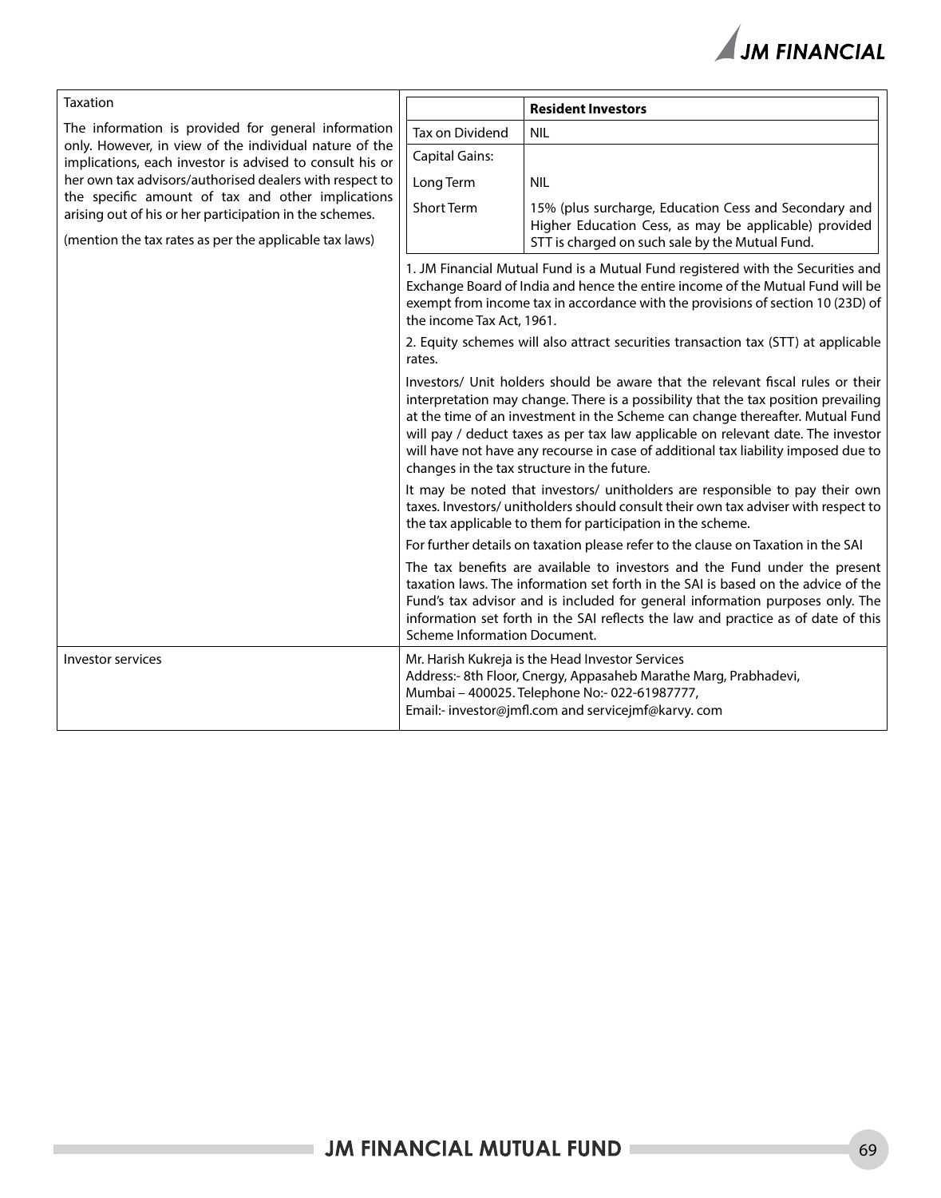| Taxation                                                                                                                                                                  |                                                                                                                                                                                                                                                                                                                                                                                                                                                                                 | <b>Resident Investors</b>                                                                                                                                                                                                   |  |  |
|---------------------------------------------------------------------------------------------------------------------------------------------------------------------------|---------------------------------------------------------------------------------------------------------------------------------------------------------------------------------------------------------------------------------------------------------------------------------------------------------------------------------------------------------------------------------------------------------------------------------------------------------------------------------|-----------------------------------------------------------------------------------------------------------------------------------------------------------------------------------------------------------------------------|--|--|
| The information is provided for general information<br>only. However, in view of the individual nature of the<br>implications, each investor is advised to consult his or | Tax on Dividend                                                                                                                                                                                                                                                                                                                                                                                                                                                                 | <b>NIL</b>                                                                                                                                                                                                                  |  |  |
|                                                                                                                                                                           | <b>Capital Gains:</b>                                                                                                                                                                                                                                                                                                                                                                                                                                                           |                                                                                                                                                                                                                             |  |  |
| her own tax advisors/authorised dealers with respect to                                                                                                                   | Long Term                                                                                                                                                                                                                                                                                                                                                                                                                                                                       | <b>NIL</b>                                                                                                                                                                                                                  |  |  |
| the specific amount of tax and other implications<br>arising out of his or her participation in the schemes.<br>(mention the tax rates as per the applicable tax laws)    | <b>Short Term</b>                                                                                                                                                                                                                                                                                                                                                                                                                                                               | 15% (plus surcharge, Education Cess and Secondary and<br>Higher Education Cess, as may be applicable) provided<br>STT is charged on such sale by the Mutual Fund.                                                           |  |  |
|                                                                                                                                                                           | 1. JM Financial Mutual Fund is a Mutual Fund registered with the Securities and<br>Exchange Board of India and hence the entire income of the Mutual Fund will be<br>exempt from income tax in accordance with the provisions of section 10 (23D) of<br>the income Tax Act, 1961.                                                                                                                                                                                               |                                                                                                                                                                                                                             |  |  |
|                                                                                                                                                                           | 2. Equity schemes will also attract securities transaction tax (STT) at applicable<br>rates.                                                                                                                                                                                                                                                                                                                                                                                    |                                                                                                                                                                                                                             |  |  |
|                                                                                                                                                                           | Investors/ Unit holders should be aware that the relevant fiscal rules or their<br>interpretation may change. There is a possibility that the tax position prevailing<br>at the time of an investment in the Scheme can change thereafter. Mutual Fund<br>will pay / deduct taxes as per tax law applicable on relevant date. The investor<br>will have not have any recourse in case of additional tax liability imposed due to<br>changes in the tax structure in the future. |                                                                                                                                                                                                                             |  |  |
|                                                                                                                                                                           | It may be noted that investors/ unitholders are responsible to pay their own<br>taxes. Investors/ unitholders should consult their own tax adviser with respect to<br>the tax applicable to them for participation in the scheme.                                                                                                                                                                                                                                               |                                                                                                                                                                                                                             |  |  |
|                                                                                                                                                                           | For further details on taxation please refer to the clause on Taxation in the SAI                                                                                                                                                                                                                                                                                                                                                                                               |                                                                                                                                                                                                                             |  |  |
|                                                                                                                                                                           | The tax benefits are available to investors and the Fund under the present<br>taxation laws. The information set forth in the SAI is based on the advice of the<br>Fund's tax advisor and is included for general information purposes only. The<br>information set forth in the SAI reflects the law and practice as of date of this<br>Scheme Information Document.                                                                                                           |                                                                                                                                                                                                                             |  |  |
| Investor services                                                                                                                                                         |                                                                                                                                                                                                                                                                                                                                                                                                                                                                                 | Mr. Harish Kukreja is the Head Investor Services<br>Address:- 8th Floor, Cnergy, Appasaheb Marathe Marg, Prabhadevi,<br>Mumbai - 400025. Telephone No:- 022-61987777,<br>Email:- investor@jmfl.com and servicejmf@karvy.com |  |  |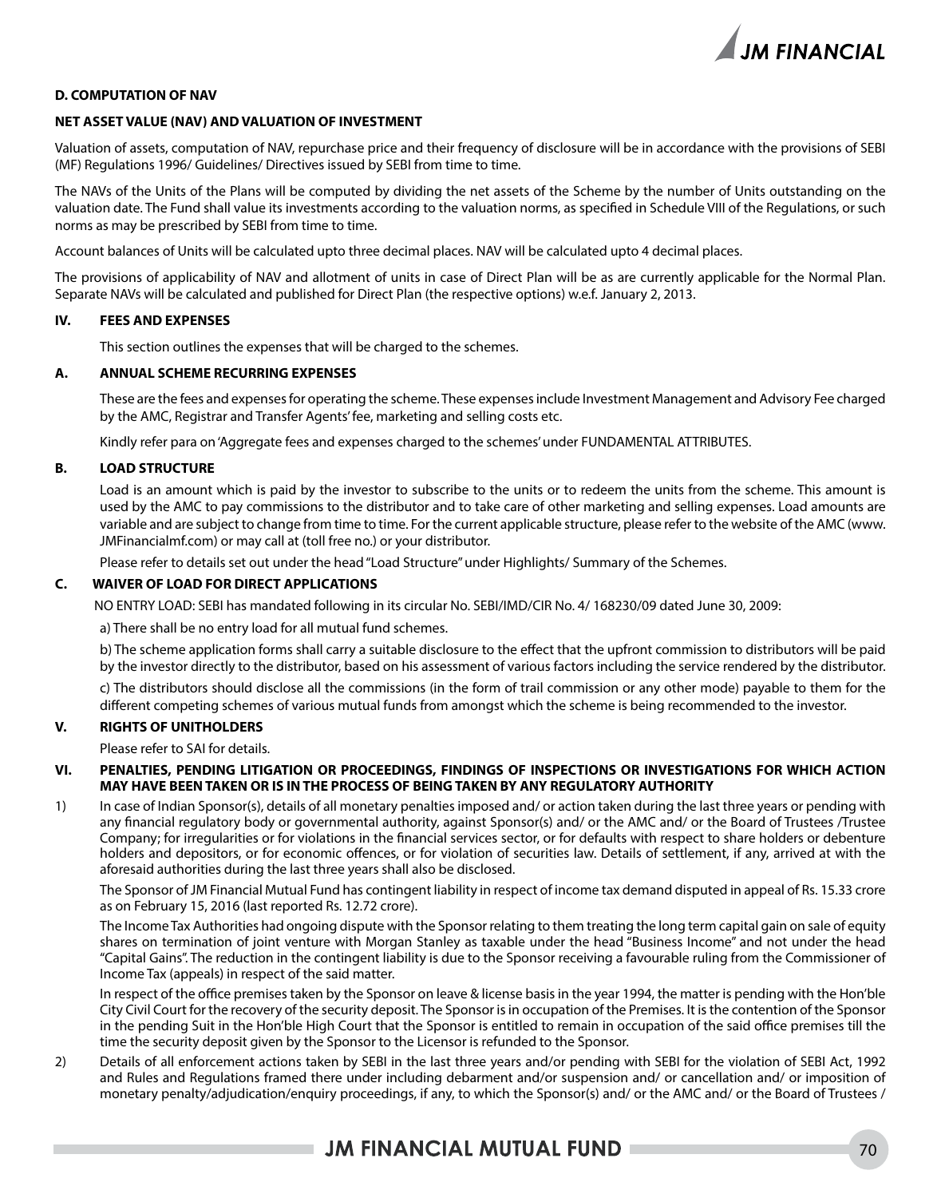

#### **D. COMPUTATION OF NAV**

#### **NET ASSET VALUE (NAV) AND VALUATION OF INVESTMENT**

Valuation of assets, computation of NAV, repurchase price and their frequency of disclosure will be in accordance with the provisions of SEBI (MF) Regulations 1996/ Guidelines/ Directives issued by SEBI from time to time.

The NAVs of the Units of the Plans will be computed by dividing the net assets of the Scheme by the number of Units outstanding on the valuation date. The Fund shall value its investments according to the valuation norms, as specified in Schedule VIII of the Regulations, or such norms as may be prescribed by SEBI from time to time.

Account balances of Units will be calculated upto three decimal places. NAV will be calculated upto 4 decimal places.

The provisions of applicability of NAV and allotment of units in case of Direct Plan will be as are currently applicable for the Normal Plan. Separate NAVs will be calculated and published for Direct Plan (the respective options) w.e.f. January 2, 2013.

#### **IV. FEES AND EXPENSES**

This section outlines the expenses that will be charged to the schemes.

#### **A. ANNUAL SCHEME RECURRING EXPENSES**

These are the fees and expenses for operating the scheme. These expenses include Investment Management and Advisory Fee charged by the AMC, Registrar and Transfer Agents' fee, marketing and selling costs etc.

Kindly refer para on 'Aggregate fees and expenses charged to the schemes' under FUNDAMENTAL ATTRIBUTES.

#### **B. LOAD STRUCTURE**

Load is an amount which is paid by the investor to subscribe to the units or to redeem the units from the scheme. This amount is used by the AMC to pay commissions to the distributor and to take care of other marketing and selling expenses. Load amounts are variable and are subject to change from time to time. For the current applicable structure, please refer to the website of the AMC (www. JMFinancialmf.com) or may call at (toll free no.) or your distributor.

Please refer to details set out under the head "Load Structure" under Highlights/ Summary of the Schemes.

#### **C. WAIVER OF LOAD FOR DIRECT APPLICATIONS**

NO ENTRY LOAD: SEBI has mandated following in its circular No. SEBI/IMD/CIR No. 4/ 168230/09 dated June 30, 2009:

a) There shall be no entry load for all mutual fund schemes.

b) The scheme application forms shall carry a suitable disclosure to the effect that the upfront commission to distributors will be paid by the investor directly to the distributor, based on his assessment of various factors including the service rendered by the distributor.

c) The distributors should disclose all the commissions (in the form of trail commission or any other mode) payable to them for the different competing schemes of various mutual funds from amongst which the scheme is being recommended to the investor.

#### **V. RIGHTS OF UNITHOLDERS**

Please refer to SAI for details.

#### **VI. PENALTIES, PENDING LITIGATION OR PROCEEDINGS, FINDINGS OF INSPECTIONS OR INVESTIGATIONS FOR WHICH ACTION MAY HAVE BEEN TAKEN OR IS IN THE PROCESS OF BEING TAKEN BY ANY REGULATORY AUTHORITY**

1) In case of Indian Sponsor(s), details of all monetary penalties imposed and/ or action taken during the last three years or pending with any financial regulatory body or governmental authority, against Sponsor(s) and/ or the AMC and/ or the Board of Trustees /Trustee Company; for irregularities or for violations in the financial services sector, or for defaults with respect to share holders or debenture holders and depositors, or for economic offences, or for violation of securities law. Details of settlement, if any, arrived at with the aforesaid authorities during the last three years shall also be disclosed.

The Sponsor of JM Financial Mutual Fund has contingent liability in respect of income tax demand disputed in appeal of Rs. 15.33 crore as on February 15, 2016 (last reported Rs. 12.72 crore).

The Income Tax Authorities had ongoing dispute with the Sponsor relating to them treating the long term capital gain on sale of equity shares on termination of joint venture with Morgan Stanley as taxable under the head "Business Income" and not under the head "Capital Gains". The reduction in the contingent liability is due to the Sponsor receiving a favourable ruling from the Commissioner of Income Tax (appeals) in respect of the said matter.

In respect of the office premises taken by the Sponsor on leave & license basis in the year 1994, the matter is pending with the Hon'ble City Civil Court for the recovery of the security deposit. The Sponsor is in occupation of the Premises. It is the contention of the Sponsor in the pending Suit in the Hon'ble High Court that the Sponsor is entitled to remain in occupation of the said office premises till the time the security deposit given by the Sponsor to the Licensor is refunded to the Sponsor.

2) Details of all enforcement actions taken by SEBI in the last three years and/or pending with SEBI for the violation of SEBI Act, 1992 and Rules and Regulations framed there under including debarment and/or suspension and/ or cancellation and/ or imposition of monetary penalty/adjudication/enquiry proceedings, if any, to which the Sponsor(s) and/ or the AMC and/ or the Board of Trustees /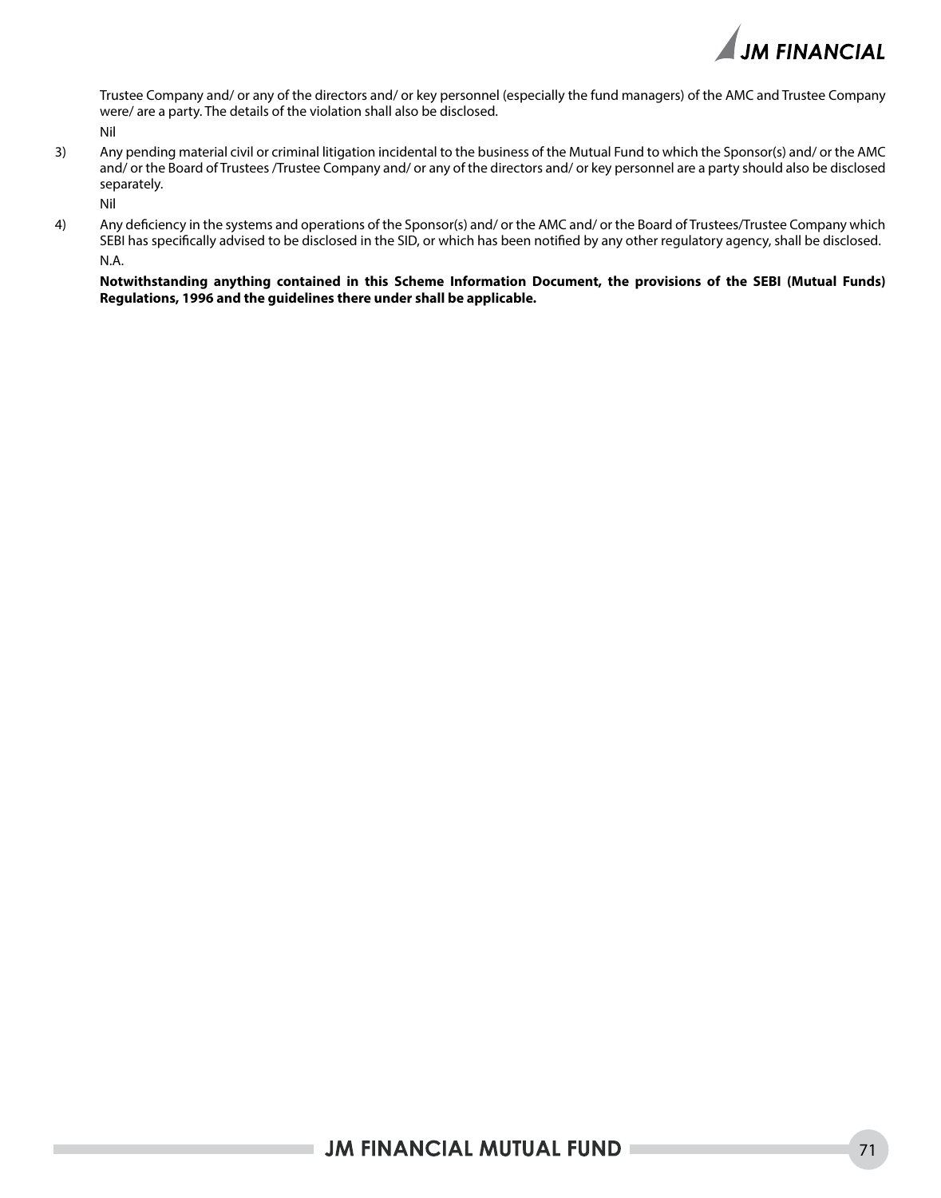

Trustee Company and/ or any of the directors and/ or key personnel (especially the fund managers) of the AMC and Trustee Company were/ are a party. The details of the violation shall also be disclosed. Nil

3) Any pending material civil or criminal litigation incidental to the business of the Mutual Fund to which the Sponsor(s) and/ or the AMC and/ or the Board of Trustees /Trustee Company and/ or any of the directors and/ or key personnel are a party should also be disclosed separately.

Nil

4) Any deficiency in the systems and operations of the Sponsor(s) and/ or the AMC and/ or the Board of Trustees/Trustee Company which SEBI has specifically advised to be disclosed in the SID, or which has been notified by any other regulatory agency, shall be disclosed. N.A.

**Notwithstanding anything contained in this Scheme Information Document, the provisions of the SEBI (Mutual Funds) Regulations, 1996 and the guidelines there under shall be applicable.**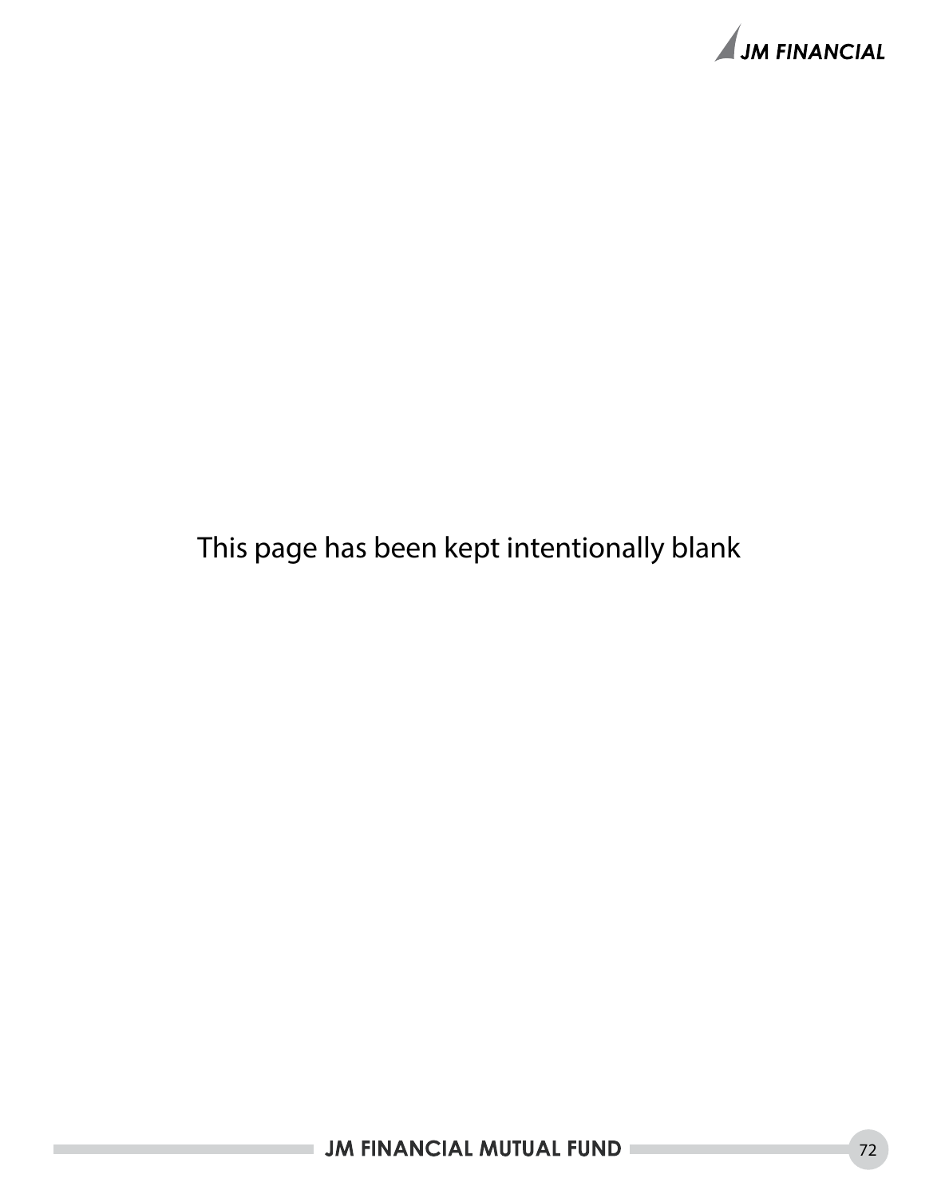

## This page has been kept intentionally blank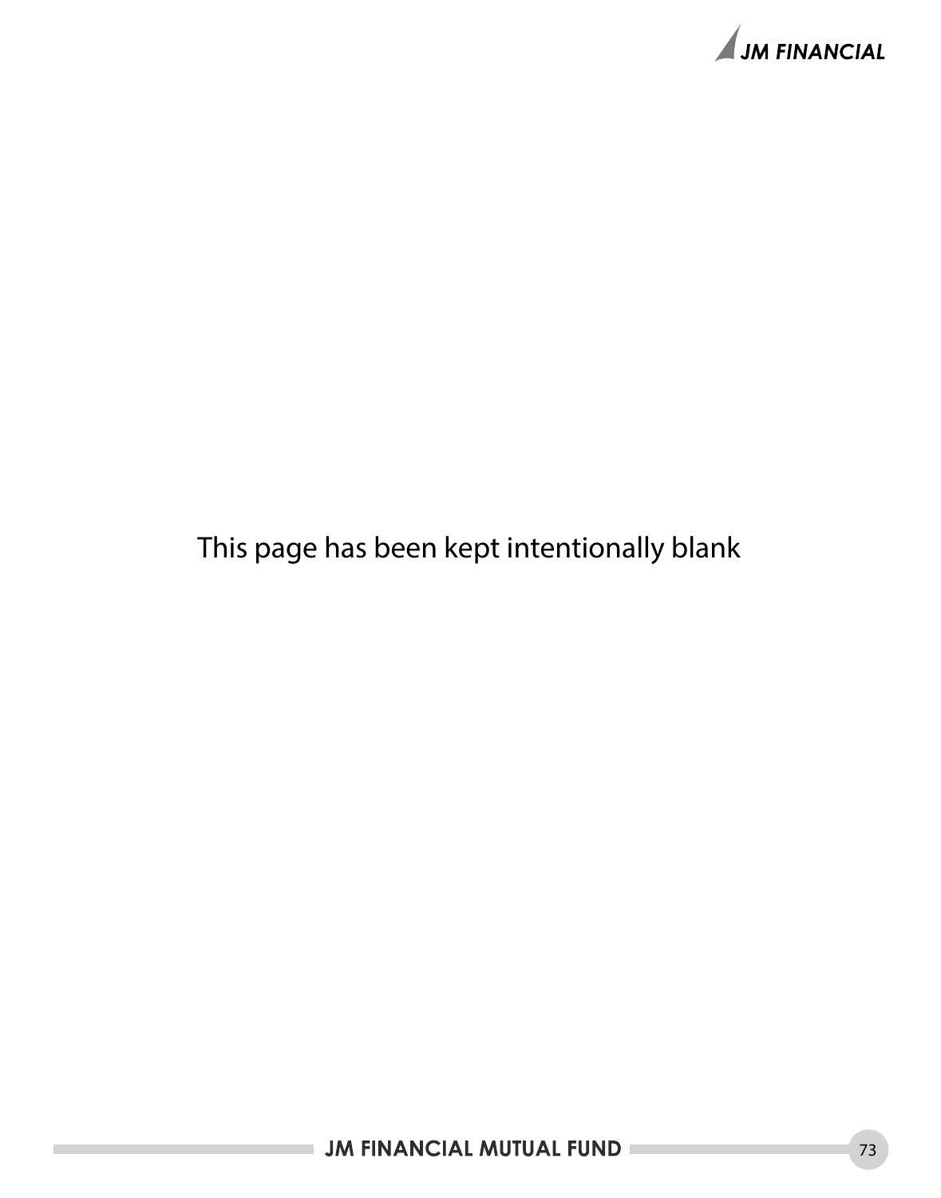

## This page has been kept intentionally blank